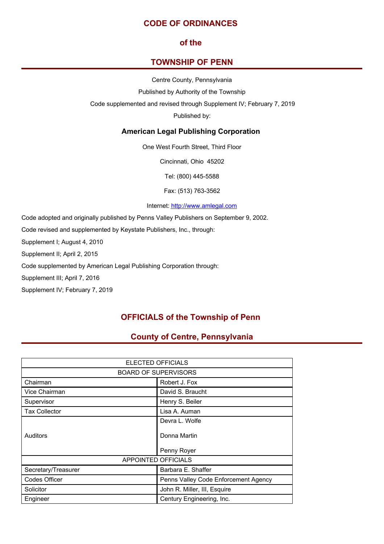# **CODE OF ORDINANCES**

# **of the**

# **TOWNSHIP OF PENN**

Centre County, Pennsylvania

Published by Authority of the Township

Code supplemented and revised through Supplement IV; February 7, 2019

Published by:

# **American Legal Publishing Corporation**

One West Fourth Street, Third Floor

Cincinnati, Ohio 45202

Tel: (800) 445-5588

Fax: (513) 763-3562

Internet: <http://www.amlegal.com>

Code adopted and originally published by Penns Valley Publishers on September 9, 2002.

Code revised and supplemented by Keystate Publishers, Inc., through:

Supplement I; August 4, 2010

Supplement II; April 2, 2015

Code supplemented by American Legal Publishing Corporation through:

Supplement III; April 7, 2016

Supplement IV; February 7, 2019

# **OFFICIALS of the Township of Penn**

# **County of Centre, Pennsylvania**

| <b>ELECTED OFFICIALS</b>    |                                      |  |  |
|-----------------------------|--------------------------------------|--|--|
| <b>BOARD OF SUPERVISORS</b> |                                      |  |  |
| Chairman                    | Robert J. Fox                        |  |  |
| Vice Chairman               | David S. Braucht                     |  |  |
| Supervisor                  | Henry S. Beiler                      |  |  |
| <b>Tax Collector</b>        | Lisa A. Auman                        |  |  |
|                             | Devra L. Wolfe                       |  |  |
| Auditors                    | Donna Martin                         |  |  |
|                             | Penny Royer                          |  |  |
| <b>APPOINTED OFFICIALS</b>  |                                      |  |  |
| Secretary/Treasurer         | Barbara E. Shaffer                   |  |  |
| Codes Officer               | Penns Valley Code Enforcement Agency |  |  |
| Solicitor                   | John R. Miller, III, Esquire         |  |  |
| Engineer                    | Century Engineering, Inc.            |  |  |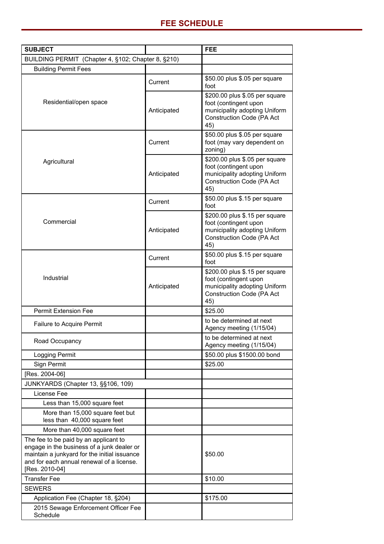| <b>SUBJECT</b>                                                                                                                                                                                     |             | <b>FEE</b>                                                                                                                          |
|----------------------------------------------------------------------------------------------------------------------------------------------------------------------------------------------------|-------------|-------------------------------------------------------------------------------------------------------------------------------------|
| BUILDING PERMIT (Chapter 4, §102; Chapter 8, §210)                                                                                                                                                 |             |                                                                                                                                     |
| <b>Building Permit Fees</b>                                                                                                                                                                        |             |                                                                                                                                     |
| Residential/open space                                                                                                                                                                             | Current     | \$50.00 plus \$.05 per square<br>foot                                                                                               |
|                                                                                                                                                                                                    | Anticipated | \$200.00 plus \$.05 per square<br>foot (contingent upon<br>municipality adopting Uniform<br>Construction Code (PA Act<br>45)        |
| Agricultural                                                                                                                                                                                       | Current     | \$50.00 plus \$.05 per square<br>foot (may vary dependent on<br>zoning)                                                             |
|                                                                                                                                                                                                    | Anticipated | \$200.00 plus \$.05 per square<br>foot (contingent upon<br>municipality adopting Uniform<br>Construction Code (PA Act<br>45)        |
| Commercial                                                                                                                                                                                         | Current     | \$50.00 plus \$.15 per square<br>foot                                                                                               |
|                                                                                                                                                                                                    | Anticipated | \$200.00 plus \$.15 per square<br>foot (contingent upon<br>municipality adopting Uniform<br><b>Construction Code (PA Act</b><br>45) |
|                                                                                                                                                                                                    | Current     | \$50.00 plus \$.15 per square<br>foot                                                                                               |
| Industrial                                                                                                                                                                                         | Anticipated | \$200.00 plus \$.15 per square<br>foot (contingent upon<br>municipality adopting Uniform<br><b>Construction Code (PA Act</b><br>45) |
| <b>Permit Extension Fee</b>                                                                                                                                                                        |             | \$25.00                                                                                                                             |
| <b>Failure to Acquire Permit</b>                                                                                                                                                                   |             | to be determined at next<br>Agency meeting (1/15/04)                                                                                |
| Road Occupancy                                                                                                                                                                                     |             | to be determined at next<br>Agency meeting (1/15/04)                                                                                |
| Logging Permit                                                                                                                                                                                     |             | \$50.00 plus \$1500.00 bond                                                                                                         |
| Sign Permit                                                                                                                                                                                        |             | \$25.00                                                                                                                             |
| [Res. 2004-06]                                                                                                                                                                                     |             |                                                                                                                                     |
| JUNKYARDS (Chapter 13, §§106, 109)                                                                                                                                                                 |             |                                                                                                                                     |
| License Fee                                                                                                                                                                                        |             |                                                                                                                                     |
| Less than 15,000 square feet                                                                                                                                                                       |             |                                                                                                                                     |
| More than 15,000 square feet but<br>less than 40,000 square feet                                                                                                                                   |             |                                                                                                                                     |
| More than 40,000 square feet                                                                                                                                                                       |             |                                                                                                                                     |
| The fee to be paid by an applicant to<br>engage in the business of a junk dealer or<br>maintain a junkyard for the initial issuance<br>and for each annual renewal of a license.<br>[Res. 2010-04] |             | \$50.00                                                                                                                             |
| <b>Transfer Fee</b>                                                                                                                                                                                |             | \$10.00                                                                                                                             |
| <b>SEWERS</b>                                                                                                                                                                                      |             |                                                                                                                                     |
| Application Fee (Chapter 18, §204)                                                                                                                                                                 |             | \$175.00                                                                                                                            |
| 2015 Sewage Enforcement Officer Fee<br>Schedule                                                                                                                                                    |             |                                                                                                                                     |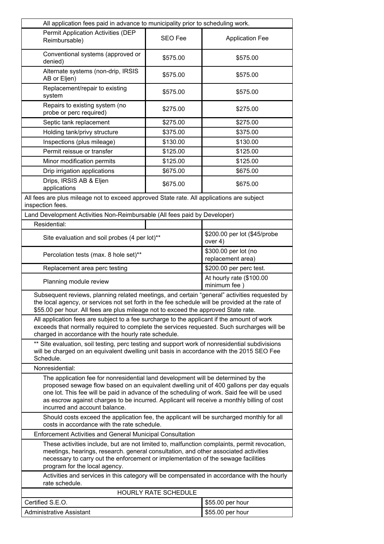| All application fees paid in advance to municipality prior to scheduling work.                                                                                                                                                                                                                                                                                                                                                                                                    |                |                                           |  |
|-----------------------------------------------------------------------------------------------------------------------------------------------------------------------------------------------------------------------------------------------------------------------------------------------------------------------------------------------------------------------------------------------------------------------------------------------------------------------------------|----------------|-------------------------------------------|--|
| Permit Application Activities (DEP<br>Reimbursable)                                                                                                                                                                                                                                                                                                                                                                                                                               | <b>SEO Fee</b> | <b>Application Fee</b>                    |  |
| Conventional systems (approved or<br>denied)                                                                                                                                                                                                                                                                                                                                                                                                                                      | \$575.00       | \$575.00                                  |  |
| Alternate systems (non-drip, IRSIS<br>AB or Eljen)                                                                                                                                                                                                                                                                                                                                                                                                                                | \$575.00       | \$575.00                                  |  |
| Replacement/repair to existing<br>system                                                                                                                                                                                                                                                                                                                                                                                                                                          | \$575.00       | \$575.00                                  |  |
| Repairs to existing system (no<br>probe or perc required)                                                                                                                                                                                                                                                                                                                                                                                                                         | \$275.00       | \$275.00                                  |  |
| Septic tank replacement                                                                                                                                                                                                                                                                                                                                                                                                                                                           | \$275.00       | \$275.00                                  |  |
| Holding tank/privy structure                                                                                                                                                                                                                                                                                                                                                                                                                                                      | \$375.00       | \$375.00                                  |  |
| Inspections (plus mileage)                                                                                                                                                                                                                                                                                                                                                                                                                                                        | \$130.00       | \$130.00                                  |  |
| Permit reissue or transfer                                                                                                                                                                                                                                                                                                                                                                                                                                                        | \$125.00       | \$125.00                                  |  |
| Minor modification permits                                                                                                                                                                                                                                                                                                                                                                                                                                                        | \$125.00       | \$125.00                                  |  |
| Drip irrigation applications                                                                                                                                                                                                                                                                                                                                                                                                                                                      | \$675.00       | \$675.00                                  |  |
| Drips, IRSIS AB & Eljen<br>applications                                                                                                                                                                                                                                                                                                                                                                                                                                           | \$675.00       | \$675.00                                  |  |
| All fees are plus mileage not to exceed approved State rate. All applications are subject<br>inspection fees.                                                                                                                                                                                                                                                                                                                                                                     |                |                                           |  |
| Land Development Activities Non-Reimbursable (All fees paid by Developer)                                                                                                                                                                                                                                                                                                                                                                                                         |                |                                           |  |
| Residential:                                                                                                                                                                                                                                                                                                                                                                                                                                                                      |                |                                           |  |
| Site evaluation and soil probes (4 per lot)**                                                                                                                                                                                                                                                                                                                                                                                                                                     |                | \$200.00 per lot (\$45/probe<br>over 4)   |  |
| Percolation tests (max. 8 hole set)**                                                                                                                                                                                                                                                                                                                                                                                                                                             |                | \$300.00 per lot (no<br>replacement area) |  |
| Replacement area perc testing                                                                                                                                                                                                                                                                                                                                                                                                                                                     |                | \$200.00 per perc test.                   |  |
| Planning module review                                                                                                                                                                                                                                                                                                                                                                                                                                                            |                |                                           |  |
| Subsequent reviews, planning related meetings, and certain "general" activities requested by<br>the local agency, or services not set forth in the fee schedule will be provided at the rate of<br>\$55.00 per hour. All fees are plus mileage not to exceed the approved State rate.<br>All application fees are subject to a fee surcharge to the applicant if the amount of work<br>exceeds that normally required to complete the services requested. Such surcharges will be |                |                                           |  |
| charged in accordance with the hourly rate schedule.<br>** Site evaluation, soil testing, perc testing and support work of nonresidential subdivisions<br>will be charged on an equivalent dwelling unit basis in accordance with the 2015 SEO Fee<br>Schedule.                                                                                                                                                                                                                   |                |                                           |  |
| Nonresidential:                                                                                                                                                                                                                                                                                                                                                                                                                                                                   |                |                                           |  |
| The application fee for nonresidential land development will be determined by the<br>proposed sewage flow based on an equivalent dwelling unit of 400 gallons per day equals<br>one lot. This fee will be paid in advance of the scheduling of work. Said fee will be used<br>as escrow against charges to be incurred. Applicant will receive a monthly billing of cost<br>incurred and account balance.                                                                         |                |                                           |  |
| Should costs exceed the application fee, the applicant will be surcharged monthly for all<br>costs in accordance with the rate schedule.                                                                                                                                                                                                                                                                                                                                          |                |                                           |  |
| <b>Enforcement Activities and General Municipal Consultation</b>                                                                                                                                                                                                                                                                                                                                                                                                                  |                |                                           |  |
| These activities include, but are not limited to, malfunction complaints, permit revocation,<br>meetings, hearings, research. general consultation, and other associated activities<br>necessary to carry out the enforcement or implementation of the sewage facilities<br>program for the local agency.                                                                                                                                                                         |                |                                           |  |
| Activities and services in this category will be compensated in accordance with the hourly<br>rate schedule.                                                                                                                                                                                                                                                                                                                                                                      |                |                                           |  |
| HOURLY RATE SCHEDULE                                                                                                                                                                                                                                                                                                                                                                                                                                                              |                |                                           |  |
| Certified S.E.O.                                                                                                                                                                                                                                                                                                                                                                                                                                                                  |                | \$55.00 per hour                          |  |
| Administrative Assistant                                                                                                                                                                                                                                                                                                                                                                                                                                                          |                | \$55.00 per hour                          |  |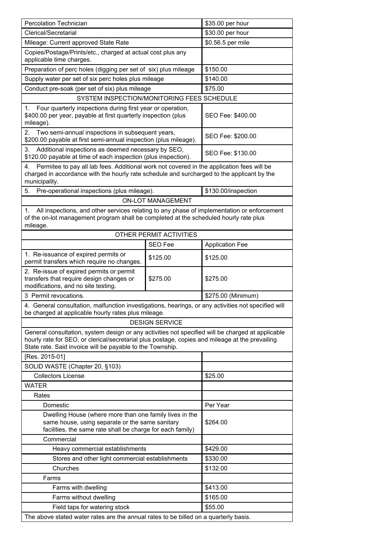| Percolation Technician                                                                                                                                                                                                                                            |                                | \$35.00 per hour       |  |
|-------------------------------------------------------------------------------------------------------------------------------------------------------------------------------------------------------------------------------------------------------------------|--------------------------------|------------------------|--|
| Clerical/Secretarial                                                                                                                                                                                                                                              |                                | \$30.00 per hour       |  |
| Mileage: Current approved State Rate                                                                                                                                                                                                                              |                                | \$0.56.5 per mile      |  |
| Copies/Postage/Prints/etc., charged at actual cost plus any<br>applicable time charges.                                                                                                                                                                           |                                |                        |  |
| Preparation of perc holes (digging per set of six) plus mileage                                                                                                                                                                                                   |                                | \$150.00               |  |
| Supply water per set of six perc holes plus mileage                                                                                                                                                                                                               |                                | \$140.00               |  |
| Conduct pre-soak (per set of six) plus mileage                                                                                                                                                                                                                    |                                | \$75.00                |  |
| SYSTEM INSPECTION/MONITORING FEES SCHEDULE                                                                                                                                                                                                                        |                                |                        |  |
| 1. Four quarterly inspections during first year or operation,<br>\$400.00 per year, payable at first quarterly inspection (plus<br>mileage).                                                                                                                      |                                | SEO Fee: \$400.00      |  |
| Two semi-annual inspections in subsequent years,<br>2.<br>\$200.00 payable at first semi-annual inspection (plus mileage).                                                                                                                                        |                                | SEO Fee: \$200.00      |  |
| Additional inspections as deemed necessary by SEO,<br>3.<br>\$120.00 payable at time of each inspection (plus inspection).                                                                                                                                        |                                | SEO Fee: \$130.00      |  |
| Permitee to pay all lab fees. Additional work not covered in the application fees will be<br>4.<br>charged in accordance with the hourly rate schedule and surcharged to the applicant by the<br>municipality.                                                    |                                |                        |  |
| Pre-operational inspections (plus mileage).<br>5.                                                                                                                                                                                                                 |                                | \$130.00/inspection    |  |
|                                                                                                                                                                                                                                                                   | <b>ON-LOT MANAGEMENT</b>       |                        |  |
| All inspections, and other services relating to any phase of implementation or enforcement<br>1.<br>of the on-lot management program shall be completed at the scheduled hourly rate plus<br>mileage.                                                             |                                |                        |  |
|                                                                                                                                                                                                                                                                   | <b>OTHER PERMIT ACTIVITIES</b> |                        |  |
|                                                                                                                                                                                                                                                                   | <b>SEO Fee</b>                 | <b>Application Fee</b> |  |
| 1. Re-issuance of expired permits or<br>permit transfers which require no changes.                                                                                                                                                                                | \$125.00                       | \$125.00               |  |
| 2. Re-issue of expired permits or permit<br>transfers that require design changes or<br>modifications, and no site testing.                                                                                                                                       | \$275.00                       | \$275.00               |  |
| 3 Permit revocations.                                                                                                                                                                                                                                             |                                | \$275.00 (Minimum)     |  |
| 4. General consultation, malfunction investigations, hearings, or any activities not specified will<br>be charged at applicable hourly rates plus mileage.                                                                                                        |                                |                        |  |
|                                                                                                                                                                                                                                                                   | <b>DESIGN SERVICE</b>          |                        |  |
| General consultation, system design or any activities not specified will be charged at applicable<br>hourly rate for SEO, or clerical/secretarial plus postage, copies and mileage at the prevailing<br>State rate. Said invoice will be payable to the Township. |                                |                        |  |
| [Res. 2015-01]                                                                                                                                                                                                                                                    |                                |                        |  |
| SOLID WASTE (Chapter 20, §103)                                                                                                                                                                                                                                    |                                |                        |  |
| <b>Collectors License</b>                                                                                                                                                                                                                                         |                                | \$25.00                |  |
| <b>WATER</b>                                                                                                                                                                                                                                                      |                                |                        |  |
| Rates                                                                                                                                                                                                                                                             |                                |                        |  |
| Domestic                                                                                                                                                                                                                                                          |                                | Per Year               |  |
| Dwelling House (where more than one family lives in the<br>same house, using separate or the same sanitary<br>facilities, the same rate shall be charge for each family)                                                                                          |                                | \$264.00               |  |
| Commercial                                                                                                                                                                                                                                                        |                                |                        |  |
| Heavy commercial establishments                                                                                                                                                                                                                                   |                                | \$429.00               |  |
| Stores and other light commercial establishments                                                                                                                                                                                                                  |                                | \$330.00               |  |
| Churches                                                                                                                                                                                                                                                          |                                | \$132.00               |  |
| Farms                                                                                                                                                                                                                                                             |                                |                        |  |
| Farms with dwelling                                                                                                                                                                                                                                               |                                | \$413.00               |  |
| Farms without dwelling                                                                                                                                                                                                                                            |                                | \$165.00               |  |
| Field taps for watering stock                                                                                                                                                                                                                                     |                                | \$55.00                |  |
| The above stated water rates are the annual rates to be billed on a quarterly basis.                                                                                                                                                                              |                                |                        |  |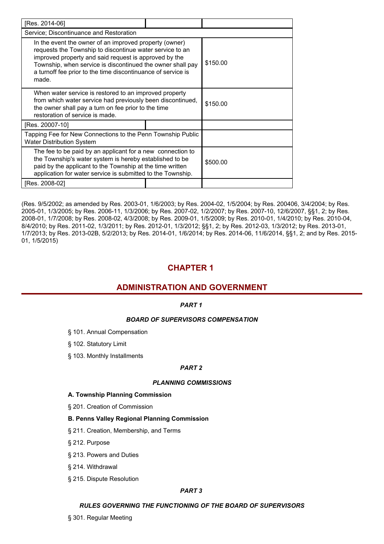| [Res. 2014-06]                                                                                                                                                                                                                                                                                                     |  |          |  |  |
|--------------------------------------------------------------------------------------------------------------------------------------------------------------------------------------------------------------------------------------------------------------------------------------------------------------------|--|----------|--|--|
| Service; Discontinuance and Restoration                                                                                                                                                                                                                                                                            |  |          |  |  |
| In the event the owner of an improved property (owner)<br>requests the Township to discontinue water service to an<br>improved property and said request is approved by the<br>Township, when service is discontinued the owner shall pay<br>a turnoff fee prior to the time discontinuance of service is<br>made. |  | \$150.00 |  |  |
| When water service is restored to an improved property<br>from which water service had previously been discontinued,<br>the owner shall pay a turn on fee prior to the time<br>restoration of service is made.                                                                                                     |  | \$150.00 |  |  |
| [Res. 20007-10]                                                                                                                                                                                                                                                                                                    |  |          |  |  |
| Tapping Fee for New Connections to the Penn Township Public<br><b>Water Distribution System</b>                                                                                                                                                                                                                    |  |          |  |  |
| The fee to be paid by an applicant for a new connection to<br>the Township's water system is hereby established to be<br>paid by the applicant to the Township at the time written<br>application for water service is submitted to the Township.                                                                  |  | \$500.00 |  |  |
| [Res. 2008-02]                                                                                                                                                                                                                                                                                                     |  |          |  |  |

(Res. 9/5/2002; as amended by Res. 2003-01, 1/6/2003; by Res. 2004-02, 1/5/2004; by Res. 200406, 3/4/2004; by Res. 2005-01, 1/3/2005; by Res. 2006-11, 1/3/2006; by Res. 2007-02, 1/2/2007; by Res. 2007-10, 12/6/2007, §§1, 2; by Res. 2008-01, 1/7/2008; by Res. 2008-02, 4/3/2008; by Res. 2009-01, 1/5/2009; by Res. 2010-01, 1/4/2010; by Res. 2010-04, 8/4/2010; by Res. 2011-02, 1/3/2011; by Res. 2012-01, 1/3/2012; §§1, 2; by Res. 2012-03, 1/3/2012; by Res. 2013-01, 1/7/2013; by Res. 2013-02B, 5/2/2013; by Res. 2014-01, 1/6/2014; by Res. 2014-06, 11/6/2014, §§1, 2; and by Res. 2015- 01, 1/5/2015)

# **CHAPTER 1**

# **ADMINISTRATION AND GOVERNMENT**

# *PART 1*

# *BOARD OF SUPERVISORS COMPENSATION*

- § 101. Annual Compensation
- § 102. Statutory Limit
- § 103. Monthly Installments

# *PART 2*

# *PLANNING COMMISSIONS*

## **A. Township Planning Commission**

§ 201. Creation of Commission

## **B. Penns Valley Regional Planning Commission**

- § 211. Creation, Membership, and Terms
- § 212. Purpose
- § 213. Powers and Duties
- § 214. Withdrawal
- § 215. Dispute Resolution

## *PART 3*

# *RULES GOVERNING THE FUNCTIONING OF THE BOARD OF SUPERVISORS*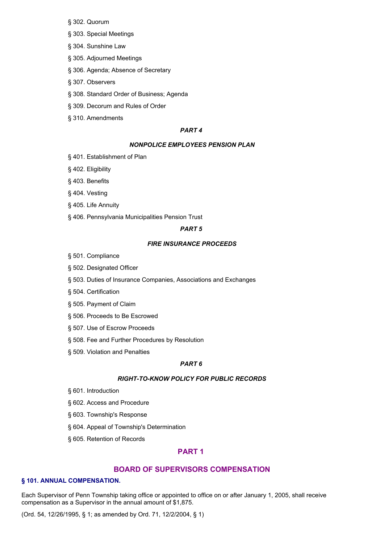- § 302. Quorum
- § 303. Special Meetings
- § 304. Sunshine Law
- § 305. Adjourned Meetings
- § 306. Agenda; Absence of Secretary
- § 307. Observers
- § 308. Standard Order of Business; Agenda
- § 309. Decorum and Rules of Order
- § 310. Amendments

#### *PART 4*

#### *NONPOLICE EMPLOYEES PENSION PLAN*

- § 401. Establishment of Plan
- § 402. Eligibility
- § 403. Benefits
- § 404. Vesting
- § 405. Life Annuity
- § 406. Pennsylvania Municipalities Pension Trust

## *PART 5*

#### *FIRE INSURANCE PROCEEDS*

- § 501. Compliance
- § 502. Designated Officer
- § 503. Duties of Insurance Companies, Associations and Exchanges
- § 504. Certification
- § 505. Payment of Claim
- § 506. Proceeds to Be Escrowed
- § 507. Use of Escrow Proceeds
- § 508. Fee and Further Procedures by Resolution
- § 509. Violation and Penalties

## *PART 6*

## *RIGHT-TO-KNOW POLICY FOR PUBLIC RECORDS*

- § 601. Introduction
- § 602. Access and Procedure
- § 603. Township's Response
- § 604. Appeal of Township's Determination
- § 605. Retention of Records

# **PART 1**

## **BOARD OF SUPERVISORS COMPENSATION**

## **§ 101. ANNUAL COMPENSATION.**

Each Supervisor of Penn Township taking office or appointed to office on or after January 1, 2005, shall receive compensation as a Supervisor in the annual amount of \$1,875.

(Ord. 54, 12/26/1995, § 1; as amended by Ord. 71, 12/2/2004, § 1)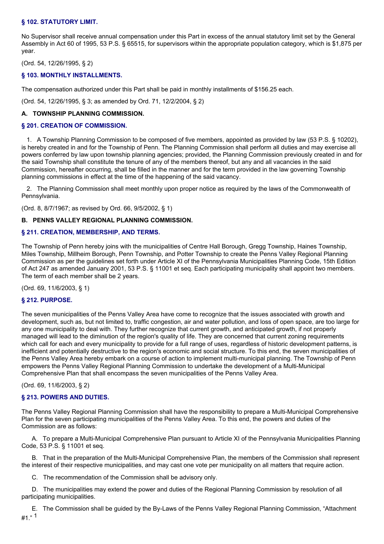## **§ 102. STATUTORY LIMIT.**

No Supervisor shall receive annual compensation under this Part in excess of the annual statutory limit set by the General Assembly in Act 60 of 1995, 53 P.S. § 65515, for supervisors within the appropriate population category, which is \$1,875 per year.

(Ord. 54, 12/26/1995, § 2)

## **§ 103. MONTHLY INSTALLMENTS.**

The compensation authorized under this Part shall be paid in monthly installments of \$156.25 each.

(Ord. 54, 12/26/1995, § 3; as amended by Ord. 71, 12/2/2004, § 2)

## **A. TOWNSHIP PLANNING COMMISSION.**

## **§ 201. CREATION OF COMMISSION.**

1. A Township Planning Commission to be composed of five members, appointed as provided by law (53 P.S. § 10202), is hereby created in and for the Township of Penn. The Planning Commission shall perform all duties and may exercise all powers conferred by law upon township planning agencies; provided, the Planning Commission previously created in and for the said Township shall constitute the tenure of any of the members thereof, but any and all vacancies in the said Commission, hereafter occurring, shall be filled in the manner and for the term provided in the law governing Township planning commissions in effect at the time of the happening of the said vacancy.

2. The Planning Commission shall meet monthly upon proper notice as required by the laws of the Commonwealth of Pennsylvania.

(Ord. 8, 8/7/1967; as revised by Ord. 66, 9/5/2002, § 1)

## **B. PENNS VALLEY REGIONAL PLANNING COMMISSION.**

## **§ 211. CREATION, MEMBERSHIP, AND TERMS.**

The Township of Penn hereby joins with the municipalities of Centre Hall Borough, Gregg Township, Haines Township, Miles Township, Millheim Borough, Penn Township, and Potter Township to create the Penns Valley Regional Planning Commission as per the guidelines set forth under Article XI of the Pennsylvania Municipalities Planning Code, 15th Edition of Act 247 as amended January 2001, 53 P.S. § 11001 et seq. Each participating municipality shall appoint two members. The term of each member shall be 2 years.

(Ord. 69, 11/6/2003, § 1)

## **§ 212. PURPOSE.**

The seven municipalities of the Penns Valley Area have come to recognize that the issues associated with growth and development, such as, but not limited to, traffic congestion, air and water pollution, and loss of open space, are too large for any one municipality to deal with. They further recognize that current growth, and anticipated growth, if not properly managed will lead to the diminution of the region's quality of life. They are concerned that current zoning requirements which call for each and every municipality to provide for a full range of uses, regardless of historic development patterns, is inefficient and potentially destructive to the region's economic and social structure. To this end, the seven municipalities of the Penns Valley Area hereby embark on a course of action to implement multi-municipal planning. The Township of Penn empowers the Penns Valley Regional Planning Commission to undertake the development of a Multi-Municipal Comprehensive Plan that shall encompass the seven municipalities of the Penns Valley Area.

(Ord. 69, 11/6/2003, § 2)

## **§ 213. POWERS AND DUTIES.**

The Penns Valley Regional Planning Commission shall have the responsibility to prepare a Multi-Municipal Comprehensive Plan for the seven participating municipalities of the Penns Valley Area. To this end, the powers and duties of the Commission are as follows:

A. To prepare a Multi-Municipal Comprehensive Plan pursuant to Article XI of the Pennsylvania Municipalities Planning Code, 53 P.S. § 11001 et seq.

B. That in the preparation of the Multi-Municipal Comprehensive Plan, the members of the Commission shall represent the interest of their respective municipalities, and may cast one vote per municipality on all matters that require action.

C. The recommendation of the Commission shall be advisory only.

D. The municipalities may extend the power and duties of the Regional Planning Commission by resolution of all participating municipalities.

E. The Commission shall be guided by the By-Laws of the Penns Valley Regional Planning Commission, "Attachment  $#1." 1$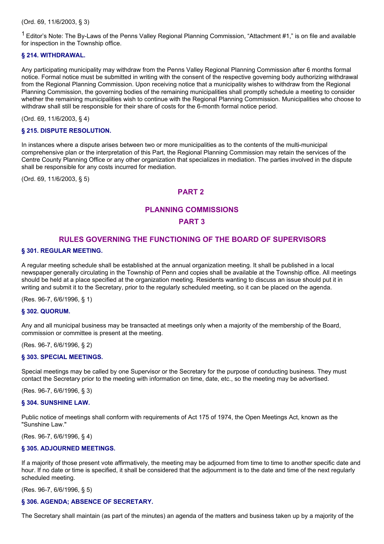(Ord. 69, 11/6/2003, § 3)

<sup>1</sup> Editor's Note: The By-Laws of the Penns Valley Regional Planning Commission, "Attachment #1," is on file and available for inspection in the Township office.

## **§ 214. WITHDRAWAL.**

Any participating municipality may withdraw from the Penns Valley Regional Planning Commission after 6 months formal notice. Formal notice must be submitted in writing with the consent of the respective governing body authorizing withdrawal from the Regional Planning Commission. Upon receiving notice that a municipality wishes to withdraw from the Regional Planning Commission, the governing bodies of the remaining municipalities shall promptly schedule a meeting to consider whether the remaining municipalities wish to continue with the Regional Planning Commission. Municipalities who choose to withdraw shall still be responsible for their share of costs for the 6-month formal notice period.

(Ord. 69, 11/6/2003, § 4)

## **§ 215. DISPUTE RESOLUTION.**

In instances where a dispute arises between two or more municipalities as to the contents of the multi-municipal comprehensive plan or the interpretation of this Part, the Regional Planning Commission may retain the services of the Centre County Planning Office or any other organization that specializes in mediation. The parties involved in the dispute shall be responsible for any costs incurred for mediation.

(Ord. 69, 11/6/2003, § 5)

# **PART 2**

# **PLANNING COMMISSIONS**

# **PART 3**

# **RULES GOVERNING THE FUNCTIONING OF THE BOARD OF SUPERVISORS**

#### **§ 301. REGULAR MEETING.**

A regular meeting schedule shall be established at the annual organization meeting. It shall be published in a local newspaper generally circulating in the Township of Penn and copies shall be available at the Township office. All meetings should be held at a place specified at the organization meeting. Residents wanting to discuss an issue should put it in writing and submit it to the Secretary, prior to the regularly scheduled meeting, so it can be placed on the agenda.

(Res. 96-7, 6/6/1996, § 1)

## **§ 302. QUORUM.**

Any and all municipal business may be transacted at meetings only when a majority of the membership of the Board, commission or committee is present at the meeting.

(Res. 96-7, 6/6/1996, § 2)

## **§ 303. SPECIAL MEETINGS.**

Special meetings may be called by one Supervisor or the Secretary for the purpose of conducting business. They must contact the Secretary prior to the meeting with information on time, date, etc., so the meeting may be advertised.

(Res. 96-7, 6/6/1996, § 3)

#### **§ 304. SUNSHINE LAW.**

Public notice of meetings shall conform with requirements of Act 175 of 1974, the Open Meetings Act, known as the "Sunshine Law."

(Res. 96-7, 6/6/1996, § 4)

## **§ 305. ADJOURNED MEETINGS.**

If a majority of those present vote affirmatively, the meeting may be adjourned from time to time to another specific date and hour. If no date or time is specified, it shall be considered that the adjournment is to the date and time of the next regularly scheduled meeting.

(Res. 96-7, 6/6/1996, § 5)

#### **§ 306. AGENDA; ABSENCE OF SECRETARY.**

The Secretary shall maintain (as part of the minutes) an agenda of the matters and business taken up by a majority of the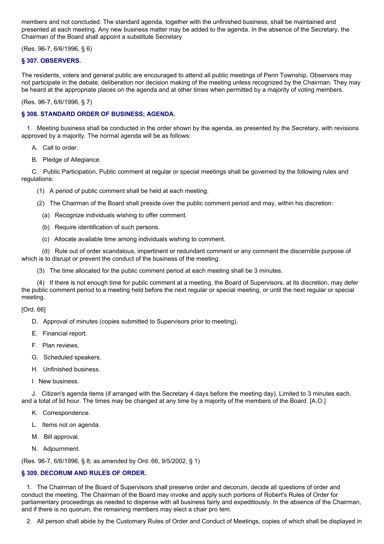members and not concluded. The standard agenda, together with the unfinished business, shall be maintained and presented at each meeting. Any new business matter may be added to the agenda. In the absence of the Secretary, the Chairman of the Board shall appoint a substitute Secretary

(Res. 96-7, 6/6/1996, § 6)

# **§ 307. OBSERVERS.**

The residents, voters and general public are encouraged to attend all public meetings of Penn Township. Observers may not participate in the debate, deliberation nor decision making of the meeting unless recognized by the Chairman. They may be heard at the appropriate places on the agenda and at other times when permitted by a majority of voting members.

(Res. 96-7, 6/6/1996, § 7)

## **§ 308. STANDARD ORDER OF BUSINESS; AGENDA.**

1. Meeting business shall be conducted in the order shown by the agenda, as presented by the Secretary, with revisions approved by a majority. The normal agenda will be as follows:

A. Call to order.

B. Pledge of Allegiance.

C. Public Participation. Public comment at regular or special meetings shall be governed by the following rules and regulations:

- (1) A period of public comment shall be held at each meeting.
- (2) The Chairman of the Board shall preside over the public comment period and may, within his discretion:
	- (a) Recognize individuals wishing to offer comment.
	- (b) Require identification of such persons.
	- (c) Allocate available time among individuals wishing to comment.

(d) Rule out of order scandalous, impertinent or redundant comment or any comment the discernible purpose of which is to disrupt or prevent the conduct of the business of the meeting.

(3) The time allocated for the public comment period at each meeting shall be 3 minutes.

(4) If there is not enough time for public comment at a meeting, the Board of Supervisors, at its discretion, may defer the public comment period to a meeting held before the next regular or special meeting, or until the next regular or special meeting.

[Ord. 66]

- D. Approval of minutes (copies submitted to Supervisors prior to meeting).
- E. Financial report.
- F. Plan reviews.
- G. Scheduled speakers.
- H. Unfinished business.
- I New business.

J. Citizen's agenda items (if arranged with the Secretary 4 days before the meeting day). Limited to 3 minutes each, and a total of lid hour. The times may be changed at any time by a majority of the members of the Board. [A.O.]

- K. Correspondence.
- L. Items not on agenda.
- M. Bill approval.
- N. Adjournment.

(Res. 96-7, 6/6/1996, § 8; as amended by Ord. 66, 9/5/2002, § 1)

# **§ 309. DECORUM AND RULES OF ORDER.**

1. The Chairman of the Board of Supervisors shall preserve order and decorum, decide all questions of order and conduct the meeting. The Chairman of the Board may invoke and apply such portions of Robert's Rules of Order for parliamentary proceedings as needed to dispense with all business fairly and expeditiously. In the absence of the Chairman, and if there is no quorum, the remaining members may elect a chair pro tem.

2. All person shall abide by the Customary Rules of Order and Conduct of Meetings, copies of which shall be displayed in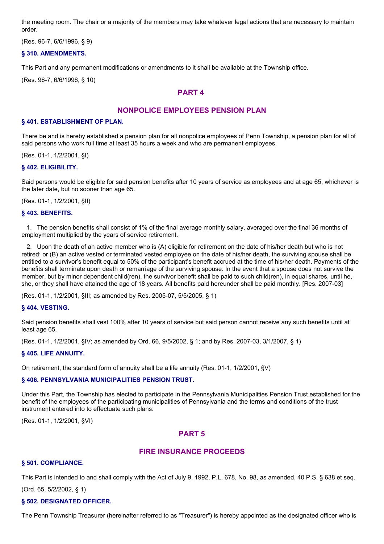the meeting room. The chair or a majority of the members may take whatever legal actions that are necessary to maintain order.

(Res. 96-7, 6/6/1996, § 9)

## **§ 310. AMENDMENTS.**

This Part and any permanent modifications or amendments to it shall be available at the Township office.

(Res. 96-7, 6/6/1996, § 10)

# **PART 4**

# **NONPOLICE EMPLOYEES PENSION PLAN**

#### **§ 401. ESTABLISHMENT OF PLAN.**

There be and is hereby established a pension plan for all nonpolice employees of Penn Township, a pension plan for all of said persons who work full time at least 35 hours a week and who are permanent employees.

(Res. 01-1, 1/2/2001, §I)

## **§ 402. ELIGIBILITY.**

Said persons would be eligible for said pension benefits after 10 years of service as employees and at age 65, whichever is the later date, but no sooner than age 65.

(Res. 01-1, 1/2/2001, §II)

#### **§ 403. BENEFITS.**

1. The pension benefits shall consist of 1% of the final average monthly salary, averaged over the final 36 months of employment multiplied by the years of service retirement.

2. Upon the death of an active member who is (A) eligible for retirement on the date of his/her death but who is not retired; or (B) an active vested or terminated vested employee on the date of his/her death, the surviving spouse shall be entitled to a survivor's benefit equal to 50% of the participant's benefit accrued at the time of his/her death. Payments of the benefits shall terminate upon death or remarriage of the surviving spouse. In the event that a spouse does not survive the member, but by minor dependent child(ren), the survivor benefit shall be paid to such child(ren), in equal shares, until he, she, or they shall have attained the age of 18 years. All benefits paid hereunder shall be paid monthly. [Res. 2007-03]

(Res. 01-1, 1/2/2001, §III; as amended by Res. 2005-07, 5/5/2005, § 1)

## **§ 404. VESTING.**

Said pension benefits shall vest 100% after 10 years of service but said person cannot receive any such benefits until at least age 65.

(Res. 01-1, 1/2/2001, §IV; as amended by Ord. 66, 9/5/2002, § 1; and by Res. 2007-03, 3/1/2007, § 1)

#### **§ 405. LIFE ANNUITY.**

On retirement, the standard form of annuity shall be a life annuity (Res. 01-1, 1/2/2001, §V)

## **§ 406. PENNSYLVANIA MUNICIPALITIES PENSION TRUST.**

Under this Part, the Township has elected to participate in the Pennsylvania Municipalities Pension Trust established for the benefit of the employees of the participating municipalities of Pennsylvania and the terms and conditions of the trust instrument entered into to effectuate such plans.

(Res. 01-1, 1/2/2001, §VI)

# **PART 5**

# **FIRE INSURANCE PROCEEDS**

## **§ 501. COMPLIANCE.**

This Part is intended to and shall comply with the Act of July 9, 1992, P.L. 678, No. 98, as amended, 40 P.S. § 638 et seq.

(Ord. 65, 5/2/2002, § 1)

## **§ 502. DESIGNATED OFFICER.**

The Penn Township Treasurer (hereinafter referred to as "Treasurer") is hereby appointed as the designated officer who is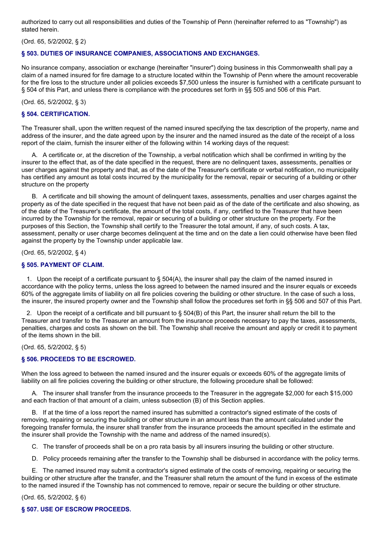authorized to carry out all responsibilities and duties of the Township of Penn (hereinafter referred to as "Township") as stated herein.

(Ord. 65, 5/2/2002, § 2)

## **§ 503. DUTIES OF INSURANCE COMPANIES, ASSOCIATIONS AND EXCHANGES.**

No insurance company, association or exchange (hereinafter "insurer") doing business in this Commonwealth shall pay a claim of a named insured for fire damage to a structure located within the Township of Penn where the amount recoverable for the fire loss to the structure under all policies exceeds \$7,500 unless the insurer is furnished with a certificate pursuant to § 504 of this Part, and unless there is compliance with the procedures set forth in §§ 505 and 506 of this Part.

(Ord. 65, 5/2/2002, § 3)

#### **§ 504. CERTIFICATION.**

The Treasurer shall, upon the written request of the named insured specifying the tax description of the property, name and address of the insurer, and the date agreed upon by the insurer and the named insured as the date of the receipt of a loss report of the claim, furnish the insurer either of the following within 14 working days of the request:

A. A certificate or, at the discretion of the Township, a verbal notification which shall be confirmed in writing by the insurer to the effect that, as of the date specified in the request, there are no delinquent taxes, assessments, penalties or user charges against the property and that, as of the date of the Treasurer's certificate or verbal notification, no municipality has certified any amount as total costs incurred by the municipality for the removal, repair or securing of a building or other structure on the property

B. A certificate and bill showing the amount of delinquent taxes, assessments, penalties and user charges against the property as of the date specified in the request that have not been paid as of the date of the certificate and also showing, as of the date of the Treasurer's certificate, the amount of the total costs, if any, certified to the Treasurer that have been incurred by the Township for the removal, repair or securing of a building or other structure on the property. For the purposes of this Section, the Township shall certify to the Treasurer the total amount, if any, of such costs. A tax, assessment, penalty or user charge becomes delinquent at the time and on the date a lien could otherwise have been filed against the property by the Township under applicable law.

(Ord. 65, 5/2/2002, § 4)

## **§ 505. PAYMENT OF CLAIM.**

1. Upon the receipt of a certificate pursuant to  $\S$  504(A), the insurer shall pay the claim of the named insured in accordance with the policy terms, unless the loss agreed to between the named insured and the insurer equals or exceeds 60% of the aggregate limits of liability on all fire policies covering the building or other structure. In the case of such a loss, the insurer, the insured property owner and the Township shall follow the procedures set forth in §§ 506 and 507 of this Part.

2. Upon the receipt of a certificate and bill pursuant to § 504(B) of this Part, the insurer shall return the bill to the Treasurer and transfer to the Treasurer an amount from the insurance proceeds necessary to pay the taxes, assessments, penalties, charges and costs as shown on the bill. The Township shall receive the amount and apply or credit it to payment of the items shown in the bill.

(Ord. 65, 5/2/2002, § 5)

## **§ 506. PROCEEDS TO BE ESCROWED.**

When the loss agreed to between the named insured and the insurer equals or exceeds 60% of the aggregate limits of liability on all fire policies covering the building or other structure, the following procedure shall be followed:

A. The insurer shall transfer from the insurance proceeds to the Treasurer in the aggregate \$2,000 for each \$15,000 and each fraction of that amount of a claim, unless subsection (B) of this Section applies.

B. If at the time of a loss report the named insured has submitted a contractor's signed estimate of the costs of removing, repairing or securing the building or other structure in an amount less than the amount calculated under the foregoing transfer formula, the insurer shall transfer from the insurance proceeds the amount specified in the estimate and the insurer shall provide the Township with the name and address of the named insured(s).

- C. The transfer of proceeds shall be on a pro rata basis by all insurers insuring the building or other structure.
- D. Policy proceeds remaining after the transfer to the Township shall be disbursed in accordance with the policy terms.

E. The named insured may submit a contractor's signed estimate of the costs of removing, repairing or securing the building or other structure after the transfer, and the Treasurer shall return the amount of the fund in excess of the estimate to the named insured if the Township has not commenced to remove, repair or secure the building or other structure.

(Ord. 65, 5/2/2002, § 6)

## **§ 507. USE OF ESCROW PROCEEDS.**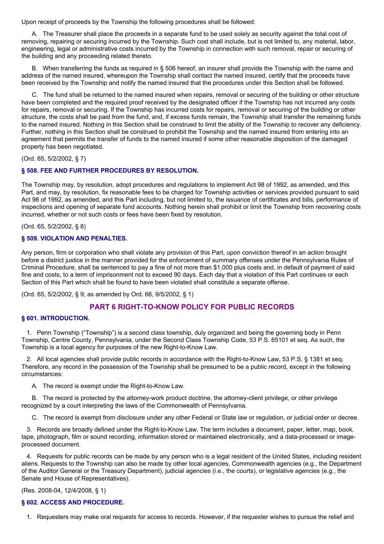Upon receipt of proceeds by the Township the following procedures shall be followed:

A. The Treasurer shall place the proceeds in a separate fund to be used solely as security against the total cost of removing, repairing or securing incurred by the Township. Such cost shall include, but is not limited to, any material, labor, engineering, legal or administrative costs incurred by the Township in connection with such removal, repair or securing of the building and any proceeding related thereto.

B. When transferring the funds as required in § 506 hereof, an insurer shall provide the Township with the name and address of the named insured, whereupon the Township shall contact the named insured, certify that the proceeds have been received by the Township and notify the named insured that the procedures under this Section shall be followed.

C. The fund shall be returned to the named insured when repairs, removal or securing of the building or other structure have been completed and the required proof received by the designated officer if the Township has not incurred any costs for repairs, removal or securing. If the Township has incurred costs for repairs, removal or securing of the building or other structure, the costs shall be paid from the fund, and, if excess funds remain, the Township shall transfer the remaining funds to the named insured. Nothing in this Section shall be construed to limit the ability of the Township to recover any deficiency. Further, nothing in this Section shall be construed to prohibit the Township and the named insured from entering into an agreement that permits the transfer of funds to the named insured if some other reasonable disposition of the damaged property has been negotiated.

(Ord. 65, 5/2/2002, § 7)

## **§ 508. FEE AND FURTHER PROCEDURES BY RESOLUTION.**

The Township may, by resolution, adopt procedures and regulations to implement Act 98 of 1992, as amended, and this Part, and may, by resolution, fix reasonable fees to be charged for Township activities or services provided pursuant to said Act 98 of 1992, as amended, and this Part including, but not limited to, the issuance of certificates and bills, performance of inspections and opening of separate fund accounts. Nothing herein shall prohibit or limit the Township from recovering costs incurred, whether or not such costs or fees have been fixed by resolution.

(Ord. 65, 5/2/2002, § 8)

## **§ 509. VIOLATION AND PENALTIES.**

Any person, firm or corporation who shall violate any provision of this Part, upon conviction thereof in an action brought before a district justice in the manner provided for the enforcement of summary offenses under the Pennsylvania Rules of Criminal Procedure, shall be sentenced to pay a fine of not more than \$1,000 plus costs and, in default of payment of said fine and costs, to a term of imprisonment not to exceed 90 days. Each day that a violation of this Part continues or each Section of this Part which shall be found to have been violated shall constitute a separate offense.

(Ord. 65, 5/2/2002, § 9; as amended by Ord. 66, 9/5/2002, § 1)

# **PART 6 RIGHT-TO-KNOW POLICY FOR PUBLIC RECORDS**

## **§ 601. INTRODUCTION.**

1. Penn Township ("Township") is a second class township, duly organized and being the governing body in Penn Township, Centre County, Pennsylvania, under the Second Class Township Code, 53 P.S. 65101 et seq. As such, the Township is a local agency for purposes of the new Right-to-Know Law.

2. All local agencies shall provide public records in accordance with the Right-to-Know Law, 53 P.S. § 1381 et seq. Therefore, any record in the possession of the Township shall be presumed to be a public record, except in the following circumstances:

A. The record is exempt under the Right-to-Know Law.

B. The record is protected by the attorney-work product doctrine, the attorney-client privilege, or other privilege recognized by a court interpreting the laws of the Commonwealth of Pennsylvania.

C. The record is exempt from disclosure under any other Federal or State law or regulation, or judicial order or decree.

3. Records are broadly defined under the Right-to-Know Law. The term includes a document, paper, letter, map, book, tape, photograph, film or sound recording, information stored or maintained electronically, and a data-processed or imageprocessed document.

4. Requests for public records can be made by any person who is a legal resident of the United States, including resident aliens. Requests to the Township can also be made by other local agencies, Commonwealth agencies (e.g., the Department of the Auditor General or the Treasury Department), judicial agencies (i.e., the courts), or legislative agencies (e.g., the Senate and House of Representatives).

(Res. 2008-04, 12/4/2008, § 1)

## **§ 602. ACCESS AND PROCEDURE.**

1. Requesters may make oral requests for access to records. However, if the requester wishes to pursue the relief and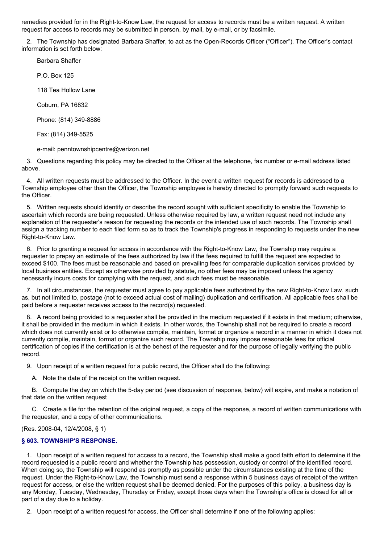remedies provided for in the Right-to-Know Law, the request for access to records must be a written request. A written request for access to records may be submitted in person, by mail, by e-mail, or by facsimile.

2. The Township has designated Barbara Shaffer, to act as the Open-Records Officer ("Officer"). The Officer's contact information is set forth below:

Barbara Shaffer

P.O. Box 125

118 Tea Hollow Lane

Coburn, PA 16832

Phone: (814) 349-8886

Fax: (814) 349-5525

e-mail: penntownshipcentre@verizon.net

3. Questions regarding this policy may be directed to the Officer at the telephone, fax number or e-mail address listed above.

4. All written requests must be addressed to the Officer. In the event a written request for records is addressed to a Township employee other than the Officer, the Township employee is hereby directed to promptly forward such requests to the Officer.

5. Written requests should identify or describe the record sought with sufficient specificity to enable the Township to ascertain which records are being requested. Unless otherwise required by law, a written request need not include any explanation of the requester's reason for requesting the records or the intended use of such records. The Township shall assign a tracking number to each filed form so as to track the Township's progress in responding to requests under the new Right-to-Know Law.

6. Prior to granting a request for access in accordance with the Right-to-Know Law, the Township may require a requester to prepay an estimate of the fees authorized by law if the fees required to fulfill the request are expected to exceed \$100. The fees must be reasonable and based on prevailing fees for comparable duplication services provided by local business entities. Except as otherwise provided by statute, no other fees may be imposed unless the agency necessarily incurs costs for complying with the request, and such fees must be reasonable.

7. In all circumstances, the requester must agree to pay applicable fees authorized by the new Right-to-Know Law, such as, but not limited to, postage (not to exceed actual cost of mailing) duplication and certification. All applicable fees shall be paid before a requester receives access to the record(s) requested.

8. A record being provided to a requester shall be provided in the medium requested if it exists in that medium; otherwise, it shall be provided in the medium in which it exists. In other words, the Township shall not be required to create a record which does not currently exist or to otherwise compile, maintain, format or organize a record in a manner in which it does not currently compile, maintain, format or organize such record. The Township may impose reasonable fees for official certification of copies if the certification is at the behest of the requester and for the purpose of legally verifying the public record.

9. Upon receipt of a written request for a public record, the Officer shall do the following:

A. Note the date of the receipt on the written request.

B. Compute the day on which the 5-day period (see discussion of response, below) will expire, and make a notation of that date on the written request

C. Create a file for the retention of the original request, a copy of the response, a record of written communications with the requester, and a copy of other communications.

(Res. 2008-04, 12/4/2008, § 1)

# **§ 603. TOWNSHIP'S RESPONSE.**

1. Upon receipt of a written request for access to a record, the Township shall make a good faith effort to determine if the record requested is a public record and whether the Township has possession, custody or control of the identified record. When doing so, the Township will respond as promptly as possible under the circumstances existing at the time of the request. Under the Right-to-Know Law, the Township must send a response within 5 business days of receipt of the written request for access, or else the written request shall be deemed denied. For the purposes of this policy, a business day is any Monday, Tuesday, Wednesday, Thursday or Friday, except those days when the Township's office is closed for all or part of a day due to a holiday.

2. Upon receipt of a written request for access, the Officer shall determine if one of the following applies: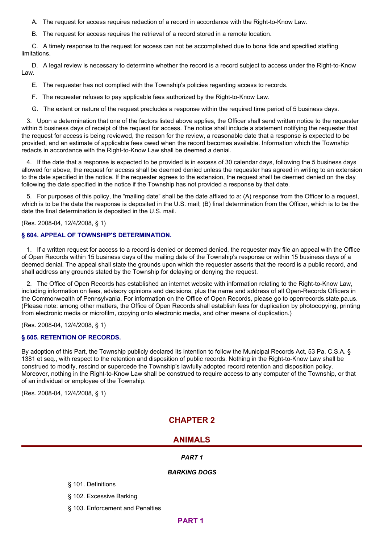A. The request for access requires redaction of a record in accordance with the Right-to-Know Law.

B. The request for access requires the retrieval of a record stored in a remote location.

C. A timely response to the request for access can not be accomplished due to bona fide and specified staffing limitations.

D. A legal review is necessary to determine whether the record is a record subject to access under the Right-to-Know Law.

- E. The requester has not complied with the Township's policies regarding access to records.
- F. The requester refuses to pay applicable fees authorized by the Right-to-Know Law.
- G. The extent or nature of the request precludes a response within the required time period of 5 business days.

3. Upon a determination that one of the factors listed above applies, the Officer shall send written notice to the requester within 5 business days of receipt of the request for access. The notice shall include a statement notifying the requester that the request for access is being reviewed, the reason for the review, a reasonable date that a response is expected to be provided, and an estimate of applicable fees owed when the record becomes available. Information which the Township redacts in accordance with the Right-to-Know Law shall be deemed a denial.

4. If the date that a response is expected to be provided is in excess of 30 calendar days, following the 5 business days allowed for above, the request for access shall be deemed denied unless the requester has agreed in writing to an extension to the date specified in the notice. If the requester agrees to the extension, the request shall be deemed denied on the day following the date specified in the notice if the Township has not provided a response by that date.

5. For purposes of this policy, the "mailing date" shall be the date affixed to a: (A) response from the Officer to a request, which is to be the date the response is deposited in the U.S. mail; (B) final determination from the Officer, which is to be the date the final determination is deposited in the U.S. mail.

(Res. 2008-04, 12/4/2008, § 1)

#### **§ 604. APPEAL OF TOWNSHIP'S DETERMINATION.**

1. If a written request for access to a record is denied or deemed denied, the requester may file an appeal with the Office of Open Records within 15 business days of the mailing date of the Township's response or within 15 business days of a deemed denial. The appeal shall state the grounds upon which the requester asserts that the record is a public record, and shall address any grounds stated by the Township for delaying or denying the request.

2. The Office of Open Records has established an internet website with information relating to the Right-to-Know Law, including information on fees, advisory opinions and decisions, plus the name and address of all Open-Records Officers in the Commonwealth of Pennsylvania. For information on the Office of Open Records, please go to openrecords.state.pa.us. (Please note: among other matters, the Office of Open Records shall establish fees for duplication by photocopying, printing from electronic media or microfilm, copying onto electronic media, and other means of duplication.)

(Res. 2008-04, 12/4/2008, § 1)

## **§ 605. RETENTION OF RECORDS.**

By adoption of this Part, the Township publicly declared its intention to follow the Municipal Records Act, 53 Pa. C.S.A. § 1381 et seq., with respect to the retention and disposition of public records. Nothing in the Right-to-Know Law shall be construed to modify, rescind or supercede the Township's lawfully adopted record retention and disposition policy. Moreover, nothing in the Right-to-Know Law shall be construed to require access to any computer of the Township, or that of an individual or employee of the Township.

(Res. 2008-04, 12/4/2008, § 1)

# **CHAPTER 2**

# **ANIMALS**

## *PART 1*

## *BARKING DOGS*

- § 101. Definitions
- § 102. Excessive Barking
- § 103. Enforcement and Penalties

# **PART 1**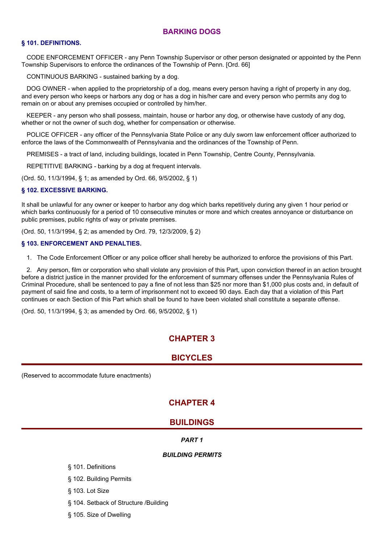# **BARKING DOGS**

### **§ 101. DEFINITIONS.**

CODE ENFORCEMENT OFFICER - any Penn Township Supervisor or other person designated or appointed by the Penn Township Supervisors to enforce the ordinances of the Township of Penn. [Ord. 66]

CONTINUOUS BARKING - sustained barking by a dog.

DOG OWNER - when applied to the proprietorship of a dog, means every person having a right of property in any dog, and every person who keeps or harbors any dog or has a dog in his/her care and every person who permits any dog to remain on or about any premises occupied or controlled by him/her.

KEEPER - any person who shall possess, maintain, house or harbor any dog, or otherwise have custody of any dog, whether or not the owner of such dog, whether for compensation or otherwise.

POLICE OFFICER - any officer of the Pennsylvania State Police or any duly sworn law enforcement officer authorized to enforce the laws of the Commonwealth of Pennsylvania and the ordinances of the Township of Penn.

PREMISES - a tract of land, including buildings, located in Penn Township, Centre County, Pennsylvania.

REPETITIVE BARKING - barking by a dog at frequent intervals.

(Ord. 50, 11/3/1994, § 1; as amended by Ord. 66, 9/5/2002, § 1)

#### **§ 102. EXCESSIVE BARKING.**

It shall be unlawful for any owner or keeper to harbor any dog which barks repetitively during any given 1 hour period or which barks continuously for a period of 10 consecutive minutes or more and which creates annoyance or disturbance on public premises, public rights of way or private premises.

(Ord. 50, 11/3/1994, § 2; as amended by Ord. 79, 12/3/2009, § 2)

#### **§ 103. ENFORCEMENT AND PENALTIES.**

1. The Code Enforcement Officer or any police officer shall hereby be authorized to enforce the provisions of this Part.

2. Any person, film or corporation who shall violate any provision of this Part, upon conviction thereof in an action brought before a district justice in the manner provided for the enforcement of summary offenses under the Pennsylvania Rules of Criminal Procedure, shall be sentenced to pay a fine of not less than \$25 nor more than \$1,000 plus costs and, in default of payment of said fine and costs, to a term of imprisonment not to exceed 90 days. Each day that a violation of this Part continues or each Section of this Part which shall be found to have been violated shall constitute a separate offense.

(Ord. 50, 11/3/1994, § 3; as amended by Ord. 66, 9/5/2002, § 1)

# **CHAPTER 3**

# **BICYCLES**

(Reserved to accommodate future enactments)

# **CHAPTER 4**

# **BUILDINGS**

#### *PART 1*

## *BUILDING PERMITS*

- § 101. Definitions
- § 102. Building Permits
- § 103. Lot Size
- § 104. Setback of Structure /Building
- § 105. Size of Dwelling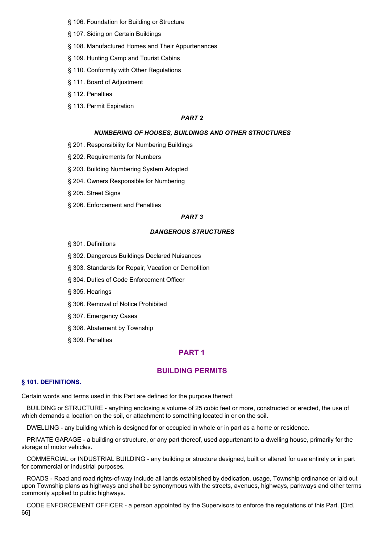- § 106. Foundation for Building or Structure
- § 107. Siding on Certain Buildings
- § 108. Manufactured Homes and Their Appurtenances
- § 109. Hunting Camp and Tourist Cabins
- § 110. Conformity with Other Regulations
- § 111. Board of Adjustment
- § 112. Penalties
- § 113. Permit Expiration

## *PART 2*

#### *NUMBERING OF HOUSES, BUILDINGS AND OTHER STRUCTURES*

- § 201. Responsibility for Numbering Buildings
- § 202. Requirements for Numbers
- § 203. Building Numbering System Adopted
- § 204. Owners Responsible for Numbering
- § 205. Street Signs
- § 206. Enforcement and Penalties

#### *PART 3*

#### *DANGEROUS STRUCTURES*

- § 301. Definitions
- § 302. Dangerous Buildings Declared Nuisances
- § 303. Standards for Repair, Vacation or Demolition
- § 304. Duties of Code Enforcement Officer
- § 305. Hearings
- § 306. Removal of Notice Prohibited
- § 307. Emergency Cases
- § 308. Abatement by Township
- § 309. Penalties

## **PART 1**

## **BUILDING PERMITS**

#### **§ 101. DEFINITIONS.**

Certain words and terms used in this Part are defined for the purpose thereof:

BUILDING or STRUCTURE - anything enclosing a volume of 25 cubic feet or more, constructed or erected, the use of which demands a location on the soil, or attachment to something located in or on the soil.

DWELLING - any building which is designed for or occupied in whole or in part as a home or residence.

PRIVATE GARAGE - a building or structure, or any part thereof, used appurtenant to a dwelling house, primarily for the storage of motor vehicles.

COMMERCIAL or INDUSTRIAL BUILDING - any building or structure designed, built or altered for use entirely or in part for commercial or industrial purposes.

ROADS - Road and road rights-of-way include all lands established by dedication, usage, Township ordinance or laid out upon Township plans as highways and shall be synonymous with the streets, avenues, highways, parkways and other terms commonly applied to public highways.

CODE ENFORCEMENT OFFICER - a person appointed by the Supervisors to enforce the regulations of this Part. [Ord. 66]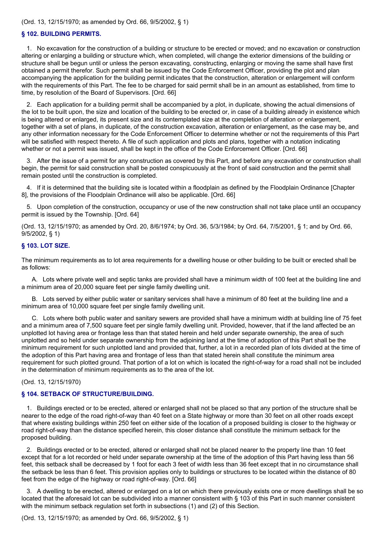#### (Ord. 13, 12/15/1970; as amended by Ord. 66, 9/5/2002, § 1)

#### **§ 102. BUILDING PERMITS.**

1. No excavation for the construction of a building or structure to be erected or moved; and no excavation or construction altering or enlarging a building or structure which, when completed, will change the exterior dimensions of the building or structure shall be begun until or unless the person excavating, constructing, enlarging or moving the same shall have first obtained a permit therefor. Such permit shall be issued by the Code Enforcement Officer, providing the plot and plan accompanying the application for the building permit indicates that the construction, alteration or enlargement will conform with the requirements of this Part. The fee to be charged for said permit shall be in an amount as established, from time to time, by resolution of the Board of Supervisors. [Ord. 66]

2. Each application for a building permit shall be accompanied by a plot, in duplicate, showing the actual dimensions of the lot to be built upon, the size and location of the building to be erected or, in case of a building already in existence which is being altered or enlarged, its present size and its contemplated size at the completion of alteration or enlargement, together with a set of plans, in duplicate, of the construction excavation, alteration or enlargement, as the case may be, and any other information necessary for the Code Enforcement Officer to determine whether or not the requirements of this Part will be satisfied with respect thereto. A file of such application and plots and plans, together with a notation indicating whether or not a permit was issued, shall be kept in the office of the Code Enforcement Officer. [Ord. 66]

3. After the issue of a permit for any construction as covered by this Part, and before any excavation or construction shall begin, the permit for said construction shall be posted conspicuously at the front of said construction and the permit shall remain posted until the construction is completed.

4. If it is determined that the building site is located within a floodplain as defined by the Floodplain Ordinance [Chapter 8], the provisions of the Floodplain Ordinance will also be applicable. [Ord. 66]

5. Upon completion of the construction, occupancy or use of the new construction shall not take place until an occupancy permit is issued by the Township. [Ord. 64]

(Ord. 13, 12/15/1970; as amended by Ord. 20, 8/6/1974; by Ord. 36, 5/3/1984; by Ord. 64, 7/5/2001, § 1; and by Ord. 66, 9/5/2002, § 1)

#### **§ 103. LOT SIZE.**

The minimum requirements as to lot area requirements for a dwelling house or other building to be built or erected shall be as follows:

A. Lots where private well and septic tanks are provided shall have a minimum width of 100 feet at the building line and a minimum area of 20,000 square feet per single family dwelling unit.

B. Lots served by either public water or sanitary services shall have a minimum of 80 feet at the building line and a minimum area of 10,000 square feet per single family dwelling unit.

C. Lots where both public water and sanitary sewers are provided shall have a minimum width at building line of 75 feet and a minimum area of 7,500 square feet per single family dwelling unit. Provided, however, that if the land affected be an unplotted lot having area or frontage less than that stated herein and held under separate ownership, the area of such unplotted and so held under separate ownership from the adjoining land at the time of adoption of this Part shall be the minimum requirement for such unplotted land and provided that, further, a lot in a recorded plan of lots divided at the time of the adoption of this Part having area and frontage of less than that stated herein shall constitute the minimum area requirement for such plotted ground. That portion of a lot on which is located the right-of-way for a road shall not be included in the determination of minimum requirements as to the area of the lot.

(Ord. 13, 12/15/1970)

#### **§ 104. SETBACK OF STRUCTURE/BUILDING.**

1. Buildings erected or to be erected, altered or enlarged shall not be placed so that any portion of the structure shall be nearer to the edge of the road right-of-way than 40 feet on a State highway or more than 30 feet on all other roads except that where existing buildings within 250 feet on either side of the location of a proposed building is closer to the highway or road right-of-way than the distance specified herein, this closer distance shall constitute the minimum setback for the proposed building.

2. Buildings erected or to be erected, altered or enlarged shall not be placed nearer to the property line than 10 feet except that for a lot recorded or held under separate ownership at the time of the adoption of this Part having less than 56 feet, this setback shall be decreased by 1 foot for each 3 feet of width less than 36 feet except that in no circumstance shall the setback be less than 6 feet. This provision applies only to buildings or structures to be located within the distance of 80 feet from the edge of the highway or road right-of-way. [Ord. 66]

3. A dwelling to be erected, altered or enlarged on a lot on which there previously exists one or more dwellings shall be so located that the aforesaid lot can be subdivided into a manner consistent with § 103 of this Part in such manner consistent with the minimum setback regulation set forth in subsections (1) and (2) of this Section.

(Ord. 13, 12/15/1970; as amended by Ord. 66, 9/5/2002, § 1)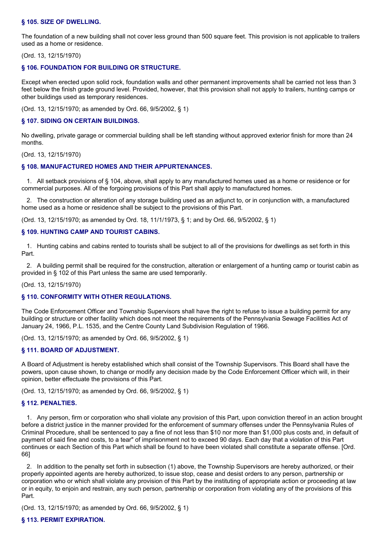#### **§ 105. SIZE OF DWELLING.**

The foundation of a new building shall not cover less ground than 500 square feet. This provision is not applicable to trailers used as a home or residence.

(Ord. 13, 12/15/1970)

#### **§ 106. FOUNDATION FOR BUILDING OR STRUCTURE.**

Except when erected upon solid rock, foundation walls and other permanent improvements shall be carried not less than 3 feet below the finish grade ground level. Provided, however, that this provision shall not apply to trailers, hunting camps or other buildings used as temporary residences.

(Ord. 13, 12/15/1970; as amended by Ord. 66, 9/5/2002, § 1)

#### **§ 107. SIDING ON CERTAIN BUILDINGS.**

No dwelling, private garage or commercial building shall be left standing without approved exterior finish for more than 24 months.

(Ord. 13, 12/15/1970)

## **§ 108. MANUFACTURED HOMES AND THEIR APPURTENANCES.**

1. All setback provisions of § 104, above, shall apply to any manufactured homes used as a home or residence or for commercial purposes. All of the forgoing provisions of this Part shall apply to manufactured homes.

2. The construction or alteration of any storage building used as an adjunct to, or in conjunction with, a manufactured home used as a home or residence shall be subject to the provisions of this Part.

(Ord. 13, 12/15/1970; as amended by Ord. 18, 11/1/1973, § 1; and by Ord. 66, 9/5/2002, § 1)

#### **§ 109. HUNTING CAMP AND TOURIST CABINS.**

1. Hunting cabins and cabins rented to tourists shall be subject to all of the provisions for dwellings as set forth in this Part.

2. A building permit shall be required for the construction, alteration or enlargement of a hunting camp or tourist cabin as provided in § 102 of this Part unless the same are used temporarily.

(Ord. 13, 12/15/1970)

#### **§ 110. CONFORMITY WITH OTHER REGULATIONS.**

The Code Enforcement Officer and Township Supervisors shall have the right to refuse to issue a building permit for any building or structure or other facility which does not meet the requirements of the Pennsylvania Sewage Facilities Act of January 24, 1966, P.L. 1535, and the Centre County Land Subdivision Regulation of 1966.

(Ord. 13, 12/15/1970; as amended by Ord. 66, 9/5/2002, § 1)

## **§ 111. BOARD OF ADJUSTMENT.**

A Board of Adjustment is hereby established which shall consist of the Township Supervisors. This Board shall have the powers, upon cause shown, to change or modify any decision made by the Code Enforcement Officer which will, in their opinion, better effectuate the provisions of this Part.

(Ord. 13, 12/15/1970; as amended by Ord. 66, 9/5/2002, § 1)

#### **§ 112. PENALTIES.**

1. Any person, firm or corporation who shall violate any provision of this Part, upon conviction thereof in an action brought before a district justice in the manner provided for the enforcement of summary offenses under the Pennsylvania Rules of Criminal Procedure, shall be sentenced to pay a fine of not less than \$10 nor more than \$1,000 plus costs and, in default of payment of said fine and costs, to a tear" of imprisonment not to exceed 90 days. Each day that a violation of this Part continues or each Section of this Part which shall be found to have been violated shall constitute a separate offense. [Ord. 66]

2. In addition to the penalty set forth in subsection (1) above, the Township Supervisors are hereby authorized, or their properly appointed agents are hereby authorized, to issue stop, cease and desist orders to any person, partnership or corporation who or which shall violate any provision of this Part by the instituting of appropriate action or proceeding at law or in equity, to enjoin and restrain, any such person, partnership or corporation from violating any of the provisions of this Part.

(Ord. 13, 12/15/1970; as amended by Ord. 66, 9/5/2002, § 1)

#### **§ 113. PERMIT EXPIRATION.**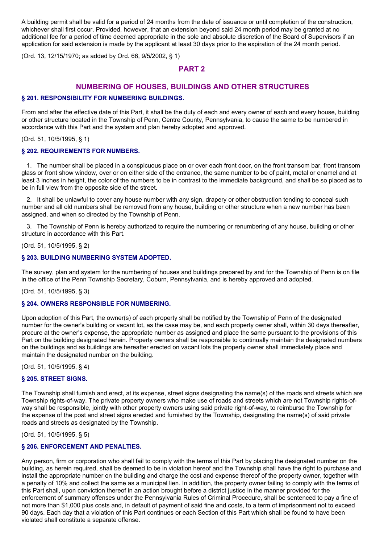A building permit shall be valid for a period of 24 months from the date of issuance or until completion of the construction, whichever shall first occur. Provided, however, that an extension beyond said 24 month period may be granted at no additional fee for a period of time deemed appropriate in the sole and absolute discretion of the Board of Supervisors if an application for said extension is made by the applicant at least 30 days prior to the expiration of the 24 month period.

(Ord. 13, 12/15/1970; as added by Ord. 66, 9/5/2002, § 1)

# **PART 2**

# **NUMBERING OF HOUSES, BUILDINGS AND OTHER STRUCTURES**

## **§ 201. RESPONSIBILITY FOR NUMBERING BUILDINGS.**

From and after the effective date of this Part, it shall be the duty of each and every owner of each and every house, building or other structure located in the Township of Penn, Centre County, Pennsylvania, to cause the same to be numbered in accordance with this Part and the system and plan hereby adopted and approved.

(Ord. 51, 10/5/1995, § 1)

## **§ 202. REQUIREMENTS FOR NUMBERS.**

1. The number shall be placed in a conspicuous place on or over each front door, on the front transom bar, front transom glass or front show window, over or on either side of the entrance, the same number to be of paint, metal or enamel and at least 3 inches in height, the color of the numbers to be in contrast to the immediate background, and shall be so placed as to be in full view from the opposite side of the street.

2. It shall be unlawful to cover any house number with any sign, drapery or other obstruction tending to conceal such number and all old numbers shall be removed from any house, building or other structure when a new number has been assigned, and when so directed by the Township of Penn.

3. The Township of Penn is hereby authorized to require the numbering or renumbering of any house, building or other structure in accordance with this Part.

(Ord. 51, 10/5/1995, § 2)

## **§ 203. BUILDING NUMBERING SYSTEM ADOPTED.**

The survey, plan and system for the numbering of houses and buildings prepared by and for the Township of Penn is on file in the office of the Penn Township Secretary, Coburn, Pennsylvania, and is hereby approved and adopted.

(Ord. 51, 10/5/1995, § 3)

## **§ 204. OWNERS RESPONSIBLE FOR NUMBERING.**

Upon adoption of this Part, the owner(s) of each property shall be notified by the Township of Penn of the designated number for the owner's building or vacant lot, as the case may be, and each property owner shall, within 30 days thereafter, procure at the owner's expense, the appropriate number as assigned and place the same pursuant to the provisions of this Part on the building designated herein. Property owners shall be responsible to continually maintain the designated numbers on the buildings and as buildings are hereafter erected on vacant lots the property owner shall immediately place and maintain the designated number on the building.

(Ord. 51, 10/5/1995, § 4)

## **§ 205. STREET SIGNS.**

The Township shall furnish and erect, at its expense, street signs designating the name(s) of the roads and streets which are Township rights-of-way. The private property owners who make use of roads and streets which are not Township rights-ofway shall be responsible, jointly with other property owners using said private right-of-way, to reimburse the Township for the expense of the post and street signs erected and furnished by the Township, designating the name(s) of said private roads and streets as designated by the Township.

(Ord. 51, 10/5/1995, § 5)

## **§ 206. ENFORCEMENT AND PENALTIES.**

Any person, firm or corporation who shall fail to comply with the terms of this Part by placing the designated number on the building, as herein required, shall be deemed to be in violation hereof and the Township shall have the right to purchase and install the appropriate number on the building and charge the cost and expense thereof of the property owner, together with a penalty of 10% and collect the same as a municipal lien. In addition, the property owner failing to comply with the terms of this Part shall, upon conviction thereof in an action brought before a district justice in the manner provided for the enforcement of summary offenses under the Pennsylvania Rules of Criminal Procedure, shall be sentenced to pay a fine of not more than \$1,000 plus costs and, in default of payment of said fine and costs, to a term of imprisonment not to exceed 90 days. Each day that a violation of this Part continues or each Section of this Part which shall be found to have been violated shall constitute a separate offense.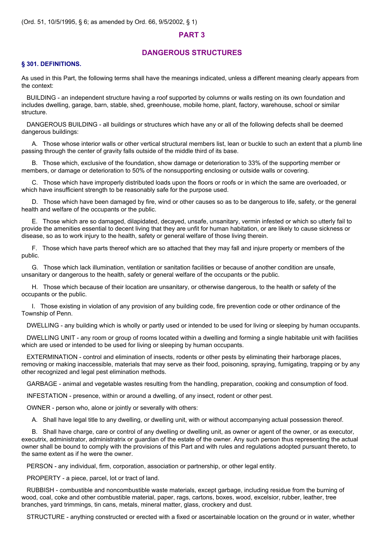## **PART 3**

## **DANGEROUS STRUCTURES**

#### **§ 301. DEFINITIONS.**

As used in this Part, the following terms shall have the meanings indicated, unless a different meaning clearly appears from the context:

BUILDING - an independent structure having a roof supported by columns or walls resting on its own foundation and includes dwelling, garage, barn, stable, shed, greenhouse, mobile home, plant, factory, warehouse, school or similar structure.

DANGEROUS BUILDING - all buildings or structures which have any or all of the following defects shall be deemed dangerous buildings:

A. Those whose interior walls or other vertical structural members list, lean or buckle to such an extent that a plumb line passing through the center of gravity falls outside of the middle third of its base.

B. Those which, exclusive of the foundation, show damage or deterioration to 33% of the supporting member or members, or damage or deterioration to 50% of the nonsupporting enclosing or outside walls or covering.

C. Those which have improperly distributed loads upon the floors or roofs or in which the same are overloaded, or which have insufficient strength to be reasonably safe for the purpose used.

D. Those which have been damaged by fire, wind or other causes so as to be dangerous to life, safety, or the general health and welfare of the occupants or the public.

E. Those which are so damaged, dilapidated, decayed, unsafe, unsanitary, vermin infested or which so utterly fail to provide the amenities essential to decent living that they are unfit for human habitation, or are likely to cause sickness or disease, so as to work injury to the health, safety or general welfare of those living therein.

F. Those which have parts thereof which are so attached that they may fall and injure property or members of the public.

G. Those which lack illumination, ventilation or sanitation facilities or because of another condition are unsafe, unsanitary or dangerous to the health, safety or general welfare of the occupants or the public.

H. Those which because of their location are unsanitary, or otherwise dangerous, to the health or safety of the occupants or the public.

I. Those existing in violation of any provision of any building code, fire prevention code or other ordinance of the Township of Penn.

DWELLING - any building which is wholly or partly used or intended to be used for living or sleeping by human occupants.

DWELLING UNIT - any room or group of rooms located within a dwelling and forming a single habitable unit with facilities which are used or intended to be used for living or sleeping by human occupants.

EXTERMINATION - control and elimination of insects, rodents or other pests by eliminating their harborage places, removing or making inaccessible, materials that may serve as their food, poisoning, spraying, fumigating, trapping or by any other recognized and legal pest elimination methods.

GARBAGE - animal and vegetable wastes resulting from the handling, preparation, cooking and consumption of food.

INFESTATION - presence, within or around a dwelling, of any insect, rodent or other pest.

OWNER - person who, alone or jointly or severally with others:

A. Shall have legal title to any dwelling, or dwelling unit, with or without accompanying actual possession thereof.

B. Shall have charge, care or control of any dwelling or dwelling unit, as owner or agent of the owner, or as executor, executrix, administrator, administratrix or guardian of the estate of the owner. Any such person thus representing the actual owner shall be bound to comply with the provisions of this Part and with rules and regulations adopted pursuant thereto, to the same extent as if he were the owner.

PERSON - any individual, firm, corporation, association or partnership, or other legal entity.

PROPERTY - a piece, parcel, lot or tract of land.

RUBBISH - combustible and noncombustible waste materials, except garbage, including residue from the burning of wood, coal, coke and other combustible material, paper, rags, cartons, boxes, wood, excelsior, rubber, leather, tree branches, yard trimmings, tin cans, metals, mineral matter, glass, crockery and dust.

STRUCTURE - anything constructed or erected with a fixed or ascertainable location on the ground or in water, whether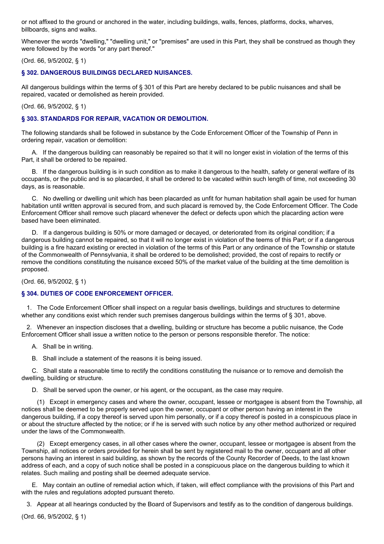or not affixed to the ground or anchored in the water, including buildings, walls, fences, platforms, docks, wharves, billboards, signs and walks.

Whenever the words "dwelling," "dwelling unit," or "premises" are used in this Part, they shall be construed as though they were followed by the words "or any part thereof."

(Ord. 66, 9/5/2002, § 1)

## **§ 302. DANGEROUS BUILDINGS DECLARED NUISANCES.**

All dangerous buildings within the terms of § 301 of this Part are hereby declared to be public nuisances and shall be repaired, vacated or demolished as herein provided.

## (Ord. 66, 9/5/2002, § 1)

## **§ 303. STANDARDS FOR REPAIR, VACATION OR DEMOLITION.**

The following standards shall be followed in substance by the Code Enforcement Officer of the Township of Penn in ordering repair, vacation or demolition:

A. If the dangerous building can reasonably be repaired so that it will no longer exist in violation of the terms of this Part, it shall be ordered to be repaired.

B. If the dangerous building is in such condition as to make it dangerous to the health, safety or general welfare of its occupants, or the public and is so placarded, it shall be ordered to be vacated within such length of time, not exceeding 30 days, as is reasonable.

C. No dwelling or dwelling unit which has been placarded as unfit for human habitation shall again be used for human habitation until written approval is secured from, and such placard is removed by, the Code Enforcement Officer. The Code Enforcement Officer shall remove such placard whenever the defect or defects upon which the placarding action were based have been eliminated.

D. If a dangerous building is 50% or more damaged or decayed, or deteriorated from its original condition; if a dangerous building cannot be repaired, so that it will no longer exist in violation of the teems of this Part; or if a dangerous building is a fire hazard existing or erected in violation of the terms of this Part or any ordinance of the Township or statute of the Commonwealth of Pennsylvania, it shall be ordered to be demolished; provided, the cost of repairs to rectify or remove the conditions constituting the nuisance exceed 50% of the market value of the building at the time demolition is proposed.

(Ord. 66, 9/5/2002, § 1)

## **§ 304. DUTIES OF CODE ENFORCEMENT OFFICER.**

1. The Code Enforcement Officer shall inspect on a regular basis dwellings, buildings and structures to determine whether any conditions exist which render such premises dangerous buildings within the terms of § 301, above.

2. Whenever an inspection discloses that a dwelling, building or structure has become a public nuisance, the Code Enforcement Officer shall issue a written notice to the person or persons responsible therefor. The notice:

A. Shall be in writing.

B. Shall include a statement of the reasons it is being issued.

C. Shall state a reasonable time to rectify the conditions constituting the nuisance or to remove and demolish the dwelling, building or structure.

D. Shall be served upon the owner, or his agent, or the occupant, as the case may require.

(1) Except in emergency cases and where the owner, occupant, lessee or mortgagee is absent from the Township, all notices shall be deemed to be properly served upon the owner, occupant or other person having an interest in the dangerous building, if a copy thereof is served upon him personally, or if a copy thereof is posted in a conspicuous place in or about the structure affected by the notice; or if he is served with such notice by any other method authorized or required under the laws of the Commonwealth.

(2) Except emergency cases, in all other cases where the owner, occupant, lessee or mortgagee is absent from the Township, all notices or orders provided for herein shall be sent by registered mail to the owner, occupant and all other persons having an interest in said building, as shown by the records of the County Recorder of Deeds, to the last known address of each, and a copy of such notice shall be posted in a conspicuous place on the dangerous building to which it relates. Such mailing and posting shall be deemed adequate service.

E. May contain an outline of remedial action which, if taken, will effect compliance with the provisions of this Part and with the rules and regulations adopted pursuant thereto.

3. Appear at all hearings conducted by the Board of Supervisors and testify as to the condition of dangerous buildings.

(Ord. 66, 9/5/2002, § 1)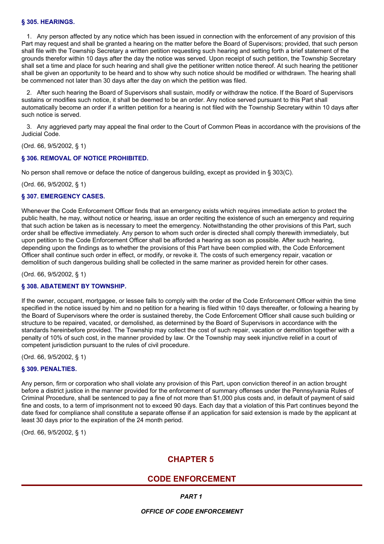## **§ 305. HEARINGS.**

1. Any person affected by any notice which has been issued in connection with the enforcement of any provision of this Part may request and shall be granted a hearing on the matter before the Board of Supervisors; provided, that such person shall file with the Township Secretary a written petition requesting such hearing and setting forth a brief statement of the grounds therefor within 10 days after the day the notice was served. Upon receipt of such petition, the Township Secretary shall set a time and place for such hearing and shall give the petitioner written notice thereof. At such hearing the petitioner shall be given an opportunity to be heard and to show why such notice should be modified or withdrawn. The hearing shall be commenced not later than 30 days after the day on which the petition was filed.

2. After such hearing the Board of Supervisors shall sustain, modify or withdraw the notice. If the Board of Supervisors sustains or modifies such notice, it shall be deemed to be an order. Any notice served pursuant to this Part shall automatically become an order if a written petition for a hearing is not filed with the Township Secretary within 10 days after such notice is served.

3. Any aggrieved party may appeal the final order to the Court of Common Pleas in accordance with the provisions of the Judicial Code.

(Ord. 66, 9/5/2002, § 1)

## **§ 306. REMOVAL OF NOTICE PROHIBITED.**

No person shall remove or deface the notice of dangerous building, except as provided in § 303(C).

(Ord. 66, 9/5/2002, § 1)

## **§ 307. EMERGENCY CASES.**

Whenever the Code Enforcement Officer finds that an emergency exists which requires immediate action to protect the public health, he may, without notice or hearing, issue an order reciting the existence of such an emergency and requiring that such action be taken as is necessary to meet the emergency. Notwithstanding the other provisions of this Part, such order shall be effective immediately. Any person to whom such order is directed shall comply therewith immediately, but upon petition to the Code Enforcement Officer shall be afforded a hearing as soon as possible. After such hearing, depending upon the findings as to whether the provisions of this Part have been complied with, the Code Enforcement Officer shall continue such order in effect, or modify, or revoke it. The costs of such emergency repair, vacation or demolition of such dangerous building shall be collected in the same mariner as provided herein for other cases.

(Ord. 66, 9/5/2002, § 1)

## **§ 308. ABATEMENT BY TOWNSHIP.**

If the owner, occupant, mortgagee, or lessee fails to comply with the order of the Code Enforcement Officer within the time specified in the notice issued by him and no petition for a hearing is filed within 10 days thereafter, or following a hearing by the Board of Supervisors where the order is sustained thereby, the Code Enforcement Officer shall cause such building or structure to be repaired, vacated, or demolished, as determined by the Board of Supervisors in accordance with the standards hereinbefore provided. The Township may collect the cost of such repair, vacation or demolition together with a penalty of 10% of such cost, in the manner provided by law. Or the Township may seek injunctive relief in a court of competent jurisdiction pursuant to the rules of civil procedure.

(Ord. 66, 9/5/2002, § 1)

## **§ 309. PENALTIES.**

Any person, firm or corporation who shall violate any provision of this Part, upon conviction thereof in an action brought before a district justice in the manner provided for the enforcement of summary offenses under the Pennsylvania Rules of Criminal Procedure, shall be sentenced to pay a fine of not more than \$1,000 plus costs and, in default of payment of said fine and costs, to a term of imprisonment not to exceed 90 days. Each day that a violation of this Part continues beyond the date fixed for compliance shall constitute a separate offense if an application for said extension is made by the applicant at least 30 days prior to the expiration of the 24 month period.

(Ord. 66, 9/5/2002, § 1)

# **CHAPTER 5**

# **CODE ENFORCEMENT**

*PART 1*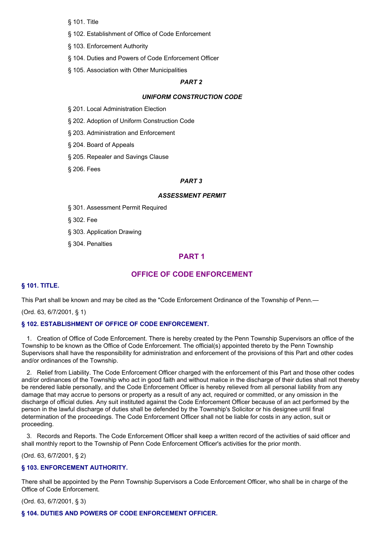§ 101. Title

- § 102. Establishment of Office of Code Enforcement
- § 103. Enforcement Authority
- § 104. Duties and Powers of Code Enforcement Officer
- § 105. Association with Other Municipalities

## *PART 2*

#### *UNIFORM CONSTRUCTION CODE*

§ 201. Local Administration Election

§ 202. Adoption of Uniform Construction Code

§ 203. Administration and Enforcement

§ 204. Board of Appeals

§ 205. Repealer and Savings Clause

§ 206. Fees

#### *PART 3*

#### *ASSESSMENT PERMIT*

§ 301. Assessment Permit Required

§ 302. Fee

- § 303. Application Drawing
- § 304. Penalties

# **PART 1**

# **OFFICE OF CODE ENFORCEMENT**

#### **§ 101. TITLE.**

This Part shall be known and may be cited as the "Code Enforcement Ordinance of the Township of Penn.—

(Ord. 63, 6/7/2001, § 1)

#### **§ 102. ESTABLISHMENT OF OFFICE OF CODE ENFORCEMENT.**

1. Creation of Office of Code Enforcement. There is hereby created by the Penn Township Supervisors an office of the Township to be known as the Office of Code Enforcement. The official(s) appointed thereto by the Penn Township Supervisors shall have the responsibility for administration and enforcement of the provisions of this Part and other codes and/or ordinances of the Township.

2. Relief from Liability. The Code Enforcement Officer charged with the enforcement of this Part and those other codes and/or ordinances of the Township who act in good faith and without malice in the discharge of their duties shall not thereby be rendered liable personally, and the Code Enforcement Officer is hereby relieved from all personal liability from any damage that may accrue to persons or property as a result of any act, required or committed, or any omission in the discharge of official duties. Any suit instituted against the Code Enforcement Officer because of an act performed by the person in the lawful discharge of duties shall be defended by the Township's Solicitor or his designee until final determination of the proceedings. The Code Enforcement Officer shall not be liable for costs in any action, suit or proceeding.

3. Records and Reports. The Code Enforcement Officer shall keep a written record of the activities of said officer and shall monthly report to the Township of Penn Code Enforcement Officer's activities for the prior month.

(Ord. 63, 6/7/2001, § 2)

#### **§ 103. ENFORCEMENT AUTHORITY.**

There shall be appointed by the Penn Township Supervisors a Code Enforcement Officer, who shall be in charge of the Office of Code Enforcement.

(Ord. 63, 6/7/2001, § 3)

#### **§ 104. DUTIES AND POWERS OF CODE ENFORCEMENT OFFICER.**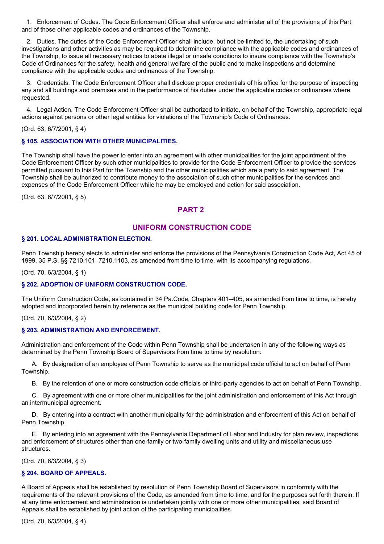1. Enforcement of Codes. The Code Enforcement Officer shall enforce and administer all of the provisions of this Part and of those other applicable codes and ordinances of the Township.

2. Duties. The duties of the Code Enforcement Officer shall include, but not be limited to, the undertaking of such investigations and other activities as may be required to determine compliance with the applicable codes and ordinances of the Township, to issue all necessary notices to abate illegal or unsafe conditions to insure compliance with the Township's Code of Ordinances for the safety, health and general welfare of the public and to make inspections and determine compliance with the applicable codes and ordinances of the Township.

3. Credentials. The Code Enforcement Officer shall disclose proper credentials of his office for the purpose of inspecting any and all buildings and premises and in the performance of his duties under the applicable codes or ordinances where requested.

4. Legal Action. The Code Enforcement Officer shall be authorized to initiate, on behalf of the Township, appropriate legal actions against persons or other legal entities for violations of the Township's Code of Ordinances.

#### (Ord. 63, 6/7/2001, § 4)

## **§ 105. ASSOCIATION WITH OTHER MUNICIPALITIES.**

The Township shall have the power to enter into an agreement with other municipalities for the joint appointment of the Code Enforcement Officer by such other municipalities to provide for the Code Enforcement Officer to provide the services permitted pursuant to this Part for the Township and the other municipalities which are a party to said agreement. The Township shall be authorized to contribute money to the association of such other municipalities for the services and expenses of the Code Enforcement Officer while he may be employed and action for said association.

(Ord. 63, 6/7/2001, § 5)

# **PART 2**

# **UNIFORM CONSTRUCTION CODE**

## **§ 201. LOCAL ADMINISTRATION ELECTION.**

Penn Township hereby elects to administer and enforce the provisions of the Pennsylvania Construction Code Act, Act 45 of 1999, 35 P.S. §§ 7210.101–7210.1103, as amended from time to time, with its accompanying regulations.

(Ord. 70, 6/3/2004, § 1)

## **§ 202. ADOPTION OF UNIFORM CONSTRUCTION CODE.**

The Uniform Construction Code, as contained in 34 Pa.Code, Chapters 401–405, as amended from time to time, is hereby adopted and incorporated herein by reference as the municipal building code for Penn Township.

(Ord. 70, 6/3/2004, § 2)

## **§ 203. ADMINISTRATION AND ENFORCEMENT.**

Administration and enforcement of the Code within Penn Township shall be undertaken in any of the following ways as determined by the Penn Township Board of Supervisors from time to time by resolution:

A. By designation of an employee of Penn Township to serve as the municipal code official to act on behalf of Penn Township.

B. By the retention of one or more construction code officials or third-party agencies to act on behalf of Penn Township.

C. By agreement with one or more other municipalities for the joint administration and enforcement of this Act through an intermunicipal agreement.

D. By entering into a contract with another municipality for the administration and enforcement of this Act on behalf of Penn Township.

E. By entering into an agreement with the Pennsylvania Department of Labor and Industry for plan review, inspections and enforcement of structures other than one-family or two-family dwelling units and utility and miscellaneous use structures.

(Ord. 70, 6/3/2004, § 3)

## **§ 204. BOARD OF APPEALS.**

A Board of Appeals shall be established by resolution of Penn Township Board of Supervisors in conformity with the requirements of the relevant provisions of the Code, as amended from time to time, and for the purposes set forth therein. If at any time enforcement and administration is undertaken jointly with one or more other municipalities, said Board of Appeals shall be established by joint action of the participating municipalities.

(Ord. 70, 6/3/2004, § 4)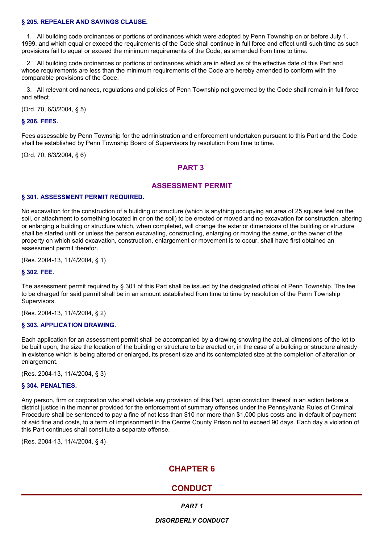#### **§ 205. REPEALER AND SAVINGS CLAUSE.**

1. All building code ordinances or portions of ordinances which were adopted by Penn Township on or before July 1, 1999, and which equal or exceed the requirements of the Code shall continue in full force and effect until such time as such provisions fail to equal or exceed the minimum requirements of the Code, as amended from time to time.

2. All building code ordinances or portions of ordinances which are in effect as of the effective date of this Part and whose requirements are less than the minimum requirements of the Code are hereby amended to conform with the comparable provisions of the Code.

3. All relevant ordinances, regulations and policies of Penn Township not governed by the Code shall remain in full force and effect.

(Ord. 70, 6/3/2004, § 5)

#### **§ 206. FEES.**

Fees assessable by Penn Township for the administration and enforcement undertaken pursuant to this Part and the Code shall be established by Penn Township Board of Supervisors by resolution from time to time.

(Ord. 70, 6/3/2004, § 6)

# **PART 3**

## **ASSESSMENT PERMIT**

#### **§ 301. ASSESSMENT PERMIT REQUIRED.**

No excavation for the construction of a building or structure (which is anything occupying an area of 25 square feet on the soil, or attachment to something located in or on the soil) to be erected or moved and no excavation for construction, altering or enlarging a building or structure which, when completed, will change the exterior dimensions of the building or structure shall be started until or unless the person excavating, constructing, enlarging or moving the same, or the owner of the property on which said excavation, construction, enlargement or movement is to occur, shall have first obtained an assessment permit therefor.

(Res. 2004-13, 11/4/2004, § 1)

#### **§ 302. FEE.**

The assessment permit required by § 301 of this Part shall be issued by the designated official of Penn Township. The fee to be charged for said permit shall be in an amount established from time to time by resolution of the Penn Township Supervisors.

(Res. 2004-13, 11/4/2004, § 2)

#### **§ 303. APPLICATION DRAWING.**

Each application for an assessment permit shall be accompanied by a drawing showing the actual dimensions of the lot to be built upon, the size the location of the building or structure to be erected or, in the case of a building or structure already in existence which is being altered or enlarged, its present size and its contemplated size at the completion of alteration or enlargement.

(Res. 2004-13, 11/4/2004, § 3)

#### **§ 304. PENALTIES.**

Any person, firm or corporation who shall violate any provision of this Part, upon conviction thereof in an action before a district justice in the manner provided for the enforcement of summary offenses under the Pennsylvania Rules of Criminal Procedure shall be sentenced to pay a fine of not less than \$10 nor more than \$1,000 plus costs and in default of payment of said fine and costs, to a term of imprisonment in the Centre County Prison not to exceed 90 days. Each day a violation of this Part continues shall constitute a separate offense.

(Res. 2004-13, 11/4/2004, § 4)

# **CHAPTER 6**

# **CONDUCT**

*PART 1*

*DISORDERLY CONDUCT*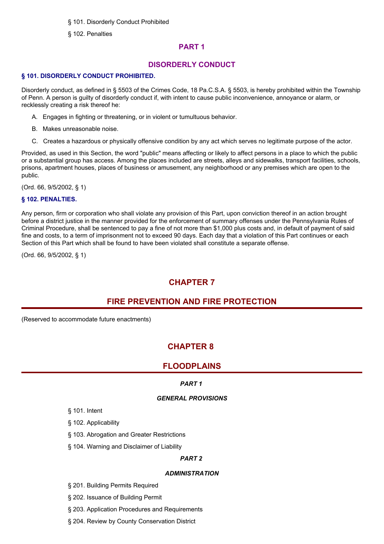§ 101. Disorderly Conduct Prohibited

§ 102. Penalties

# **PART 1**

# **DISORDERLY CONDUCT**

## **§ 101. DISORDERLY CONDUCT PROHIBITED.**

Disorderly conduct, as defined in § 5503 of the Crimes Code, 18 Pa.C.S.A. § 5503, is hereby prohibited within the Township of Penn. A person is guilty of disorderly conduct if, with intent to cause public inconvenience, annoyance or alarm, or recklessly creating a risk thereof he:

- A. Engages in fighting or threatening, or in violent or tumultuous behavior.
- B. Makes unreasonable noise.
- C. Creates a hazardous or physically offensive condition by any act which serves no legitimate purpose of the actor.

Provided, as used in this Section, the word "public" means affecting or likely to affect persons in a place to which the public or a substantial group has access. Among the places included are streets, alleys and sidewalks, transport facilities, schools, prisons, apartment houses, places of business or amusement, any neighborhood or any premises which are open to the public.

(Ord. 66, 9/5/2002, § 1)

# **§ 102. PENALTIES.**

Any person, firm or corporation who shall violate any provision of this Part, upon conviction thereof in an action brought before a district justice in the manner provided for the enforcement of summary offenses under the Pennsylvania Rules of Criminal Procedure, shall be sentenced to pay a fine of not more than \$1,000 plus costs and, in default of payment of said fine and costs, to a term of imprisonment not to exceed 90 days. Each day that a violation of this Part continues or each Section of this Part which shall be found to have been violated shall constitute a separate offense.

(Ord. 66, 9/5/2002, § 1)

# **CHAPTER 7**

# **FIRE PREVENTION AND FIRE PROTECTION**

(Reserved to accommodate future enactments)

# **CHAPTER 8**

# **FLOODPLAINS**

# *PART 1*

# *GENERAL PROVISIONS*

- § 101. Intent
- § 102. Applicability
- § 103. Abrogation and Greater Restrictions
- § 104. Warning and Disclaimer of Liability

# *PART 2*

# *ADMINISTRATION*

- § 201. Building Permits Required
- § 202. Issuance of Building Permit
- § 203. Application Procedures and Requirements
- § 204. Review by County Conservation District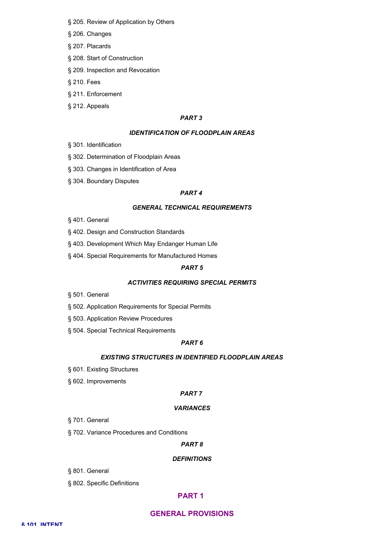- § 205. Review of Application by Others
- § 206. Changes
- § 207. Placards
- § 208. Start of Construction
- § 209. Inspection and Revocation
- § 210. Fees
- § 211. Enforcement
- § 212. Appeals

## *PART 3*

## *IDENTIFICATION OF FLOODPLAIN AREAS*

- § 301. Identification
- § 302. Determination of Floodplain Areas
- § 303. Changes in Identification of Area
- § 304. Boundary Disputes

#### *PART 4*

#### *GENERAL TECHNICAL REQUIREMENTS*

- § 401. General
- § 402. Design and Construction Standards
- § 403. Development Which May Endanger Human Life
- § 404. Special Requirements for Manufactured Homes

#### *PART 5*

#### *ACTIVITIES REQUIRING SPECIAL PERMITS*

- § 501. General
- § 502. Application Requirements for Special Permits
- § 503. Application Review Procedures
- § 504. Special Technical Requirements

## *PART 6*

#### *EXISTING STRUCTURES IN IDENTIFIED FLOODPLAIN AREAS*

- § 601. Existing Structures
- § 602. Improvements

#### *PART 7*

#### *VARIANCES*

- § 701. General
- § 702. Variance Procedures and Conditions

## *PART 8*

#### *DEFINITIONS*

- § 801. General
- § 802. Specific Definitions

# **PART 1**

## **GENERAL PROVISIONS**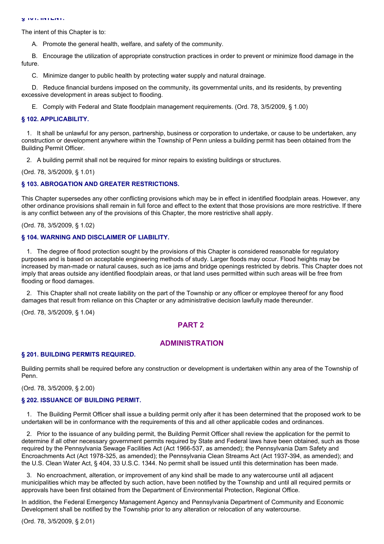The intent of this Chapter is to:

A. Promote the general health, welfare, and safety of the community.

B. Encourage the utilization of appropriate construction practices in order to prevent or minimize flood damage in the future.

C. Minimize danger to public health by protecting water supply and natural drainage.

D. Reduce financial burdens imposed on the community, its governmental units, and its residents, by preventing excessive development in areas subject to flooding.

E. Comply with Federal and State floodplain management requirements. (Ord. 78, 3/5/2009, § 1.00)

#### **§ 102. APPLICABILITY.**

1. It shall be unlawful for any person, partnership, business or corporation to undertake, or cause to be undertaken, any construction or development anywhere within the Township of Penn unless a building permit has been obtained from the Building Permit Officer.

2. A building permit shall not be required for minor repairs to existing buildings or structures.

(Ord. 78, 3/5/2009, § 1.01)

#### **§ 103. ABROGATION AND GREATER RESTRICTIONS.**

This Chapter supersedes any other conflicting provisions which may be in effect in identified floodplain areas. However, any other ordinance provisions shall remain in full force and effect to the extent that those provisions are more restrictive. If there is any conflict between any of the provisions of this Chapter, the more restrictive shall apply.

(Ord. 78, 3/5/2009, § 1.02)

#### **§ 104. WARNING AND DISCLAIMER OF LIABILITY.**

1. The degree of flood protection sought by the provisions of this Chapter is considered reasonable for regulatory purposes and is based on acceptable engineering methods of study. Larger floods may occur. Flood heights may be increased by man-made or natural causes, such as ice jams and bridge openings restricted by debris. This Chapter does not imply that areas outside any identified floodplain areas, or that land uses permitted within such areas will be free from flooding or flood damages.

2. This Chapter shall not create liability on the part of the Township or any officer or employee thereof for any flood damages that result from reliance on this Chapter or any administrative decision lawfully made thereunder.

(Ord. 78, 3/5/2009, § 1.04)

## **PART 2**

## **ADMINISTRATION**

#### **§ 201. BUILDING PERMITS REQUIRED.**

Building permits shall be required before any construction or development is undertaken within any area of the Township of Penn.

(Ord. 78, 3/5/2009, § 2.00)

#### **§ 202. ISSUANCE OF BUILDING PERMIT.**

1. The Building Permit Officer shall issue a building permit only after it has been determined that the proposed work to be undertaken will be in conformance with the requirements of this and all other applicable codes and ordinances.

2. Prior to the issuance of any building permit, the Building Permit Officer shall review the application for the permit to determine if all other necessary government permits required by State and Federal laws have been obtained, such as those required by the Pennsylvania Sewage Facilities Act (Act 1966-537, as amended); the Pennsylvania Dam Safety and Encroachments Act (Act 1978-325, as amended); the Pennsylvania Clean Streams Act (Act 1937-394, as amended); and the U.S. Clean Water Act, § 404, 33 U.S.C. 1344. No permit shall be issued until this determination has been made.

3. No encroachment, alteration, or improvement of any kind shall be made to any watercourse until all adjacent municipalities which may be affected by such action, have been notified by the Township and until all required permits or approvals have been first obtained from the Department of Environmental Protection, Regional Office.

In addition, the Federal Emergency Management Agency and Pennsylvania Department of Community and Economic Development shall be notified by the Township prior to any alteration or relocation of any watercourse.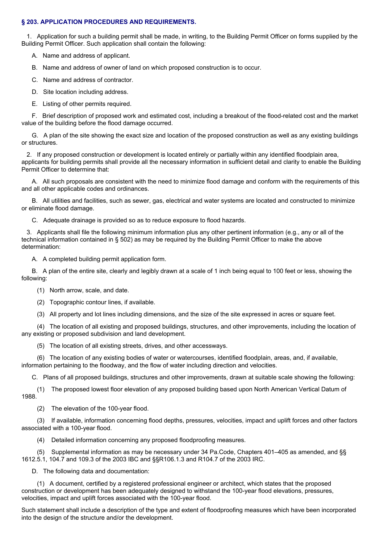## **§ 203. APPLICATION PROCEDURES AND REQUIREMENTS.**

1. Application for such a building permit shall be made, in writing, to the Building Permit Officer on forms supplied by the Building Permit Officer. Such application shall contain the following:

- A. Name and address of applicant.
- B. Name and address of owner of land on which proposed construction is to occur.
- C. Name and address of contractor.
- D. Site location including address.
- E. Listing of other permits required.

F. Brief description of proposed work and estimated cost, including a breakout of the flood-related cost and the market value of the building before the flood damage occurred.

G. A plan of the site showing the exact size and location of the proposed construction as well as any existing buildings or structures.

2. If any proposed construction or development is located entirely or partially within any identified floodplain area, applicants for building permits shall provide all the necessary information in sufficient detail and clarity to enable the Building Permit Officer to determine that:

A. All such proposals are consistent with the need to minimize flood damage and conform with the requirements of this and all other applicable codes and ordinances.

B. All utilities and facilities, such as sewer, gas, electrical and water systems are located and constructed to minimize or eliminate flood damage.

C. Adequate drainage is provided so as to reduce exposure to flood hazards.

3. Applicants shall file the following minimum information plus any other pertinent information (e.g., any or all of the technical information contained in § 502) as may be required by the Building Permit Officer to make the above determination:

A. A completed building permit application form.

B. A plan of the entire site, clearly and legibly drawn at a scale of 1 inch being equal to 100 feet or less, showing the following:

- (1) North arrow, scale, and date.
- (2) Topographic contour lines, if available.

(3) All property and lot lines including dimensions, and the size of the site expressed in acres or square feet.

(4) The location of all existing and proposed buildings, structures, and other improvements, including the location of any existing or proposed subdivision and land development.

(5) The location of all existing streets, drives, and other accessways.

(6) The location of any existing bodies of water or watercourses, identified floodplain, areas, and, if available, information pertaining to the floodway, and the flow of water including direction and velocities.

C. Plans of all proposed buildings, structures and other improvements, drawn at suitable scale showing the following:

(1) The proposed lowest floor elevation of any proposed building based upon North American Vertical Datum of 1988.

(2) The elevation of the 100-year flood.

(3) If available, information concerning flood depths, pressures, velocities, impact and uplift forces and other factors associated with a 100-year flood.

(4) Detailed information concerning any proposed floodproofing measures.

(5) Supplemental information as may be necessary under 34 Pa.Code, Chapters 401–405 as amended, and §§ 1612.5.1, 104.7 and 109.3 of the 2003 IBC and §§R106.1.3 and R104.7 of the 2003 IRC.

D. The following data and documentation:

(1) A document, certified by a registered professional engineer or architect, which states that the proposed construction or development has been adequately designed to withstand the 100-year flood elevations, pressures, velocities, impact and uplift forces associated with the 100-year flood.

Such statement shall include a description of the type and extent of floodproofing measures which have been incorporated into the design of the structure and/or the development.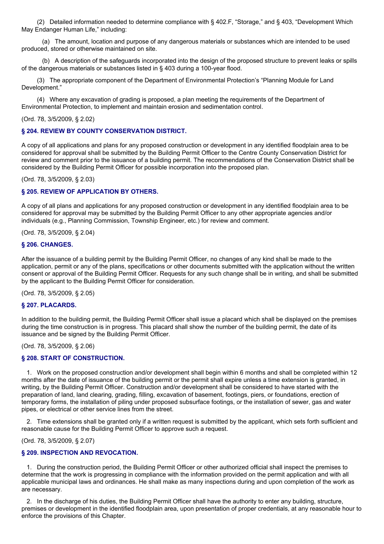(2) Detailed information needed to determine compliance with § 402.F, "Storage," and § 403, "Development Which May Endanger Human Life," including:

(a) The amount, location and purpose of any dangerous materials or substances which are intended to be used produced, stored or otherwise maintained on site.

(b) A description of the safeguards incorporated into the design of the proposed structure to prevent leaks or spills of the dangerous materials or substances listed in § 403 during a 100-year flood.

(3) The appropriate component of the Department of Environmental Protection's "Planning Module for Land Development."

(4) Where any excavation of grading is proposed, a plan meeting the requirements of the Department of Environmental Protection, to implement and maintain erosion and sedimentation control.

(Ord. 78, 3/5/2009, § 2.02)

## **§ 204. REVIEW BY COUNTY CONSERVATION DISTRICT.**

A copy of all applications and plans for any proposed construction or development in any identified floodplain area to be considered for approval shall be submitted by the Building Permit Officer to the Centre County Conservation District for review and comment prior to the issuance of a building permit. The recommendations of the Conservation District shall be considered by the Building Permit Officer for possible incorporation into the proposed plan.

(Ord. 78, 3/5/2009, § 2.03)

## **§ 205. REVIEW OF APPLICATION BY OTHERS.**

A copy of all plans and applications for any proposed construction or development in any identified floodplain area to be considered for approval may be submitted by the Building Permit Officer to any other appropriate agencies and/or individuals (e.g., Planning Commission, Township Engineer, etc.) for review and comment.

(Ord. 78, 3/5/2009, § 2.04)

#### **§ 206. CHANGES.**

After the issuance of a building permit by the Building Permit Officer, no changes of any kind shall be made to the application, permit or any of the plans, specifications or other documents submitted with the application without the written consent or approval of the Building Permit Officer. Requests for any such change shall be in writing, and shall be submitted by the applicant to the Building Permit Officer for consideration.

(Ord. 78, 3/5/2009, § 2.05)

## **§ 207. PLACARDS.**

In addition to the building permit, the Building Permit Officer shall issue a placard which shall be displayed on the premises during the time construction is in progress. This placard shall show the number of the building permit, the date of its issuance and be signed by the Building Permit Officer.

(Ord. 78, 3/5/2009, § 2.06)

## **§ 208. START OF CONSTRUCTION.**

1. Work on the proposed construction and/or development shall begin within 6 months and shall be completed within 12 months after the date of issuance of the building permit or the permit shall expire unless a time extension is granted, in writing, by the Building Permit Officer. Construction and/or development shall be considered to have started with the preparation of land, land clearing, grading, filling, excavation of basement, footings, piers, or foundations, erection of temporary forms, the installation of piling under proposed subsurface footings, or the installation of sewer, gas and water pipes, or electrical or other service lines from the street.

2. Time extensions shall be granted only if a written request is submitted by the applicant, which sets forth sufficient and reasonable cause for the Building Permit Officer to approve such a request.

(Ord. 78, 3/5/2009, § 2.07)

## **§ 209. INSPECTION AND REVOCATION.**

1. During the construction period, the Building Permit Officer or other authorized official shall inspect the premises to determine that the work is progressing in compliance with the information provided on the permit application and with all applicable municipal laws and ordinances. He shall make as many inspections during and upon completion of the work as are necessary.

2. In the discharge of his duties, the Building Permit Officer shall have the authority to enter any building, structure, premises or development in the identified floodplain area, upon presentation of proper credentials, at any reasonable hour to enforce the provisions of this Chapter.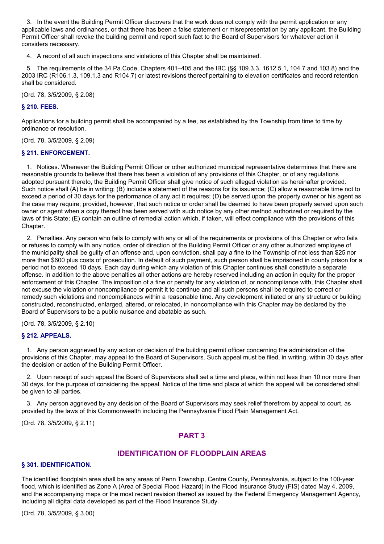3. In the event the Building Permit Officer discovers that the work does not comply with the permit application or any applicable laws and ordinances, or that there has been a false statement or misrepresentation by any applicant, the Building Permit Officer shall revoke the building permit and report such fact to the Board of Supervisors for whatever action it considers necessary.

4. A record of all such inspections and violations of this Chapter shall be maintained.

5. The requirements of the 34 Pa.Code, Chapters 401–405 and the IBC (§§ 109.3.3, 1612.5.1, 104.7 and 103.8) and the 2003 IRC (R106.1.3, 109.1.3 and R104.7) or latest revisions thereof pertaining to elevation certificates and record retention shall be considered.

(Ord. 78, 3/5/2009, § 2.08)

## **§ 210. FEES.**

Applications for a building permit shall be accompanied by a fee, as established by the Township from time to time by ordinance or resolution.

(Ord. 78, 3/5/2009, § 2.09)

## **§ 211. ENFORCEMENT.**

1. Notices. Whenever the Building Permit Officer or other authorized municipal representative determines that there are reasonable grounds to believe that there has been a violation of any provisions of this Chapter, or of any regulations adopted pursuant thereto, the Building Permit Officer shall give notice of such alleged violation as hereinafter provided. Such notice shall (A) be in writing; (B) include a statement of the reasons for its issuance; (C) allow a reasonable time not to exceed a period of 30 days for the performance of any act it requires; (D) be served upon the property owner or his agent as the case may require; provided, however, that such notice or order shall be deemed to have been properly served upon such owner or agent when a copy thereof has been served with such notice by any other method authorized or required by the laws of this State; (E) contain an outline of remedial action which, if taken, will effect compliance with the provisions of this Chapter.

2. Penalties. Any person who fails to comply with any or all of the requirements or provisions of this Chapter or who fails or refuses to comply with any notice, order of direction of the Building Permit Officer or any other authorized employee of the municipality shall be guilty of an offense and, upon conviction, shall pay a fine to the Township of not less than \$25 nor more than \$600 plus costs of prosecution. In default of such payment, such person shall be imprisoned in county prison for a period not to exceed 10 days. Each day during which any violation of this Chapter continues shall constitute a separate offense. In addition to the above penalties all other actions are hereby reserved including an action in equity for the proper enforcement of this Chapter. The imposition of a fine or penalty for any violation of, or noncompliance with, this Chapter shall not excuse the violation or noncompliance or permit it to continue and all such persons shall be required to correct or remedy such violations and noncompliances within a reasonable time. Any development initiated or any structure or building constructed, reconstructed, enlarged, altered, or relocated, in noncompliance with this Chapter may be declared by the Board of Supervisors to be a public nuisance and abatable as such.

(Ord. 78, 3/5/2009, § 2.10)

## **§ 212. APPEALS.**

1. Any person aggrieved by any action or decision of the building permit officer concerning the administration of the provisions of this Chapter, may appeal to the Board of Supervisors. Such appeal must be filed, in writing, within 30 days after the decision or action of the Building Permit Officer.

2. Upon receipt of such appeal the Board of Supervisors shall set a time and place, within not less than 10 nor more than 30 days, for the purpose of considering the appeal. Notice of the time and place at which the appeal will be considered shall be given to all parties.

3. Any person aggrieved by any decision of the Board of Supervisors may seek relief therefrom by appeal to court, as provided by the laws of this Commonwealth including the Pennsylvania Flood Plain Management Act.

(Ord. 78, 3/5/2009, § 2.11)

# **PART 3**

# **IDENTIFICATION OF FLOODPLAIN AREAS**

## **§ 301. IDENTIFICATION.**

The identified floodplain area shall be any areas of Penn Township, Centre County, Pennsylvania, subject to the 100-year flood, which is identified as Zone A (Area of Special Flood Hazard) in the Flood Insurance Study (FIS) dated May 4, 2009, and the accompanying maps or the most recent revision thereof as issued by the Federal Emergency Management Agency, including all digital data developed as part of the Flood Insurance Study.

(Ord. 78, 3/5/2009, § 3.00)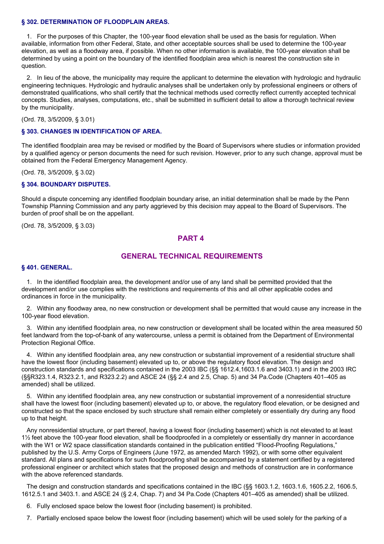#### **§ 302. DETERMINATION OF FLOODPLAIN AREAS.**

1. For the purposes of this Chapter, the 100-year flood elevation shall be used as the basis for regulation. When available, information from other Federal, State, and other acceptable sources shall be used to determine the 100-year elevation, as well as a floodway area, if possible. When no other information is available, the 100-year elevation shall be determined by using a point on the boundary of the identified floodplain area which is nearest the construction site in question.

2. In lieu of the above, the municipality may require the applicant to determine the elevation with hydrologic and hydraulic engineering techniques. Hydrologic and hydraulic analyses shall be undertaken only by professional engineers or others of demonstrated qualifications, who shall certify that the technical methods used correctly reflect currently accepted technical concepts. Studies, analyses, computations, etc., shall be submitted in sufficient detail to allow a thorough technical review by the municipality.

(Ord. 78, 3/5/2009, § 3.01)

## **§ 303. CHANGES IN IDENTIFICATION OF AREA.**

The identified floodplain area may be revised or modified by the Board of Supervisors where studies or information provided by a qualified agency or person documents the need for such revision. However, prior to any such change, approval must be obtained from the Federal Emergency Management Agency.

(Ord. 78, 3/5/2009, § 3.02)

## **§ 304. BOUNDARY DISPUTES.**

Should a dispute concerning any identified floodplain boundary arise, an initial determination shall be made by the Penn Township Planning Commission and any party aggrieved by this decision may appeal to the Board of Supervisors. The burden of proof shall be on the appellant.

(Ord. 78, 3/5/2009, § 3.03)

# **PART 4**

## **GENERAL TECHNICAL REQUIREMENTS**

#### **§ 401. GENERAL.**

1. In the identified floodplain area, the development and/or use of any land shall be permitted provided that the development and/or use complies with the restrictions and requirements of this and all other applicable codes and ordinances in force in the municipality.

2. Within any floodway area, no new construction or development shall be permitted that would cause any increase in the 100-year flood elevation.

3. Within any identified floodplain area, no new construction or development shall be located within the area measured 50 feet landward from the top-of-bank of any watercourse, unless a permit is obtained from the Department of Environmental Protection Regional Office.

4. Within any identified floodplain area, any new construction or substantial improvement of a residential structure shall have the lowest floor (including basement) elevated up to, or above the regulatory flood elevation. The design and construction standards and specifications contained in the 2003 IBC (§§ 1612.4,1603.1.6 and 3403.1) and in the 2003 IRC (§§R323.1.4, R323.2.1, and R323.2.2) and ASCE 24 (§§ 2.4 and 2.5, Chap. 5) and 34 Pa.Code (Chapters 401–405 as amended) shall be utilized.

5. Within any identified floodplain area, any new construction or substantial improvement of a nonresidential structure shall have the lowest floor (including basement) elevated up to, or above, the regulatory flood elevation, or be designed and constructed so that the space enclosed by such structure shall remain either completely or essentially dry during any flood up to that height.

Any nonresidential structure, or part thereof, having a lowest floor (including basement) which is not elevated to at least 1½ feet above the 100-year flood elevation, shall be floodproofed in a completely or essentially dry manner in accordance with the W1 or W2 space classification standards contained in the publication entitled "Flood-Proofing Regulations," published by the U.S. Army Corps of Engineers (June 1972, as amended March 1992), or with some other equivalent standard. All plans and specifications for such floodproofing shall be accompanied by a statement certified by a registered professional engineer or architect which states that the proposed design and methods of construction are in conformance with the above referenced standards.

The design and construction standards and specifications contained in the IBC (§§ 1603.1.2, 1603.1.6, 1605.2.2, 1606.5, 1612.5.1 and 3403.1. and ASCE 24 (§ 2.4, Chap. 7) and 34 Pa.Code (Chapters 401–405 as amended) shall be utilized.

- 6. Fully enclosed space below the lowest floor (including basement) is prohibited.
- 7. Partially enclosed space below the lowest floor (including basement) which will be used solely for the parking of a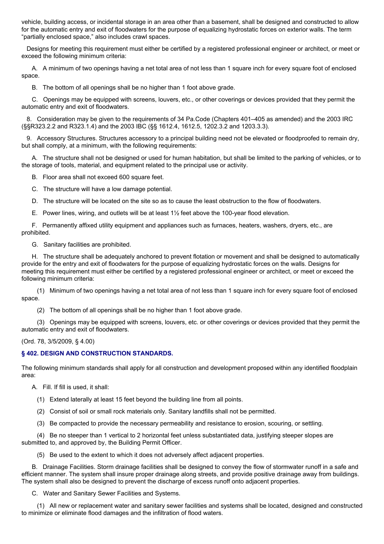vehicle, building access, or incidental storage in an area other than a basement, shall be designed and constructed to allow for the automatic entry and exit of floodwaters for the purpose of equalizing hydrostatic forces on exterior walls. The term "partially enclosed space," also includes crawl spaces.

Designs for meeting this requirement must either be certified by a registered professional engineer or architect, or meet or exceed the following minimum criteria:

A. A minimum of two openings having a net total area of not less than 1 square inch for every square foot of enclosed space.

B. The bottom of all openings shall be no higher than 1 foot above grade.

C. Openings may be equipped with screens, louvers, etc., or other coverings or devices provided that they permit the automatic entry and exit of floodwaters.

8. Consideration may be given to the requirements of 34 Pa.Code (Chapters 401–405 as amended) and the 2003 IRC (§§R323.2.2 and R323.1.4) and the 2003 IBC (§§ 1612.4, 1612.5, 1202.3.2 and 1203.3.3).

9. Accessory Structures. Structures accessory to a principal building need not be elevated or floodproofed to remain dry, but shall comply, at a minimum, with the following requirements:

A. The structure shall not be designed or used for human habitation, but shall be limited to the parking of vehicles, or to the storage of tools, material, and equipment related to the principal use or activity.

B. Floor area shall not exceed 600 square feet.

C. The structure will have a low damage potential.

D. The structure will be located on the site so as to cause the least obstruction to the flow of floodwaters.

E. Power lines, wiring, and outlets will be at least 1½ feet above the 100-year flood elevation.

F. Permanently affixed utility equipment and appliances such as furnaces, heaters, washers, dryers, etc., are prohibited.

G. Sanitary facilities are prohibited.

H. The structure shall be adequately anchored to prevent flotation or movement and shall be designed to automatically provide for the entry and exit of floodwaters for the purpose of equalizing hydrostatic forces on the walls. Designs for meeting this requirement must either be certified by a registered professional engineer or architect, or meet or exceed the following minimum criteria:

(1) Minimum of two openings having a net total area of not less than 1 square inch for every square foot of enclosed space.

(2) The bottom of all openings shall be no higher than 1 foot above grade.

(3) Openings may be equipped with screens, louvers, etc. or other coverings or devices provided that they permit the automatic entry and exit of floodwaters.

(Ord. 78, 3/5/2009, § 4.00)

# **§ 402. DESIGN AND CONSTRUCTION STANDARDS.**

The following minimum standards shall apply for all construction and development proposed within any identified floodplain area:

A. Fill. If fill is used, it shall:

- (1) Extend laterally at least 15 feet beyond the building line from all points.
- (2) Consist of soil or small rock materials only. Sanitary landfills shall not be permitted.

(3) Be compacted to provide the necessary permeability and resistance to erosion, scouring, or settling.

(4) Be no steeper than 1 vertical to 2 horizontal feet unless substantiated data, justifying steeper slopes are submitted to, and approved by, the Building Permit Officer.

(5) Be used to the extent to which it does not adversely affect adjacent properties.

B. Drainage Facilities. Storm drainage facilities shall be designed to convey the flow of stormwater runoff in a safe and efficient manner. The system shall insure proper drainage along streets, and provide positive drainage away from buildings. The system shall also be designed to prevent the discharge of excess runoff onto adjacent properties.

C. Water and Sanitary Sewer Facilities and Systems.

(1) All new or replacement water and sanitary sewer facilities and systems shall be located, designed and constructed to minimize or eliminate flood damages and the infiltration of flood waters.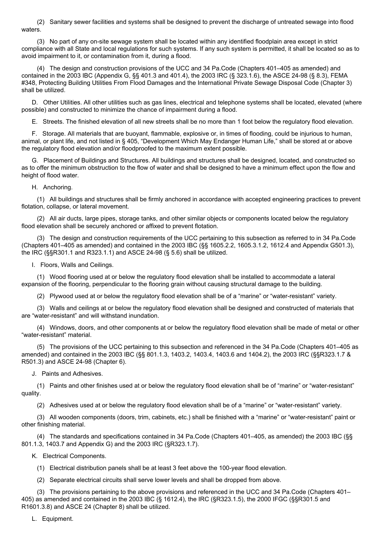(2) Sanitary sewer facilities and systems shall be designed to prevent the discharge of untreated sewage into flood waters.

(3) No part of any on-site sewage system shall be located within any identified floodplain area except in strict compliance with all State and local regulations for such systems. If any such system is permitted, it shall be located so as to avoid impairment to it, or contamination from it, during a flood.

(4) The design and construction provisions of the UCC and 34 Pa.Code (Chapters 401–405 as amended) and contained in the 2003 IBC (Appendix G, §§ 401.3 and 401.4), the 2003 IRC (§ 323.1.6), the ASCE 24-98 (§ 8.3), FEMA #348, Protecting Building Utilities From Flood Damages and the International Private Sewage Disposal Code (Chapter 3) shall be utilized.

D. Other Utilities. All other utilities such as gas lines, electrical and telephone systems shall be located, elevated (where possible) and constructed to minimize the chance of impairment during a flood.

E. Streets. The finished elevation of all new streets shall be no more than 1 foot below the regulatory flood elevation.

F. Storage. All materials that are buoyant, flammable, explosive or, in times of flooding, could be injurious to human, animal, or plant life, and not listed in § 405, "Development Which May Endanger Human Life," shall be stored at or above the regulatory flood elevation and/or floodproofed to the maximum extent possible.

G. Placement of Buildings and Structures. All buildings and structures shall be designed, located, and constructed so as to offer the minimum obstruction to the flow of water and shall be designed to have a minimum effect upon the flow and height of flood water.

H. Anchoring.

(1) All buildings and structures shall be firmly anchored in accordance with accepted engineering practices to prevent flotation, collapse, or lateral movement.

(2) All air ducts, large pipes, storage tanks, and other similar objects or components located below the regulatory flood elevation shall be securely anchored or affixed to prevent flotation.

(3) The design and construction requirements of the UCC pertaining to this subsection as referred to in 34 Pa.Code (Chapters 401–405 as amended) and contained in the 2003 IBC (§§ 1605.2.2, 1605.3.1.2, 1612.4 and Appendix G501.3), the IRC (§§R301.1 and R323.1.1) and ASCE 24-98 (§ 5.6) shall be utilized.

I. Floors, Walls and Ceilings.

(1) Wood flooring used at or below the regulatory flood elevation shall be installed to accommodate a lateral expansion of the flooring, perpendicular to the flooring grain without causing structural damage to the building.

(2) Plywood used at or below the regulatory flood elevation shall be of a "marine" or "water-resistant" variety.

(3) Walls and ceilings at or below the regulatory flood elevation shall be designed and constructed of materials that are "water-resistant" and will withstand inundation.

(4) Windows, doors, and other components at or below the regulatory flood elevation shall be made of metal or other "water-resistant" material.

(5) The provisions of the UCC pertaining to this subsection and referenced in the 34 Pa.Code (Chapters 401–405 as amended) and contained in the 2003 IBC (§§ 801.1.3, 1403.2, 1403.4, 1403.6 and 1404.2), the 2003 IRC (§§R323.1.7 & R501.3) and ASCE 24-98 (Chapter 6).

J. Paints and Adhesives.

(1) Paints and other finishes used at or below the regulatory flood elevation shall be of "marine" or "water-resistant" quality.

(2) Adhesives used at or below the regulatory flood elevation shall be of a "marine" or "water-resistant" variety.

(3) All wooden components (doors, trim, cabinets, etc.) shall be finished with a "marine" or "water-resistant" paint or other finishing material.

(4) The standards and specifications contained in 34 Pa.Code (Chapters 401–405, as amended) the 2003 IBC (§§ 801.1.3, 1403.7 and Appendix G) and the 2003 IRC (§R323.1.7).

K. Electrical Components.

- (1) Electrical distribution panels shall be at least 3 feet above the 100-year flood elevation.
- (2) Separate electrical circuits shall serve lower levels and shall be dropped from above.

(3) The provisions pertaining to the above provisions and referenced in the UCC and 34 Pa.Code (Chapters 401– 405) as amended and contained in the 2003 IBC (§ 1612.4), the IRC (§R323.1.5), the 2000 IFGC (§§R301.5 and R1601.3.8) and ASCE 24 (Chapter 8) shall be utilized.

L. Equipment.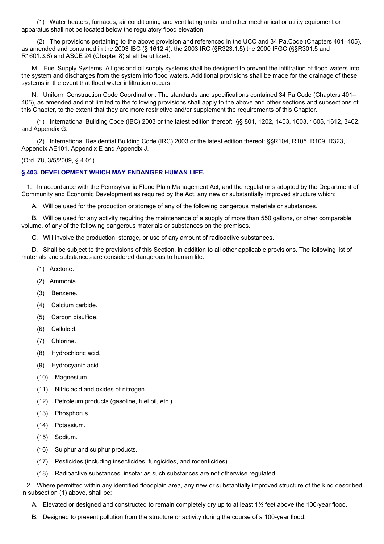(1) Water heaters, furnaces, air conditioning and ventilating units, and other mechanical or utility equipment or apparatus shall not be located below the regulatory flood elevation.

(2) The provisions pertaining to the above provision and referenced in the UCC and 34 Pa.Code (Chapters 401–405), as amended and contained in the 2003 IBC (§ 1612.4), the 2003 IRC (§R323.1.5) the 2000 IFGC (§§R301.5 and R1601.3.8) and ASCE 24 (Chapter 8) shall be utilized.

M. Fuel Supply Systems. All gas and oil supply systems shall be designed to prevent the infiltration of flood waters into the system and discharges from the system into flood waters. Additional provisions shall be made for the drainage of these systems in the event that flood water infiltration occurs.

N. Uniform Construction Code Coordination. The standards and specifications contained 34 Pa.Code (Chapters 401– 405), as amended and not limited to the following provisions shall apply to the above and other sections and subsections of this Chapter, to the extent that they are more restrictive and/or supplement the requirements of this Chapter.

(1) International Building Code (IBC) 2003 or the latest edition thereof: §§ 801, 1202, 1403, 1603, 1605, 1612, 3402, and Appendix G.

(2) International Residential Building Code (IRC) 2003 or the latest edition thereof: §§R104, R105, R109, R323, Appendix AE101, Appendix E and Appendix J.

(Ord. 78, 3/5/2009, § 4.01)

## **§ 403. DEVELOPMENT WHICH MAY ENDANGER HUMAN LIFE.**

1. In accordance with the Pennsylvania Flood Plain Management Act, and the regulations adopted by the Department of Community and Economic Development as required by the Act, any new or substantially improved structure which:

A. Will be used for the production or storage of any of the following dangerous materials or substances.

B. Will be used for any activity requiring the maintenance of a supply of more than 550 gallons, or other comparable volume, of any of the following dangerous materials or substances on the premises.

C. Will involve the production, storage, or use of any amount of radioactive substances.

D. Shall be subject to the provisions of this Section, in addition to all other applicable provisions. The following list of materials and substances are considered dangerous to human life:

- (1) Acetone.
- (2) Ammonia.
- (3) Benzene.
- (4) Calcium carbide.
- (5) Carbon disulfide.
- (6) Celluloid.
- (7) Chlorine.
- (8) Hydrochloric acid.
- (9) Hydrocyanic acid.
- (10) Magnesium.
- (11) Nitric acid and oxides of nitrogen.
- (12) Petroleum products (gasoline, fuel oil, etc.).
- (13) Phosphorus.
- (14) Potassium.
- (15) Sodium.
- (16) Sulphur and sulphur products.
- (17) Pesticides (including insecticides, fungicides, and rodenticides).
- (18) Radioactive substances, insofar as such substances are not otherwise regulated.

2. Where permitted within any identified floodplain area, any new or substantially improved structure of the kind described in subsection (1) above, shall be:

- A. Elevated or designed and constructed to remain completely dry up to at least 1½ feet above the 100-year flood.
- B. Designed to prevent pollution from the structure or activity during the course of a 100-year flood.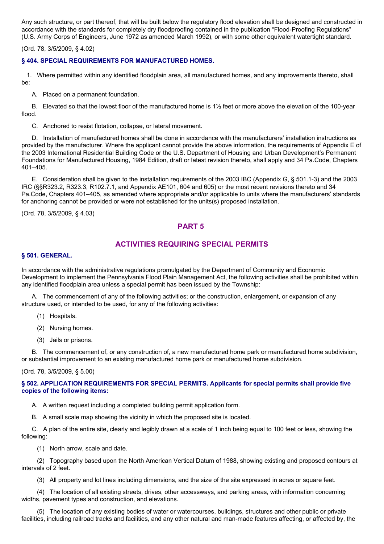Any such structure, or part thereof, that will be built below the regulatory flood elevation shall be designed and constructed in accordance with the standards for completely dry floodproofing contained in the publication "Flood-Proofing Regulations" (U.S. Army Corps of Engineers, June 1972 as amended March 1992), or with some other equivalent watertight standard.

(Ord. 78, 3/5/2009, § 4.02)

## **§ 404. SPECIAL REQUIREMENTS FOR MANUFACTURED HOMES.**

1. Where permitted within any identified floodplain area, all manufactured homes, and any improvements thereto, shall be:

A. Placed on a permanent foundation.

B. Elevated so that the lowest floor of the manufactured home is 1½ feet or more above the elevation of the 100-year flood.

C. Anchored to resist flotation, collapse, or lateral movement.

D. Installation of manufactured homes shall be done in accordance with the manufacturers' installation instructions as provided by the manufacturer. Where the applicant cannot provide the above information, the requirements of Appendix E of the 2003 International Residential Building Code or the U.S. Department of Housing and Urban Development's Permanent Foundations for Manufactured Housing, 1984 Edition, draft or latest revision thereto, shall apply and 34 Pa.Code, Chapters 401–405.

E. Consideration shall be given to the installation requirements of the 2003 IBC (Appendix G, § 501.1-3) and the 2003 IRC (§§R323.2, R323.3, R102.7.1, and Appendix AE101, 604 and 605) or the most recent revisions thereto and 34 Pa.Code, Chapters 401–405, as amended where appropriate and/or applicable to units where the manufacturers' standards for anchoring cannot be provided or were not established for the units(s) proposed installation.

(Ord. 78, 3/5/2009, § 4.03)

# **PART 5**

# **ACTIVITIES REQUIRING SPECIAL PERMITS**

#### **§ 501. GENERAL.**

In accordance with the administrative regulations promulgated by the Department of Community and Economic Development to implement the Pennsylvania Flood Plain Management Act, the following activities shall be prohibited within any identified floodplain area unless a special permit has been issued by the Township:

A. The commencement of any of the following activities; or the construction, enlargement, or expansion of any structure used, or intended to be used, for any of the following activities:

- (1) Hospitals.
- (2) Nursing homes.
- (3) Jails or prisons.

B. The commencement of, or any construction of, a new manufactured home park or manufactured home subdivision, or substantial improvement to an existing manufactured home park or manufactured home subdivision.

#### (Ord. 78, 3/5/2009, § 5.00)

## **§ 502. APPLICATION REQUIREMENTS FOR SPECIAL PERMITS. Applicants for special permits shall provide five copies of the following items:**

A. A written request including a completed building permit application form.

B. A small scale map showing the vicinity in which the proposed site is located.

C. A plan of the entire site, clearly and legibly drawn at a scale of 1 inch being equal to 100 feet or less, showing the following:

(1) North arrow, scale and date.

(2) Topography based upon the North American Vertical Datum of 1988, showing existing and proposed contours at intervals of 2 feet.

(3) All property and lot lines including dimensions, and the size of the site expressed in acres or square feet.

(4) The location of all existing streets, drives, other accessways, and parking areas, with information concerning widths, pavement types and construction, and elevations.

(5) The location of any existing bodies of water or watercourses, buildings, structures and other public or private facilities, including railroad tracks and facilities, and any other natural and man-made features affecting, or affected by, the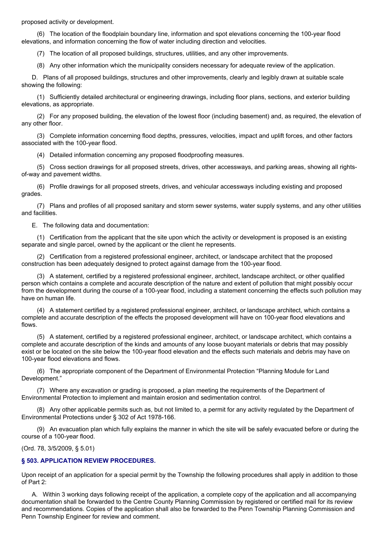proposed activity or development.

(6) The location of the floodplain boundary line, information and spot elevations concerning the 100-year flood elevations, and information concerning the flow of water including direction and velocities.

(7) The location of all proposed buildings, structures, utilities, and any other improvements.

(8) Any other information which the municipality considers necessary for adequate review of the application.

D. Plans of all proposed buildings, structures and other improvements, clearly and legibly drawn at suitable scale showing the following:

(1) Sufficiently detailed architectural or engineering drawings, including floor plans, sections, and exterior building elevations, as appropriate.

(2) For any proposed building, the elevation of the lowest floor (including basement) and, as required, the elevation of any other floor.

(3) Complete information concerning flood depths, pressures, velocities, impact and uplift forces, and other factors associated with the 100-year flood.

(4) Detailed information concerning any proposed floodproofing measures.

(5) Cross section drawings for all proposed streets, drives, other accessways, and parking areas, showing all rightsof-way and pavement widths.

(6) Profile drawings for all proposed streets, drives, and vehicular accessways including existing and proposed grades.

(7) Plans and profiles of all proposed sanitary and storm sewer systems, water supply systems, and any other utilities and facilities.

E. The following data and documentation:

(1) Certification from the applicant that the site upon which the activity or development is proposed is an existing separate and single parcel, owned by the applicant or the client he represents.

(2) Certification from a registered professional engineer, architect, or landscape architect that the proposed construction has been adequately designed to protect against damage from the 100-year flood.

(3) A statement, certified by a registered professional engineer, architect, landscape architect, or other qualified person which contains a complete and accurate description of the nature and extent of pollution that might possibly occur from the development during the course of a 100-year flood, including a statement concerning the effects such pollution may have on human life.

(4) A statement certified by a registered professional engineer, architect, or landscape architect, which contains a complete and accurate description of the effects the proposed development will have on 100-year flood elevations and flows.

(5) A statement, certified by a registered professional engineer, architect, or landscape architect, which contains a complete and accurate description of the kinds and amounts of any loose buoyant materials or debris that may possibly exist or be located on the site below the 100-year flood elevation and the effects such materials and debris may have on 100-year flood elevations and flows.

(6) The appropriate component of the Department of Environmental Protection "Planning Module for Land Development."

(7) Where any excavation or grading is proposed, a plan meeting the requirements of the Department of Environmental Protection to implement and maintain erosion and sedimentation control.

(8) Any other applicable permits such as, but not limited to, a permit for any activity regulated by the Department of Environmental Protections under § 302 of Act 1978-166.

(9) An evacuation plan which fully explains the manner in which the site will be safely evacuated before or during the course of a 100-year flood.

(Ord. 78, 3/5/2009, § 5.01)

## **§ 503. APPLICATION REVIEW PROCEDURES.**

Upon receipt of an application for a special permit by the Township the following procedures shall apply in addition to those of Part 2:

A. Within 3 working days following receipt of the application, a complete copy of the application and all accompanying documentation shall be forwarded to the Centre County Planning Commission by registered or certified mail for its review and recommendations. Copies of the application shall also be forwarded to the Penn Township Planning Commission and Penn Township Engineer for review and comment.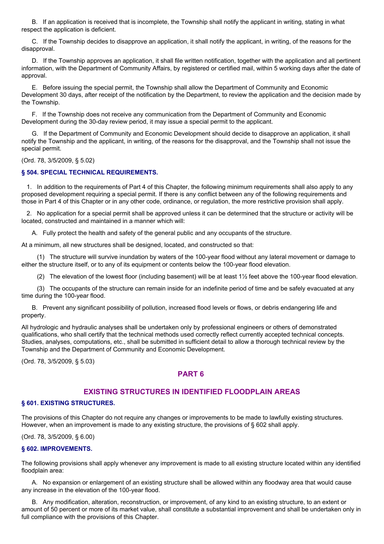B. If an application is received that is incomplete, the Township shall notify the applicant in writing, stating in what respect the application is deficient.

C. If the Township decides to disapprove an application, it shall notify the applicant, in writing, of the reasons for the disapproval.

D. If the Township approves an application, it shall file written notification, together with the application and all pertinent information, with the Department of Community Affairs, by registered or certified mail, within 5 working days after the date of approval.

E. Before issuing the special permit, the Township shall allow the Department of Community and Economic Development 30 days, after receipt of the notification by the Department, to review the application and the decision made by the Township.

F. If the Township does not receive any communication from the Department of Community and Economic Development during the 30-day review period, it may issue a special permit to the applicant.

G. If the Department of Community and Economic Development should decide to disapprove an application, it shall notify the Township and the applicant, in writing, of the reasons for the disapproval, and the Township shall not issue the special permit.

(Ord. 78, 3/5/2009, § 5.02)

## **§ 504. SPECIAL TECHNICAL REQUIREMENTS.**

1. In addition to the requirements of Part 4 of this Chapter, the following minimum requirements shall also apply to any proposed development requiring a special permit. If there is any conflict between any of the following requirements and those in Part 4 of this Chapter or in any other code, ordinance, or regulation, the more restrictive provision shall apply.

2. No application for a special permit shall be approved unless it can be determined that the structure or activity will be located, constructed and maintained in a manner which will:

A. Fully protect the health and safety of the general public and any occupants of the structure.

At a minimum, all new structures shall be designed, located, and constructed so that:

(1) The structure will survive inundation by waters of the 100-year flood without any lateral movement or damage to either the structure itself, or to any of its equipment or contents below the 100-year flood elevation.

(2) The elevation of the lowest floor (including basement) will be at least 1½ feet above the 100-year flood elevation.

(3) The occupants of the structure can remain inside for an indefinite period of time and be safely evacuated at any time during the 100-year flood.

B. Prevent any significant possibility of pollution, increased flood levels or flows, or debris endangering life and property.

All hydrologic and hydraulic analyses shall be undertaken only by professional engineers or others of demonstrated qualifications, who shall certify that the technical methods used correctly reflect currently accepted technical concepts. Studies, analyses, computations, etc., shall be submitted in sufficient detail to allow a thorough technical review by the Township and the Department of Community and Economic Development.

(Ord. 78, 3/5/2009, § 5.03)

# **PART 6**

## **EXISTING STRUCTURES IN IDENTIFIED FLOODPLAIN AREAS**

#### **§ 601. EXISTING STRUCTURES.**

The provisions of this Chapter do not require any changes or improvements to be made to lawfully existing structures. However, when an improvement is made to any existing structure, the provisions of § 602 shall apply.

(Ord. 78, 3/5/2009, § 6.00)

#### **§ 602. IMPROVEMENTS.**

The following provisions shall apply whenever any improvement is made to all existing structure located within any identified floodplain area:

A. No expansion or enlargement of an existing structure shall be allowed within any floodway area that would cause any increase in the elevation of the 100-year flood.

B. Any modification, alteration, reconstruction, or improvement, of any kind to an existing structure, to an extent or amount of 50 percent or more of its market value, shall constitute a substantial improvement and shall be undertaken only in full compliance with the provisions of this Chapter.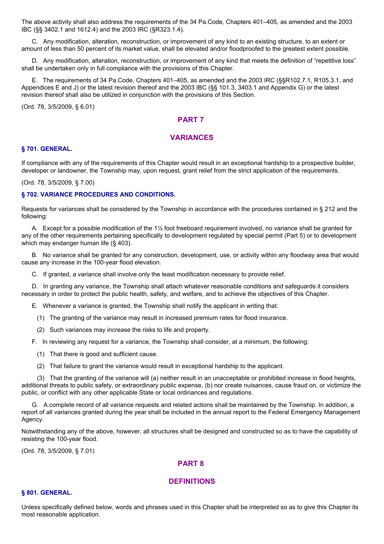The above activity shall also address the requirements of the 34 Pa.Code, Chapters 401–405, as amended and the 2003 IBC (§§ 3402.1 and 1612.4) and the 2003 IRC (§R323.1.4).

C. Any modification, alteration, reconstruction, or improvement of any kind to an existing structure, to an extent or amount of less than 50 percent of its market value, shall be elevated and/or floodproofed to the greatest extent possible.

D. Any modification, alteration, reconstruction, or improvement of any kind that meets the definition of "repetitive loss" shall be undertaken only in full compliance with the provisions of this Chapter.

E. The requirements of 34 Pa.Code, Chapters 401–405, as amended and the 2003 IRC (§§R102.7.1, R105.3.1, and Appendices E and J) or the latest revision thereof and the 2003 IBC (§§ 101.3, 3403.1 and Appendix G) or the latest revision thereof shall also be utilized in conjunction with the provisions of this Section.

(Ord. 78, 3/5/2009, § 6.01)

# **PART 7**

# **VARIANCES**

#### **§ 701. GENERAL.**

If compliance with any of the requirements of this Chapter would result in an exceptional hardship to a prospective builder, developer or landowner, the Township may, upon request, grant relief from the strict application of the requirements.

(Ord. 78, 3/5/2009, § 7.00)

## **§ 702. VARIANCE PROCEDURES AND CONDITIONS.**

Requests for variances shall be considered by the Township in accordance with the procedures contained in § 212 and the following:

A. Except for a possible modification of the 1½ foot freeboard requirement involved, no variance shall be granted for any of the other requirements pertaining specifically to development regulated by special permit (Part 5) or to development which may endanger human life (§ 403).

B. No variance shall be granted for any construction, development, use, or activity within any floodway area that would cause any increase in the 100-year flood elevation.

C. If granted, a variance shall involve only the least modification necessary to provide relief.

D. In granting any variance, the Township shall attach whatever reasonable conditions and safeguards it considers necessary in order to protect the public health, safety, and welfare, and to achieve the objectives of this Chapter.

E. Whenever a variance is granted, the Township shall notify the applicant in writing that:

- (1) The granting of the variance may result in increased premium rates for flood insurance.
- (2) Such variances may increase the risks to life and property.

F. In reviewing any request for a variance, the Township shall consider, at a minimum, the following:

- (1) That there is good and sufficient cause.
- (2) That failure to grant the variance would result in exceptional hardship to the applicant.

(3) That the granting of the variance will (a) neither result in an unacceptable or prohibited increase in flood heights, additional threats to public safety, or extraordinary public expense, (b) nor create nuisances, cause fraud on, or victimize the public, or conflict with any other applicable State or local ordinances and regulations.

G. A complete record of all variance requests and related actions shall be maintained by the Township. In addition, a report of all variances granted during the year shall be included in the annual report to the Federal Emergency Management Agency.

Notwithstanding any of the above, however, all structures shall be designed and constructed so as to have the capability of resisting the 100-year flood.

(Ord. 78, 3/5/2009, § 7.01)

# **PART 8**

# **DEFINITIONS**

#### **§ 801. GENERAL.**

Unless specifically defined below, words and phrases used in this Chapter shall be interpreted so as to give this Chapter its most reasonable application.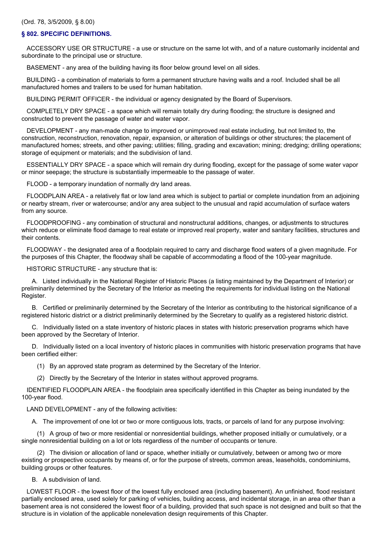#### (Ord. 78, 3/5/2009, § 8.00)

#### **§ 802. SPECIFIC DEFINITIONS.**

ACCESSORY USE OR STRUCTURE - a use or structure on the same lot with, and of a nature customarily incidental and subordinate to the principal use or structure.

BASEMENT - any area of the building having its floor below ground level on all sides.

BUILDING - a combination of materials to form a permanent structure having walls and a roof. Included shall be all manufactured homes and trailers to be used for human habitation.

BUILDING PERMIT OFFICER - the individual or agency designated by the Board of Supervisors.

COMPLETELY DRY SPACE - a space which will remain totally dry during flooding; the structure is designed and constructed to prevent the passage of water and water vapor.

DEVELOPMENT - any man-made change to improved or unimproved real estate including, but not limited to, the construction, reconstruction, renovation, repair, expansion, or alteration of buildings or other structures; the placement of manufactured homes; streets, and other paving; utilities; filling, grading and excavation; mining; dredging; drilling operations; storage of equipment or materials; and the subdivision of land.

ESSENTIALLY DRY SPACE - a space which will remain dry during flooding, except for the passage of some water vapor or minor seepage; the structure is substantially impermeable to the passage of water.

FLOOD - a temporary inundation of normally dry land areas.

FLOODPLAIN AREA - a relatively flat or low land area which is subject to partial or complete inundation from an adjoining or nearby stream, river or watercourse; and/or any area subject to the unusual and rapid accumulation of surface waters from any source.

FLOODPROOFING - any combination of structural and nonstructural additions, changes, or adjustments to structures which reduce or eliminate flood damage to real estate or improved real property, water and sanitary facilities, structures and their contents.

FLOODWAY - the designated area of a floodplain required to carry and discharge flood waters of a given magnitude. For the purposes of this Chapter, the floodway shall be capable of accommodating a flood of the 100-year magnitude.

HISTORIC STRUCTURE - any structure that is:

A. Listed individually in the National Register of Historic Places (a listing maintained by the Department of Interior) or preliminarily determined by the Secretary of the Interior as meeting the requirements for individual listing on the National Register.

B. Certified or preliminarily determined by the Secretary of the Interior as contributing to the historical significance of a registered historic district or a district preliminarily determined by the Secretary to qualify as a registered historic district.

C. Individually listed on a state inventory of historic places in states with historic preservation programs which have been approved by the Secretary of Interior.

D. Individually listed on a local inventory of historic places in communities with historic preservation programs that have been certified either:

(1) By an approved state program as determined by the Secretary of the Interior.

(2) Directly by the Secretary of the Interior in states without approved programs.

IDENTIFIED FLOODPLAIN AREA - the floodplain area specifically identified in this Chapter as being inundated by the 100-year flood.

LAND DEVELOPMENT - any of the following activities:

A. The improvement of one lot or two or more contiguous lots, tracts, or parcels of land for any purpose involving:

(1) A group of two or more residential or nonresidential buildings, whether proposed initially or cumulatively, or a single nonresidential building on a lot or lots regardless of the number of occupants or tenure.

(2) The division or allocation of land or space, whether initially or cumulatively, between or among two or more existing or prospective occupants by means of, or for the purpose of streets, common areas, leaseholds, condominiums, building groups or other features.

B. A subdivision of land.

LOWEST FLOOR - the lowest floor of the lowest fully enclosed area (including basement). An unfinished, flood resistant partially enclosed area, used solely for parking of vehicles, building access, and incidental storage, in an area other than a basement area is not considered the lowest floor of a building, provided that such space is not designed and built so that the structure is in violation of the applicable nonelevation design requirements of this Chapter.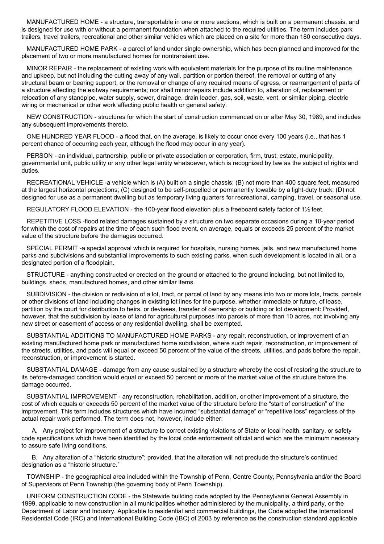MANUFACTURED HOME - a structure, transportable in one or more sections, which is built on a permanent chassis, and is designed for use with or without a permanent foundation when attached to the required utilities. The term includes park trailers, travel trailers, recreational and other similar vehicles which are placed on a site for more than 180 consecutive days.

MANUFACTURED HOME PARK - a parcel of land under single ownership, which has been planned and improved for the placement of two or more manufactured homes for nontransient use.

MINOR REPAIR - the replacement of existing work with equivalent materials for the purpose of its routine maintenance and upkeep, but not including the cutting away of any wall, partition or portion thereof, the removal or cutting of any structural beam or bearing support, or the removal or change of any required means of egress, or rearrangement of parts of a structure affecting the exitway requirements; nor shall minor repairs include addition to, alteration of, replacement or relocation of any standpipe, water supply, sewer, drainage, drain leader, gas, soil, waste, vent, or similar piping, electric wiring or mechanical or other work affecting public health or general safety.

NEW CONSTRUCTION - structures for which the start of construction commenced on or after May 30, 1989, and includes any subsequent improvements thereto.

ONE HUNDRED YEAR FLOOD - a flood that, on the average, is likely to occur once every 100 years (i.e., that has 1 percent chance of occurring each year, although the flood may occur in any year).

PERSON - an individual, partnership, public or private association or corporation, firm, trust, estate, municipality, governmental unit, public utility or any other legal entity whatsoever, which is recognized by law as the subject of rights and duties.

RECREATIONAL VEHICLE -a vehicle which is (A) built on a single chassis; (B) not more than 400 square feet, measured at the largest horizontal projections; (C) designed to be self-propelled or permanently towable by a light-duty truck; (D) not designed for use as a permanent dwelling but as temporary living quarters for recreational, camping, travel, or seasonal use.

REGULATORY FLOOD ELEVATION - the 100-year flood elevation plus a freeboard safety factor of 1½ feet.

REPETITIVE LOSS -flood related damages sustained by a structure on two separate occasions during a 10-year period for which the cost of repairs at the time of each such flood event, on average, equals or exceeds 25 percent of the market value of the structure before the damages occurred.

SPECIAL PERMIT -a special approval which is required for hospitals, nursing homes, jails, and new manufactured home parks and subdivisions and substantial improvements to such existing parks, when such development is located in all, or a designated portion of a floodplain.

STRUCTURE - anything constructed or erected on the ground or attached to the ground including, but not limited to, buildings, sheds, manufactured homes, and other similar items.

SUBDIVISION - the division or redivision of a lot, tract, or parcel of land by any means into two or more lots, tracts, parcels or other divisions of land including changes in existing lot lines for the purpose, whether immediate or future, of lease, partition by the court for distribution to heirs, or devisees, transfer of ownership or building or lot development: Provided, however, that the subdivision by lease of land for agricultural purposes into parcels of more than 10 acres, not involving any new street or easement of access or any residential dwelling, shall be exempted.

SUBSTANTIAL ADDITIONS TO MANUFACTURED HOME PARKS - any repair, reconstruction, or improvement of an existing manufactured home park or manufactured home subdivision, where such repair, reconstruction, or improvement of the streets, utilities, and pads will equal or exceed 50 percent of the value of the streets, utilities, and pads before the repair, reconstruction, or improvement is started.

SUBSTANTIAL DAMAGE - damage from any cause sustained by a structure whereby the cost of restoring the structure to its before-damaged condition would equal or exceed 50 percent or more of the market value of the structure before the damage occurred.

SUBSTANTIAL IMPROVEMENT - any reconstruction, rehabilitation, addition, or other improvement of a structure, the cost of which equals or exceeds 50 percent of the market value of the structure before the "start of construction" of the improvement. This term includes structures which have incurred "substantial damage" or "repetitive loss" regardless of the actual repair work performed. The term does not, however, include either:

A. Any project for improvement of a structure to correct existing violations of State or local health, sanitary, or safety code specifications which have been identified by the local code enforcement official and which are the minimum necessary to assure safe living conditions.

B. Any alteration of a "historic structure"; provided, that the alteration will not preclude the structure's continued designation as a "historic structure."

TOWNSHIP - the geographical area included within the Township of Penn, Centre County, Pennsylvania and/or the Board of Supervisors of Penn Township (the governing body of Penn Township).

UNIFORM CONSTRUCTION CODE - the Statewide building code adopted by the Pennsylvania General Assembly in 1999, applicable to new construction in all municipalities whether administered by the municipality, a third party, or the Department of Labor and Industry. Applicable to residential and commercial buildings, the Code adopted the International Residential Code (IRC) and International Building Code (IBC) of 2003 by reference as the construction standard applicable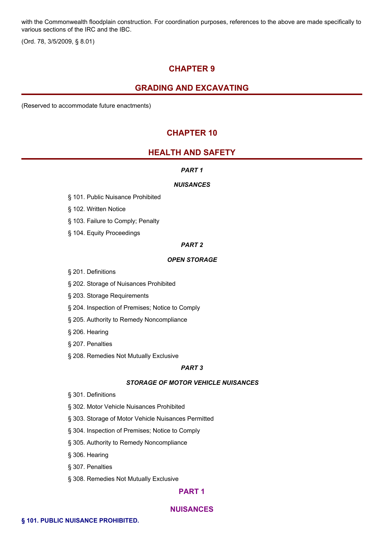with the Commonwealth floodplain construction. For coordination purposes, references to the above are made specifically to various sections of the IRC and the IBC.

(Ord. 78, 3/5/2009, § 8.01)

# **CHAPTER 9**

# **GRADING AND EXCAVATING**

(Reserved to accommodate future enactments)

# **CHAPTER 10**

# **HEALTH AND SAFETY**

#### *PART 1*

#### *NUISANCES*

- § 101. Public Nuisance Prohibited
- § 102. Written Notice
- § 103. Failure to Comply; Penalty
- § 104. Equity Proceedings

## *PART 2*

# *OPEN STORAGE*

- § 201. Definitions
- § 202. Storage of Nuisances Prohibited
- § 203. Storage Requirements
- § 204. Inspection of Premises; Notice to Comply
- § 205. Authority to Remedy Noncompliance
- § 206. Hearing
- § 207. Penalties
- § 208. Remedies Not Mutually Exclusive

#### *PART 3*

#### *STORAGE OF MOTOR VEHICLE NUISANCES*

- § 301. Definitions
- § 302. Motor Vehicle Nuisances Prohibited
- § 303. Storage of Motor Vehicle Nuisances Permitted
- § 304. Inspection of Premises; Notice to Comply
- § 305. Authority to Remedy Noncompliance
- § 306. Hearing
- § 307. Penalties
- § 308. Remedies Not Mutually Exclusive

# **PART 1**

## **NUISANCES**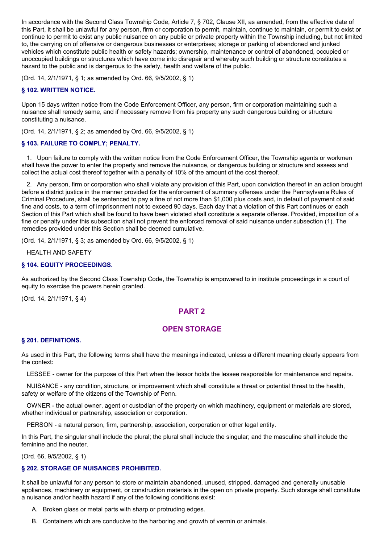In accordance with the Second Class Township Code, Article 7, § 702, Clause XII, as amended, from the effective date of this Part, it shall be unlawful for any person, firm or corporation to permit, maintain, continue to maintain, or permit to exist or continue to permit to exist any public nuisance on any public or private property within the Township including, but not limited to, the carrying on of offensive or dangerous businesses or enterprises; storage or parking of abandoned and junked vehicles which constitute public health or safety hazards; ownership, maintenance or control of abandoned, occupied or unoccupied buildings or structures which have come into disrepair and whereby such building or structure constitutes a hazard to the public and is dangerous to the safety, health and welfare of the public.

(Ord. 14, 2/1/1971, § 1; as amended by Ord. 66, 9/5/2002, § 1)

# **§ 102. WRITTEN NOTICE.**

Upon 15 days written notice from the Code Enforcement Officer, any person, firm or corporation maintaining such a nuisance shall remedy same, and if necessary remove from his property any such dangerous building or structure constituting a nuisance.

(Ord. 14, 2/1/1971, § 2; as amended by Ord. 66, 9/5/2002, § 1)

# **§ 103. FAILURE TO COMPLY; PENALTY.**

1. Upon failure to comply with the written notice from the Code Enforcement Officer, the Township agents or workmen shall have the power to enter the property and remove the nuisance, or dangerous building or structure and assess and collect the actual cost thereof together with a penalty of 10% of the amount of the cost thereof.

2. Any person, firm or corporation who shall violate any provision of this Part, upon conviction thereof in an action brought before a district justice in the manner provided for the enforcement of summary offenses under the Pennsylvania Rules of Criminal Procedure, shall be sentenced to pay a fine of not more than \$1,000 plus costs and, in default of payment of said fine and costs, to a term of imprisonment not to exceed 90 days. Each day that a violation of this Part continues or each Section of this Part which shall be found to have been violated shall constitute a separate offense. Provided, imposition of a fine or penalty under this subsection shall not prevent the enforced removal of said nuisance under subsection (1). The remedies provided under this Section shall be deemed cumulative.

(Ord. 14, 2/1/1971, § 3; as amended by Ord. 66, 9/5/2002, § 1)

HEALTH AND SAFETY

## **§ 104. EQUITY PROCEEDINGS.**

As authorized by the Second Class Township Code, the Township is empowered to in institute proceedings in a court of equity to exercise the powers herein granted.

(Ord. 14, 2/1/1971, § 4)

# **PART 2**

# **OPEN STORAGE**

## **§ 201. DEFINITIONS.**

As used in this Part, the following terms shall have the meanings indicated, unless a different meaning clearly appears from the context:

LESSEE - owner for the purpose of this Part when the lessor holds the lessee responsible for maintenance and repairs.

NUISANCE - any condition, structure, or improvement which shall constitute a threat or potential threat to the health, safety or welfare of the citizens of the Township of Penn.

OWNER - the actual owner, agent or custodian of the property on which machinery, equipment or materials are stored, whether individual or partnership, association or corporation.

PERSON - a natural person, firm, partnership, association, corporation or other legal entity.

In this Part, the singular shall include the plural; the plural shall include the singular; and the masculine shall include the feminine and the neuter.

(Ord. 66, 9/5/2002, § 1)

## **§ 202. STORAGE OF NUISANCES PROHIBITED.**

It shall be unlawful for any person to store or maintain abandoned, unused, stripped, damaged and generally unusable appliances, machinery or equipment, or construction materials in the open on private property. Such storage shall constitute a nuisance and/or health hazard if any of the following conditions exist:

- A. Broken glass or metal parts with sharp or protruding edges.
- B. Containers which are conducive to the harboring and growth of vermin or animals.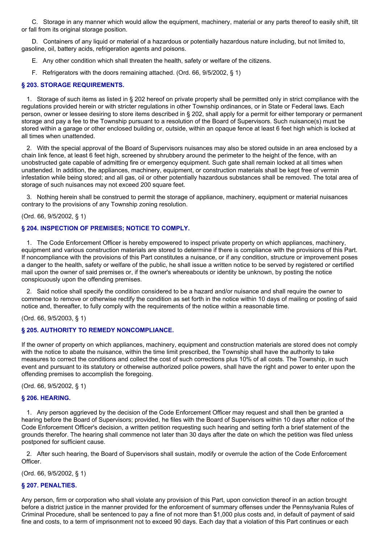C. Storage in any manner which would allow the equipment, machinery, material or any parts thereof to easily shift, tilt or fall from its original storage position.

D. Containers of any liquid or material of a hazardous or potentially hazardous nature including, but not limited to, gasoline, oil, battery acids, refrigeration agents and poisons.

- E. Any other condition which shall threaten the health, safety or welfare of the citizens.
- F. Refrigerators with the doors remaining attached. (Ord. 66, 9/5/2002, § 1)

#### **§ 203. STORAGE REQUIREMENTS.**

1. Storage of such items as listed in § 202 hereof on private property shall be permitted only in strict compliance with the regulations provided herein or with stricter regulations in other Township ordinances, or in State or Federal laws. Each person, owner or lessee desiring to store items described in § 202, shall apply for a permit for either temporary or permanent storage and pay a fee to the Township pursuant to a resolution of the Board of Supervisors. Such nuisance(s) must be stored within a garage or other enclosed building or, outside, within an opaque fence at least 6 feet high which is locked at all times when unattended.

2. With the special approval of the Board of Supervisors nuisances may also be stored outside in an area enclosed by a chain link fence, at least 6 feet high, screened by shrubbery around the perimeter to the height of the fence, with an unobstructed gate capable of admitting fire or emergency equipment. Such gate shall remain locked at all times when unattended. In addition, the appliances, machinery, equipment, or construction materials shall be kept free of vermin infestation while being stored; and all gas, oil or other potentially hazardous substances shall be removed. The total area of storage of such nuisances may not exceed 200 square feet.

3. Nothing herein shall be construed to permit the storage of appliance, machinery, equipment or material nuisances contrary to the provisions of any Township zoning resolution.

#### (Ord. 66, 9/5/2002, § 1)

#### **§ 204. INSPECTION OF PREMISES; NOTICE TO COMPLY.**

1. The Code Enforcement Officer is hereby empowered to inspect private property on which appliances, machinery, equipment and various construction materials are stored to determine if there is compliance with the provisions of this Part. If noncompliance with the provisions of this Part constitutes a nuisance, or if any condition, structure or improvement poses a danger to the health, safety or welfare of the public, he shall issue a written notice to be served by registered or certified mail upon the owner of said premises or, if the owner's whereabouts or identity be unknown, by posting the notice conspicuously upon the offending premises.

2. Said notice shall specify the condition considered to be a hazard and/or nuisance and shall require the owner to commence to remove or otherwise rectify the condition as set forth in the notice within 10 days of mailing or posting of said notice and, thereafter, to fully comply with the requirements of the notice within a reasonable time.

## (Ord. 66, 9/5/2003, § 1)

#### **§ 205. AUTHORITY TO REMEDY NONCOMPLIANCE.**

If the owner of property on which appliances, machinery, equipment and construction materials are stored does not comply with the notice to abate the nuisance, within the time limit prescribed, the Township shall have the authority to take measures to correct the conditions and collect the cost of such corrections plus 10% of all costs. The Township, in such event and pursuant to its statutory or otherwise authorized police powers, shall have the right and power to enter upon the offending premises to accomplish the foregoing.

(Ord. 66, 9/5/2002, § 1)

#### **§ 206. HEARING.**

1. Any person aggrieved by the decision of the Code Enforcement Officer may request and shall then be granted a hearing before the Board of Supervisors; provided, he files with the Board of Supervisors within 10 days after notice of the Code Enforcement Officer's decision, a written petition requesting such hearing and setting forth a brief statement of the grounds therefor. The hearing shall commence not later than 30 days after the date on which the petition was filed unless postponed for sufficient cause.

2. After such hearing, the Board of Supervisors shall sustain, modify or overrule the action of the Code Enforcement **Officer** 

(Ord. 66, 9/5/2002, § 1)

## **§ 207. PENALTIES.**

Any person, firm or corporation who shall violate any provision of this Part, upon conviction thereof in an action brought before a district justice in the manner provided for the enforcement of summary offenses under the Pennsylvania Rules of Criminal Procedure, shall be sentenced to pay a fine of not more than \$1,000 plus costs and, in default of payment of said fine and costs, to a term of imprisonment not to exceed 90 days. Each day that a violation of this Part continues or each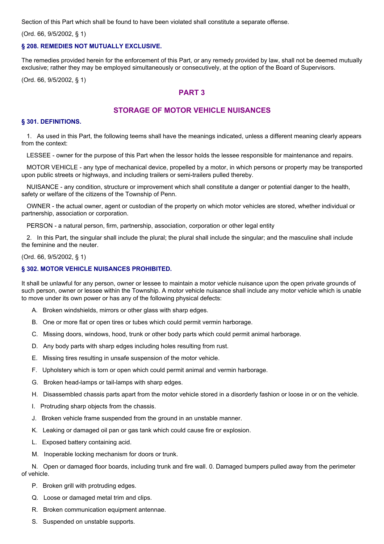Section of this Part which shall be found to have been violated shall constitute a separate offense.

(Ord. 66, 9/5/2002, § 1)

#### **§ 208. REMEDIES NOT MUTUALLY EXCLUSIVE.**

The remedies provided herein for the enforcement of this Part, or any remedy provided by law, shall not be deemed mutually exclusive; rather they may be employed simultaneously or consecutively, at the option of the Board of Supervisors.

(Ord. 66, 9/5/2002, § 1)

# **PART 3**

# **STORAGE OF MOTOR VEHICLE NUISANCES**

#### **§ 301. DEFINITIONS.**

1. As used in this Part, the following teems shall have the meanings indicated, unless a different meaning clearly appears from the context:

LESSEE - owner for the purpose of this Part when the lessor holds the lessee responsible for maintenance and repairs.

MOTOR VEHICLE - any type of mechanical device, propelled by a motor, in which persons or property may be transported upon public streets or highways, and including trailers or semi-trailers pulled thereby.

NUISANCE - any condition, structure or improvement which shall constitute a danger or potential danger to the health, safety or welfare of the citizens of the Township of Penn.

OWNER - the actual owner, agent or custodian of the property on which motor vehicles are stored, whether individual or partnership, association or corporation.

PERSON - a natural person, firm, partnership, association, corporation or other legal entity

2. In this Part, the singular shall include the plural; the plural shall include the singular; and the masculine shall include the feminine and the neuter.

#### (Ord. 66, 9/5/2002, § 1)

## **§ 302. MOTOR VEHICLE NUISANCES PROHIBITED.**

It shall be unlawful for any person, owner or lessee to maintain a motor vehicle nuisance upon the open private grounds of such person, owner or lessee within the Township. A motor vehicle nuisance shall include any motor vehicle which is unable to move under its own power or has any of the following physical defects:

- A. Broken windshields, mirrors or other glass with sharp edges.
- B. One or more flat or open tires or tubes which could permit vermin harborage.
- C. Missing doors, windows, hood, trunk or other body parts which could permit animal harborage.
- D. Any body parts with sharp edges including holes resulting from rust.
- E. Missing tires resulting in unsafe suspension of the motor vehicle.
- F. Upholstery which is torn or open which could permit animal and vermin harborage.
- G. Broken head-lamps or tail-lamps with sharp edges.
- H. Disassembled chassis parts apart from the motor vehicle stored in a disorderly fashion or loose in or on the vehicle.
- I. Protruding sharp objects from the chassis.
- J. Broken vehicle frame suspended from the ground in an unstable manner.
- K. Leaking or damaged oil pan or gas tank which could cause fire or explosion.
- L. Exposed battery containing acid.
- M. Inoperable locking mechanism for doors or trunk.

N. Open or damaged floor boards, including trunk and fire wall. 0. Damaged bumpers pulled away from the perimeter of vehicle.

- P. Broken grill with protruding edges.
- Q. Loose or damaged metal trim and clips.
- R. Broken communication equipment antennae.
- S. Suspended on unstable supports.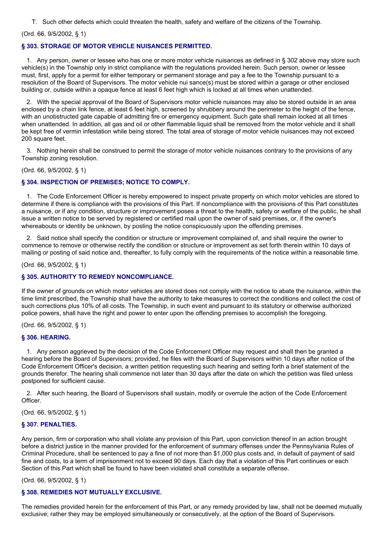T. Such other defects which could threaten the health, safety and welfare of the citizens of the Township.

(Ord. 66, 9/5/2002, § 1)

#### **§ 303. STORAGE OF MOTOR VEHICLE NUISANCES PERMITTED.**

1. Any person, owner or lessee who has one or more motor vehicle nuisances as defined in § 302 above may store such vehicle(s) in the Township only in strict compliance with the regulations provided herein. Such person, owner or lessee must, first, apply for a permit for either temporary or permanent storage and pay a fee to the Township pursuant to a resolution of the Board of Supervisors. The motor vehicle nui sance(s) must be stored within a garage or other enclosed building or, outside within a opaque fence at least 6 feet high which is locked at all times when unattended.

2. With the special approval of the Board of Supervisors motor vehicle nuisances may also be stored outside in an area enclosed by a chain link fence, at least 6 feet high, screened by shrubbery around the perimeter to the height of the fence, with an unobstructed gate capable of admitting fire or emergency equipment. Such gate shall remain locked at all times when unattended. In addition, all gas and oil or other flammable liquid shall be removed from the motor vehicle and it shall be kept free of vermin infestation while being stored. The total area of storage of motor vehicle nuisances may not exceed 200 square feet.

3. Nothing herein shall be construed to permit the storage of motor vehicle nuisances contrary to the provisions of any Township zoning resolution.

(Ord. 66, 9/5/2002, § 1)

#### **§ 304. INSPECTION OF PREMISES; NOTICE TO COMPLY.**

1. The Code Enforcement Officer is hereby empowered to inspect private property on which motor vehicles are stored to determine if there is compliance with the provisions of this Part. If noncompliance with the provisions of this Part constitutes a nuisance, or if any condition, structure or improvement poses a threat to the health, safety or welfare of the public, he shall issue a written notice to be served by registered or certified mail upon the owner of said premises, or, if the owner's whereabouts or identity be unknown, by posting the notice conspicuously upon the offending premises.

2. Said notice shall specify the condition or structure or improvement complained of, and shall require the owner to commence to remove or otherwise rectify the condition or structure or improvement as set forth therein within 10 days of mailing or posting of said notice and, thereafter, to fully comply with the requirements of the notice within a reasonable time.

(Ord. 66, 9/5/2002, § 1)

## **§ 305. AUTHORITY TO REMEDY NONCOMPLIANCE.**

If the owner of grounds on which motor vehicles are stored does not comply with the notice to abate the nuisance, within the time limit prescribed, the Township shall have the authority to take measures to correct the conditions and collect the cost of such corrections plus 10% of all costs. The Township, in such event and pursuant to its statutory or otherwise authorized police powers, shall have the right and power to enter upon the offending premises to accomplish the foregoing.

(Ord. 66, 9/5/2002, § 1)

#### **§ 306. HEARING.**

1. Any person aggrieved by the decision of the Code Enforcement Officer may request and shall then be granted a hearing before the Board of Supervisors; provided, he files with the Board of Supervisors within 10 days after notice of the Code Enforcement Officer's decision, a written petition requesting such hearing and setting forth a brief statement of the grounds therefor. The hearing shall commence not later than 30 days after the date on which the petition was filed unless postponed for sufficient cause.

2. After such hearing, the Board of Supervisors shall sustain, modify or overrule the action of the Code Enforcement Officer.

(Ord. 66, 9/5/2002, § 1)

#### **§ 307. PENALTIES.**

Any person, firm or corporation who shall violate any provision of this Part, upon conviction thereof in an action brought before a district justice in the manner provided for the enforcement of summary offenses under the Pennsylvania Rules of Criminal Procedure, shall be sentenced to pay a fine of not more than \$1,000 plus costs and, in default of payment of said fine and costs, to a term of imprisonment not to exceed 90 days. Each day that a violation of this Part continues or each Section of this Part which shall be found to have been violated shall constitute a separate offense.

(Ord. 66, 9/5/2002, § 1)

# **§ 308. REMEDIES NOT MUTUALLY EXCLUSIVE.**

The remedies provided herein for the enforcement of this Part, or any remedy provided by law, shall not be deemed mutually exclusive; rather they may be employed simultaneously or consecutively, at the option of the Board of Supervisors.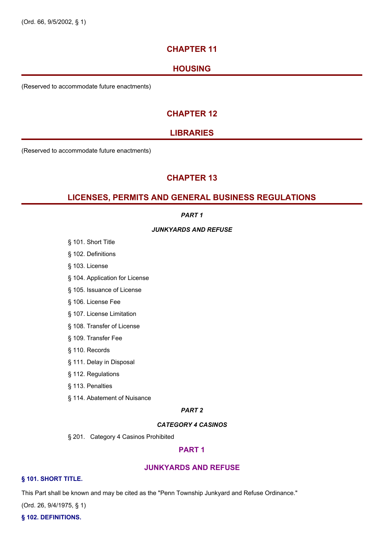# **CHAPTER 11**

# **HOUSING**

(Reserved to accommodate future enactments)

# **CHAPTER 12**

# **LIBRARIES**

(Reserved to accommodate future enactments)

# **CHAPTER 13**

# **LICENSES, PERMITS AND GENERAL BUSINESS REGULATIONS**

# *PART 1*

## *JUNKYARDS AND REFUSE*

- § 101. Short Title
- § 102. Definitions
- § 103. License
- § 104. Application for License
- § 105. Issuance of License
- § 106. License Fee
- § 107. License Limitation
- § 108. Transfer of License
- § 109. Transfer Fee
- § 110. Records
- § 111. Delay in Disposal
- § 112. Regulations
- § 113. Penalties
- § 114. Abatement of Nuisance

# *PART 2*

# *CATEGORY 4 CASINOS*

§ 201. Category 4 Casinos Prohibited

# **PART 1**

# **JUNKYARDS AND REFUSE**

# **§ 101. SHORT TITLE.**

This Part shall be known and may be cited as the "Penn Township Junkyard and Refuse Ordinance."

(Ord. 26, 9/4/1975, § 1)

## **§ 102. DEFINITIONS.**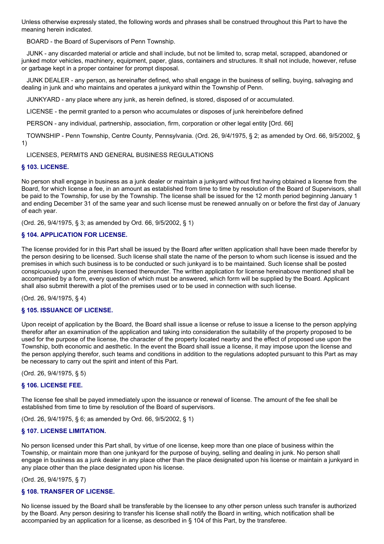Unless otherwise expressly stated, the following words and phrases shall be construed throughout this Part to have the meaning herein indicated.

BOARD - the Board of Supervisors of Penn Township.

JUNK - any discarded material or article and shall include, but not be limited to, scrap metal, scrapped, abandoned or junked motor vehicles, machinery, equipment, paper, glass, containers and structures. It shall not include, however, refuse or garbage kept in a proper container for prompt disposal.

JUNK DEALER - any person, as hereinafter defined, who shall engage in the business of selling, buying, salvaging and dealing in junk and who maintains and operates a junkyard within the Township of Penn.

JUNKYARD - any place where any junk, as herein defined, is stored, disposed of or accumulated.

LICENSE - the permit granted to a person who accumulates or disposes of junk hereinbefore defined

PERSON - any individual, partnership, association, firm, corporation or other legal entity [Ord. 66]

TOWNSHIP - Penn Township, Centre County, Pennsylvania. (Ord. 26, 9/4/1975, § 2; as amended by Ord. 66, 9/5/2002, § 1)

## LICENSES, PERMITS AND GENERAL BUSINESS REGULATIONS

#### **§ 103. LICENSE.**

No person shall engage in business as a junk dealer or maintain a junkyard without first having obtained a license from the Board, for which license a fee, in an amount as established from time to time by resolution of the Board of Supervisors, shall be paid to the Township, for use by the Township. The license shall be issued for the 12 month period beginning January 1 and ending December 31 of the same year and such license must be renewed annually on or before the first day of January of each year.

(Ord. 26, 9/4/1975, § 3; as amended by Ord. 66, 9/5/2002, § 1)

## **§ 104. APPLICATION FOR LICENSE.**

The license provided for in this Part shall be issued by the Board after written application shall have been made therefor by the person desiring to be licensed. Such license shall state the name of the person to whom such license is issued and the premises in which such business is to be conducted or such junkyard is to be maintained. Such license shall be posted conspicuously upon the premises licensed thereunder. The written application for license hereinabove mentioned shall be accompanied by a form, every question of which must be answered, which form will be supplied by the Board. Applicant shall also submit therewith a plot of the premises used or to be used in connection with such license.

(Ord. 26, 9/4/1975, § 4)

## **§ 105. ISSUANCE OF LICENSE.**

Upon receipt of application by the Board, the Board shall issue a license or refuse to issue a license to the person applying therefor after an examination of the application and taking into consideration the suitability of the property proposed to be used for the purpose of the license, the character of the property located nearby and the effect of proposed use upon the Township, both economic and aesthetic. In the event the Board shall issue a license, it may impose upon the license and the person applying therefor, such teams and conditions in addition to the regulations adopted pursuant to this Part as may be necessary to carry out the spirit and intent of this Part.

(Ord. 26, 9/4/1975, § 5)

## **§ 106. LICENSE FEE.**

The license fee shall be payed immediately upon the issuance or renewal of license. The amount of the fee shall be established from time to time by resolution of the Board of supervisors.

(Ord. 26, 9/4/1975, § 6; as amended by Ord. 66, 9/5/2002, § 1)

## **§ 107. LICENSE LIMITATION.**

No person licensed under this Part shall, by virtue of one license, keep more than one place of business within the Township, or maintain more than one junkyard for the purpose of buying, selling and dealing in junk. No person shall engage in business as a junk dealer in any place other than the place designated upon his license or maintain a junkyard in any place other than the place designated upon his license.

(Ord. 26, 9/4/1975, § 7)

## **§ 108. TRANSFER OF LICENSE.**

No license issued by the Board shall be transferable by the licensee to any other person unless such transfer is authorized by the Board. Any person desiring to transfer his license shall notify the Board in writing, which notification shall be accompanied by an application for a license, as described in § 104 of this Part, by the transferee.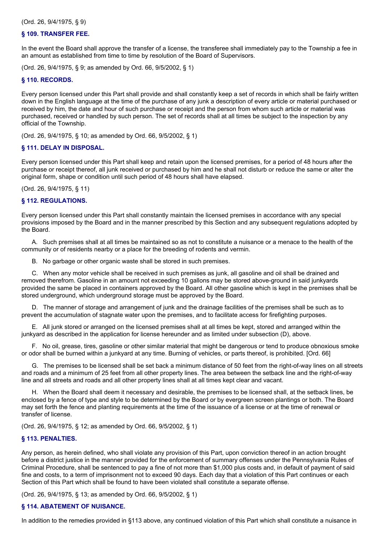(Ord. 26, 9/4/1975, § 9)

#### **§ 109. TRANSFER FEE.**

In the event the Board shall approve the transfer of a license, the transferee shall immediately pay to the Township a fee in an amount as established from time to time by resolution of the Board of Supervisors.

(Ord. 26, 9/4/1975, § 9; as amended by Ord. 66, 9/5/2002, § 1)

#### **§ 110. RECORDS.**

Every person licensed under this Part shall provide and shall constantly keep a set of records in which shall be fairly written down in the English language at the time of the purchase of any junk a description of every article or material purchased or received by him, the date and hour of such purchase or receipt and the person from whom such article or material was purchased, received or handled by such person. The set of records shall at all times be subject to the inspection by any official of the Township.

(Ord. 26, 9/4/1975, § 10; as amended by Ord. 66, 9/5/2002, § 1)

## **§ 111. DELAY IN DISPOSAL.**

Every person licensed under this Part shall keep and retain upon the licensed premises, for a period of 48 hours after the purchase or receipt thereof, all junk received or purchased by him and he shall not disturb or reduce the same or alter the original form, shape or condition until such period of 48 hours shall have elapsed.

(Ord. 26, 9/4/1975, § 11)

## **§ 112. REGULATIONS.**

Every person licensed under this Part shall constantly maintain the licensed premises in accordance with any special provisions imposed by the Board and in the manner prescribed by this Section and any subsequent regulations adopted by the Board.

A. Such premises shall at all times be maintained so as not to constitute a nuisance or a menace to the health of the community or of residents nearby or a place for the breeding of rodents and vermin.

B. No garbage or other organic waste shall be stored in such premises.

C. When any motor vehicle shall be received in such premises as junk, all gasoline and oil shall be drained and removed therefrom. Gasoline in an amount not exceeding 10 gallons may be stored above-ground in said junkyards provided the same be placed in containers approved by the Board. All other gasoline which is kept in the premises shall be stored underground, which underground storage must be approved by the Board.

D. The manner of storage and arrangement of junk and the drainage facilities of the premises shall be such as to prevent the accumulation of stagnate water upon the premises, and to facilitate access for firefighting purposes.

E. All junk stored or arranged on the licensed premises shall at all times be kept, stored and arranged within the junkyard as described in the application for license hereunder and as limited under subsection (D), above.

F. No oil, grease, tires, gasoline or other similar material that might be dangerous or tend to produce obnoxious smoke or odor shall be burned within a junkyard at any time. Burning of vehicles, or parts thereof, is prohibited. [Ord. 66]

G. The premises to be licensed shall be set back a minimum distance of 50 feet from the right-of-way lines on all streets and roads and a minimum of 25 feet from all other property lines. The area between the setback line and the right-of-way line and all streets and roads and all other property lines shall at all times kept clear and vacant.

H. When the Board shall deem it necessary and desirable, the premises to be licensed shall, at the setback lines, be enclosed by a fence of type and style to be determined by the Board or by evergreen screen plantings or both. The Board may set forth the fence and planting requirements at the time of the issuance of a license or at the time of renewal or transfer of license.

(Ord. 26, 9/4/1975, § 12; as amended by Ord. 66, 9/5/2002, § 1)

## **§ 113. PENALTIES.**

Any person, as herein defined, who shall violate any provision of this Part, upon conviction thereof in an action brought before a district justice in the manner provided for the enforcement of summary offenses under the Pennsylvania Rules of Criminal Procedure, shall be sentenced to pay a fine of not more than \$1,000 plus costs and, in default of payment of said fine and costs, to a term of imprisonment not to exceed 90 days. Each day that a violation of this Part continues or each Section of this Part which shall be found to have been violated shall constitute a separate offense.

(Ord. 26, 9/4/1975, § 13; as amended by Ord. 66, 9/5/2002, § 1)

## **§ 114. ABATEMENT OF NUISANCE.**

In addition to the remedies provided in §113 above, any continued violation of this Part which shall constitute a nuisance in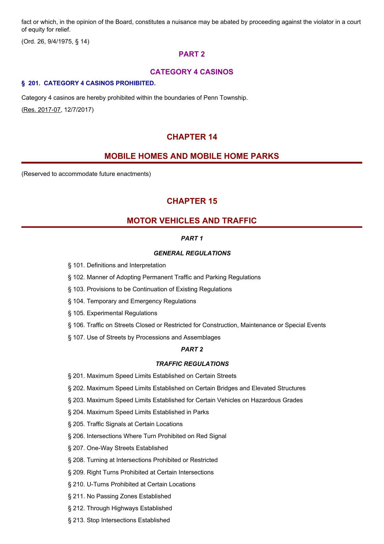fact or which, in the opinion of the Board, constitutes a nuisance may be abated by proceeding against the violator in a court of equity for relief.

(Ord. 26, 9/4/1975, § 14)

# **PART 2**

# **CATEGORY 4 CASINOS**

#### **§ 201. CATEGORY 4 CASINOS PROHIBITED.**

Category 4 casinos are hereby prohibited within the boundaries of Penn Township. (Res. 2017-07, 12/7/2017)

# **CHAPTER 14**

# **MOBILE HOMES AND MOBILE HOME PARKS**

(Reserved to accommodate future enactments)

# **CHAPTER 15**

# **MOTOR VEHICLES AND TRAFFIC**

# *PART 1*

# *GENERAL REGULATIONS*

- § 101. Definitions and Interpretation
- § 102. Manner of Adopting Permanent Traffic and Parking Regulations
- § 103. Provisions to be Continuation of Existing Regulations
- § 104. Temporary and Emergency Regulations
- § 105. Experimental Regulations
- § 106. Traffic on Streets Closed or Restricted for Construction, Maintenance or Special Events
- § 107. Use of Streets by Processions and Assemblages

## *PART 2*

## *TRAFFIC REGULATIONS*

§ 201. Maximum Speed Limits Established on Certain Streets

§ 202. Maximum Speed Limits Established on Certain Bridges and Elevated Structures

- § 203. Maximum Speed Limits Established for Certain Vehicles on Hazardous Grades
- § 204. Maximum Speed Limits Established in Parks
- § 205. Traffic Signals at Certain Locations
- § 206. Intersections Where Turn Prohibited on Red Signal
- § 207. One-Way Streets Established
- § 208. Turning at Intersections Prohibited or Restricted
- § 209. Right Turns Prohibited at Certain Intersections
- § 210. U-Turns Prohibited at Certain Locations
- § 211. No Passing Zones Established
- § 212. Through Highways Established
- § 213. Stop Intersections Established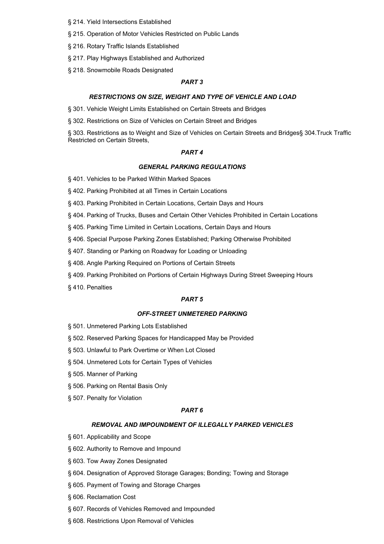- § 214. Yield Intersections Established
- § 215. Operation of Motor Vehicles Restricted on Public Lands
- § 216. Rotary Traffic Islands Established
- § 217. Play Highways Established and Authorized
- § 218. Snowmobile Roads Designated

## *PART 3*

#### *RESTRICTIONS ON SIZE, WEIGHT AND TYPE OF VEHICLE AND LOAD*

§ 301. Vehicle Weight Limits Established on Certain Streets and Bridges

§ 302. Restrictions on Size of Vehicles on Certain Street and Bridges

§ 303. Restrictions as to Weight and Size of Vehicles on Certain Streets and Bridges§ 304.Truck Traffic Restricted on Certain Streets,

#### *PART 4*

#### *GENERAL PARKING REGULATIONS*

- § 401. Vehicles to be Parked Within Marked Spaces
- § 402. Parking Prohibited at all Times in Certain Locations
- § 403. Parking Prohibited in Certain Locations, Certain Days and Hours
- § 404. Parking of Trucks, Buses and Certain Other Vehicles Prohibited in Certain Locations
- § 405. Parking Time Limited in Certain Locations, Certain Days and Hours
- § 406. Special Purpose Parking Zones Established; Parking Otherwise Prohibited
- § 407. Standing or Parking on Roadway for Loading or Unloading
- § 408. Angle Parking Required on Portions of Certain Streets
- § 409. Parking Prohibited on Portions of Certain Highways During Street Sweeping Hours
- § 410. Penalties

#### *PART 5*

#### *OFF-STREET UNMETERED PARKING*

- § 501. Unmetered Parking Lots Established
- § 502. Reserved Parking Spaces for Handicapped May be Provided
- § 503. Unlawful to Park Overtime or When Lot Closed
- § 504. Unmetered Lots for Certain Types of Vehicles
- § 505. Manner of Parking
- § 506. Parking on Rental Basis Only
- § 507. Penalty for Violation

#### *PART 6*

#### *REMOVAL AND IMPOUNDMENT OF ILLEGALLY PARKED VEHICLES*

- § 601. Applicability and Scope
- § 602. Authority to Remove and Impound
- § 603. Tow Away Zones Designated
- § 604. Designation of Approved Storage Garages; Bonding; Towing and Storage
- § 605. Payment of Towing and Storage Charges
- § 606. Reclamation Cost
- § 607. Records of Vehicles Removed and Impounded
- § 608. Restrictions Upon Removal of Vehicles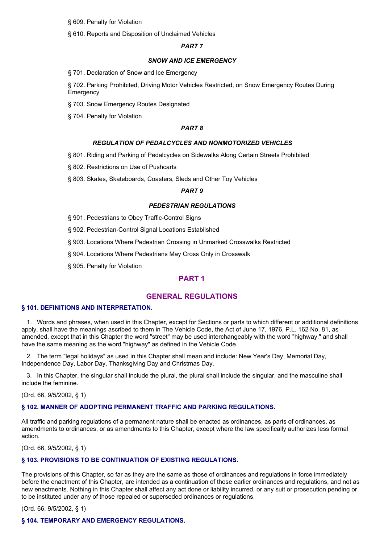- § 609. Penalty for Violation
- § 610. Reports and Disposition of Unclaimed Vehicles

## *PART 7*

#### *SNOW AND ICE EMERGENCY*

§ 701. Declaration of Snow and Ice Emergency

§ 702. Parking Prohibited, Driving Motor Vehicles Restricted, on Snow Emergency Routes During **Emergency** 

- § 703. Snow Emergency Routes Designated
- § 704. Penalty for Violation

#### *PART 8*

#### *REGULATION OF PEDALCYCLES AND NONMOTORIZED VEHICLES*

- § 801. Riding and Parking of Pedalcycles on Sidewalks Along Certain Streets Prohibited
- § 802. Restrictions on Use of Pushcarts
- § 803. Skates, Skateboards, Coasters, Sleds and Other Toy Vehicles

## *PART 9*

#### *PEDESTRIAN REGULATIONS*

- § 901. Pedestrians to Obey Traffic-Control Signs
- § 902. Pedestrian-Control Signal Locations Established
- § 903. Locations Where Pedestrian Crossing in Unmarked Crosswalks Restricted
- § 904. Locations Where Pedestrians May Cross Only in Crosswalk
- § 905. Penalty for Violation

# **PART 1**

## **GENERAL REGULATIONS**

#### **§ 101. DEFINITIONS AND INTERPRETATION.**

1. Words and phrases, when used in this Chapter, except for Sections or parts to which different or additional definitions apply, shall have the meanings ascribed to them in The Vehicle Code, the Act of June 17, 1976, P.L. 162 No. 81, as amended, except that in this Chapter the word "street" may be used interchangeably with the word "highway," and shall have the same meaning as the word "highway" as defined in the Vehicle Code.

2. The term "legal holidays" as used in this Chapter shall mean and include: New Year's Day, Memorial Day, Independence Day, Labor Day, Thanksgiving Day and Christmas Day.

3. In this Chapter, the singular shall include the plural, the plural shall include the singular, and the masculine shall include the feminine.

(Ord. 66, 9/5/2002, § 1)

## **§ 102. MANNER OF ADOPTING PERMANENT TRAFFIC AND PARKING REGULATIONS.**

All traffic and parking regulations of a permanent nature shall be enacted as ordinances, as parts of ordinances, as amendments to ordinances, or as amendments to this Chapter, except where the law specifically authorizes less formal action.

(Ord. 66, 9/5/2002, § 1)

## **§ 103. PROVISIONS TO BE CONTINUATION OF EXISTING REGULATIONS.**

The provisions of this Chapter, so far as they are the same as those of ordinances and regulations in force immediately before the enactment of this Chapter, are intended as a continuation of those earlier ordinances and regulations, and not as new enactments. Nothing in this Chapter shall affect any act done or liability incurred, or any suit or prosecution pending or to be instituted under any of those repealed or superseded ordinances or regulations.

(Ord. 66, 9/5/2002, § 1)

#### **§ 104. TEMPORARY AND EMERGENCY REGULATIONS.**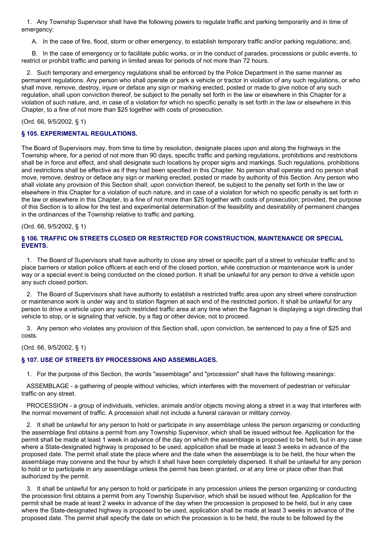1. Any Township Supervisor shall have the following powers to regulate traffic and parking temporarily and in time of emergency:

A. In the case of fire, flood, storm or other emergency, to establish temporary traffic and/or parking regulations; and,

B. In the case of emergency or to facilitate public works, or in the conduct of parades, processions or public events, to restrict or prohibit traffic and parking in limited areas for periods of not more than 72 hours.

2. Such temporary and emergency regulations shall be enforced by the Police Department in the same manner as permanent regulations. Any person who shall operate or park a vehicle or tractor in violation of any such regulations, or who shall move, remove, destroy, injure or deface any sign or marking erected, posted or made to give notice of any such regulation, shall upon conviction thereof, be subject to the penalty set forth in the law or elsewhere in this Chapter for a violation of such nature, and, in case of a violation for which no specific penalty is set forth in the law or elsewhere in this Chapter, to a fine of not more than \$25 together with costs of prosecution.

(Ord. 66, 9/5/2002, § 1)

# **§ 105. EXPERIMENTAL REGULATIONS.**

The Board of Supervisors may, from time to time by resolution, designate places upon and along the highways in the Township where, for a period of not more than 90 days, specific traffic and parking regulations, prohibitions and restrictions shall be in force and effect, and shall designate such locations by proper signs and markings. Such regulations, prohibitions and restrictions shall be effective as if they had been specified in this Chapter. No person shall operate and no person shall move, remove, destroy or deface any sign or marking erected, posted or made by authority of this Section. Any person who shall violate any provision of this Section shall, upon conviction thereof, be subject to the penalty set forth in the law or elsewhere in this Chapter for a violation of such nature, and in case of a violation for which no specific penalty is set forth in the law or elsewhere in this Chapter, to a fine of not more than \$25 together with costs of prosecution; provided, the purpose of this Section is to allow for the test and experimental determination of the feasibility and desirability of permanent changes in the ordinances of the Township relative to traffic and parking.

## (Ord. 66, 9/5/2002, § 1)

# **§ 106. TRAFFIC ON STREETS CLOSED OR RESTRICTED FOR CONSTRUCTION, MAINTENANCE OR SPECIAL EVENTS.**

1. The Board of Supervisors shall have authority to close any street or specific part of a street to vehicular traffic and to place barriers or station police officers at each end of the closed portion, while construction or maintenance work is under way or a special event is being conducted on the closed portion. It shall be unlawful for any person to drive a vehicle upon any such closed portion.

2. The Board of Supervisors shall have authority to establish a restricted traffic area upon any street where construction or maintenance work is under way and to station flagmen at each end of the restricted portion. It shall be unlawful for any person to drive a vehicle upon any such restricted traffic area at any time when the flagman is displaying a sign directing that vehicle to stop, or is signaling that vehicle, by a flag or other device, not to proceed.

3. Any person who violates any provision of this Section shall, upon conviction, be sentenced to pay a fine of \$25 and costs.

(Ord. 66, 9/5/2002, § 1)

# **§ 107. USE OF STREETS BY PROCESSIONS AND ASSEMBLAGES.**

1. For the purpose of this Section, the words "assemblage" and "procession" shall have the following meanings:

ASSEMBLAGE - a gathering of people without vehicles, which interferes with the movement of pedestrian or vehicular traffic on any street.

PROCESSION - a group of individuals, vehicles, animals and/or objects moving along a street in a way that interferes with the normal movement of traffic. A procession shall not include a funeral caravan or military convoy.

2. It shall be unlawful for any person to hold or participate in any assemblage unless the person organizing or conducting the assemblage first obtains a permit from any Township Supervisor, which shall be issued without fee. Application for the permit shall be made at least 1 week in advance of the day on which the assemblage is proposed to be held, but in any case where a State-designated highway is proposed to be used, application shall be made at least 3 weeks in advance of the proposed date. The permit shall state the place where and the date when the assemblage is to be held, the hour when the assemblage may convene and the hour by which it shall have been completely dispersed. It shall be unlawful for any person to hold or to participate in any assemblage unless the permit has been granted, or at any time or place other than that authorized by the permit.

3. It shall be unlawful for any person to hold or participate in any procession unless the person organizing or conducting the procession first obtains a permit from any Township Supervisor, which shall be issued without fee. Application for the permit shall be made at least 2 weeks in advance of the day when the procession is proposed to be held, but in any case where the State-designated highway is proposed to be used, application shall be made at least 3 weeks in advance of the proposed date. The permit shall specify the date on which the procession is to be held, the route to be followed by the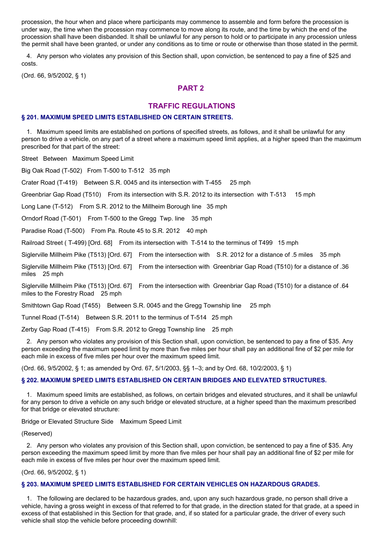procession, the hour when and place where participants may commence to assemble and form before the procession is under way, the time when the procession may commence to move along its route, and the time by which the end of the procession shall have been disbanded. It shall be unlawful for any person to hold or to participate in any procession unless the permit shall have been granted, or under any conditions as to time or route or otherwise than those stated in the permit.

4. Any person who violates any provision of this Section shall, upon conviction, be sentenced to pay a fine of \$25 and costs.

(Ord. 66, 9/5/2002, § 1)

# **PART 2**

# **TRAFFIC REGULATIONS**

#### **§ 201. MAXIMUM SPEED LIMITS ESTABLISHED ON CERTAIN STREETS.**

1. Maximum speed limits are established on portions of specified streets, as follows, and it shall be unlawful for any person to drive a vehicle, on any part of a street where a maximum speed limit applies, at a higher speed than the maximum prescribed for that part of the street:

Street Between Maximum Speed Limit

Big Oak Road (T-502) From T-500 to T-512 35 mph

Crater Road (T-419) Between S.R. 0045 and its intersection with T-455 25 mph

Greenbriar Gap Road (T510) From its intersection with S.R. 2012 to its intersection with T-513 15 mph

Long Lane (T-512) From S.R. 2012 to the Millheim Borough line 35 mph

Orndorf Road (T-501) From T-500 to the Gregg Twp. line 35 mph

Paradise Road (T-500) From Pa. Route 45 to S.R. 2012 40 mph

Railroad Street ( T-499) [Ord. 68] From its intersection with T-514 to the terminus of T499 15 mph

Siglerville Millheim Pike (T513) [Ord. 67] From the intersection with S.R. 2012 for a distance of .5 miles 35 mph

Siglerville Millheim Pike (T513) [Ord. 67] From the intersection with Greenbriar Gap Road (T510) for a distance of .36 miles 25 mph

Siglerville Millheim Pike (T513) [Ord. 67] From the intersection with Greenbriar Gap Road (T510) for a distance of .64 miles to the Forestry Road 25 mph

Smithtown Gap Road (T455) Between S.R. 0045 and the Gregg Township line 25 mph

Tunnel Road (T-514) Between S.R. 2011 to the terminus of T-514 25 mph

Zerby Gap Road (T-415) From S.R. 2012 to Gregg Township line 25 mph

2. Any person who violates any provision of this Section shall, upon conviction, be sentenced to pay a fine of \$35. Any person exceeding the maximum speed limit by more than five miles per hour shall pay an additional fine of \$2 per mile for each mile in excess of five miles per hour over the maximum speed limit.

(Ord. 66, 9/5/2002, § 1; as amended by Ord. 67, 5/1/2003, §§ 1–3; and by Ord. 68, 10/2/2003, § 1)

#### **§ 202. MAXIMUM SPEED LIMITS ESTABLISHED ON CERTAIN BRIDGES AND ELEVATED STRUCTURES.**

1. Maximum speed limits are established, as follows, on certain bridges and elevated structures, and it shall be unlawful for any person to drive a vehicle on any such bridge or elevated structure, at a higher speed than the maximum prescribed for that bridge or elevated structure:

Bridge or Elevated Structure Side Maximum Speed Limit

(Reserved)

2. Any person who violates any provision of this Section shall, upon conviction, be sentenced to pay a fine of \$35. Any person exceeding the maximum speed limit by more than five miles per hour shall pay an additional fine of \$2 per mile for each mile in excess of five miles per hour over the maximum speed limit.

(Ord. 66, 9/5/2002, § 1)

## **§ 203. MAXIMUM SPEED LIMITS ESTABLISHED FOR CERTAIN VEHICLES ON HAZARDOUS GRADES.**

1. The following are declared to be hazardous grades, and, upon any such hazardous grade, no person shall drive a vehicle, having a gross weight in excess of that referred to for that grade, in the direction stated for that grade, at a speed in excess of that established in this Section for that grade, and, if so stated for a particular grade, the driver of every such vehicle shall stop the vehicle before proceeding downhill: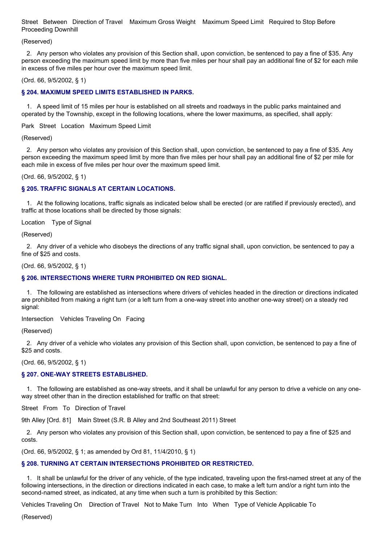Street Between Direction of Travel Maximum Gross Weight Maximum Speed Limit Required to Stop Before Proceeding Downhill

(Reserved)

2. Any person who violates any provision of this Section shall, upon conviction, be sentenced to pay a fine of \$35. Any person exceeding the maximum speed limit by more than five miles per hour shall pay an additional fine of \$2 for each mile in excess of five miles per hour over the maximum speed limit.

(Ord. 66, 9/5/2002, § 1)

## **§ 204. MAXIMUM SPEED LIMITS ESTABLISHED IN PARKS.**

1. A speed limit of 15 miles per hour is established on all streets and roadways in the public parks maintained and operated by the Township, except in the following locations, where the lower maximums, as specified, shall apply:

Park Street Location Maximum Speed Limit

(Reserved)

2. Any person who violates any provision of this Section shall, upon conviction, be sentenced to pay a fine of \$35. Any person exceeding the maximum speed limit by more than five miles per hour shall pay an additional fine of \$2 per mile for each mile in excess of five miles per hour over the maximum speed limit.

(Ord. 66, 9/5/2002, § 1)

## **§ 205. TRAFFIC SIGNALS AT CERTAIN LOCATIONS.**

1. At the following locations, traffic signals as indicated below shall be erected (or are ratified if previously erected), and traffic at those locations shall be directed by those signals:

Location Type of Signal

(Reserved)

2. Any driver of a vehicle who disobeys the directions of any traffic signal shall, upon conviction, be sentenced to pay a fine of \$25 and costs.

(Ord. 66, 9/5/2002, § 1)

## **§ 206. INTERSECTIONS WHERE TURN PROHIBITED ON RED SIGNAL.**

1. The following are established as intersections where drivers of vehicles headed in the direction or directions indicated are prohibited from making a right turn (or a left turn from a one-way street into another one-way street) on a steady red signal:

Intersection Vehicles Traveling On Facing

(Reserved)

2. Any driver of a vehicle who violates any provision of this Section shall, upon conviction, be sentenced to pay a fine of \$25 and costs.

(Ord. 66, 9/5/2002, § 1)

## **§ 207. ONE-WAY STREETS ESTABLISHED.**

1. The following are established as one-way streets, and it shall be unlawful for any person to drive a vehicle on any oneway street other than in the direction established for traffic on that street:

Street From To Direction of Travel

9th Alley [Ord. 81] Main Street (S.R. B Alley and 2nd Southeast 2011) Street

2. Any person who violates any provision of this Section shall, upon conviction, be sentenced to pay a fine of \$25 and costs.

(Ord. 66, 9/5/2002, § 1; as amended by Ord 81, 11/4/2010, § 1)

# **§ 208. TURNING AT CERTAIN INTERSECTIONS PROHIBITED OR RESTRICTED.**

1. It shall be unlawful for the driver of any vehicle, of the type indicated, traveling upon the first-named street at any of the following intersections, in the direction or directions indicated in each case, to make a left turn and/or a right turn into the second-named street, as indicated, at any time when such a turn is prohibited by this Section:

Vehicles Traveling On Direction of Travel Not to Make Turn Into When Type of Vehicle Applicable To

(Reserved)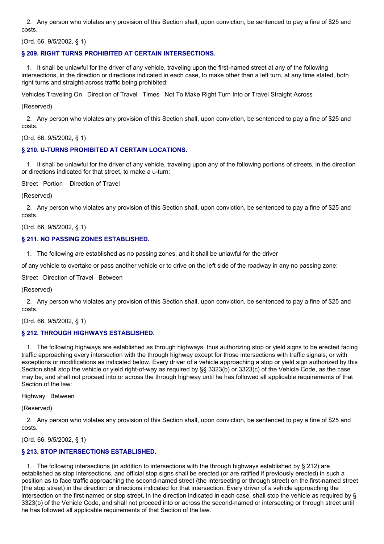2. Any person who violates any provision of this Section shall, upon conviction, be sentenced to pay a fine of \$25 and costs.

(Ord. 66, 9/5/2002, § 1)

# **§ 209. RIGHT TURNS PROHIBITED AT CERTAIN INTERSECTIONS.**

1. It shall be unlawful for the driver of any vehicle, traveling upon the first-named street at any of the following intersections, in the direction or directions indicated in each case, to make other than a left turn, at any time stated, both right turns and straight-across traffic being prohibited:

Vehicles Traveling On Direction of Travel Times Not To Make Right Turn Into or Travel Straight Across

(Reserved)

2. Any person who violates any provision of this Section shall, upon conviction, be sentenced to pay a fine of \$25 and costs.

(Ord. 66, 9/5/2002, § 1)

## **§ 210. U-TURNS PROHIBITED AT CERTAIN LOCATIONS.**

1. It shall be unlawful for the driver of any vehicle, traveling upon any of the following portions of streets, in the direction or directions indicated for that street, to make a u-turn:

Street Portion Direction of Travel

(Reserved)

2. Any person who violates any provision of this Section shall, upon conviction, be sentenced to pay a fine of \$25 and costs.

(Ord. 66, 9/5/2002, § 1)

## **§ 211. NO PASSING ZONES ESTABLISHED.**

1. The following are established as no passing zones, and it shall be unlawful for the driver

of any vehicle to overtake or pass another vehicle or to drive on the left side of the roadway in any no passing zone:

Street Direction of Travel Between

(Reserved)

2. Any person who violates any provision of this Section shall, upon conviction, be sentenced to pay a fine of \$25 and costs.

(Ord. 66, 9/5/2002, § 1)

## **§ 212. THROUGH HIGHWAYS ESTABLISHED.**

1. The following highways are established as through highways, thus authorizing stop or yield signs to be erected facing traffic approaching every intersection with the through highway except for those intersections with traffic signals, or with exceptions or modifications as indicated below. Every driver of a vehicle approaching a stop or yield sign authorized by this Section shall stop the vehicle or yield right-of-way as required by §§ 3323(b) or 3323(c) of the Vehicle Code, as the case may be, and shall not proceed into or across the through highway until he has followed all applicable requirements of that Section of the law:

Highway Between

(Reserved)

2. Any person who violates any provision of this Section shall, upon conviction, be sentenced to pay a fine of \$25 and costs.

(Ord. 66, 9/5/2002, § 1)

## **§ 213. STOP INTERSECTIONS ESTABLISHED.**

1. The following intersections (in addition to intersections with the through highways established by § 212) are established as stop intersections, and official stop signs shall be erected (or are ratified if previously erected) in such a position as to face traffic approaching the second-named street (the intersecting or through street) on the first-named street (the stop street) in the direction or directions indicated for that intersection. Every driver of a vehicle approaching the intersection on the first-named or stop street, in the direction indicated in each case, shall stop the vehicle as required by § 3323(b) of the Vehicle Code, and shall not proceed into or across the second-named or intersecting or through street until he has followed all applicable requirements of that Section of the law.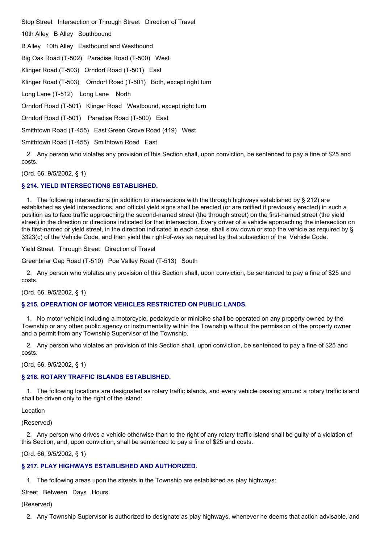Stop Street Intersection or Through Street Direction of Travel

10th Alley B Alley Southbound

B Alley 10th Alley Eastbound and Westbound

Big Oak Road (T-502) Paradise Road (T-500) West

Klinger Road (T-503) Orndorf Road (T-501) East

Klinger Road (T-503) Orndorf Road (T-501) Both, except right turn

Long Lane (T-512) Long Lane North

Orndorf Road (T-501) Klinger Road Westbound, except right turn

Orndorf Road (T-501) Paradise Road (T-500) East

Smithtown Road (T-455) East Green Grove Road (419) West

Smithtown Road (T-455) Smithtown Road East

2. Any person who violates any provision of this Section shall, upon conviction, be sentenced to pay a fine of \$25 and costs.

(Ord. 66, 9/5/2002, § 1)

## **§ 214. YIELD INTERSECTIONS ESTABLISHED.**

1. The following intersections (in addition to intersections with the through highways established by § 212) are established as yield intersections, and official yield signs shall be erected (or are ratified if previously erected) in such a position as to face traffic approaching the second-named street (the through street) on the first-named street (the yield street) in the direction or directions indicated for that intersection. Every driver of a vehicle approaching the intersection on the first-named or yield street, in the direction indicated in each case, shall slow down or stop the vehicle as required by § 3323(c) of the Vehicle Code, and then yield the right-of-way as required by that subsection of the Vehicle Code.

Yield Street Through Street Direction of Travel

Greenbriar Gap Road (T-510) Poe Valley Road (T-513) South

2. Any person who violates any provision of this Section shall, upon conviction, be sentenced to pay a fine of \$25 and costs.

(Ord. 66, 9/5/2002, § 1)

## **§ 215. OPERATION OF MOTOR VEHICLES RESTRICTED ON PUBLIC LANDS.**

1. No motor vehicle including a motorcycle, pedalcycle or minibike shall be operated on any property owned by the Township or any other public agency or instrumentality within the Township without the permission of the property owner and a permit from any Township Supervisor of the Township.

2. Any person who violates an provision of this Section shall, upon conviction, be sentenced to pay a fine of \$25 and costs.

(Ord. 66, 9/5/2002, § 1)

## **§ 216. ROTARY TRAFFIC ISLANDS ESTABLISHED.**

1. The following locations are designated as rotary traffic islands, and every vehicle passing around a rotary traffic island shall be driven only to the right of the island:

Location

(Reserved)

2. Any person who drives a vehicle otherwise than to the right of any rotary traffic island shall be guilty of a violation of this Section, and, upon conviction, shall be sentenced to pay a fine of \$25 and costs.

(Ord. 66, 9/5/2002, § 1)

# **§ 217. PLAY HIGHWAYS ESTABLISHED AND AUTHORIZED.**

1. The following areas upon the streets in the Township are established as play highways:

Street Between Days Hours

(Reserved)

2. Any Township Supervisor is authorized to designate as play highways, whenever he deems that action advisable, and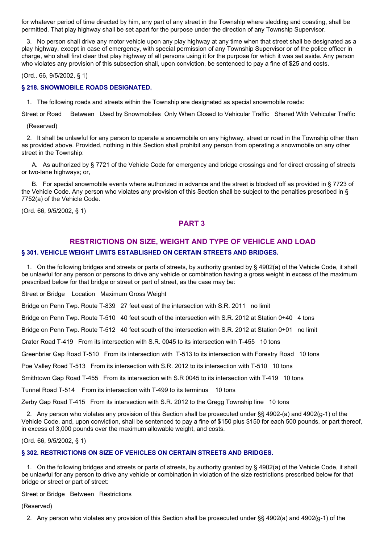for whatever period of time directed by him, any part of any street in the Township where sledding and coasting, shall be permitted. That play highway shall be set apart for the purpose under the direction of any Township Supervisor.

3. No person shall drive any motor vehicle upon any play highway at any time when that street shall be designated as a play highway, except in case of emergency, with special permission of any Township Supervisor or of the police officer in charge, who shall first clear that play highway of all persons using it for the purpose for which it was set aside. Any person who violates any provision of this subsection shall, upon conviction, be sentenced to pay a fine of \$25 and costs.

(Ord.. 66, 9/5/2002, § 1)

## **§ 218. SNOWMOBILE ROADS DESIGNATED.**

1. The following roads and streets within the Township are designated as special snowmobile roads:

Street or Road Between Used by Snowmobiles Only When Closed to Vehicular Traffic Shared With Vehicular Traffic

(Reserved)

2. It shall be unlawful for any person to operate a snowmobile on any highway, street or road in the Township other than as provided above. Provided, nothing in this Section shall prohibit any person from operating a snowmobile on any other street in the Township:

A. As authorized by § 7721 of the Vehicle Code for emergency and bridge crossings and for direct crossing of streets or two-lane highways; or,

B. For special snowmobile events where authorized in advance and the street is blocked off as provided in § 7723 of the Vehicle Code. Any person who violates any provision of this Section shall be subject to the penalties prescribed in § 7752(a) of the Vehicle Code.

(Ord. 66, 9/5/2002, § 1)

# **PART 3**

# **RESTRICTIONS ON SIZE, WEIGHT AND TYPE OF VEHICLE AND LOAD § 301. VEHICLE WEIGHT LIMITS ESTABLISHED ON CERTAIN STREETS AND BRIDGES.**

1. On the following bridges and streets or parts of streets, by authority granted by § 4902(a) of the Vehicle Code, it shall be unlawful for any person or persons to drive any vehicle or combination having a gross weight in excess of the maximum prescribed below for that bridge or street or part of street, as the case may be:

Street or Bridge Location Maximum Gross Weight

Bridge on Penn Twp. Route T-839 27 feet east of the intersection with S.R. 2011 no limit

Bridge on Penn Twp. Route T-510 40 feet south of the intersection with S.R. 2012 at Station 0+40 4 tons

Bridge on Penn Twp. Route T-512 40 feet south of the intersection with S.R. 2012 at Station 0+01 no limit

Crater Road T-419 From its intersection with S.R. 0045 to its intersection with T-455 10 tons

Greenbriar Gap Road T-510 From its intersection with T-513 to its intersection with Forestry Road 10 tons

Poe Valley Road T-513 From its intersection with S.R. 2012 to its intersection with T-510 10 tons

Smithtown Gap Road T-455 From its intersection with S.R 0045 to its intersection with T-419 10 tons

Tunnel Road T-514 From its intersection with T-499 to its terminus 10 tons

Zerby Gap Road T-415 From its intersection with S.R. 2012 to the Gregg Township line 10 tons

2. Any person who violates any provision of this Section shall be prosecuted under §§ 4902-(a) and 4902(q-1) of the Vehicle Code, and, upon conviction, shall be sentenced to pay a fine of \$150 plus \$150 for each 500 pounds, or part thereof, in excess of 3,000 pounds over the maximum allowable weight, and costs.

(Ord. 66, 9/5/2002, § 1)

## **§ 302. RESTRICTIONS ON SIZE OF VEHICLES ON CERTAIN STREETS AND BRIDGES.**

1. On the following bridges and streets or parts of streets, by authority granted by § 4902(a) of the Vehicle Code, it shall be unlawful for any person to drive any vehicle or combination in violation of the size restrictions prescribed below for that bridge or street or part of street:

Street or Bridge Between Restrictions

(Reserved)

2. Any person who violates any provision of this Section shall be prosecuted under §§ 4902(a) and 4902(g-1) of the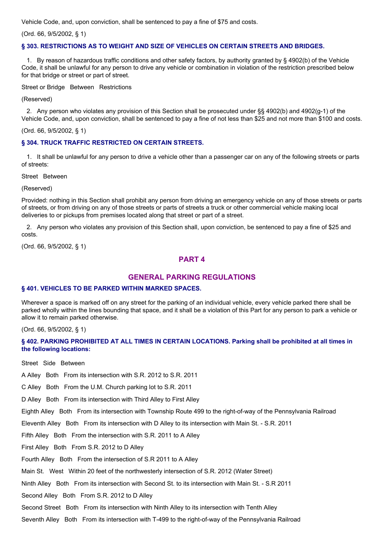Vehicle Code, and, upon conviction, shall be sentenced to pay a fine of \$75 and costs.

(Ord. 66, 9/5/2002, § 1)

#### **§ 303. RESTRICTIONS AS TO WEIGHT AND SIZE OF VEHICLES ON CERTAIN STREETS AND BRIDGES.**

1. By reason of hazardous traffic conditions and other safety factors, by authority granted by § 4902(b) of the Vehicle Code, it shall be unlawful for any person to drive any vehicle or combination in violation of the restriction prescribed below for that bridge or street or part of street.

Street or Bridge Between Restrictions

(Reserved)

2. Any person who violates any provision of this Section shall be prosecuted under §§ 4902(b) and 4902(g-1) of the Vehicle Code, and, upon conviction, shall be sentenced to pay a fine of not less than \$25 and not more than \$100 and costs.

(Ord. 66, 9/5/2002, § 1)

#### **§ 304. TRUCK TRAFFIC RESTRICTED ON CERTAIN STREETS.**

1. It shall be unlawful for any person to drive a vehicle other than a passenger car on any of the following streets or parts of streets:

Street Between

(Reserved)

Provided: nothing in this Section shall prohibit any person from driving an emergency vehicle on any of those streets or parts of streets, or from driving on any of those streets or parts of streets a truck or other commercial vehicle making local deliveries to or pickups from premises located along that street or part of a street.

2. Any person who violates any provision of this Section shall, upon conviction, be sentenced to pay a fine of \$25 and costs.

(Ord. 66, 9/5/2002, § 1)

# **PART 4**

## **GENERAL PARKING REGULATIONS**

#### **§ 401. VEHICLES TO BE PARKED WITHIN MARKED SPACES.**

Wherever a space is marked off on any street for the parking of an individual vehicle, every vehicle parked there shall be parked wholly within the lines bounding that space, and it shall be a violation of this Part for any person to park a vehicle or allow it to remain parked otherwise.

(Ord. 66, 9/5/2002, § 1)

§ 402. PARKING PROHIBITED AT ALL TIMES IN CERTAIN LOCATIONS. Parking shall be prohibited at all times in **the following locations:**

Street Side Between

A Alley Both From its intersection with S.R. 2012 to S.R. 2011

C Alley Both From the U.M. Church parking lot to S.R. 2011

D Alley Both From its intersection with Third Alley to First Alley

Eighth Alley Both From its intersection with Township Route 499 to the right-of-way of the Pennsylvania Railroad

Eleventh Alley Both From its intersection with D Alley to its intersection with Main St. - S.R. 2011

Fifth Alley Both From the intersection with S.R. 2011 to A Alley

First Alley Both From S.R. 2012 to D Alley

Fourth Alley Both From the intersection of S.R 2011 to A Alley

Main St. West Within 20 feet of the northwesterly intersection of S.R. 2012 (Water Street)

Ninth Alley Both From its intersection with Second St. to its intersection with Main St. - S.R 2011

Second Alley Both From S.R. 2012 to D Alley

Second Street Both From its intersection with Ninth Alley to its intersection with Tenth Alley

Seventh Alley Both From its intersection with T-499 to the right-of-way of the Pennsylvania Railroad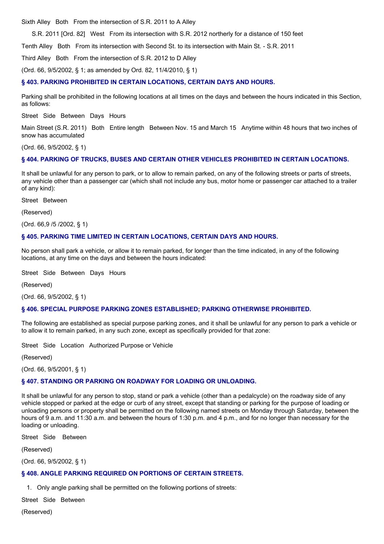Sixth Alley Both From the intersection of S.R. 2011 to A Alley

S.R. 2011 [Ord. 82] West From its intersection with S.R. 2012 northerly for a distance of 150 feet

Tenth Alley Both From its intersection with Second St. to its intersection with Main St. - S.R. 2011

Third Alley Both From the intersection of S.R. 2012 to D Alley

(Ord. 66, 9/5/2002, § 1; as amended by Ord. 82, 11/4/2010, § 1)

#### **§ 403. PARKING PROHIBITED IN CERTAIN LOCATIONS, CERTAIN DAYS AND HOURS.**

Parking shall be prohibited in the following locations at all times on the days and between the hours indicated in this Section, as follows:

Street Side Between Days Hours

Main Street (S.R. 2011) Both Entire length Between Nov. 15 and March 15 Anytime within 48 hours that two inches of snow has accumulated

(Ord. 66, 9/5/2002, § 1)

#### **§ 404. PARKING OF TRUCKS, BUSES AND CERTAIN OTHER VEHICLES PROHIBITED IN CERTAIN LOCATIONS.**

It shall be unlawful for any person to park, or to allow to remain parked, on any of the following streets or parts of streets, any vehicle other than a passenger car (which shall not include any bus, motor home or passenger car attached to a trailer of any kind):

Street Between

(Reserved)

(Ord. 66,9 /5 /2002, § 1)

#### **§ 405. PARKING TIME LIMITED IN CERTAIN LOCATIONS, CERTAIN DAYS AND HOURS.**

No person shall park a vehicle, or allow it to remain parked, for longer than the time indicated, in any of the following locations, at any time on the days and between the hours indicated:

Street Side Between Days Hours

(Reserved)

(Ord. 66, 9/5/2002, § 1)

#### **§ 406. SPECIAL PURPOSE PARKING ZONES ESTABLISHED; PARKING OTHERWISE PROHIBITED.**

The following are established as special purpose parking zones, and it shall be unlawful for any person to park a vehicle or to allow it to remain parked, in any such zone, except as specifically provided for that zone:

Street Side Location Authorized Purpose or Vehicle

(Reserved)

(Ord. 66, 9/5/2001, § 1)

#### **§ 407. STANDING OR PARKING ON ROADWAY FOR LOADING OR UNLOADING.**

It shall be unlawful for any person to stop, stand or park a vehicle (other than a pedalcycle) on the roadway side of any vehicle stopped or parked at the edge or curb of any street, except that standing or parking for the purpose of loading or unloading persons or property shall be permitted on the following named streets on Monday through Saturday, between the hours of 9 a.m. and 11:30 a.m. and between the hours of 1:30 p.m. and 4 p.m., and for no longer than necessary for the loading or unloading.

Street Side Between

(Reserved)

(Ord. 66, 9/5/2002, § 1)

## **§ 408. ANGLE PARKING REQUIRED ON PORTIONS OF CERTAIN STREETS.**

1. Only angle parking shall be permitted on the following portions of streets:

Street Side Between

(Reserved)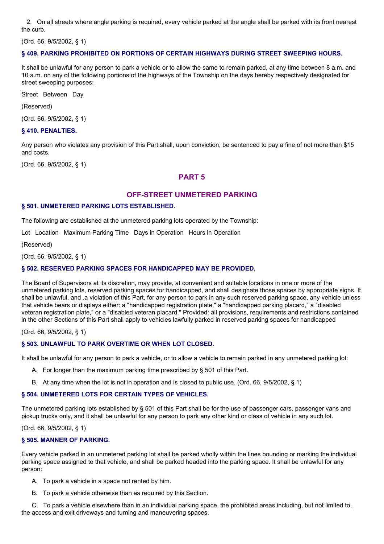2. On all streets where angle parking is required, every vehicle parked at the angle shall be parked with its front nearest the curb.

(Ord. 66, 9/5/2002, § 1)

# **§ 409. PARKING PROHIBITED ON PORTIONS OF CERTAIN HIGHWAYS DURING STREET SWEEPING HOURS.**

It shall be unlawful for any person to park a vehicle or to allow the same to remain parked, at any time between 8 a.m. and 10 a.m. on any of the following portions of the highways of the Township on the days hereby respectively designated for street sweeping purposes:

Street Between Day

(Reserved)

(Ord. 66, 9/5/2002, § 1)

## **§ 410. PENALTIES.**

Any person who violates any provision of this Part shall, upon conviction, be sentenced to pay a fine of not more than \$15 and costs.

(Ord. 66, 9/5/2002, § 1)

# **PART 5**

# **OFF-STREET UNMETERED PARKING**

## **§ 501. UNMETERED PARKING LOTS ESTABLISHED.**

The following are established at the unmetered parking lots operated by the Township:

Lot Location Maximum Parking Time Days in Operation Hours in Operation

(Reserved)

(Ord. 66, 9/5/2002, § 1)

## **§ 502. RESERVED PARKING SPACES FOR HANDICAPPED MAY BE PROVIDED.**

The Board of Supervisors at its discretion, may provide, at convenient and suitable locations in one or more of the unmetered parking lots, reserved parking spaces for handicapped, and shall designate those spaces by appropriate signs. It shall be unlawful, and .a violation of this Part, for any person to park in any such reserved parking space, any vehicle unless that vehicle bears or displays either: a "handicapped registration plate," a "handicapped parking placard," a "disabled veteran registration plate," or a "disabled veteran placard." Provided: all provisions, requirements and restrictions contained in the other Sections of this Part shall apply to vehicles lawfully parked in reserved parking spaces for handicapped

(Ord. 66, 9/5/2002, § 1)

## **§ 503. UNLAWFUL TO PARK OVERTIME OR WHEN LOT CLOSED.**

It shall be unlawful for any person to park a vehicle, or to allow a vehicle to remain parked in any unmetered parking lot:

- A. For longer than the maximum parking time prescribed by § 501 of this Part.
- B. At any time when the lot is not in operation and is closed to public use. (Ord. 66, 9/5/2002, § 1)

## **§ 504. UNMETERED LOTS FOR CERTAIN TYPES OF VEHICLES.**

The unmetered parking lots established by § 501 of this Part shall be for the use of passenger cars, passenger vans and pickup trucks only, and it shall be unlawful for any person to park any other kind or class of vehicle in any such lot.

(Ord. 66, 9/5/2002, § 1)

## **§ 505. MANNER OF PARKING.**

Every vehicle parked in an unmetered parking lot shall be parked wholly within the lines bounding or marking the individual parking space assigned to that vehicle, and shall be parked headed into the parking space. It shall be unlawful for any person:

- A. To park a vehicle in a space not rented by him.
- B. To park a vehicle otherwise than as required by this Section.

C. To park a vehicle elsewhere than in an individual parking space, the prohibited areas including, but not limited to, the access and exit driveways and turning and maneuvering spaces.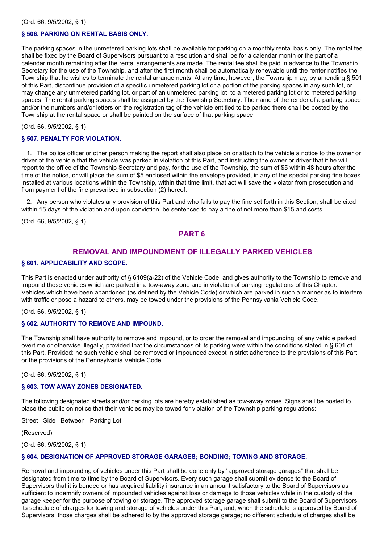## **§ 506. PARKING ON RENTAL BASIS ONLY.**

The parking spaces in the unmetered parking lots shall be available for parking on a monthly rental basis only. The rental fee shall be fixed by the Board of Supervisors pursuant to a resolution and shall be for a calendar month or the part of a calendar month remaining after the rental arrangements are made. The rental fee shall be paid in advance to the Township Secretary for the use of the Township, and after the first month shall be automatically renewable until the renter notifies the Township that he wishes to terminate the rental arrangements. At any time, however, the Township may, by amending § 501 of this Part, discontinue provision of a specific unmetered parking lot or a portion of the parking spaces in any such lot, or may change any unmetered parking lot, or part of an unmetered parking lot, to a metered parking lot or to metered parking spaces. The rental parking spaces shall be assigned by the Township Secretary. The name of the render of a parking space and/or the numbers and/or letters on the registration tag of the vehicle entitled to be parked there shall be posted by the Township at the rental space or shall be painted on the surface of that parking space.

(Ord. 66, 9/5/2002, § 1)

#### **§ 507. PENALTY FOR VIOLATION.**

1. The police officer or other person making the report shall also place on or attach to the vehicle a notice to the owner or driver of the vehicle that the vehicle was parked in violation of this Part, and instructing the owner or driver that if he will report to the office of the Township Secretary and pay, for the use of the Township, the sum of \$5 within 48 hours after the time of the notice, or will place the sum of \$5 enclosed within the envelope provided, in any of the special parking fine boxes installed at various locations within the Township, within that time limit, that act will save the violator from prosecution and from payment of the fine prescribed in subsection (2) hereof.

2. Any person who violates any provision of this Part and who fails to pay the fine set forth in this Section, shall be cited within 15 days of the violation and upon conviction, be sentenced to pay a fine of not more than \$15 and costs.

(Ord. 66, 9/5/2002, § 1)

# **PART 6**

# **REMOVAL AND IMPOUNDMENT OF ILLEGALLY PARKED VEHICLES**

#### **§ 601. APPLICABILITY AND SCOPE.**

This Part is enacted under authority of § 6109(a-22) of the Vehicle Code, and gives authority to the Township to remove and impound those vehicles which are parked in a tow-away zone and in violation of parking regulations of this Chapter. Vehicles which have been abandoned (as defined by the Vehicle Code) or which are parked in such a manner as to interfere with traffic or pose a hazard to others, may be towed under the provisions of the Pennsylvania Vehicle Code.

(Ord. 66, 9/5/2002, § 1)

#### **§ 602. AUTHORITY TO REMOVE AND IMPOUND.**

The Township shall have authority to remove and impound, or to order the removal and impounding, of any vehicle parked overtime or otherwise illegally, provided that the circumstances of its parking were within the conditions stated in § 601 of this Part. Provided: no such vehicle shall be removed or impounded except in strict adherence to the provisions of this Part, or the provisions of the Pennsylvania Vehicle Code.

(Ord. 66, 9/5/2002, § 1)

#### **§ 603. TOW AWAY ZONES DESIGNATED.**

The following designated streets and/or parking lots are hereby established as tow-away zones. Signs shall be posted to place the public on notice that their vehicles may be towed for violation of the Township parking regulations:

Street Side Between Parking Lot

(Reserved)

(Ord. 66, 9/5/2002, § 1)

#### **§ 604. DESIGNATION OF APPROVED STORAGE GARAGES; BONDING; TOWING AND STORAGE.**

Removal and impounding of vehicles under this Part shall be done only by "approved storage garages" that shall be designated from time to time by the Board of Supervisors. Every such garage shall submit evidence to the Board of Supervisors that it is bonded or has acquired liability insurance in an amount satisfactory to the Board of Supervisors as sufficient to indemnify owners of impounded vehicles against loss or damage to those vehicles while in the custody of the garage keeper for the purpose of towing or storage. The approved storage garage shall submit to the Board of Supervisors its schedule of charges for towing and storage of vehicles under this Part, and, when the schedule is approved by Board of Supervisors, those charges shall be adhered to by the approved storage garage; no different schedule of charges shall be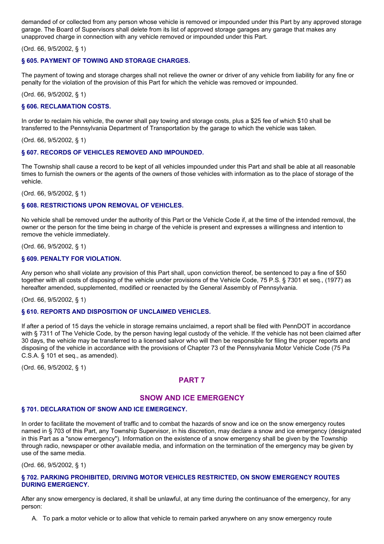demanded of or collected from any person whose vehicle is removed or impounded under this Part by any approved storage garage. The Board of Supervisors shall delete from its list of approved storage garages any garage that makes any unapproved charge in connection with any vehicle removed or impounded under this Part.

(Ord. 66, 9/5/2002, § 1)

# **§ 605. PAYMENT OF TOWING AND STORAGE CHARGES.**

The payment of towing and storage charges shall not relieve the owner or driver of any vehicle from liability for any fine or penalty for the violation of the provision of this Part for which the vehicle was removed or impounded.

(Ord. 66, 9/5/2002, § 1)

## **§ 606. RECLAMATION COSTS.**

In order to reclaim his vehicle, the owner shall pay towing and storage costs, plus a \$25 fee of which \$10 shall be transferred to the Pennsylvania Department of Transportation by the garage to which the vehicle was taken.

(Ord. 66, 9/5/2002, § 1)

## **§ 607. RECORDS OF VEHICLES REMOVED AND IMPOUNDED.**

The Township shall cause a record to be kept of all vehicles impounded under this Part and shall be able at all reasonable times to furnish the owners or the agents of the owners of those vehicles with information as to the place of storage of the vehicle.

(Ord. 66, 9/5/2002, § 1)

#### **§ 608. RESTRICTIONS UPON REMOVAL OF VEHICLES.**

No vehicle shall be removed under the authority of this Part or the Vehicle Code if, at the time of the intended removal, the owner or the person for the time being in charge of the vehicle is present and expresses a willingness and intention to remove the vehicle immediately.

(Ord. 66, 9/5/2002, § 1)

## **§ 609. PENALTY FOR VIOLATION.**

Any person who shall violate any provision of this Part shall, upon conviction thereof, be sentenced to pay a fine of \$50 together with all costs of disposing of the vehicle under provisions of the Vehicle Code, 75 P.S. § 7301 et seq., (1977) as hereafter amended, supplemented, modified or reenacted by the General Assembly of Pennsylvania.

(Ord. 66, 9/5/2002, § 1)

## **§ 610. REPORTS AND DISPOSITION OF UNCLAIMED VEHICLES.**

If after a period of 15 days the vehicle in storage remains unclaimed, a report shall be filed with PennDOT in accordance with § 7311 of The Vehicle Code, by the person having legal custody of the vehicle. If the vehicle has not been claimed after 30 days, the vehicle may be transferred to a licensed salvor who will then be responsible for filing the proper reports and disposing of the vehicle in accordance with the provisions of Chapter 73 of the Pennsylvania Motor Vehicle Code (75 Pa C.S.A. § 101 et seq., as amended).

(Ord. 66, 9/5/2002, § 1)

# **PART 7**

# **SNOW AND ICE EMERGENCY**

## **§ 701. DECLARATION OF SNOW AND ICE EMERGENCY.**

In order to facilitate the movement of traffic and to combat the hazards of snow and ice on the snow emergency routes named in § 703 of this Part, any Township Supervisor, in his discretion, may declare a snow and ice emergency (designated in this Part as a "snow emergency"). Information on the existence of a snow emergency shall be given by the Township through radio, newspaper or other available media, and information on the termination of the emergency may be given by use of the same media.

(Ord. 66, 9/5/2002, § 1)

## **§ 702. PARKING PROHIBITED, DRIVING MOTOR VEHICLES RESTRICTED, ON SNOW EMERGENCY ROUTES DURING EMERGENCY.**

After any snow emergency is declared, it shall be unlawful, at any time during the continuance of the emergency, for any person:

A. To park a motor vehicle or to allow that vehicle to remain parked anywhere on any snow emergency route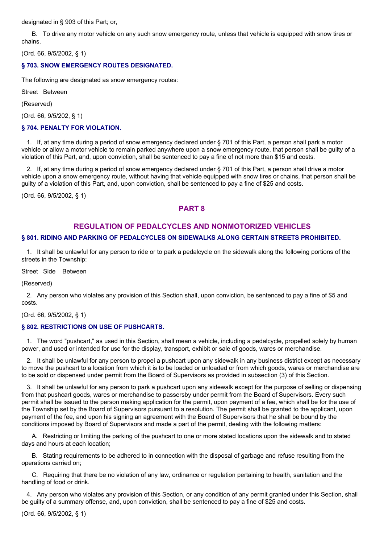designated in § 903 of this Part; or,

B. To drive any motor vehicle on any such snow emergency route, unless that vehicle is equipped with snow tires or chains.

(Ord. 66, 9/5/2002, § 1)

## **§ 703. SNOW EMERGENCY ROUTES DESIGNATED.**

The following are designated as snow emergency routes:

Street Between

(Reserved)

(Ord. 66, 9/5/202, § 1)

#### **§ 704. PENALTY FOR VIOLATION.**

1. If, at any time during a period of snow emergency declared under § 701 of this Part, a person shall park a motor vehicle or allow a motor vehicle to remain parked anywhere upon a snow emergency route, that person shall be guilty of a violation of this Part, and, upon conviction, shall be sentenced to pay a fine of not more than \$15 and costs.

2. If, at any time during a period of snow emergency declared under § 701 of this Part, a person shall drive a motor vehicle upon a snow emergency route, without having that vehicle equipped with snow tires or chains, that person shall be guilty of a violation of this Part, and, upon conviction, shall be sentenced to pay a fine of \$25 and costs.

(Ord. 66, 9/5/2002, § 1)

# **PART 8**

# **REGULATION OF PEDALCYCLES AND NONMOTORIZED VEHICLES**

# **§ 801. RIDING AND PARKING OF PEDALCYCLES ON SIDEWALKS ALONG CERTAIN STREETS PROHIBITED.**

1. It shall be unlawful for any person to ride or to park a pedalcycle on the sidewalk along the following portions of the streets in the Township:

Street Side Between

(Reserved)

2. Any person who violates any provision of this Section shall, upon conviction, be sentenced to pay a fine of \$5 and costs.

(Ord. 66, 9/5/2002, § 1)

## **§ 802. RESTRICTIONS ON USE OF PUSHCARTS.**

1. The word "pushcart," as used in this Section, shall mean a vehicle, including a pedalcycle, propelled solely by human power, and used or intended for use for the display, transport, exhibit or sale of goods, wares or merchandise.

2. It shall be unlawful for any person to propel a pushcart upon any sidewalk in any business district except as necessary to move the pushcart to a location from which it is to be loaded or unloaded or from which goods, wares or merchandise are to be sold or dispensed under permit from the Board of Supervisors as provided in subsection (3) of this Section.

3. It shall be unlawful for any person to park a pushcart upon any sidewalk except for the purpose of selling or dispensing from that pushcart goods, wares or merchandise to passersby under permit from the Board of Supervisors. Every such permit shall be issued to the person making application for the permit, upon payment of a fee, which shall be for the use of the Township set by the Board of Supervisors pursuant to a resolution. The permit shall be granted to the applicant, upon payment of the fee, and upon his signing an agreement with the Board of Supervisors that he shall be bound by the conditions imposed by Board of Supervisors and made a part of the permit, dealing with the following matters:

A. Restricting or limiting the parking of the pushcart to one or more stated locations upon the sidewalk and to stated days and hours at each location;

B. Stating requirements to be adhered to in connection with the disposal of garbage and refuse resulting from the operations carried on;

C. Requiring that there be no violation of any law, ordinance or regulation pertaining to health, sanitation and the handling of food or drink.

4. Any person who violates any provision of this Section, or any condition of any permit granted under this Section, shall be guilty of a summary offense, and, upon conviction, shall be sentenced to pay a fine of \$25 and costs.

(Ord. 66, 9/5/2002, § 1)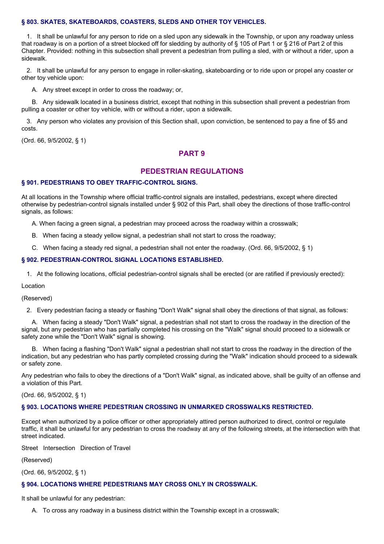#### **§ 803. SKATES, SKATEBOARDS, COASTERS, SLEDS AND OTHER TOY VEHICLES.**

1. It shall be unlawful for any person to ride on a sled upon any sidewalk in the Township, or upon any roadway unless that roadway is on a portion of a street blocked off for sledding by authority of § 105 of Part 1 or § 216 of Part 2 of this Chapter. Provided: nothing in this subsection shall prevent a pedestrian from pulling a sled, with or without a rider, upon a sidewalk.

2. It shall be unlawful for any person to engage in roller-skating, skateboarding or to ride upon or propel any coaster or other toy vehicle upon:

A. Any street except in order to cross the roadway; or,

B. Any sidewalk located in a business district, except that nothing in this subsection shall prevent a pedestrian from pulling a coaster or other toy vehicle, with or without a rider, upon a sidewalk.

3. Any person who violates any provision of this Section shall, upon conviction, be sentenced to pay a fine of \$5 and costs.

(Ord. 66, 9/5/2002, § 1)

## **PART 9**

## **PEDESTRIAN REGULATIONS**

# **§ 901. PEDESTRIANS TO OBEY TRAFFIC-CONTROL SIGNS.**

At all locations in the Township where official traffic-control signals are installed, pedestrians, except where directed otherwise by pedestrian-control signals installed under § 902 of this Part, shall obey the directions of those traffic-control signals, as follows:

A. When facing a green signal, a pedestrian may proceed across the roadway within a crosswalk;

- B. When facing a steady yellow signal, a pedestrian shall not start to cross the roadway;
- C. When facing a steady red signal, a pedestrian shall not enter the roadway. (Ord. 66, 9/5/2002, § 1)

#### **§ 902. PEDESTRIAN-CONTROL SIGNAL LOCATIONS ESTABLISHED.**

1. At the following locations, official pedestrian-control signals shall be erected (or are ratified if previously erected):

Location

(Reserved)

2. Every pedestrian facing a steady or flashing "Don't Walk" signal shall obey the directions of that signal, as follows:

A. When facing a steady "Don't Walk" signal, a pedestrian shall not start to cross the roadway in the direction of the signal, but any pedestrian who has partially completed his crossing on the "Walk" signal should proceed to a sidewalk or safety zone while the "Don't Walk" signal is showing.

B. When facing a flashing "Don't Walk" signal a pedestrian shall not start to cross the roadway in the direction of the indication, but any pedestrian who has partly completed crossing during the "Walk" indication should proceed to a sidewalk or safety zone.

Any pedestrian who fails to obey the directions of a "Don't Walk" signal, as indicated above, shall be guilty of an offense and a violation of this Part.

(Ord. 66, 9/5/2002, § 1)

#### **§ 903. LOCATIONS WHERE PEDESTRIAN CROSSING IN UNMARKED CROSSWALKS RESTRICTED.**

Except when authorized by a police officer or other appropriately attired person authorized to direct, control or regulate traffic, it shall be unlawful for any pedestrian to cross the roadway at any of the following streets, at the intersection with that street indicated.

Street Intersection Direction of Travel

(Reserved)

(Ord. 66, 9/5/2002, § 1)

## **§ 904. LOCATIONS WHERE PEDESTRIANS MAY CROSS ONLY IN CROSSWALK.**

It shall be unlawful for any pedestrian:

A. To cross any roadway in a business district within the Township except in a crosswalk;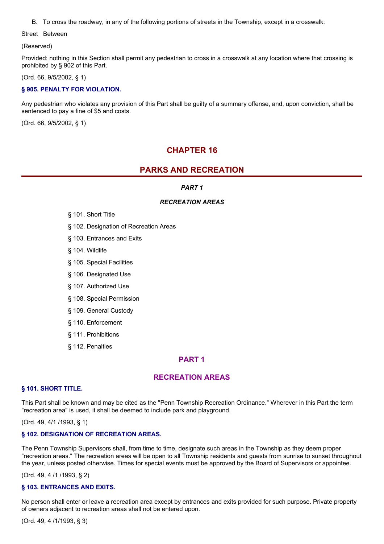B. To cross the roadway, in any of the following portions of streets in the Township, except in a crosswalk:

Street Between

(Reserved)

Provided: nothing in this Section shall permit any pedestrian to cross in a crosswalk at any location where that crossing is prohibited by § 902 of this Part.

(Ord. 66, 9/5/2002, § 1)

# **§ 905. PENALTY FOR VIOLATION.**

Any pedestrian who violates any provision of this Part shall be guilty of a summary offense, and, upon conviction, shall be sentenced to pay a fine of \$5 and costs.

(Ord. 66, 9/5/2002, § 1)

# **CHAPTER 16**

# **PARKS AND RECREATION**

# *PART 1*

# *RECREATION AREAS*

- § 101. Short Title
- § 102. Designation of Recreation Areas
- § 103. Entrances and Exits
- § 104. Wildlife
- § 105. Special Facilities
- § 106. Designated Use
- § 107. Authorized Use
- § 108. Special Permission
- § 109. General Custody
- § 110. Enforcement
- § 111. Prohibitions
- § 112. Penalties

# **PART 1**

# **RECREATION AREAS**

## **§ 101. SHORT TITLE.**

This Part shall be known and may be cited as the "Penn Township Recreation Ordinance." Wherever in this Part the term "recreation area" is used, it shall be deemed to include park and playground.

(Ord. 49, 4/1 /1993, § 1)

## **§ 102. DESIGNATION OF RECREATION AREAS.**

The Penn Township Supervisors shall, from time to time, designate such areas in the Township as they deem proper "recreation areas." The recreation areas will be open to all Township residents and guests from sunrise to sunset throughout the year, unless posted otherwise. Times for special events must be approved by the Board of Supervisors or appointee.

(Ord. 49, 4 /1 /1993, § 2)

## **§ 103. ENTRANCES AND EXITS.**

No person shall enter or leave a recreation area except by entrances and exits provided for such purpose. Private property of owners adjacent to recreation areas shall not be entered upon.

(Ord. 49, 4 /1/1993, § 3)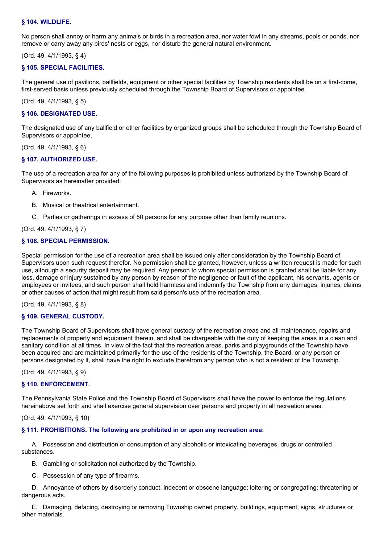## **§ 104. WILDLIFE.**

No person shall annoy or harm any animals or birds in a recreation area, nor water fowl in any streams, pools or ponds, nor remove or carry away any birds' nests or eggs, nor disturb the general natural environment.

(Ord. 49, 4/1/1993, § 4)

## **§ 105. SPECIAL FACILITIES.**

The general use of pavilions, ballfields, equipment or other special facilities by Township residents shall be on a first-come, first-served basis unless previously scheduled through the Township Board of Supervisors or appointee.

(Ord. 49, 4/1/1993, § 5)

#### **§ 106. DESIGNATED USE.**

The designated use of any ballfield or other facilities by organized groups shall be scheduled through the Township Board of Supervisors or appointee,

#### (Ord. 49, 4/1/1993, § 6)

## **§ 107. AUTHORIZED USE.**

The use of a recreation area for any of the following purposes is prohibited unless authorized by the Township Board of Supervisors as hereinafter provided:

- A. Fireworks.
- B. Musical or theatrical entertainment.
- C. Parties or gatherings in excess of 50 persons for any purpose other than family reunions.

(Ord. 49, 4/1/1993, § 7)

## **§ 108. SPECIAL PERMISSION.**

Special permission for the use of a recreation area shall be issued only after consideration by the Township Board of Supervisors upon such request therefor. No permission shall be granted, however, unless a written request is made for such use, although a security deposit may be required. Any person to whom special permission is granted shall be liable for any loss, damage or injury sustained by any person by reason of the negligence or fault of the applicant, his servants, agents or employees or invitees, and such person shall hold harmless and indemnify the Township from any damages, injuries, claims or other causes of action that might result from said person's use of the recreation area.

(Ord. 49, 4/1/1993, § 8)

## **§ 109. GENERAL CUSTODY.**

The Township Board of Supervisors shall have general custody of the recreation areas and all maintenance, repairs and replacements of property and equipment therein, and shall be chargeable with the duty of keeping the areas in a clean and sanitary condition at all times. In view of the fact that the recreation areas, parks and playgrounds of the Township have been acquired and are maintained primarily for the use of the residents of the Township, the Board, or any person or persons designated by it, shall have the right to exclude therefrom any person who is not a resident of the Township.

(Ord. 49, 4/1/1993, § 9)

## **§ 110. ENFORCEMENT.**

The Pennsylvania State Police and the Township Board of Supervisors shall have the power to enforce the regulations hereinabove set forth and shall exercise general supervision over persons and property in all recreation areas.

#### (Ord. 49, 4/1/1993, § 10)

# **§ 111. PROHIBITIONS. The following are prohibited in or upon any recreation area:**

A. Possession and distribution or consumption of any alcoholic or intoxicating beverages, drugs or controlled substances.

- B. Gambling or solicitation not authorized by the Township.
- C. Possession of any type of firearms.

D. Annoyance of others by disorderly conduct, indecent or obscene language; loitering or congregating; threatening or dangerous acts.

E. Damaging, defacing, destroying or removing Township owned property, buildings, equipment, signs, structures or other materials.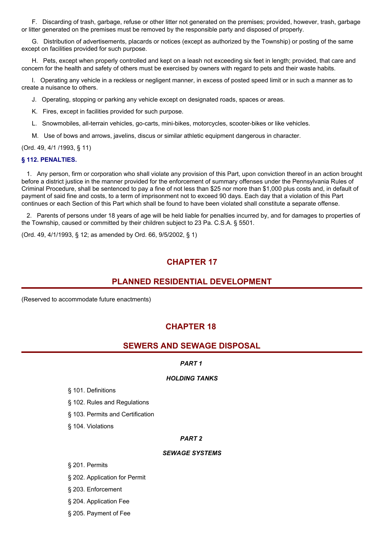F. Discarding of trash, garbage, refuse or other litter not generated on the premises; provided, however, trash, garbage or litter generated on the premises must be removed by the responsible party and disposed of properly.

G. Distribution of advertisements, placards or notices (except as authorized by the Township) or posting of the same except on facilities provided for such purpose.

H. Pets, except when properly controlled and kept on a leash not exceeding six feet in length; provided, that care and concern for the health and safety of others must be exercised by owners with regard to pets and their waste habits.

I. Operating any vehicle in a reckless or negligent manner, in excess of posted speed limit or in such a manner as to create a nuisance to others.

J. Operating, stopping or parking any vehicle except on designated roads, spaces or areas.

K. Fires, except in facilities provided for such purpose.

L. Snowmobiles, all-terrain vehicles, go-carts, mini-bikes, motorcycles, scooter-bikes or like vehicles.

M. Use of bows and arrows, javelins, discus or similar athletic equipment dangerous in character.

(Ord. 49, 4/1 /1993, § 11)

#### **§ 112. PENALTIES.**

1. Any person, firm or corporation who shall violate any provision of this Part, upon conviction thereof in an action brought before a district justice in the manner provided for the enforcement of summary offenses under the Pennsylvania Rules of Criminal Procedure, shall be sentenced to pay a fine of not less than \$25 nor more than \$1,000 plus costs and, in default of payment of said fine and costs, to a term of imprisonment not to exceed 90 days. Each day that a violation of this Part continues or each Section of this Part which shall be found to have been violated shall constitute a separate offense.

2. Parents of persons under 18 years of age will be held liable for penalties incurred by, and for damages to properties of the Township, caused or committed by their children subject to 23 Pa. C.S.A. § 5501.

(Ord. 49, 4/1/1993, § 12; as amended by Ord. 66, 9/5/2002, § 1)

# **CHAPTER 17**

# **PLANNED RESIDENTIAL DEVELOPMENT**

(Reserved to accommodate future enactments)

# **CHAPTER 18**

# **SEWERS AND SEWAGE DISPOSAL**

#### *PART 1*

#### *HOLDING TANKS*

- § 101. Definitions
- § 102. Rules and Regulations
- § 103. Permits and Certification
- § 104. Violations

#### *PART 2*

#### *SEWAGE SYSTEMS*

§ 201. Permits

- § 202. Application for Permit
- § 203. Enforcement
- § 204. Application Fee
- § 205. Payment of Fee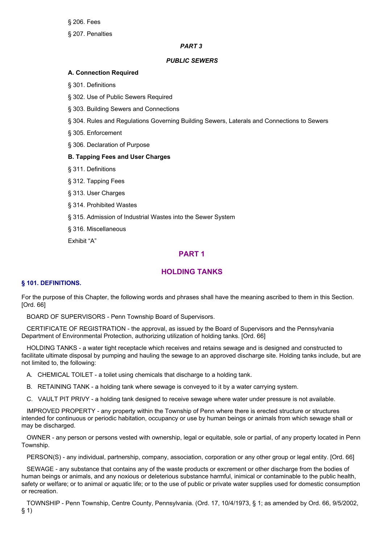§ 206. Fees

§ 207. Penalties

## *PART 3*

## *PUBLIC SEWERS*

#### **A. Connection Required**

§ 301. Definitions

§ 302. Use of Public Sewers Required

§ 303. Building Sewers and Connections

§ 304. Rules and Regulations Governing Building Sewers, Laterals and Connections to Sewers

§ 305. Enforcement

§ 306. Declaration of Purpose

#### **B. Tapping Fees and User Charges**

§ 311. Definitions

§ 312. Tapping Fees

§ 313. User Charges

§ 314. Prohibited Wastes

§ 315. Admission of Industrial Wastes into the Sewer System

§ 316. Miscellaneous

Exhibit "A"

# **PART 1**

# **HOLDING TANKS**

#### **§ 101. DEFINITIONS.**

For the purpose of this Chapter, the following words and phrases shall have the meaning ascribed to them in this Section. [Ord. 66]

BOARD OF SUPERVISORS - Penn Township Board of Supervisors.

CERTIFICATE OF REGISTRATION - the approval, as issued by the Board of Supervisors and the Pennsylvania Department of Environmental Protection, authorizing utilization of holding tanks. [Ord. 66]

HOLDING TANKS - a water tight receptacle which receives and retains sewage and is designed and constructed to facilitate ultimate disposal by pumping and hauling the sewage to an approved discharge site. Holding tanks include, but are not limited to, the following:

A. CHEMICAL TOILET - a toilet using chemicals that discharge to a holding tank.

B. RETAINING TANK - a holding tank where sewage is conveyed to it by a water carrying system.

C. VAULT PIT PRIVY - a holding tank designed to receive sewage where water under pressure is not available.

IMPROVED PROPERTY - any property within the Township of Penn where there is erected structure or structures intended for continuous or periodic habitation, occupancy or use by human beings or animals from which sewage shall or may be discharged.

OWNER - any person or persons vested with ownership, legal or equitable, sole or partial, of any property located in Penn Township.

PERSON(S) - any individual, partnership, company, association, corporation or any other group or legal entity. [Ord. 66]

SEWAGE - any substance that contains any of the waste products or excrement or other discharge from the bodies of human beings or animals, and any noxious or deleterious substance harmful, inimical or contaminable to the public health, safety or welfare; or to animal or aquatic life; or to the use of public or private water supplies used for domestic consumption or recreation.

TOWNSHIP - Penn Township, Centre County, Pennsylvania. (Ord. 17, 10/4/1973, § 1; as amended by Ord. 66, 9/5/2002, § 1)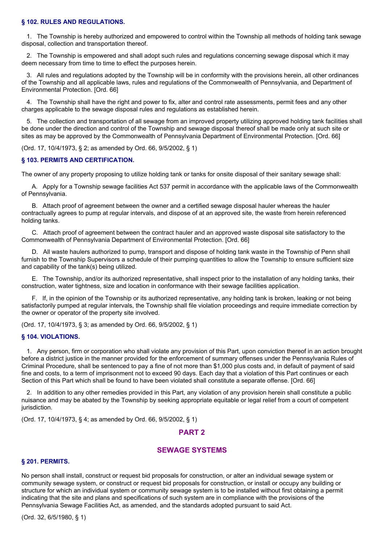#### **§ 102. RULES AND REGULATIONS.**

1. The Township is hereby authorized and empowered to control within the Township all methods of holding tank sewage disposal, collection and transportation thereof.

2. The Township is empowered and shall adopt such rules and regulations concerning sewage disposal which it may deem necessary from time to time to effect the purposes herein.

3. All rules and regulations adopted by the Township will be in conformity with the provisions herein, all other ordinances of the Township and all applicable laws, rules and regulations of the Commonwealth of Pennsylvania, and Department of Environmental Protection. [Ord. 66]

4. The Township shall have the right and power to fix, alter and control rate assessments, permit fees and any other charges applicable to the sewage disposal rules and regulations as established herein.

5. The collection and transportation of all sewage from an improved property utilizing approved holding tank facilities shall be done under the direction and control of the Township and sewage disposal thereof shall be made only at such site or sites as may be approved by the Commonwealth of Pennsylvania Department of Environmental Protection. [Ord. 66]

(Ord. 17, 10/4/1973, § 2; as amended by Ord. 66, 9/5/2002, § 1)

#### **§ 103. PERMITS AND CERTIFICATION.**

The owner of any property proposing to utilize holding tank or tanks for onsite disposal of their sanitary sewage shall:

A. Apply for a Township sewage facilities Act 537 permit in accordance with the applicable laws of the Commonwealth of Pennsylvania.

B. Attach proof of agreement between the owner and a certified sewage disposal hauler whereas the hauler contractually agrees to pump at regular intervals, and dispose of at an approved site, the waste from herein referenced holding tanks.

C. Attach proof of agreement between the contract hauler and an approved waste disposal site satisfactory to the Commonwealth of Pennsylvania Department of Environmental Protection. [Ord. 66]

D. All waste haulers authorized to pump, transport and dispose of holding tank waste in the Township of Penn shall furnish to the Township Supervisors a schedule of their pumping quantities to allow the Township to ensure sufficient size and capability of the tank(s) being utilized.

E. The Township, and/or its authorized representative, shall inspect prior to the installation of any holding tanks, their construction, water tightness, size and location in conformance with their sewage facilities application.

F. If, in the opinion of the Township or its authorized representative, any holding tank is broken, leaking or not being satisfactorily pumped at regular intervals, the Township shall file violation proceedings and require immediate correction by the owner or operator of the property site involved.

(Ord. 17, 10/4/1973, § 3; as amended by Ord. 66, 9/5/2002, § 1)

#### **§ 104. VIOLATIONS.**

1. Any person, firm or corporation who shall violate any provision of this Part, upon conviction thereof in an action brought before a district justice in the manner provided for the enforcement of summary offenses under the Pennsylvania Rules of Criminal Procedure, shall be sentenced to pay a fine of not more than \$1,000 plus costs and, in default of payment of said fine and costs, to a term of imprisonment not to exceed 90 days. Each day that a violation of this Part continues or each Section of this Part which shall be found to have been violated shall constitute a separate offense. [Ord. 66]

2. In addition to any other remedies provided in this Part, any violation of any provision herein shall constitute a public nuisance and may be abated by the Township by seeking appropriate equitable or legal relief from a court of competent jurisdiction.

(Ord. 17, 10/4/1973, § 4; as amended by Ord. 66, 9/5/2002, § 1)

## **PART 2**

# **SEWAGE SYSTEMS**

#### **§ 201. PERMITS.**

No person shall install, construct or request bid proposals for construction, or alter an individual sewage system or community sewage system, or construct or request bid proposals for construction, or install or occupy any building or structure for which an individual system or community sewage system is to be installed without first obtaining a permit indicating that the site and plans and specifications of such system are in compliance with the provisions of the Pennsylvania Sewage Facilities Act, as amended, and the standards adopted pursuant to said Act.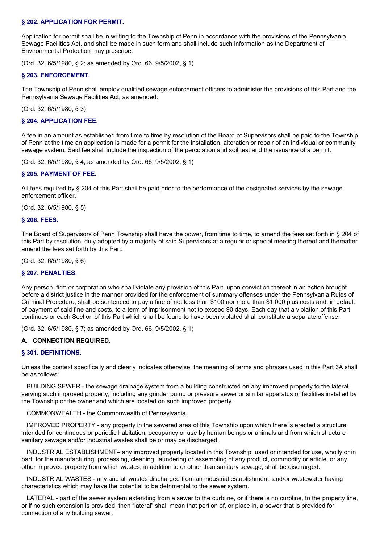#### **§ 202. APPLICATION FOR PERMIT.**

Application for permit shall be in writing to the Township of Penn in accordance with the provisions of the Pennsylvania Sewage Facilities Act, and shall be made in such form and shall include such information as the Department of Environmental Protection may prescribe.

(Ord. 32, 6/5/1980, § 2; as amended by Ord. 66, 9/5/2002, § 1)

#### **§ 203. ENFORCEMENT.**

The Township of Penn shall employ qualified sewage enforcement officers to administer the provisions of this Part and the Pennsylvania Sewage Facilities Act, as amended.

(Ord. 32, 6/5/1980, § 3)

#### **§ 204. APPLICATION FEE.**

A fee in an amount as established from time to time by resolution of the Board of Supervisors shall be paid to the Township of Penn at the time an application is made for a permit for the installation, alteration or repair of an individual or community sewage system. Said fee shall include the inspection of the percolation and soil test and the issuance of a permit.

(Ord. 32, 6/5/1980, § 4; as amended by Ord. 66, 9/5/2002, § 1)

## **§ 205. PAYMENT OF FEE.**

All fees required by § 204 of this Part shall be paid prior to the performance of the designated services by the sewage enforcement officer.

(Ord. 32, 6/5/1980, § 5)

#### **§ 206. FEES.**

The Board of Supervisors of Penn Township shall have the power, from time to time, to amend the fees set forth in § 204 of this Part by resolution, duly adopted by a majority of said Supervisors at a regular or special meeting thereof and thereafter amend the fees set forth by this Part.

(Ord. 32, 6/5/1980, § 6)

#### **§ 207. PENALTIES.**

Any person, firm or corporation who shall violate any provision of this Part, upon conviction thereof in an action brought before a district justice in the manner provided for the enforcement of summary offenses under the Pennsylvania Rules of Criminal Procedure, shall be sentenced to pay a fine of not less than \$100 nor more than \$1,000 plus costs and, in default of payment of said fine and costs, to a term of imprisonment not to exceed 90 days. Each day that a violation of this Part continues or each Section of this Part which shall be found to have been violated shall constitute a separate offense.

(Ord. 32, 6/5/1980, § 7; as amended by Ord. 66, 9/5/2002, § 1)

#### **A. CONNECTION REQUIRED.**

#### **§ 301. DEFINITIONS.**

Unless the context specifically and clearly indicates otherwise, the meaning of terms and phrases used in this Part 3A shall be as follows:

BUILDING SEWER - the sewage drainage system from a building constructed on any improved property to the lateral serving such improved property, including any grinder pump or pressure sewer or similar apparatus or facilities installed by the Township or the owner and which are located on such improved property.

COMMONWEALTH - the Commonwealth of Pennsylvania.

IMPROVED PROPERTY - any property in the sewered area of this Township upon which there is erected a structure intended for continuous or periodic habitation, occupancy or use by human beings or animals and from which structure sanitary sewage and/or industrial wastes shall be or may be discharged.

INDUSTRIAL ESTABLISHMENT– any improved property located in this Township, used or intended for use, wholly or in part, for the manufacturing, processing, cleaning, laundering or assembling of any product, commodity or article, or any other improved property from which wastes, in addition to or other than sanitary sewage, shall be discharged.

INDUSTRIAL WASTES - any and all wastes discharged from an industrial establishment, and/or wastewater having characteristics which may have the potential to be detrimental to the sewer system.

LATERAL - part of the sewer system extending from a sewer to the curbline, or if there is no curbline, to the property line, or if no such extension is provided, then "lateral" shall mean that portion of, or place in, a sewer that is provided for connection of any building sewer;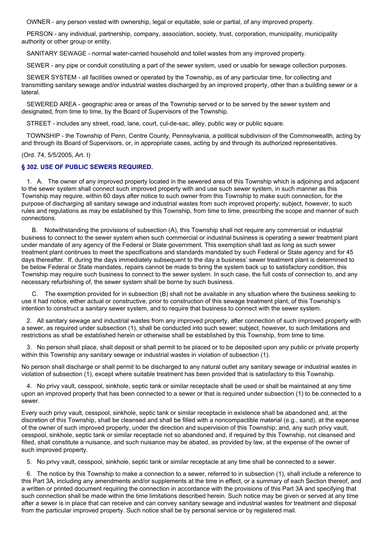OWNER - any person vested with ownership, legal or equitable, sole or partial, of any improved property.

PERSON - any individual, partnership, company, association, society, trust, corporation, municipality, municipality authority or other group or entity.

SANITARY SEWAGE - normal water-carried household and toilet wastes from any improved property.

SEWER - any pipe or conduit constituting a part of the sewer system, used or usable for sewage collection purposes.

SEWER SYSTEM - all facilities owned or operated by the Township, as of any particular time, for collecting and transmitting sanitary sewage and/or industrial wastes discharged by an improved property, other than a building sewer or a lateral.

SEWERED AREA - geographic area or areas of the Township served or to be served by the sewer system and designated, from time to time, by the Board of Supervisors of the Township.

STREET - includes any street, road, lane, court, cul-de-sac, alley, public way or public square.

TOWNSHIP - the Township of Penn, Centre County, Pennsylvania, a political subdivision of the Commonwealth, acting by and through its Board of Supervisors, or, in appropriate cases, acting by and through its authorized representatives.

(Ord. 74, 5/5/2005, Art. I)

#### **§ 302. USE OF PUBLIC SEWERS REQUIRED.**

1. A. The owner of any improved property located in the sewered area of this Township which is adjoining and adjacent to the sewer system shall connect such improved property with and use such sewer system, in such manner as this Township may require, within 60 days after notice to such owner from this Township to make such connection, for the purpose of discharging all sanitary sewage and industrial wastes from such improved property; subject, however, to such rules and regulations as may be established by this Township, from time to time, prescribing the scope and manner of such connections.

B. Notwithstanding the provisions of subsection (A), this Township shall not require any commercial or industrial business to connect to the sewer system when such commercial or industrial business is operating a sewer treatment plant under mandate of any agency of the Federal or State government. This exemption shall last as long as such sewer treatment plant continues to meet the specifications and standards mandated by such Federal or State agency and for 45 days thereafter. If, during the days immediately subsequent to the day a business' sewer treatment plant is determined to be below Federal or State mandates, repairs cannot be made to bring the system back up to satisfactory condition, this Township may require such business to connect to the sewer system. In such case, the full costs of connection to, and any necessary refurbishing of, the sewer system shall be borne by such business.

C. The exemption provided for in subsection (B) shall not be available in any situation where the business seeking to use it had notice, either actual or constructive, prior to construction of this sewage treatment plant, of this Township's intention to construct a sanitary sewer system, and to require that business to connect with the sewer system.

2. All sanitary sewage and industrial wastes from any improved property, after connection of such improved property with a sewer, as required under subsection (1), shall be conducted into such sewer; subject, however, to such limitations and restrictions as shall be established herein or otherwise shall be established by this Township, from time to time.

3. No person shall place, shall deposit or shall permit to be placed or to be deposited upon any public or private property within this Township any sanitary sewage or industrial wastes in violation of subsection (1).

No person shall discharge or shall permit to be discharged to any natural outlet any sanitary sewage or industrial wastes in violation of subsection (1), except where suitable treatment has been provided that is satisfactory to this Township.

4. No privy vault, cesspool, sinkhole, septic tank or similar receptacle shall be used or shall be maintained at any time upon an improved property that has been connected to a sewer or that is required under subsection (1) to be connected to a sewer.

Every such privy vault, cesspool, sinkhole, septic tank or similar receptacle in existence shall be abandoned and, at the discretion of this Township, shall be cleansed and shall be filled with a noncompactible material (e.g., sand), at the expense of the owner of such improved property, under the direction and supervision of this Township; and, any such privy vault, cesspool, sinkhole, septic tank or similar receptacle not so abandoned and, if required by this Township, not cleansed and filled, shall constitute a nuisance, and such nuisance may be abated, as provided by law, at the expense of the owner of such improved property.

5. No privy vault, cesspool, sinkhole, septic tank or similar receptacle at any time shall be connected to a sewer.

6. The notice by this Township to make a connection to a sewer, referred to in subsection (1), shall include a reference to this Part 3A, including any amendments and/or supplements at the time in effect, or a summary of each Section thereof, and a written or printed document requiring the connection in accordance with the provisions of this Part 3A and specifying that such connection shall be made within the time limitations described herein. Such notice may be given or served at any time after a sewer is in place that can receive and can convey sanitary sewage and industrial wastes for treatment and disposal from the particular improved property. Such notice shall be by personal service or by registered mail.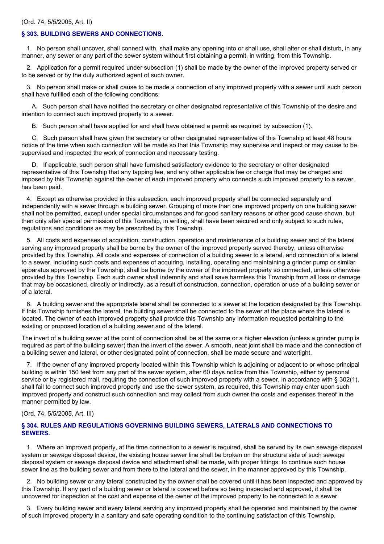### **§ 303. BUILDING SEWERS AND CONNECTIONS.**

1. No person shall uncover, shall connect with, shall make any opening into or shall use, shall alter or shall disturb, in any manner, any sewer or any part of the sewer system without first obtaining a permit, in writing, from this Township.

2. Application for a permit required under subsection (1) shall be made by the owner of the improved property served or to be served or by the duly authorized agent of such owner.

3. No person shall make or shall cause to be made a connection of any improved property with a sewer until such person shall have fulfilled each of the following conditions:

A. Such person shall have notified the secretary or other designated representative of this Township of the desire and intention to connect such improved property to a sewer.

B. Such person shall have applied for and shall have obtained a permit as required by subsection (1).

C. Such person shall have given the secretary or other designated representative of this Township at least 48 hours notice of the time when such connection will be made so that this Township may supervise and inspect or may cause to be supervised and inspected the work of connection and necessary testing.

D. If applicable, such person shall have furnished satisfactory evidence to the secretary or other designated representative of this Township that any tapping fee, and any other applicable fee or charge that may be charged and imposed by this Township against the owner of each improved property who connects such improved property to a sewer, has been paid.

4. Except as otherwise provided in this subsection, each improved property shall be connected separately and independently with a sewer through a building sewer. Grouping of more than one improved property on one building sewer shall not be permitted, except under special circumstances and for good sanitary reasons or other good cause shown, but then only after special permission of this Township, in writing, shall have been secured and only subject to such rules, regulations and conditions as may be prescribed by this Township.

5. All costs and expenses of acquisition, construction, operation and maintenance of a building sewer and of the lateral serving any improved property shall be borne by the owner of the improved property served thereby, unless otherwise provided by this Township. All costs and expenses of connection of a building sewer to a lateral, and connection of a lateral to a sewer, including such costs and expenses of acquiring, installing, operating and maintaining a grinder pump or similar apparatus approved by the Township, shall be borne by the owner of the improved property so connected, unless otherwise provided by this Township. Each such owner shall indemnify and shall save harmless this Township from all loss or damage that may be occasioned, directly or indirectly, as a result of construction, connection, operation or use of a building sewer or of a lateral.

6. A building sewer and the appropriate lateral shall be connected to a sewer at the location designated by this Township. If this Township furnishes the lateral, the building sewer shall be connected to the sewer at the place where the lateral is located. The owner of each improved property shall provide this Township any information requested pertaining to the existing or proposed location of a building sewer and of the lateral.

The invert of a building sewer at the point of connection shall be at the same or a higher elevation (unless a grinder pump is required as part of the building sewer) than the invert of the sewer. A smooth, neat joint shall be made and the connection of a building sewer and lateral, or other designated point of connection, shall be made secure and watertight.

7. If the owner of any improved property located within this Township which is adjoining or adjacent to or whose principal building is within 150 feet from any part of the sewer system, after 60 days notice from this Township, either by personal service or by registered mail, requiring the connection of such improved property with a sewer, in accordance with § 302(1), shall fail to connect such improved property and use the sewer system, as required, this Township may enter upon such improved property and construct such connection and may collect from such owner the costs and expenses thereof in the manner permitted by law.

#### (Ord. 74, 5/5/2005, Art. III)

### **§ 304. RULES AND REGULATIONS GOVERNING BUILDING SEWERS, LATERALS AND CONNECTIONS TO SEWERS.**

1. Where an improved property, at the time connection to a sewer is required, shall be served by its own sewage disposal system or sewage disposal device, the existing house sewer line shall be broken on the structure side of such sewage disposal system or sewage disposal device and attachment shall be made, with proper fittings, to continue such house sewer line as the building sewer and from there to the lateral and the sewer, in the manner approved by this Township.

2. No building sewer or any lateral constructed by the owner shall be covered until it has been inspected and approved by this Township. If any part of a building sewer or lateral is covered before so being inspected and approved, it shall be uncovered for inspection at the cost and expense of the owner of the improved property to be connected to a sewer.

3. Every building sewer and every lateral serving any improved property shall be operated and maintained by the owner of such improved property in a sanitary and safe operating condition to the continuing satisfaction of this Township.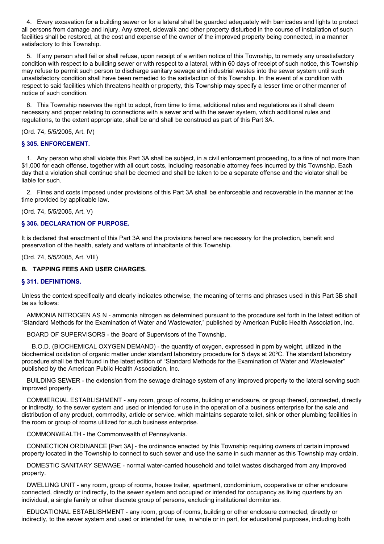4. Every excavation for a building sewer or for a lateral shall be guarded adequately with barricades and lights to protect all persons from damage and injury. Any street, sidewalk and other property disturbed in the course of installation of such facilities shall be restored, at the cost and expense of the owner of the improved property being connected, in a manner satisfactory to this Township.

5. If any person shall fail or shall refuse, upon receipt of a written notice of this Township, to remedy any unsatisfactory condition with respect to a building sewer or with respect to a lateral, within 60 days of receipt of such notice, this Township may refuse to permit such person to discharge sanitary sewage and industrial wastes into the sewer system until such unsatisfactory condition shall have been remedied to the satisfaction of this Township. In the event of a condition with respect to said facilities which threatens health or property, this Township may specify a lesser time or other manner of notice of such condition.

6. This Township reserves the right to adopt, from time to time, additional rules and regulations as it shall deem necessary and proper relating to connections with a sewer and with the sewer system, which additional rules and regulations, to the extent appropriate, shall be and shall be construed as part of this Part 3A.

### (Ord. 74, 5/5/2005, Art. IV)

### **§ 305. ENFORCEMENT.**

1. Any person who shall violate this Part 3A shall be subject, in a civil enforcement proceeding, to a fine of not more than \$1,000 for each offense, together with all court costs, including reasonable attorney fees incurred by this Township. Each day that a violation shall continue shall be deemed and shall be taken to be a separate offense and the violator shall be liable for such.

2. Fines and costs imposed under provisions of this Part 3A shall be enforceable and recoverable in the manner at the time provided by applicable law.

(Ord. 74, 5/5/2005, Art. V)

### **§ 306. DECLARATION OF PURPOSE.**

It is declared that enactment of this Part 3A and the provisions hereof are necessary for the protection, benefit and preservation of the health, safety and welfare of inhabitants of this Township.

(Ord. 74, 5/5/2005, Art. VIII)

## **B. TAPPING FEES AND USER CHARGES.**

### **§ 311. DEFINITIONS.**

Unless the context specifically and clearly indicates otherwise, the meaning of terms and phrases used in this Part 3B shall be as follows:

AMMONIA NITROGEN AS N - ammonia nitrogen as determined pursuant to the procedure set forth in the latest edition of "Standard Methods for the Examination of Water and Wastewater," published by American Public Health Association, Inc.

BOARD OF SUPERVISORS - the Board of Supervisors of the Township.

B.O.D. (BIOCHEMICAL OXYGEN DEMAND) - the quantity of oxygen, expressed in ppm by weight, utilized in the biochemical oxidation of organic matter under standard laboratory procedure for 5 days at 20ºC. The standard laboratory procedure shall be that found in the latest edition of "Standard Methods for the Examination of Water and Wastewater" published by the American Public Health Association, Inc.

BUILDING SEWER - the extension from the sewage drainage system of any improved property to the lateral serving such improved property.

COMMERCIAL ESTABLISHMENT - any room, group of rooms, building or enclosure, or group thereof, connected, directly or indirectly, to the sewer system and used or intended for use in the operation of a business enterprise for the sale and distribution of any product, commodity, article or service, which maintains separate toilet, sink or other plumbing facilities in the room or group of rooms utilized for such business enterprise.

COMMONWEALTH - the Commonwealth of Pennsylvania.

CONNECTION ORDINANCE [Part 3A] - the ordinance enacted by this Township requiring owners of certain improved property located in the Township to connect to such sewer and use the same in such manner as this Township may ordain.

DOMESTIC SANITARY SEWAGE - normal water-carried household and toilet wastes discharged from any improved property.

DWELLING UNIT - any room, group of rooms, house trailer, apartment, condominium, cooperative or other enclosure connected, directly or indirectly, to the sewer system and occupied or intended for occupancy as living quarters by an individual, a single family or other discrete group of persons, excluding institutional dormitories.

EDUCATIONAL ESTABLISHMENT - any room, group of rooms, building or other enclosure connected, directly or indirectly, to the sewer system and used or intended for use, in whole or in part, for educational purposes, including both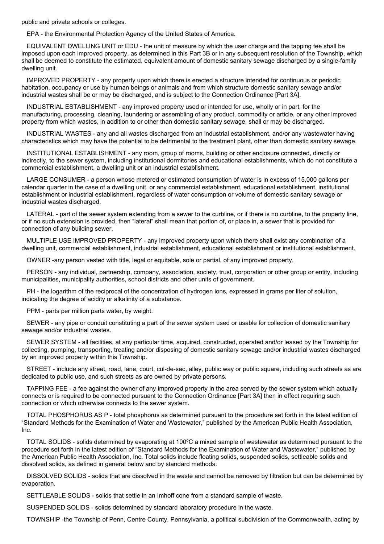public and private schools or colleges.

EPA - the Environmental Protection Agency of the United States of America.

EQUIVALENT DWELLING UNIT or EDU - the unit of measure by which the user charge and the tapping fee shall be imposed upon each improved property, as determined in this Part 3B or in any subsequent resolution of the Township, which shall be deemed to constitute the estimated, equivalent amount of domestic sanitary sewage discharged by a single-family dwelling unit.

IMPROVED PROPERTY - any property upon which there is erected a structure intended for continuous or periodic habitation, occupancy or use by human beings or animals and from which structure domestic sanitary sewage and/or industrial wastes shall be or may be discharged, and is subject to the Connection Ordinance [Part 3A].

INDUSTRIAL ESTABLISHMENT - any improved property used or intended for use, wholly or in part, for the manufacturing, processing, cleaning, laundering or assembling of any product, commodity or article, or any other improved property from which wastes, in addition to or other than domestic sanitary sewage, shall or may be discharged.

INDUSTRIAL WASTES - any and all wastes discharged from an industrial establishment, and/or any wastewater having characteristics which may have the potential to be detrimental to the treatment plant, other than domestic sanitary sewage.

INSTITUTIONAL ESTABLISHMENT - any room, group of rooms, building or other enclosure connected, directly or indirectly, to the sewer system, including institutional dormitories and educational establishments, which do not constitute a commercial establishment, a dwelling unit or an industrial establishment.

LARGE CONSUMER - a person whose metered or estimated consumption of water is in excess of 15,000 gallons per calendar quarter in the case of a dwelling unit, or any commercial establishment, educational establishment, institutional establishment or industrial establishment, regardless of water consumption or volume of domestic sanitary sewage or industrial wastes discharged.

LATERAL - part of the sewer system extending from a sewer to the curbline, or if there is no curbline, to the property line, or if no such extension is provided, then "lateral" shall mean that portion of, or place in, a sewer that is provided for connection of any building sewer.

MULTIPLE USE IMPROVED PROPERTY - any improved property upon which there shall exist any combination of a dwelling unit, commercial establishment, industrial establishment, educational establishment or institutional establishment.

OWNER -any person vested with title, legal or equitable, sole or partial, of any improved property.

PERSON - any individual, partnership, company, association, society, trust, corporation or other group or entity, including municipalities, municipality authorities, school districts and other units of government.

PH - the logarithm of the reciprocal of the concentration of hydrogen ions, expressed in grams per liter of solution, indicating the degree of acidity or alkalinity of a substance.

PPM - parts per million parts water, by weight.

SEWER - any pipe or conduit constituting a part of the sewer system used or usable for collection of domestic sanitary sewage and/or industrial wastes.

SEWER SYSTEM - all facilities, at any particular time, acquired, constructed, operated and/or leased by the Township for collecting, pumping, transporting, treating and/or disposing of domestic sanitary sewage and/or industrial wastes discharged by an improved property within this Township.

STREET - include any street, road, lane, court, cul-de-sac, alley, public way or public square, including such streets as are dedicated to public use, and such streets as are owned by private persons.

TAPPING FEE - a fee against the owner of any improved property in the area served by the sewer system which actually connects or is required to be connected pursuant to the Connection Ordinance [Part 3A] then in effect requiring such connection or which otherwise connects to the sewer system.

TOTAL PHOSPHORUS AS P - total phosphorus as determined pursuant to the procedure set forth in the latest edition of "Standard Methods for the Examination of Water and Wastewater," published by the American Public Health Association, Inc.

TOTAL SOLIDS - solids determined by evaporating at 100ºC a mixed sample of wastewater as determined pursuant to the procedure set forth in the latest edition of "Standard Methods for the Examination of Water and Wastewater," published by the American Public Health Association, Inc. Total solids include floating solids, suspended solids, settleable solids and dissolved solids, as defined in general below and by standard methods:

DISSOLVED SOLIDS - solids that are dissolved in the waste and cannot be removed by filtration but can be determined by evaporation.

SETTLEABLE SOLIDS - solids that settle in an Imhoff cone from a standard sample of waste.

SUSPENDED SOLIDS - solids determined by standard laboratory procedure in the waste.

TOWNSHIP -the Township of Penn, Centre County, Pennsylvania, a political subdivision of the Commonwealth, acting by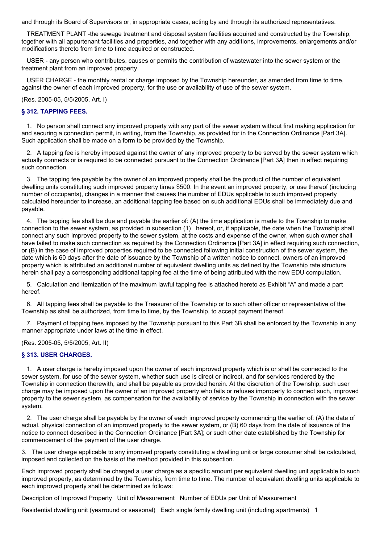and through its Board of Supervisors or, in appropriate cases, acting by and through its authorized representatives.

TREATMENT PLANT -the sewage treatment and disposal system facilities acquired and constructed by the Township, together with all appurtenant facilities and properties, and together with any additions, improvements, enlargements and/or modifications thereto from time to time acquired or constructed.

USER - any person who contributes, causes or permits the contribution of wastewater into the sewer system or the treatment plant from an improved property.

USER CHARGE - the monthly rental or charge imposed by the Township hereunder, as amended from time to time, against the owner of each improved property, for the use or availability of use of the sewer system.

(Res. 2005-05, 5/5/2005, Art. I)

### **§ 312. TAPPING FEES.**

1. No person shall connect any improved property with any part of the sewer system without first making application for and securing a connection permit, in writing, from the Township, as provided for in the Connection Ordinance [Part 3A]. Such application shall be made on a form to be provided by the Township.

2. A tapping fee is hereby imposed against the owner of any improved property to be served by the sewer system which actually connects or is required to be connected pursuant to the Connection Ordinance [Part 3A] then in effect requiring such connection.

3. The tapping fee payable by the owner of an improved property shall be the product of the number of equivalent dwelling units constituting such improved property times \$500. In the event an improved property, or use thereof (including number of occupants), changes in a manner that causes the number of EDUs applicable to such improved property calculated hereunder to increase, an additional tapping fee based on such additional EDUs shall be immediately due and payable.

4. The tapping fee shall be due and payable the earlier of: (A) the time application is made to the Township to make connection to the sewer system, as provided in subsection (1) hereof, or, if applicable, the date when the Township shall connect any such improved property to the sewer system, at the costs and expense of the owner, when such owner shall have failed to make such connection as required by the Connection Ordinance [Part 3A] in effect requiring such connection, or (B) in the case of improved properties required to be connected following initial construction of the sewer system, the date which is 60 days after the date of issuance by the Township of a written notice to connect, owners of an improved property which is attributed an additional number of equivalent dwelling units as defined by the Township rate structure herein shall pay a corresponding additional tapping fee at the time of being attributed with the new EDU computation.

5. Calculation and itemization of the maximum lawful tapping fee is attached hereto as Exhibit "A" and made a part hereof.

6. All tapping fees shall be payable to the Treasurer of the Township or to such other officer or representative of the Township as shall be authorized, from time to time, by the Township, to accept payment thereof.

7. Payment of tapping fees imposed by the Township pursuant to this Part 3B shall be enforced by the Township in any manner appropriate under laws at the time in effect.

(Res. 2005-05, 5/5/2005, Art. II)

### **§ 313. USER CHARGES.**

1. A user charge is hereby imposed upon the owner of each improved property which is or shall be connected to the sewer system, for use of the sewer system, whether such use is direct or indirect, and for services rendered by the Township in connection therewith, and shall be payable as provided herein. At the discretion of the Township, such user charge may be imposed upon the owner of an improved property who fails or refuses improperly to connect such, improved property to the sewer system, as compensation for the availability of service by the Township in connection with the sewer system.

2. The user charge shall be payable by the owner of each improved property commencing the earlier of: (A) the date of actual, physical connection of an improved property to the sewer system, or (B) 60 days from the date of issuance of the notice to connect described in the Connection Ordinance [Part 3A]; or such other date established by the Township for commencement of the payment of the user charge.

3. The user charge applicable to any improved property constituting a dwelling unit or large consumer shall be calculated, imposed and collected on the basis of the method provided in this subsection.

Each improved property shall be charged a user charge as a specific amount per equivalent dwelling unit applicable to such improved property, as determined by the Township, from time to time. The number of equivalent dwelling units applicable to each improved property shall be determined as follows:

Description of Improved Property Unit of Measurement Number of EDUs per Unit of Measurement

Residential dwelling unit (yearround or seasonal) Each single family dwelling unit (including apartments) 1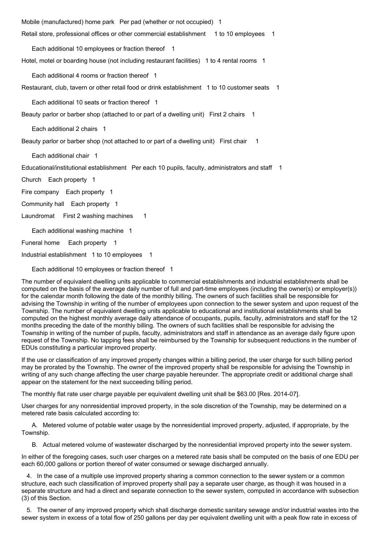Mobile (manufactured) home park Per pad (whether or not occupied) 1 Retail store, professional offices or other commercial establishment 1 to 10 employees 1

Hotel, motel or boarding house (not including restaurant facilities) 1 to 4 rental rooms 1

Each additional 4 rooms or fraction thereof 1

Each additional 10 employees or fraction thereof 1

Restaurant, club, tavern or other retail food or drink establishment 1 to 10 customer seats 1

Each additional 10 seats or fraction thereof 1

Beauty parlor or barber shop (attached to or part of a dwelling unit) First 2 chairs 1

Each additional 2 chairs 1

Beauty parlor or barber shop (not attached to or part of a dwelling unit) First chair 1

Each additional chair 1

Educational/institutional establishment Per each 10 pupils, faculty, administrators and staff 1

Church Each property 1

Fire company Each property 1

Community hall Each property 1

Laundromat First 2 washing machines 1

Each additional washing machine 1

Funeral home Each property 1

Industrial establishment 1 to 10 employees 1

Each additional 10 employees or fraction thereof 1

The number of equivalent dwelling units applicable to commercial establishments and industrial establishments shall be computed on the basis of the average daily number of full and part-time employees (including the owner(s) or employer(s)) for the calendar month following the date of the monthly billing. The owners of such facilities shall be responsible for advising the Township in writing of the number of employees upon connection to the sewer system and upon request of the Township. The number of equivalent dwelling units applicable to educational and institutional establishments shall be computed on the highest monthly average daily attendance of occupants, pupils, faculty, administrators and staff for the 12 months preceding the date of the monthly billing. The owners of such facilities shall be responsible for advising the Township in writing of the number of pupils, faculty, administrators and staff in attendance as an average daily figure upon request of the Township. No tapping fees shall be reimbursed by the Township for subsequent reductions in the number of EDUs constituting a particular improved property.

If the use or classification of any improved property changes within a billing period, the user charge for such billing period may be prorated by the Township. The owner of the improved property shall be responsible for advising the Township in writing of any such change affecting the user charge payable hereunder. The appropriate credit or additional charge shall appear on the statement for the next succeeding billing period.

The monthly flat rate user charge payable per equivalent dwelling unit shall be \$63.00 [Res. 2014-07].

User charges for any nonresidential improved property, in the sole discretion of the Township, may be determined on a metered rate basis calculated according to:

A. Metered volume of potable water usage by the nonresidential improved property, adjusted, if appropriate, by the Township.

B. Actual metered volume of wastewater discharged by the nonresidential improved property into the sewer system.

In either of the foregoing cases, such user charges on a metered rate basis shall be computed on the basis of one EDU per each 60,000 gallons or portion thereof of water consumed or sewage discharged annually.

4. In the case of a multiple use improved property sharing a common connection to the sewer system or a common structure, each such classification of improved property shall pay a separate user charge, as though it was housed in a separate structure and had a direct and separate connection to the sewer system, computed in accordance with subsection (3) of this Section.

5. The owner of any improved property which shall discharge domestic sanitary sewage and/or industrial wastes into the sewer system in excess of a total flow of 250 gallons per day per equivalent dwelling unit with a peak flow rate in excess of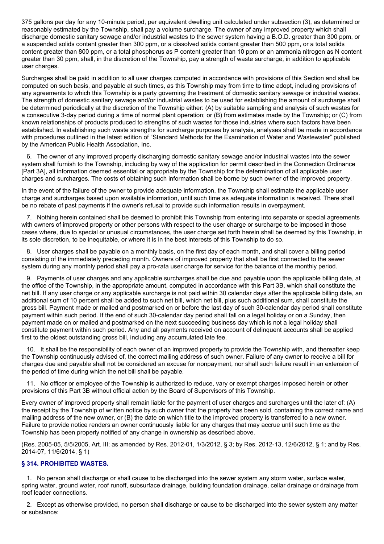375 gallons per day for any 10-minute period, per equivalent dwelling unit calculated under subsection (3), as determined or reasonably estimated by the Township, shall pay a volume surcharge. The owner of any improved property which shall discharge domestic sanitary sewage and/or industrial wastes to the sewer system having a B.O.D. greater than 300 ppm, or a suspended solids content greater than 300 ppm, or a dissolved solids content greater than 500 ppm, or a total solids content greater than 800 ppm, or a total phosphorus as P content greater than 10 ppm or an ammonia nitrogen as N content greater than 30 ppm, shall, in the discretion of the Township, pay a strength of waste surcharge, in addition to applicable user charges.

Surcharges shall be paid in addition to all user charges computed in accordance with provisions of this Section and shall be computed on such basis, and payable at such times, as this Township may from time to time adopt, including provisions of any agreements to which this Township is a party governing the treatment of domestic sanitary sewage or industrial wastes. The strength of domestic sanitary sewage and/or industrial wastes to be used for establishing the amount of surcharge shall be determined periodically at the discretion of the Township either: (A) by suitable sampling and analysis of such wastes for a consecutive 3-day period during a time of normal plant operation; or (B) from estimates made by the Township; or (C) from known relationships of products produced to strengths of such wastes for those industries where such factors have been established. In establishing such waste strengths for surcharge purposes by analysis, analyses shall be made in accordance with procedures outlined in the latest edition of "Standard Methods for the Examination of Water and Wastewater" published by the American Public Health Association, Inc.

6. The owner of any improved property discharging domestic sanitary sewage and/or industrial wastes into the sewer system shall furnish to the Township, including by way of the application for permit described in the Connection Ordinance [Part 3A], all information deemed essential or appropriate by the Township for the determination of all applicable user charges and surcharges. The costs of obtaining such information shall be borne by such owner of the improved property.

In the event of the failure of the owner to provide adequate information, the Township shall estimate the applicable user charge and surcharges based upon available information, until such time as adequate information is received. There shall be no rebate of past payments if the owner's refusal to provide such information results in overpayment.

7. Nothing herein contained shall be deemed to prohibit this Township from entering into separate or special agreements with owners of improved property or other persons with respect to the user charge or surcharge to be imposed in those cases where, due to special or unusual circumstances, the user charge set forth herein shall be deemed by this Township, in its sole discretion, to be inequitable, or where it is in the best interests of this Township to do so.

8. User charges shall be payable on a monthly basis, on the first day of each month, and shall cover a billing period consisting of the immediately preceding month. Owners of improved property that shall be first connected to the sewer system during any monthly period shall pay a pro-rata user charge for service for the balance of the monthly period.

9. Payments of user charges and any applicable surcharges shall be due and payable upon the applicable billing date, at the office of the Township, in the appropriate amount, computed in accordance with this Part 3B, which shall constitute the net bill. If any user charge or any applicable surcharge is not paid within 30 calendar days after the applicable billing date, an additional sum of 10 percent shall be added to such net bill, which net bill, plus such additional sum, shall constitute the gross bill. Payment made or mailed and postmarked on or before the last day of such 30-calendar day period shall constitute payment within such period. If the end of such 30-calendar day period shall fall on a legal holiday or on a Sunday, then payment made on or mailed and postmarked on the next succeeding business day which is not a legal holiday shall constitute payment within such period. Any and all payments received on account of delinquent accounts shall be applied first to the oldest outstanding gross bill, including any accumulated late fee.

10. It shall be the responsibility of each owner of an improved property to provide the Township with, and thereafter keep the Township continuously advised of, the correct mailing address of such owner. Failure of any owner to receive a bill for charges due and payable shall not be considered an excuse for nonpayment, nor shall such failure result in an extension of the period of time during which the net bill shall be payable.

11. No officer or employee of the Township is authorized to reduce, vary or exempt charges imposed herein or other provisions of this Part 3B without official action by the Board of Supervisors of this Township.

Every owner of improved property shall remain liable for the payment of user charges and surcharges until the later of: (A) the receipt by the Township of written notice by such owner that the property has been sold, containing the correct name and mailing address of the new owner, or (B) the date on which title to the improved property is transferred to a new owner. Failure to provide notice renders an owner continuously liable for any charges that may accrue until such time as the Township has been properly notified of any change in ownership as described above.

(Res. 2005-05, 5/5/2005, Art. III; as amended by Res. 2012-01, 1/3/2012, § 3; by Res. 2012-13, 12/6/2012, § 1; and by Res. 2014-07, 11/6/2014, § 1)

## **§ 314. PROHIBITED WASTES.**

1. No person shall discharge or shall cause to be discharged into the sewer system any storm water, surface water, spring water, ground water, roof runoff, subsurface drainage, building foundation drainage, cellar drainage or drainage from roof leader connections.

2. Except as otherwise provided, no person shall discharge or cause to be discharged into the sewer system any matter or substance: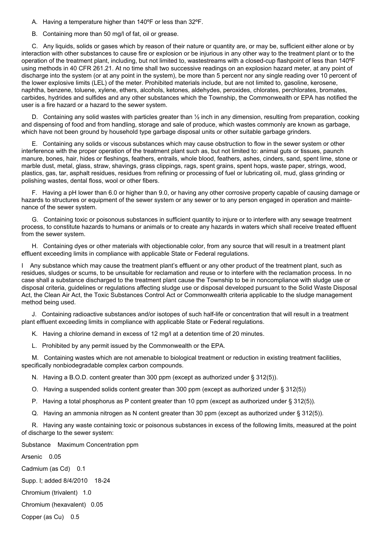A. Having a temperature higher than 140ºF or less than 32ºF.

B. Containing more than 50 mg/l of fat, oil or grease.

C. Any liquids, solids or gases which by reason of their nature or quantity are, or may be, sufficient either alone or by interaction with other substances to cause fire or explosion or be injurious in any other way to the treatment plant or to the operation of the treatment plant, including, but not limited to, wastestreams with a closed-cup flashpoint of less than 140ºF using methods in 40 CFR 261.21. At no time shall two successive readings on an explosion hazard meter, at any point of discharge into the system (or at any point in the system), be more than 5 percent nor any single reading over 10 percent of the lower explosive limits (LEL) of the meter. Prohibited materials include, but are not limited to, gasoline, kerosene, naphtha, benzene, toluene, xylene, ethers, alcohols, ketones, aldehydes, peroxides, chlorates, perchlorates, bromates, carbides, hydrides and sulfides and any other substances which the Township, the Commonwealth or EPA has notified the user is a fire hazard or a hazard to the sewer system.

D. Containing any solid wastes with particles greater than  $\frac{1}{2}$  inch in any dimension, resulting from preparation, cooking and dispensing of food and from handling, storage and sale of produce, which wastes commonly are known as garbage, which have not been ground by household type garbage disposal units or other suitable garbage grinders.

E. Containing any solids or viscous substances which may cause obstruction to flow in the sewer system or other interference with the proper operation of the treatment plant such as, but not limited to: animal guts or tissues, paunch manure, bones, hair, hides or fleshings, feathers, entrails, whole blood, feathers, ashes, cinders, sand, spent lime, stone or marble dust, metal, glass, straw, shavings, grass clippings, rags, spent grains, spent hops, waste paper, strings, wood, plastics, gas, tar, asphalt residues, residues from refining or processing of fuel or lubricating oil, mud, glass grinding or polishing wastes, dental floss, wool or other fibers.

F. Having a pH lower than 6.0 or higher than 9.0, or having any other corrosive property capable of causing damage or hazards to structures or equipment of the sewer system or any sewer or to any person engaged in operation and maintenance of the sewer system.

G. Containing toxic or poisonous substances in sufficient quantity to injure or to interfere with any sewage treatment process, to constitute hazards to humans or animals or to create any hazards in waters which shall receive treated effluent from the sewer system.

H. Containing dyes or other materials with objectionable color, from any source that will result in a treatment plant effluent exceeding limits in compliance with applicable State or Federal regulations.

I Any substance which may cause the treatment plant's effluent or any other product of the treatment plant, such as residues, sludges or scums, to be unsuitable for reclamation and reuse or to interfere with the reclamation process. In no case shall a substance discharged to the treatment plant cause the Township to be in noncompliance with sludge use or disposal criteria, guidelines or regulations affecting sludge use or disposal developed pursuant to the Solid Waste Disposal Act, the Clean Air Act, the Toxic Substances Control Act or Commonwealth criteria applicable to the sludge management method being used.

J. Containing radioactive substances and/or isotopes of such half-life or concentration that will result in a treatment plant effluent exceeding limits in compliance with applicable State or Federal regulations.

K. Having a chlorine demand in excess of 12 mg/l at a detention time of 20 minutes.

L. Prohibited by any permit issued by the Commonwealth or the EPA.

M. Containing wastes which are not amenable to biological treatment or reduction in existing treatment facilities, specifically nonbiodegradable complex carbon compounds.

N. Having a B.O.D. content greater than 300 ppm (except as authorized under § 312(5)).

O. Having a suspended solids content greater than 300 ppm (except as authorized under § 312(5))

P. Having a total phosphorus as P content greater than 10 ppm (except as authorized under § 312(5)).

Q. Having an ammonia nitrogen as N content greater than 30 ppm (except as authorized under § 312(5)).

R. Having any waste containing toxic or poisonous substances in excess of the following limits, measured at the point of discharge to the sewer system:

Substance Maximum Concentration ppm

Arsenic 0.05

Cadmium (as Cd) 0.1

Supp. I; added 8/4/2010 18-24

Chromium (trivalent) 1.0

Chromium (hexavalent) 0.05

Copper (as Cu) 0.5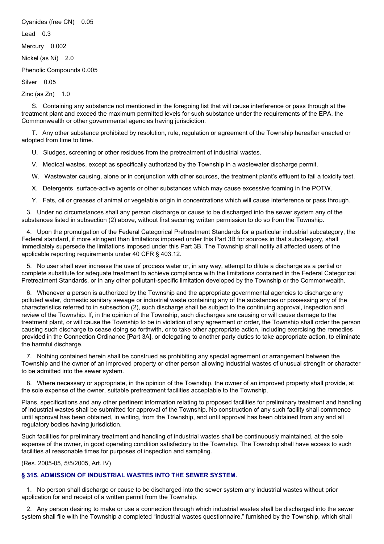Cyanides (free CN) 0.05

Lead 0.3

Mercury 0.002

Nickel (as Ni) 2.0

Phenolic Compounds 0.005

Silver 0.05

Zinc (as  $Zn$ ) 1.0

S. Containing any substance not mentioned in the foregoing list that will cause interference or pass through at the treatment plant and exceed the maximum permitted levels for such substance under the requirements of the EPA, the Commonwealth or other governmental agencies having jurisdiction.

T. Any other substance prohibited by resolution, rule, regulation or agreement of the Township hereafter enacted or adopted from time to time.

U. Sludges, screening or other residues from the pretreatment of industrial wastes.

V. Medical wastes, except as specifically authorized by the Township in a wastewater discharge permit.

W. Wastewater causing, alone or in conjunction with other sources, the treatment plant's effluent to fail a toxicity test.

X. Detergents, surface-active agents or other substances which may cause excessive foaming in the POTW.

Y. Fats, oil or greases of animal or vegetable origin in concentrations which will cause interference or pass through.

3. Under no circumstances shall any person discharge or cause to be discharged into the sewer system any of the substances listed in subsection (2) above, without first securing written permission to do so from the Township.

4. Upon the promulgation of the Federal Categorical Pretreatment Standards for a particular industrial subcategory, the Federal standard, if more stringent than limitations imposed under this Part 3B for sources in that subcategory, shall immediately supersede the limitations imposed under this Part 3B. The Township shall notify all affected users of the applicable reporting requirements under 40 CFR § 403.12.

5. No user shall ever increase the use of process water or, in any way, attempt to dilute a discharge as a partial or complete substitute for adequate treatment to achieve compliance with the limitations contained in the Federal Categorical Pretreatment Standards, or in any other pollutant-specific limitation developed by the Township or the Commonwealth.

6. Whenever a person is authorized by the Township and the appropriate governmental agencies to discharge any polluted water, domestic sanitary sewage or industrial waste containing any of the substances or possessing any of the characteristics referred to in subsection (2), such discharge shall be subject to the continuing approval, inspection and review of the Township. If, in the opinion of the Township, such discharges are causing or will cause damage to the treatment plant, or will cause the Township to be in violation of any agreement or order, the Township shall order the person causing such discharge to cease doing so forthwith, or to take other appropriate action, including exercising the remedies provided in the Connection Ordinance [Part 3A], or delegating to another party duties to take appropriate action, to eliminate the harmful discharge.

7. Nothing contained herein shall be construed as prohibiting any special agreement or arrangement between the Township and the owner of an improved property or other person allowing industrial wastes of unusual strength or character to be admitted into the sewer system.

8. Where necessary or appropriate, in the opinion of the Township, the owner of an improved property shall provide, at the sole expense of the owner, suitable pretreatment facilities acceptable to the Township.

Plans, specifications and any other pertinent information relating to proposed facilities for preliminary treatment and handling of industrial wastes shall be submitted for approval of the Township. No construction of any such facility shall commence until approval has been obtained, in writing, from the Township, and until approval has been obtained from any and all regulatory bodies having jurisdiction.

Such facilities for preliminary treatment and handling of industrial wastes shall be continuously maintained, at the sole expense of the owner, in good operating condition satisfactory to the Township. The Township shall have access to such facilities at reasonable times for purposes of inspection and sampling.

(Res. 2005-05, 5/5/2005, Art. IV)

## **§ 315. ADMISSION OF INDUSTRIAL WASTES INTO THE SEWER SYSTEM.**

1. No person shall discharge or cause to be discharged into the sewer system any industrial wastes without prior application for and receipt of a written permit from the Township.

2. Any person desiring to make or use a connection through which industrial wastes shall be discharged into the sewer system shall file with the Township a completed "industrial wastes questionnaire," furnished by the Township, which shall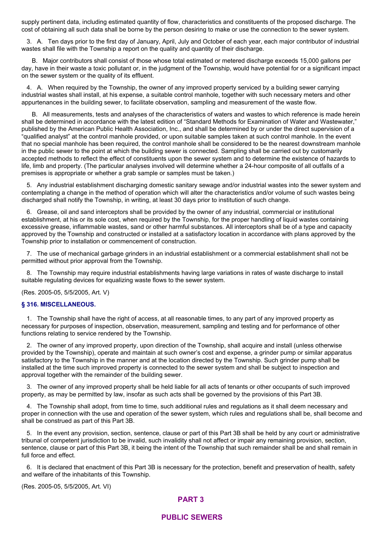supply pertinent data, including estimated quantity of flow, characteristics and constituents of the proposed discharge. The cost of obtaining all such data shall be borne by the person desiring to make or use the connection to the sewer system.

3. A. Ten days prior to the first day of January, April, July and October of each year, each major contributor of industrial wastes shall file with the Township a report on the quality and quantity of their discharge.

B. Major contributors shall consist of those whose total estimated or metered discharge exceeds 15,000 gallons per day, have in their waste a toxic pollutant or, in the judgment of the Township, would have potential for or a significant impact on the sewer system or the quality of its effluent.

4. A. When required by the Township, the owner of any improved property serviced by a building sewer carrying industrial wastes shall install, at his expense, a suitable control manhole, together with such necessary meters and other appurtenances in the building sewer, to facilitate observation, sampling and measurement of the waste flow.

B. All measurements, tests and analyses of the characteristics of waters and wastes to which reference is made herein shall be determined in accordance with the latest edition of "Standard Methods for Examination of Water and Wastewater," published by the American Public Health Association, Inc., and shall be determined by or under the direct supervision of a "qualified analyst" at the control manhole provided, or upon suitable samples taken at such control manhole. In the event that no special manhole has been required, the control manhole shall be considered to be the nearest downstream manhole in the public sewer to the point at which the building sewer is connected. Sampling shall be carried out by customarily accepted methods to reflect the effect of constituents upon the sewer system and to determine the existence of hazards to life, limb and property. (The particular analyses involved will determine whether a 24-hour composite of all outfalls of a premises is appropriate or whether a grab sample or samples must be taken.)

5. Any industrial establishment discharging domestic sanitary sewage and/or industrial wastes into the sewer system and contemplating a change in the method of operation which will alter the characteristics and/or volume of such wastes being discharged shall notify the Township, in writing, at least 30 days prior to institution of such change.

6. Grease, oil and sand interceptors shall be provided by the owner of any industrial, commercial or institutional establishment, at his or its sole cost, when required by the Township, for the proper handling of liquid wastes containing excessive grease, inflammable wastes, sand or other harmful substances. All interceptors shall be of a type and capacity approved by the Township and constructed or installed at a satisfactory location in accordance with plans approved by the Township prior to installation or commencement of construction.

7. The use of mechanical garbage grinders in an industrial establishment or a commercial establishment shall not be permitted without prior approval from the Township.

8. The Township may require industrial establishments having large variations in rates of waste discharge to install suitable regulating devices for equalizing waste flows to the sewer system.

(Res. 2005-05, 5/5/2005, Art. V)

#### **§ 316. MISCELLANEOUS.**

1. The Township shall have the right of access, at all reasonable times, to any part of any improved property as necessary for purposes of inspection, observation, measurement, sampling and testing and for performance of other functions relating to service rendered by the Township.

2. The owner of any improved property, upon direction of the Township, shall acquire and install (unless otherwise provided by the Township), operate and maintain at such owner's cost and expense, a grinder pump or similar apparatus satisfactory to the Township in the manner and at the location directed by the Township. Such grinder pump shall be installed at the time such improved property is connected to the sewer system and shall be subject to inspection and approval together with the remainder of the building sewer.

3. The owner of any improved property shall be held liable for all acts of tenants or other occupants of such improved property, as may be permitted by law, insofar as such acts shall be governed by the provisions of this Part 3B.

4. The Township shall adopt, from time to time, such additional rules and regulations as it shall deem necessary and proper in connection with the use and operation of the sewer system, which rules and regulations shall be, shall become and shall be construed as part of this Part 3B.

5. In the event any provision, section, sentence, clause or part of this Part 3B shall be held by any court or administrative tribunal of competent jurisdiction to be invalid, such invalidity shall not affect or impair any remaining provision, section, sentence, clause or part of this Part 3B, it being the intent of the Township that such remainder shall be and shall remain in full force and effect.

6. It is declared that enactment of this Part 3B is necessary for the protection, benefit and preservation of health, safety and welfare of the inhabitants of this Township.

(Res. 2005-05, 5/5/2005, Art. VI)

## **PART 3**

### **PUBLIC SEWERS**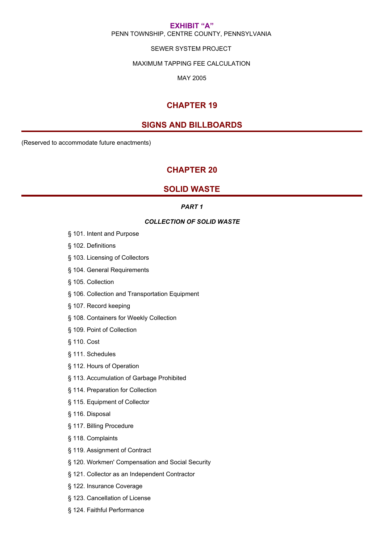### **EXHIBIT "A"** PENN TOWNSHIP, CENTRE COUNTY, PENNSYLVANIA

### SEWER SYSTEM PROJECT

#### MAXIMUM TAPPING FEE CALCULATION

MAY 2005

## **CHAPTER 19**

## **SIGNS AND BILLBOARDS**

(Reserved to accommodate future enactments)

## **CHAPTER 20**

## **SOLID WASTE**

### *PART 1*

#### *COLLECTION OF SOLID WASTE*

- § 101. Intent and Purpose
- § 102. Definitions
- § 103. Licensing of Collectors
- § 104. General Requirements
- § 105. Collection
- § 106. Collection and Transportation Equipment
- § 107. Record keeping
- § 108. Containers for Weekly Collection
- § 109. Point of Collection
- § 110. Cost
- § 111. Schedules
- § 112. Hours of Operation
- § 113. Accumulation of Garbage Prohibited
- § 114. Preparation for Collection
- § 115. Equipment of Collector
- § 116. Disposal
- § 117. Billing Procedure
- § 118. Complaints
- § 119. Assignment of Contract
- § 120. Workmen' Compensation and Social Security
- § 121. Collector as an Independent Contractor
- § 122. Insurance Coverage
- § 123. Cancellation of License
- § 124. Faithful Performance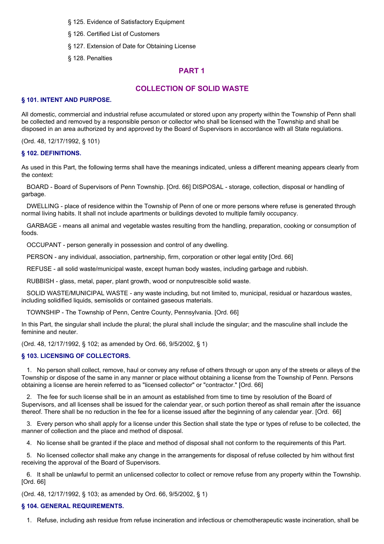- § 125. Evidence of Satisfactory Equipment
- § 126. Certified List of Customers
- § 127. Extension of Date for Obtaining License
- § 128. Penalties

## **PART 1**

## **COLLECTION OF SOLID WASTE**

### **§ 101. INTENT AND PURPOSE.**

All domestic, commercial and industrial refuse accumulated or stored upon any property within the Township of Penn shall be collected and removed by a responsible person or collector who shall be licensed with the Township and shall be disposed in an area authorized by and approved by the Board of Supervisors in accordance with all State regulations.

(Ord. 48, 12/17/1992, § 101)

### **§ 102. DEFINITIONS.**

As used in this Part, the following terms shall have the meanings indicated, unless a different meaning appears clearly from the context:

BOARD - Board of Supervisors of Penn Township. [Ord. 66] DISPOSAL - storage, collection, disposal or handling of garbage.

DWELLING - place of residence within the Township of Penn of one or more persons where refuse is generated through normal living habits. It shall not include apartments or buildings devoted to multiple family occupancy.

GARBAGE - means all animal and vegetable wastes resulting from the handling, preparation, cooking or consumption of foods.

OCCUPANT - person generally in possession and control of any dwelling.

PERSON - any individual, association, partnership, firm, corporation or other legal entity [Ord. 66]

REFUSE - all solid waste/municipal waste, except human body wastes, including garbage and rubbish.

RUBBISH - glass, metal, paper, plant growth, wood or nonputrescible solid waste.

SOLID WASTE/MUNICIPAL WASTE - any waste including, but not limited to, municipal, residual or hazardous wastes, including solidified liquids, semisolids or contained gaseous materials.

TOWNSHIP - The Township of Penn, Centre County, Pennsylvania. [Ord. 66]

In this Part, the singular shall include the plural; the plural shall include the singular; and the masculine shall include the feminine and neuter.

(Ord. 48, 12/17/1992, § 102; as amended by Ord. 66, 9/5/2002, § 1)

### **§ 103. LICENSING OF COLLECTORS.**

1. No person shall collect, remove, haul or convey any refuse of others through or upon any of the streets or alleys of the Township or dispose of the same in any manner or place without obtaining a license from the Township of Penn. Persons obtaining a license are herein referred to as "licensed collector" or "contractor." [Ord. 66]

2. The fee for such license shall be in an amount as established from time to time by resolution of the Board of Supervisors, and all licenses shall be issued for the calendar year, or such portion thereof as shall remain after the issuance thereof. There shall be no reduction in the fee for a license issued after the beginning of any calendar year. [Ord. 66]

3. Every person who shall apply for a license under this Section shall state the type or types of refuse to be collected, the manner of collection and the place and method of disposal.

4. No license shall be granted if the place and method of disposal shall not conform to the requirements of this Part.

5. No licensed collector shall make any change in the arrangements for disposal of refuse collected by him without first receiving the approval of the Board of Supervisors.

6. It shall be unlawful to permit an unlicensed collector to collect or remove refuse from any property within the Township. [Ord. 66]

(Ord. 48, 12/17/1992, § 103; as amended by Ord. 66, 9/5/2002, § 1)

### **§ 104. GENERAL REQUIREMENTS.**

1. Refuse, including ash residue from refuse incineration and infectious or chemotherapeutic waste incineration, shall be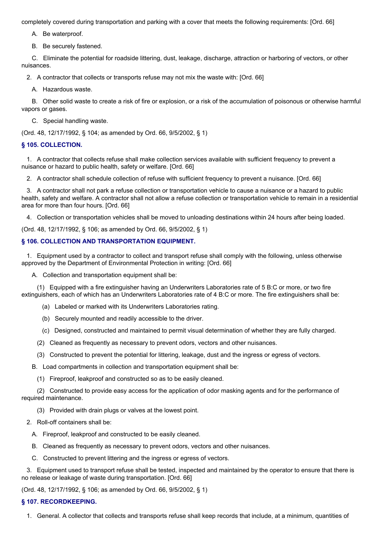completely covered during transportation and parking with a cover that meets the following requirements: [Ord. 66]

A. Be waterproof.

B. Be securely fastened.

C. Eliminate the potential for roadside littering, dust, leakage, discharge, attraction or harboring of vectors, or other nuisances.

2. A contractor that collects or transports refuse may not mix the waste with: [Ord. 66]

A. Hazardous waste.

B. Other solid waste to create a risk of fire or explosion, or a risk of the accumulation of poisonous or otherwise harmful vapors or gases.

C. Special handling waste.

(Ord. 48, 12/17/1992, § 104; as amended by Ord. 66, 9/5/2002, § 1)

#### **§ 105. COLLECTION.**

1. A contractor that collects refuse shall make collection services available with sufficient frequency to prevent a nuisance or hazard to public health, safety or welfare. [Ord. 66]

2. A contractor shall schedule collection of refuse with sufficient frequency to prevent a nuisance. [Ord. 66]

3. A contractor shall not park a refuse collection or transportation vehicle to cause a nuisance or a hazard to public health, safety and welfare. A contractor shall not allow a refuse collection or transportation vehicle to remain in a residential area for more than four hours. [Ord. 66]

4. Collection or transportation vehicles shall be moved to unloading destinations within 24 hours after being loaded.

(Ord. 48, 12/17/1992, § 106; as amended by Ord. 66, 9/5/2002, § 1)

#### **§ 106. COLLECTION AND TRANSPORTATION EQUIPMENT.**

1. Equipment used by a contractor to collect and transport refuse shall comply with the following, unless otherwise approved by the Department of Environmental Protection in writing: [Ord. 66]

A. Collection and transportation equipment shall be:

(1) Equipped with a fire extinguisher having an Underwriters Laboratories rate of 5 B:C or more, or two fire extinguishers, each of which has an Underwriters Laboratories rate of 4 B:C or more. The fire extinguishers shall be:

- (a) Labeled or marked with its Underwriters Laboratories rating.
- (b) Securely mounted and readily accessible to the driver.
- (c) Designed, constructed and maintained to permit visual determination of whether they are fully charged.
- (2) Cleaned as frequently as necessary to prevent odors, vectors and other nuisances.
- (3) Constructed to prevent the potential for littering, leakage, dust and the ingress or egress of vectors.

B. Load compartments in collection and transportation equipment shall be:

(1) Fireproof, leakproof and constructed so as to be easily cleaned.

(2) Constructed to provide easy access for the application of odor masking agents and for the performance of required maintenance.

- (3) Provided with drain plugs or valves at the lowest point.
- 2. Roll-off containers shall be:
	- A. Fireproof, leakproof and constructed to be easily cleaned.
	- B. Cleaned as frequently as necessary to prevent odors, vectors and other nuisances.
	- C. Constructed to prevent littering and the ingress or egress of vectors.

3. Equipment used to transport refuse shall be tested, inspected and maintained by the operator to ensure that there is no release or leakage of waste during transportation. [Ord. 66]

(Ord. 48, 12/17/1992, § 106; as amended by Ord. 66, 9/5/2002, § 1)

### **§ 107. RECORDKEEPING.**

1. General. A collector that collects and transports refuse shall keep records that include, at a minimum, quantities of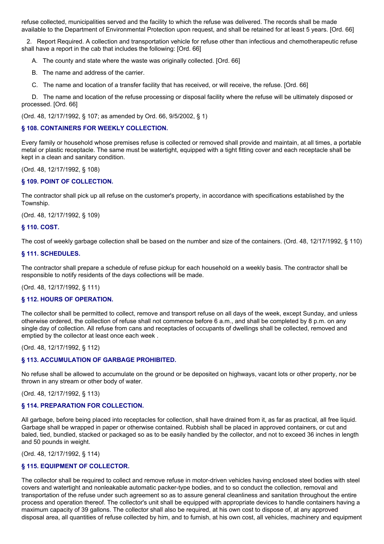refuse collected, municipalities served and the facility to which the refuse was delivered. The records shall be made available to the Department of Environmental Protection upon request, and shall be retained for at least 5 years. [Ord. 66]

2. Report Required. A collection and transportation vehicle for refuse other than infectious and chemotherapeutic refuse shall have a report in the cab that includes the following: [Ord. 66]

A. The county and state where the waste was originally collected. [Ord. 66]

B. The name and address of the carrier.

C. The name and location of a transfer facility that has received, or will receive, the refuse. [Ord. 66]

D. The name and location of the refuse processing or disposal facility where the refuse will be ultimately disposed or processed. [Ord. 66]

(Ord. 48, 12/17/1992, § 107; as amended by Ord. 66, 9/5/2002, § 1)

#### **§ 108. CONTAINERS FOR WEEKLY COLLECTION.**

Every family or household whose premises refuse is collected or removed shall provide and maintain, at all times, a portable metal or plastic receptacle. The same must be watertight, equipped with a tight fitting cover and each receptacle shall be kept in a clean and sanitary condition.

(Ord. 48, 12/17/1992, § 108)

#### **§ 109. POINT OF COLLECTION.**

The contractor shall pick up all refuse on the customer's property, in accordance with specifications established by the Township.

(Ord. 48, 12/17/1992, § 109)

#### **§ 110. COST.**

The cost of weekly garbage collection shall be based on the number and size of the containers. (Ord. 48, 12/17/1992, § 110)

#### **§ 111. SCHEDULES.**

The contractor shall prepare a schedule of refuse pickup for each household on a weekly basis. The contractor shall be responsible to notify residents of the days collections will be made.

(Ord. 48, 12/17/1992, § 111)

#### **§ 112. HOURS OF OPERATION.**

The collector shall be permitted to collect, remove and transport refuse on all days of the week, except Sunday, and unless otherwise ordered, the collection of refuse shall not commence before 6 a.m., and shall be completed by 8 p.m. on any single day of collection. All refuse from cans and receptacles of occupants of dwellings shall be collected, removed and emptied by the collector at least once each week .

(Ord. 48, 12/17/1992, § 112)

## **§ 113. ACCUMULATION OF GARBAGE PROHIBITED.**

No refuse shall be allowed to accumulate on the ground or be deposited on highways, vacant lots or other property, nor be thrown in any stream or other body of water.

(Ord. 48, 12/17/1992, § 113)

## **§ 114. PREPARATION FOR COLLECTION.**

All garbage, before being placed into receptacles for collection, shall have drained from it, as far as practical, all free liquid. Garbage shall be wrapped in paper or otherwise contained. Rubbish shall be placed in approved containers, or cut and baled, tied, bundled, stacked or packaged so as to be easily handled by the collector, and not to exceed 36 inches in length and 50 pounds in weight.

(Ord. 48, 12/17/1992, § 114)

## **§ 115. EQUIPMENT OF COLLECTOR.**

The collector shall be required to collect and remove refuse in motor-driven vehicles having enclosed steel bodies with steel covers and watertight and nonleakable automatic packer-type bodies, and to so conduct the collection, removal and transportation of the refuse under such agreement so as to assure general cleanliness and sanitation throughout the entire process and operation thereof. The collector's unit shall be equipped with appropriate devices to handle containers having a maximum capacity of 39 gallons. The collector shall also be required, at his own cost to dispose of, at any approved disposal area, all quantities of refuse collected by him, and to furnish, at his own cost, all vehicles, machinery and equipment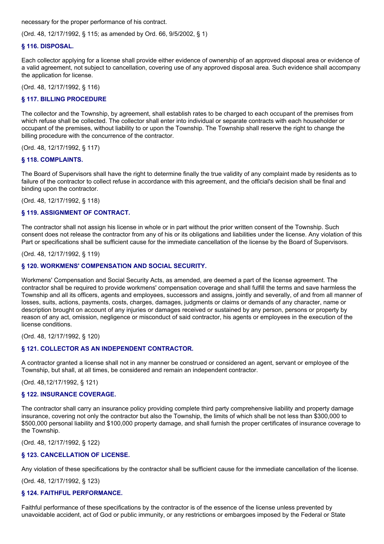necessary for the proper performance of his contract.

(Ord. 48, 12/17/1992, § 115; as amended by Ord. 66, 9/5/2002, § 1)

### **§ 116. DISPOSAL.**

Each collector applying for a license shall provide either evidence of ownership of an approved disposal area or evidence of a valid agreement, not subject to cancellation, covering use of any approved disposal area. Such evidence shall accompany the application for license.

(Ord. 48, 12/17/1992, § 116)

### **§ 117. BILLING PROCEDURE**

The collector and the Township, by agreement, shall establish rates to be charged to each occupant of the premises from which refuse shall be collected. The collector shall enter into individual or separate contracts with each householder or occupant of the premises, without liability to or upon the Township. The Township shall reserve the right to change the billing procedure with the concurrence of the contractor.

(Ord. 48, 12/17/1992, § 117)

### **§ 118. COMPLAINTS.**

The Board of Supervisors shall have the right to determine finally the true validity of any complaint made by residents as to failure of the contractor to collect refuse in accordance with this agreement, and the official's decision shall be final and binding upon the contractor.

(Ord. 48, 12/17/1992, § 118)

### **§ 119. ASSIGNMENT OF CONTRACT.**

The contractor shall not assign his license in whole or in part without the prior written consent of the Township. Such consent does not release the contractor from any of his or its obligations and liabilities under the license. Any violation of this Part or specifications shall be sufficient cause for the immediate cancellation of the license by the Board of Supervisors.

(Ord. 48, 12/17/1992, § 119)

### **§ 120. WORKMENS' COMPENSATION AND SOCIAL SECURITY.**

Workmens' Compensation and Social Security Acts, as amended, are deemed a part of the license agreement. The contractor shall be required to provide workmens' compensation coverage and shall fulfill the terms and save harmless the Township and all its officers, agents and employees, successors and assigns, jointly and severally, of and from all manner of losses, suits, actions, payments, costs, charges, damages, judgments or claims or demands of any character, name or description brought on account of any injuries or damages received or sustained by any person, persons or property by reason of any act, omission, negligence or misconduct of said contractor, his agents or employees in the execution of the license conditions.

(Ord. 48, 12/17/1992, § 120)

### **§ 121. COLLECTOR AS AN INDEPENDENT CONTRACTOR.**

A contractor granted a license shall not in any manner be construed or considered an agent, servant or employee of the Township, but shall, at all times, be considered and remain an independent contractor.

(Ord. 48,12/17/1992, § 121)

### **§ 122. INSURANCE COVERAGE.**

The contractor shall carry an insurance policy providing complete third party comprehensive liability and property damage insurance, covering not only the contractor but also the Township, the limits of which shall be not less than \$300,000 to \$500,000 personal liability and \$100,000 property damage, and shall furnish the proper certificates of insurance coverage to the Township.

(Ord. 48, 12/17/1992, § 122)

### **§ 123. CANCELLATION OF LICENSE.**

Any violation of these specifications by the contractor shall be sufficient cause for the immediate cancellation of the license.

(Ord. 48, 12/17/1992, § 123)

## **§ 124. FAITHFUL PERFORMANCE.**

Faithful performance of these specifications by the contractor is of the essence of the license unless prevented by unavoidable accident, act of God or public immunity, or any restrictions or embargoes imposed by the Federal or State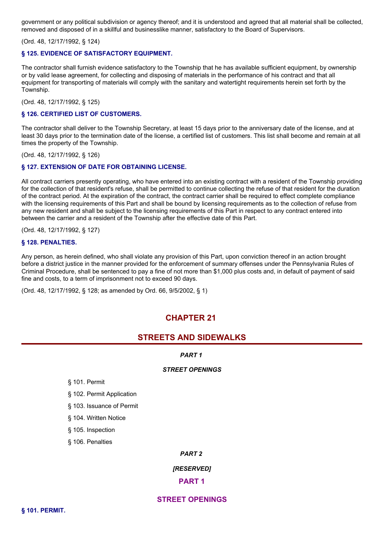government or any political subdivision or agency thereof; and it is understood and agreed that all material shall be collected, removed and disposed of in a skillful and businesslike manner, satisfactory to the Board of Supervisors.

(Ord. 48, 12/17/1992, § 124)

#### **§ 125. EVIDENCE OF SATISFACTORY EQUIPMENT.**

The contractor shall furnish evidence satisfactory to the Township that he has available sufficient equipment, by ownership or by valid lease agreement, for collecting and disposing of materials in the performance of his contract and that all equipment for transporting of materials will comply with the sanitary and watertight requirements herein set forth by the Township.

(Ord. 48, 12/17/1992, § 125)

#### **§ 126. CERTIFIED LIST OF CUSTOMERS.**

The contractor shall deliver to the Township Secretary, at least 15 days prior to the anniversary date of the license, and at least 30 days prior to the termination date of the license, a certified list of customers. This list shall become and remain at all times the property of the Township.

(Ord. 48, 12/17/1992, § 126)

#### **§ 127. EXTENSION OF DATE FOR OBTAINING LICENSE.**

All contract carriers presently operating, who have entered into an existing contract with a resident of the Township providing for the collection of that resident's refuse, shall be permitted to continue collecting the refuse of that resident for the duration of the contract period. At the expiration of the contract, the contract carrier shall be required to effect complete compliance with the licensing requirements of this Part and shall be bound by licensing requirements as to the collection of refuse from any new resident and shall be subject to the licensing requirements of this Part in respect to any contract entered into between the carrier and a resident of the Township after the effective date of this Part.

(Ord. 48, 12/17/1992, § 127)

#### **§ 128. PENALTIES.**

Any person, as herein defined, who shall violate any provision of this Part, upon conviction thereof in an action brought before a district justice in the manner provided for the enforcement of summary offenses under the Pennsylvania Rules of Criminal Procedure, shall be sentenced to pay a fine of not more than \$1,000 plus costs and, in default of payment of said fine and costs, to a term of imprisonment not to exceed 90 days.

(Ord. 48, 12/17/1992, § 128; as amended by Ord. 66, 9/5/2002, § 1)

## **CHAPTER 21**

## **STREETS AND SIDEWALKS**

*PART 1*

#### *STREET OPENINGS*

§ 101. Permit

§ 102. Permit Application

§ 103. Issuance of Permit

§ 104. Written Notice

§ 105. Inspection

§ 106. Penalties

#### *PART 2*

*[RESERVED]*

**PART 1**

## **STREET OPENINGS**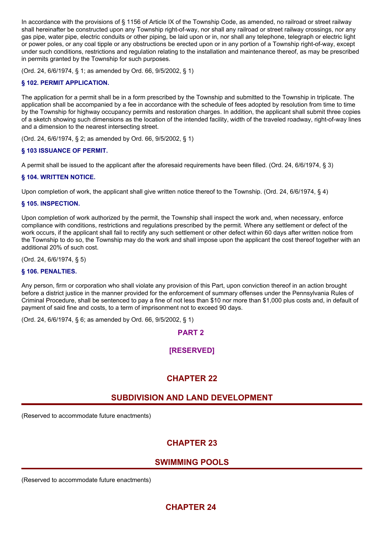In accordance with the provisions of § 1156 of Article IX of the Township Code, as amended, no railroad or street railway shall hereinafter be constructed upon any Township right-of-way, nor shall any railroad or street railway crossings, nor any gas pipe, water pipe, electric conduits or other piping, be laid upon or in, nor shall any telephone, telegraph or electric light or power poles, or any coal tipple or any obstructions be erected upon or in any portion of a Township right-of-way, except under such conditions, restrictions and regulation relating to the installation and maintenance thereof, as may be prescribed in permits granted by the Township for such purposes.

(Ord. 24, 6/6/1974, § 1; as amended by Ord. 66, 9/5/2002, § 1)

## **§ 102. PERMIT APPLICATION.**

The application for a permit shall be in a form prescribed by the Township and submitted to the Township in triplicate. The application shall be accompanied by a fee in accordance with the schedule of fees adopted by resolution from time to time by the Township for highway occupancy permits and restoration charges. In addition, the applicant shall submit three copies of a sketch showing such dimensions as the location of the intended facility, width of the traveled roadway, right-of-way lines and a dimension to the nearest intersecting street.

(Ord. 24, 6/6/1974, § 2; as amended by Ord. 66, 9/5/2002, § 1)

### **§ 103 ISSUANCE OF PERMIT.**

A permit shall be issued to the applicant after the aforesaid requirements have been filled. (Ord. 24, 6/6/1974, § 3)

### **§ 104. WRITTEN NOTICE.**

Upon completion of work, the applicant shall give written notice thereof to the Township. (Ord. 24, 6/6/1974, § 4)

### **§ 105. INSPECTION.**

Upon completion of work authorized by the permit, the Township shall inspect the work and, when necessary, enforce compliance with conditions, restrictions and regulations prescribed by the permit. Where any settlement or defect of the work occurs, if the applicant shall fail to rectify any such settlement or other defect within 60 days after written notice from the Township to do so, the Township may do the work and shall impose upon the applicant the cost thereof together with an additional 20% of such cost.

(Ord. 24, 6/6/1974, § 5)

### **§ 106. PENALTIES.**

Any person, firm or corporation who shall violate any provision of this Part, upon conviction thereof in an action brought before a district justice in the manner provided for the enforcement of summary offenses under the Pennsylvania Rules of Criminal Procedure, shall be sentenced to pay a fine of not less than \$10 nor more than \$1,000 plus costs and, in default of payment of said fine and costs, to a term of imprisonment not to exceed 90 days.

(Ord. 24, 6/6/1974, § 6; as amended by Ord. 66, 9/5/2002, § 1)

**PART 2**

## **[RESERVED]**

# **CHAPTER 22**

## **SUBDIVISION AND LAND DEVELOPMENT**

(Reserved to accommodate future enactments)

# **CHAPTER 23**

## **SWIMMING POOLS**

(Reserved to accommodate future enactments)

# **CHAPTER 24**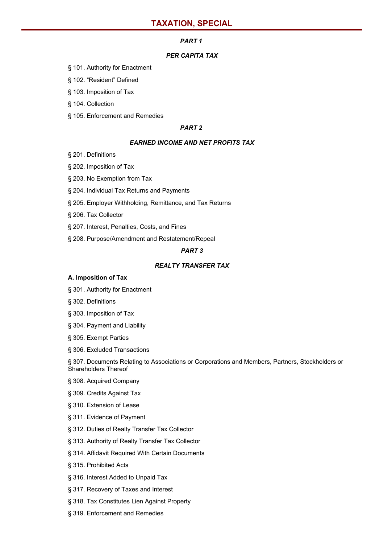#### *PART 1*

### *PER CAPITA TAX*

- § 101. Authority for Enactment
- § 102. "Resident" Defined

§ 103. Imposition of Tax

#### § 104. Collection

§ 105. Enforcement and Remedies

#### *PART 2*

#### *EARNED INCOME AND NET PROFITS TAX*

- § 201. Definitions
- § 202. Imposition of Tax
- § 203. No Exemption from Tax
- § 204. Individual Tax Returns and Payments
- § 205. Employer Withholding, Remittance, and Tax Returns
- § 206. Tax Collector
- § 207. Interest, Penalties, Costs, and Fines
- § 208. Purpose/Amendment and Restatement/Repeal

## *PART 3*

### *REALTY TRANSFER TAX*

#### **A. Imposition of Tax**

- § 301. Authority for Enactment
- § 302. Definitions
- § 303. Imposition of Tax
- § 304. Payment and Liability
- § 305. Exempt Parties
- § 306. Excluded Transactions

§ 307. Documents Relating to Associations or Corporations and Members, Partners, Stockholders or Shareholders Thereof

- § 308. Acquired Company
- § 309. Credits Against Tax
- § 310. Extension of Lease
- § 311. Evidence of Payment
- § 312. Duties of Realty Transfer Tax Collector
- § 313. Authority of Realty Transfer Tax Collector
- § 314. Affidavit Required With Certain Documents
- § 315. Prohibited Acts
- § 316. Interest Added to Unpaid Tax
- § 317. Recovery of Taxes and Interest
- § 318. Tax Constitutes Lien Against Property
- § 319. Enforcement and Remedies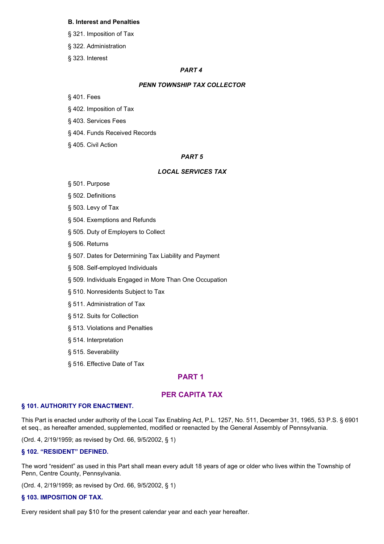#### **B. Interest and Penalties**

- § 321. Imposition of Tax
- § 322. Administration
- § 323. Interest

### *PART 4*

#### *PENN TOWNSHIP TAX COLLECTOR*

- § 401. Fees
- § 402. Imposition of Tax
- § 403. Services Fees
- § 404. Funds Received Records
- § 405. Civil Action

#### *PART 5*

#### *LOCAL SERVICES TAX*

- § 501. Purpose
- § 502. Definitions
- § 503. Levy of Tax
- § 504. Exemptions and Refunds
- § 505. Duty of Employers to Collect
- § 506. Returns
- § 507. Dates for Determining Tax Liability and Payment
- § 508. Self-employed Individuals
- § 509. Individuals Engaged in More Than One Occupation
- § 510. Nonresidents Subject to Tax
- § 511. Administration of Tax
- § 512. Suits for Collection
- § 513. Violations and Penalties
- § 514. Interpretation
- § 515. Severability
- § 516. Effective Date of Tax

## **PART 1**

## **PER CAPITA TAX**

#### **§ 101. AUTHORITY FOR ENACTMENT.**

This Part is enacted under authority of the Local Tax Enabling Act, P.L. 1257, No. 511, December 31, 1965, 53 P.S. § 6901 et seq., as hereafter amended, supplemented, modified or reenacted by the General Assembly of Pennsylvania.

(Ord. 4, 2/19/1959; as revised by Ord. 66, 9/5/2002, § 1)

#### **§ 102. "RESIDENT" DEFINED.**

The word "resident" as used in this Part shall mean every adult 18 years of age or older who lives within the Township of Penn, Centre County, Pennsylvania.

(Ord. 4, 2/19/1959; as revised by Ord. 66, 9/5/2002, § 1)

#### **§ 103. IMPOSITION OF TAX.**

Every resident shall pay \$10 for the present calendar year and each year hereafter.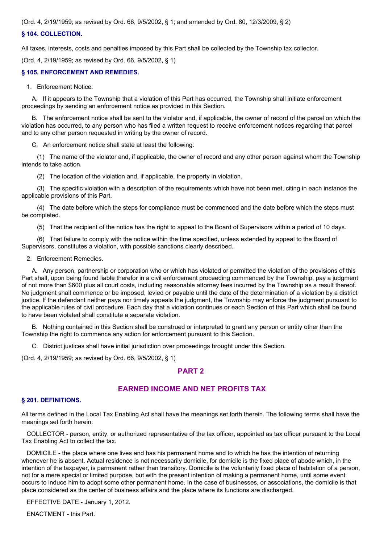(Ord. 4, 2/19/1959; as revised by Ord. 66, 9/5/2002, § 1; and amended by Ord. 80, 12/3/2009, § 2)

#### **§ 104. COLLECTION.**

All taxes, interests, costs and penalties imposed by this Part shall be collected by the Township tax collector.

(Ord. 4, 2/19/1959; as revised by Ord. 66, 9/5/2002, § 1)

#### **§ 105. ENFORCEMENT AND REMEDIES.**

1. Enforcement Notice.

A. If it appears to the Township that a violation of this Part has occurred, the Township shall initiate enforcement proceedings by sending an enforcement notice as provided in this Section.

B. The enforcement notice shall be sent to the violator and, if applicable, the owner of record of the parcel on which the violation has occurred, to any person who has filed a written request to receive enforcement notices regarding that parcel and to any other person requested in writing by the owner of record.

C. An enforcement notice shall state at least the following:

(1) The name of the violator and, if applicable, the owner of record and any other person against whom the Township intends to take action.

(2) The location of the violation and, if applicable, the property in violation.

(3) The specific violation with a description of the requirements which have not been met, citing in each instance the applicable provisions of this Part.

(4) The date before which the steps for compliance must be commenced and the date before which the steps must be completed.

(5) That the recipient of the notice has the right to appeal to the Board of Supervisors within a period of 10 days.

(6) That failure to comply with the notice within the time specified, unless extended by appeal to the Board of Supervisors, constitutes a violation, with possible sanctions clearly described.

2. Enforcement Remedies.

A. Any person, partnership or corporation who or which has violated or permitted the violation of the provisions of this Part shall, upon being found liable therefor in a civil enforcement proceeding commenced by the Township, pay a judgment of not more than \$600 plus all court costs, including reasonable attorney fees incurred by the Township as a result thereof. No judgment shall commence or be imposed, levied or payable until the date of the determination of a violation by a district justice. If the defendant neither pays nor timely appeals the judgment, the Township may enforce the judgment pursuant to the applicable rules of civil procedure. Each day that a violation continues or each Section of this Part which shall be found to have been violated shall constitute a separate violation.

B. Nothing contained in this Section shall be construed or interpreted to grant any person or entity other than the Township the right to commence any action for enforcement pursuant to this Section.

C. District justices shall have initial jurisdiction over proceedings brought under this Section.

(Ord. 4, 2/19/1959; as revised by Ord. 66, 9/5/2002, § 1)

### **PART 2**

## **EARNED INCOME AND NET PROFITS TAX**

#### **§ 201. DEFINITIONS.**

All terms defined in the Local Tax Enabling Act shall have the meanings set forth therein. The following terms shall have the meanings set forth herein:

COLLECTOR - person, entity, or authorized representative of the tax officer, appointed as tax officer pursuant to the Local Tax Enabling Act to collect the tax.

DOMICILE - the place where one lives and has his permanent home and to which he has the intention of returning whenever he is absent. Actual residence is not necessarily domicile, for domicile is the fixed place of abode which, in the intention of the taxpayer, is permanent rather than transitory. Domicile is the voluntarily fixed place of habitation of a person, not for a mere special or limited purpose, but with the present intention of making a permanent home, until some event occurs to induce him to adopt some other permanent home. In the case of businesses, or associations, the domicile is that place considered as the center of business affairs and the place where its functions are discharged.

EFFECTIVE DATE - January 1, 2012.

ENACTMENT - this Part.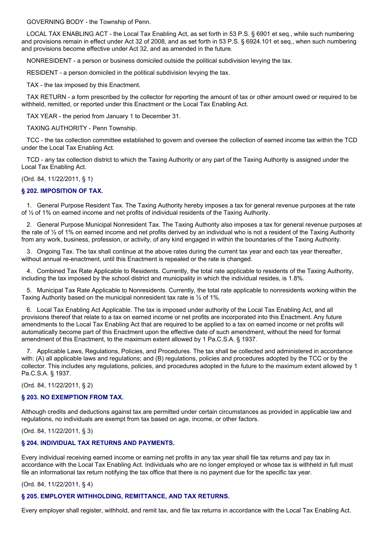GOVERNING BODY - the Township of Penn.

LOCAL TAX ENABLING ACT - the Local Tax Enabling Act, as set forth in 53 P.S. § 6901 et seq., while such numbering and provisions remain in effect under Act 32 of 2008, and as set forth in 53 P.S. § 6924.101 et seq., when such numbering and provisions become effective under Act 32, and as amended in the future.

NONRESIDENT - a person or business domiciled outside the political subdivision levying the tax.

RESIDENT - a person domiciled in the political subdivision levying the tax.

TAX - the tax imposed by this Enactment.

TAX RETURN - a form prescribed by the collector for reporting the amount of tax or other amount owed or required to be withheld, remitted, or reported under this Enactment or the Local Tax Enabling Act.

TAX YEAR - the period from January 1 to December 31.

TAXING AUTHORITY - Penn Township.

TCC - the tax collection committee established to govern and oversee the collection of earned income tax within the TCD under the Local Tax Enabling Act.

TCD - any tax collection district to which the Taxing Authority or any part of the Taxing Authority is assigned under the Local Tax Enabling Act.

(Ord. 84, 11/22/2011, § 1)

### **§ 202. IMPOSITION OF TAX.**

1. General Purpose Resident Tax. The Taxing Authority hereby imposes a tax for general revenue purposes at the rate of ½ of 1% on earned income and net profits of individual residents of the Taxing Authority.

2. General Purpose Municipal Nonresident Tax. The Taxing Authority also imposes a tax for general revenue purposes at the rate of  $\frac{1}{2}$  of 1% on earned income and net profits derived by an individual who is not a resident of the Taxing Authority from any work, business, profession, or activity, of any kind engaged in within the boundaries of the Taxing Authority.

3. Ongoing Tax. The tax shall continue at the above rates during the current tax year and each tax year thereafter, without annual re-enactment, until this Enactment is repealed or the rate is changed.

4. Combined Tax Rate Applicable to Residents. Currently, the total rate applicable to residents of the Taxing Authority, including the tax imposed by the school district and municipality in which the individual resides, is 1.8%.

5. Municipal Tax Rate Applicable to Nonresidents. Currently, the total rate applicable to nonresidents working within the Taxing Authority based on the municipal nonresident tax rate is ½ of 1%.

6. Local Tax Enabling Act Applicable. The tax is imposed under authority of the Local Tax Enabling Act, and all provisions thereof that relate to a tax on earned income or net profits are incorporated into this Enactment. Any future amendments to the Local Tax Enabling Act that are required to be applied to a tax on earned income or net profits will automatically become part of this Enactment upon the effective date of such amendment, without the need for formal amendment of this Enactment, to the maximum extent allowed by 1 Pa.C.S.A. § 1937.

7. Applicable Laws, Regulations, Policies, and Procedures. The tax shall be collected and administered in accordance with: (A) all applicable laws and regulations; and (B) regulations, policies and procedures adopted by the TCC or by the collector. This includes any regulations, policies, and procedures adopted in the future to the maximum extent allowed by 1 Pa.C.S.A. § 1937.

(Ord. 84, 11/22/2011, § 2)

#### **§ 203. NO EXEMPTION FROM TAX.**

Although credits and deductions against tax are permitted under certain circumstances as provided in applicable law and regulations, no individuals are exempt from tax based on age, income, or other factors.

(Ord. 84, 11/22/2011, § 3)

## **§ 204. INDIVIDUAL TAX RETURNS AND PAYMENTS.**

Every individual receiving earned income or earning net profits in any tax year shall file tax returns and pay tax in accordance with the Local Tax Enabling Act. Individuals who are no longer employed or whose tax is withheld in full must file an informational tax return notifying the tax office that there is no payment due for the specific tax year.

## (Ord. 84, 11/22/2011, § 4)

## **§ 205. EMPLOYER WITHHOLDING, REMITTANCE, AND TAX RETURNS.**

Every employer shall register, withhold, and remit tax, and file tax returns in accordance with the Local Tax Enabling Act.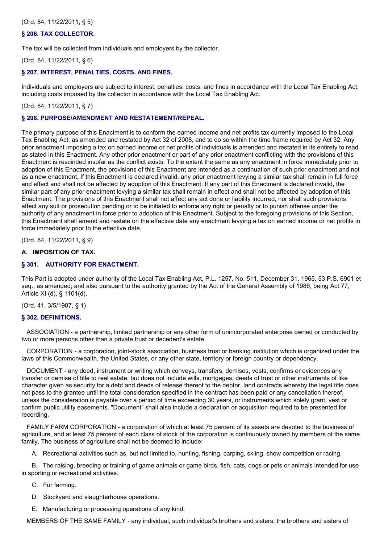(Ord. 84, 11/22/2011, § 5)

#### **§ 206. TAX COLLECTOR.**

The tax will be collected from individuals and employers by the collector.

(Ord. 84, 11/22/2011, § 6)

#### **§ 207. INTEREST, PENALTIES, COSTS, AND FINES.**

Individuals and employers are subject to interest, penalties, costs, and fines in accordance with the Local Tax Enabling Act, including costs imposed by the collector in accordance with the Local Tax Enabling Act.

#### (Ord. 84, 11/22/2011, § 7)

#### **§ 208. PURPOSE/AMENDMENT AND RESTATEMENT/REPEAL.**

The primary purpose of this Enactment is to conform the earned income and net profits tax currently imposed to the Local Tax Enabling Act, as amended and restated by Act 32 of 2008, and to do so within the time frame required by Act 32. Any prior enactment imposing a tax on earned income or net profits of individuals is amended and restated in its entirety to read as stated in this Enactment. Any other prior enactment or part of any prior enactment conflicting with the provisions of this Enactment is rescinded insofar as the conflict exists. To the extent the same as any enactment in force immediately prior to adoption of this Enactment, the provisions of this Enactment are intended as a continuation of such prior enactment and not as a new enactment. If this Enactment is declared invalid, any prior enactment levying a similar tax shall remain in full force and effect and shall not be affected by adoption of this Enactment. If any part of this Enactment is declared invalid, the similar part of any prior enactment levying a similar tax shall remain in effect and shall not be affected by adoption of this Enactment. The provisions of this Enactment shall not affect any act done or liability incurred, nor shall such provisions affect any suit or prosecution pending or to be initiated to enforce any right or penalty or to punish offense under the authority of any enactment in force prior to adoption of this Enactment. Subject to the foregoing provisions of this Section, this Enactment shall amend and restate on the effective date any enactment levying a tax on earned income or net profits in force immediately prior to the effective date.

(Ord. 84, 11/22/2011, § 9)

### **A. IMPOSITION OF TAX.**

### **§ 301. AUTHORITY FOR ENACTMENT.**

This Part is adopted under authority of the Local Tax Enabling Act, P.L. 1257, No. 511, December 31, 1965, 53 P.S. 6901 et seq., as amended; and also pursuant to the authority granted by the Act of the General Assembly of 1986, being Act 77, Article XI (d), § 1101(d).

(Ord. 41, 3/5/1987, § 1)

#### **§ 302. DEFINITIONS.**

ASSOCIATION - a partnership, limited partnership or any other form of unincorporated enterprise owned or conducted by two or more persons other than a private trust or decedent's estate.

CORPORATION - a corporation, joint-stock association, business trust or banking institution which is organized under the laws of this Commonwealth, the United States, or any other state, territory or foreign country or dependency.

DOCUMENT - any deed, instrument or writing which conveys, transfers, demises, vests, confirms or evidences any transfer or demise of title to real estate, but does not include wills, mortgages, deeds of trust or other instruments of like character given as security for a debt and deeds of release thereof to the debtor, land contracts whereby the legal title does not pass to the grantee until the total consideration specified in the contract has been paid or any cancellation thereof, unless the consideration is payable over a period of time exceeding 30 years, or instruments which solely grant, vest or confirm public utility easements. "Document" shall also include a declaration or acquisition required to be presented for recording.

FAMILY FARM CORPORATION - a corporation of which at least 75 percent of its assets are devoted to the business of agriculture, and at least 75 percent of each class of stock of the corporation is continuously owned by members of the same family. The business of agriculture shall not be deemed to include:

A. Recreational activities such as, but not limited to, hunting, fishing, carping, skiing, show competition or racing.

B. The raising, breeding or training of game animals or game birds, fish, cats, dogs or pets or animals intended for use in sporting or recreational activities.

C. Fur farming.

- D. Stockyard and slaughterhouse operations.
- E. Manufacturing or processing operations of any kind.

MEMBERS OF THE SAME FAMILY - any individual, such individual's brothers and sisters, the brothers and sisters of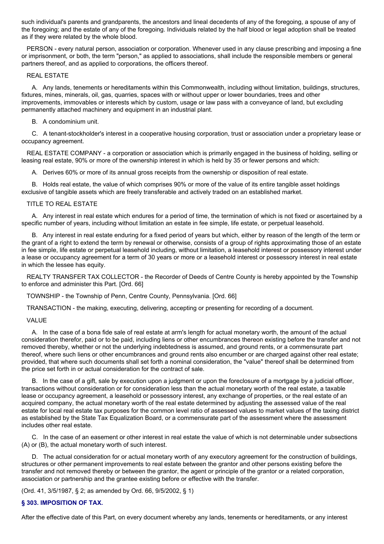such individual's parents and grandparents, the ancestors and lineal decedents of any of the foregoing, a spouse of any of the foregoing; and the estate of any of the foregoing. Individuals related by the half blood or legal adoption shall be treated as if they were related by the whole blood.

PERSON - every natural person, association or corporation. Whenever used in any clause prescribing and imposing a fine or imprisonment, or both, the term "person," as applied to associations, shall include the responsible members or general partners thereof, and as applied to corporations, the officers thereof.

REAL ESTATE

A. Any lands, tenements or hereditaments within this Commonwealth, including without limitation, buildings, structures, fixtures, mines, minerals, oil, gas, quarries, spaces with or without upper or lower boundaries, trees and other improvements, immovables or interests which by custom, usage or law pass with a conveyance of land, but excluding permanently attached machinery and equipment in an industrial plant.

#### B. A condominium unit.

C. A tenant-stockholder's interest in a cooperative housing corporation, trust or association under a proprietary lease or occupancy agreement.

REAL ESTATE COMPANY - a corporation or association which is primarily engaged in the business of holding, selling or leasing real estate, 90% or more of the ownership interest in which is held by 35 or fewer persons and which:

A. Derives 60% or more of its annual gross receipts from the ownership or disposition of real estate.

B. Holds real estate, the value of which comprises 90% or more of the value of its entire tangible asset holdings exclusive of tangible assets which are freely transferable and actively traded on an established market.

#### TITLE TO REAL ESTATE

A. Any interest in real estate which endures for a period of time, the termination of which is not fixed or ascertained by a specific number of years, including without limitation an estate in fee simple, life estate, or perpetual leasehold.

B. Any interest in real estate enduring for a fixed period of years but which, either by reason of the length of the term or the grant of a right to extend the term by renewal or otherwise, consists of a group of rights approximating those of an estate in fee simple, life estate or perpetual leasehold including, without limitation, a leasehold interest or possessory interest under a lease or occupancy agreement for a term of 30 years or more or a leasehold interest or possessory interest in real estate in which the lessee has equity.

REALTY TRANSFER TAX COLLECTOR - the Recorder of Deeds of Centre County is hereby appointed by the Township to enforce and administer this Part. [Ord. 66]

TOWNSHIP - the Township of Penn, Centre County, Pennsylvania. [Ord. 66]

TRANSACTION - the making, executing, delivering, accepting or presenting for recording of a document.

#### VALUE

A. In the case of a bona fide sale of real estate at arm's length for actual monetary worth, the amount of the actual consideration therefor, paid or to be paid, including liens or other encumbrances thereon existing before the transfer and not removed thereby, whether or not the underlying indebtedness is assumed, and ground rents, or a commensurate part thereof, where such liens or other encumbrances and ground rents also encumber or are charged against other real estate; provided, that where such documents shall set forth a nominal consideration, the "value" thereof shall be determined from the price set forth in or actual consideration for the contract of sale.

B. In the case of a gift, sale by execution upon a judgment or upon the foreclosure of a mortgage by a judicial officer, transactions without consideration or for consideration less than the actual monetary worth of the real estate, a taxable lease or occupancy agreement, a leasehold or possessory interest, any exchange of properties, or the real estate of an acquired company, the actual monetary worth of the real estate determined by adjusting the assessed value of the real estate for local real estate tax purposes for the common level ratio of assessed values to market values of the taxing district as established by the State Tax Equalization Board, or a commensurate part of the assessment where the assessment includes other real estate.

C. In the case of an easement or other interest in real estate the value of which is not determinable under subsections (A) or (B), the actual monetary worth of such interest.

D. The actual consideration for or actual monetary worth of any executory agreement for the construction of buildings, structures or other permanent improvements to real estate between the grantor and other persons existing before the transfer and not removed thereby or between the grantor, the agent or principle of the grantor or a related corporation, association or partnership and the grantee existing before or effective with the transfer.

(Ord. 41, 3/5/1987, § 2; as amended by Ord. 66, 9/5/2002, § 1)

### **§ 303. IMPOSITION OF TAX.**

After the effective date of this Part, on every document whereby any lands, tenements or hereditaments, or any interest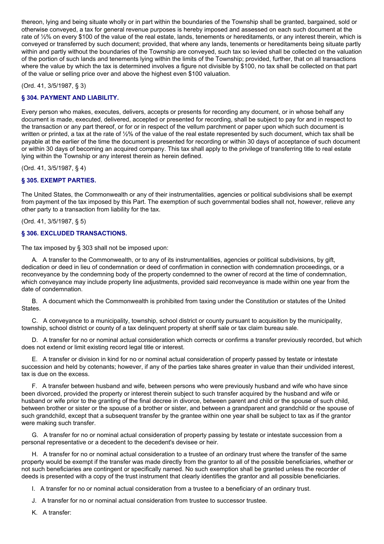thereon, lying and being situate wholly or in part within the boundaries of the Township shall be granted, bargained, sold or otherwise conveyed, a tax for general revenue purposes is hereby imposed and assessed on each such document at the rate of  $\frac{1}{2}$ % on every \$100 of the value of the real estate, lands, tenements or hereditaments, or any interest therein, which is conveyed or transferred by such document; provided, that where any lands, tenements or hereditaments being situate partly within and partly without the boundaries of the Township are conveyed, such tax so levied shall be collected on the valuation of the portion of such lands and tenements lying within the limits of the Township; provided, further, that on all transactions where the value by which the tax is determined involves a figure not divisible by \$100, no tax shall be collected on that part of the value or selling price over and above the highest even \$100 valuation.

(Ord. 41, 3/5/1987, § 3)

## **§ 304. PAYMENT AND LIABILITY.**

Every person who makes, executes, delivers, accepts or presents for recording any document, or in whose behalf any document is made, executed, delivered, accepted or presented for recording, shall be subject to pay for and in respect to the transaction or any part thereof, or for or in respect of the vellum parchment or paper upon which such document is written or printed, a tax at the rate of 1/2% of the value of the real estate represented by such document, which tax shall be payable at the earlier of the time the document is presented for recording or within 30 days of acceptance of such document or within 30 days of becoming an acquired company. This tax shall apply to the privilege of transferring title to real estate lying within the Township or any interest therein as herein defined.

(Ord. 41, 3/5/1987, § 4)

## **§ 305. EXEMPT PARTIES.**

The United States, the Commonwealth or any of their instrumentalities, agencies or political subdivisions shall be exempt from payment of the tax imposed by this Part. The exemption of such governmental bodies shall not, however, relieve any other party to a transaction from liability for the tax.

(Ord. 41, 3/5/1987, § 5)

## **§ 306. EXCLUDED TRANSACTIONS.**

The tax imposed by § 303 shall not be imposed upon:

A. A transfer to the Commonwealth, or to any of its instrumentalities, agencies or political subdivisions, by gift, dedication or deed in lieu of condemnation or deed of confirmation in connection with condemnation proceedings, or a reconveyance by the condemning body of the property condemned to the owner of record at the time of condemnation, which conveyance may include property line adjustments, provided said reconveyance is made within one year from the date of condemnation.

B. A document which the Commonwealth is prohibited from taxing under the Constitution or statutes of the United States.

C. A conveyance to a municipality, township, school district or county pursuant to acquisition by the municipality, township, school district or county of a tax delinquent property at sheriff sale or tax claim bureau sale.

D. A transfer for no or nominal actual consideration which corrects or confirms a transfer previously recorded, but which does not extend or limit existing record legal title or interest.

E. A transfer or division in kind for no or nominal actual consideration of property passed by testate or intestate succession and held by cotenants; however, if any of the parties take shares greater in value than their undivided interest, tax is due on the excess.

F. A transfer between husband and wife, between persons who were previously husband and wife who have since been divorced, provided the property or interest therein subject to such transfer acquired by the husband and wife or husband or wife prior to the granting of the final decree in divorce, between parent and child or the spouse of such child, between brother or sister or the spouse of a brother or sister, and between a grandparent and grandchild or the spouse of such grandchild, except that a subsequent transfer by the grantee within one year shall be subject to tax as if the grantor were making such transfer.

G. A transfer for no or nominal actual consideration of property passing by testate or intestate succession from a personal representative or a decedent to the decedent's devisee or heir.

H. A transfer for no or nominal actual consideration to a trustee of an ordinary trust where the transfer of the same property would be exempt if the transfer was made directly from the grantor to all of the possible beneficiaries, whether or not such beneficiaries are contingent or specifically named. No such exemption shall be granted unless the recorder of deeds is presented with a copy of the trust instrument that clearly identifies the grantor and all possible beneficiaries.

I. A transfer for no or nominal actual consideration from a trustee to a beneficiary of an ordinary trust.

- J. A transfer for no or nominal actual consideration from trustee to successor trustee.
- K. A transfer: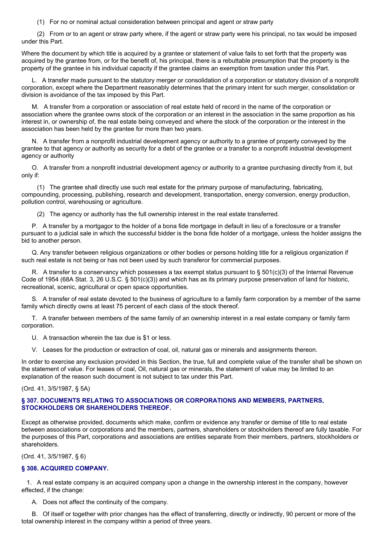(1) For no or nominal actual consideration between principal and agent or straw party

(2) From or to an agent or straw party where, if the agent or straw party were his principal, no tax would be imposed under this Part.

Where the document by which title is acquired by a grantee or statement of value fails to set forth that the property was acquired by the grantee from, or for the benefit of, his principal, there is a rebuttable presumption that the property is the property of the grantee in his individual capacity if the grantee claims an exemption from taxation under this Part.

L. A transfer made pursuant to the statutory merger or consolidation of a corporation or statutory division of a nonprofit corporation, except where the Department reasonably determines that the primary intent for such merger, consolidation or division is avoidance of the tax imposed by this Part.

M. A transfer from a corporation or association of real estate held of record in the name of the corporation or association where the grantee owns stock of the corporation or an interest in the association in the same proportion as his interest in, or ownership of, the real estate being conveyed and where the stock of the corporation or the interest in the association has been held by the grantee for more than two years.

N. A transfer from a nonprofit industrial development agency or authority to a grantee of property conveyed by the grantee to that agency or authority as security for a debt of the grantee or a transfer to a nonprofit industrial development agency or authority

O. A transfer from a nonprofit industrial development agency or authority to a grantee purchasing directly from it, but only if:

(1) The grantee shall directly use such real estate for the primary purpose of manufacturing, fabricating, compounding, processing, publishing, research and development, transportation, energy conversion, energy production, pollution control, warehousing or agriculture.

(2) The agency or authority has the full ownership interest in the real estate transferred.

P. A transfer by a mortgagor to the holder of a bona fide mortgage in default in lieu of a foreclosure or a transfer pursuant to a judicial sale in which the successful bidder is the bona fide holder of a mortgage, unless the holder assigns the bid to another person.

Q. Any transfer between religious organizations or other bodies or persons holding title for a religious organization if such real estate is not being or has not been used by such transferor for commercial purposes.

R. A transfer to a conservancy which possesses a tax exempt status pursuant to § 501(c)(3) of the Internal Revenue Code of 1954 (68A Stat. 3, 26 U.S.C. § 501(c)(3)) and which has as its primary purpose preservation of land for historic, recreational, scenic, agricultural or open space opportunities.

S. A transfer of real estate devoted to the business of agriculture to a family farm corporation by a member of the same family which directly owns at least 75 percent of each class of the stock thereof.

T. A transfer between members of the same family of an ownership interest in a real estate company or family farm corporation.

U. A transaction wherein the tax due is \$1 or less.

V. Leases for the production or extraction of coal, oil, natural gas or minerals and assignments thereon.

In order to exercise any exclusion provided in this Section, the true, full and complete value of the transfer shall be shown on the statement of value. For leases of coal, Oil, natural gas or minerals, the statement of value may be limited to an explanation of the reason such document is not subject to tax under this Part.

(Ord. 41, 3/5/1987, § 5A)

### **§ 307. DOCUMENTS RELATING TO ASSOCIATIONS OR CORPORATIONS AND MEMBERS, PARTNERS, STOCKHOLDERS OR SHAREHOLDERS THEREOF.**

Except as otherwise provided, documents which make, confirm or evidence any transfer or demise of title to real estate between associations or corporations and the members, partners, shareholders or stockholders thereof are fully taxable. For the purposes of this Part, corporations and associations are entities separate from their members, partners, stockholders or shareholders.

(Ord. 41, 3/5/1987, § 6)

### **§ 308. ACQUIRED COMPANY.**

1. A real estate company is an acquired company upon a change in the ownership interest in the company, however effected, if the change:

A. Does not affect the continuity of the company.

B. Of itself or together with prior changes has the effect of transferring, directly or indirectly, 90 percent or more of the total ownership interest in the company within a period of three years.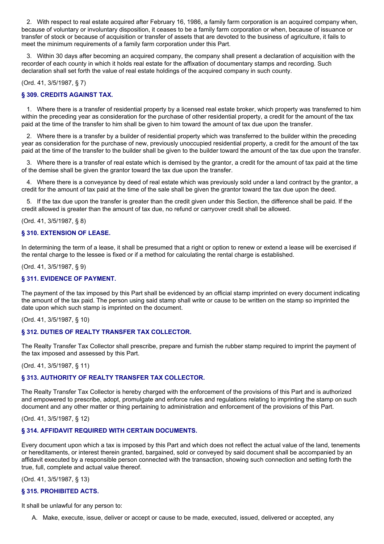2. With respect to real estate acquired after February 16, 1986, a family farm corporation is an acquired company when, because of voluntary or involuntary disposition, it ceases to be a family farm corporation or when, because of issuance or transfer of stock or because of acquisition or transfer of assets that are devoted to the business of agriculture, it fails to meet the minimum requirements of a family farm corporation under this Part.

3. Within 30 days after becoming an acquired company, the company shall present a declaration of acquisition with the recorder of each county in which it holds real estate for the affixation of documentary stamps and recording. Such declaration shall set forth the value of real estate holdings of the acquired company in such county.

### (Ord. 41, 3/5/1987, § 7)

## **§ 309. CREDITS AGAINST TAX.**

1. Where there is a transfer of residential property by a licensed real estate broker, which property was transferred to him within the preceding year as consideration for the purchase of other residential property, a credit for the amount of the tax paid at the time of the transfer to him shall be given to him toward the amount of tax due upon the transfer.

2. Where there is a transfer by a builder of residential property which was transferred to the builder within the preceding year as consideration for the purchase of new, previously unoccupied residential property, a credit for the amount of the tax paid at the time of the transfer to the builder shall be given to the builder toward the amount of the tax due upon the transfer.

3. Where there is a transfer of real estate which is demised by the grantor, a credit for the amount of tax paid at the time of the demise shall be given the grantor toward the tax due upon the transfer.

4. Where there is a conveyance by deed of real estate which was previously sold under a land contract by the grantor, a credit for the amount of tax paid at the time of the sale shall be given the grantor toward the tax due upon the deed.

5. If the tax due upon the transfer is greater than the credit given under this Section, the difference shall be paid. If the credit allowed is greater than the amount of tax due, no refund or carryover credit shall be allowed.

### (Ord. 41, 3/5/1987, § 8)

### **§ 310. EXTENSION OF LEASE.**

In determining the term of a lease, it shall be presumed that a right or option to renew or extend a lease will be exercised if the rental charge to the lessee is fixed or if a method for calculating the rental charge is established.

#### (Ord. 41, 3/5/1987, § 9)

### **§ 311. EVIDENCE OF PAYMENT.**

The payment of the tax imposed by this Part shall be evidenced by an official stamp imprinted on every document indicating the amount of the tax paid. The person using said stamp shall write or cause to be written on the stamp so imprinted the date upon which such stamp is imprinted on the document.

(Ord. 41, 3/5/1987, § 10)

### **§ 312. DUTIES OF REALTY TRANSFER TAX COLLECTOR.**

The Realty Transfer Tax Collector shall prescribe, prepare and furnish the rubber stamp required to imprint the payment of the tax imposed and assessed by this Part.

(Ord. 41, 3/5/1987, § 11)

## **§ 313. AUTHORITY OF REALTY TRANSFER TAX COLLECTOR.**

The Realty Transfer Tax Collector is hereby charged with the enforcement of the provisions of this Part and is authorized and empowered to prescribe, adopt, promulgate and enforce rules and regulations relating to imprinting the stamp on such document and any other matter or thing pertaining to administration and enforcement of the provisions of this Part.

## (Ord. 41, 3/5/1987, § 12)

## **§ 314. AFFIDAVIT REQUIRED WITH CERTAIN DOCUMENTS.**

Every document upon which a tax is imposed by this Part and which does not reflect the actual value of the land, tenements or hereditaments, or interest therein granted, bargained, sold or conveyed by said document shall be accompanied by an affidavit executed by a responsible person connected with the transaction, showing such connection and setting forth the true, full, complete and actual value thereof.

(Ord. 41, 3/5/1987, § 13)

## **§ 315. PROHIBITED ACTS.**

It shall be unlawful for any person to:

A. Make, execute, issue, deliver or accept or cause to be made, executed, issued, delivered or accepted, any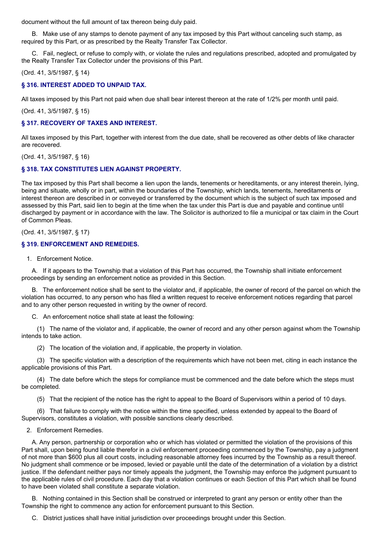document without the full amount of tax thereon being duly paid.

B. Make use of any stamps to denote payment of any tax imposed by this Part without canceling such stamp, as required by this Part, or as prescribed by the Realty Transfer Tax Collector.

C. Fail, neglect, or refuse to comply with, or violate the rules and regulations prescribed, adopted and promulgated by the Realty Transfer Tax Collector under the provisions of this Part.

(Ord. 41, 3/5/1987, § 14)

### **§ 316. INTEREST ADDED TO UNPAID TAX.**

All taxes imposed by this Part not paid when due shall bear interest thereon at the rate of 1/2% per month until paid.

(Ord. 41, 3/5/1987, § 15)

### **§ 317. RECOVERY OF TAXES AND INTEREST.**

All taxes imposed by this Part, together with interest from the due date, shall be recovered as other debts of like character are recovered.

(Ord. 41, 3/5/1987, § 16)

### **§ 318. TAX CONSTITUTES LIEN AGAINST PROPERTY.**

The tax imposed by this Part shall become a lien upon the lands, tenements or hereditaments, or any interest therein, lying, being and situate, wholly or in part, within the boundaries of the Township, which lands, tenements, hereditaments or interest thereon are described in or conveyed or transferred by the document which is the subject of such tax imposed and assessed by this Part, said lien to begin at the time when the tax under this Part is due and payable and continue until discharged by payment or in accordance with the law. The Solicitor is authorized to file a municipal or tax claim in the Court of Common Pleas.

(Ord. 41, 3/5/1987, § 17)

#### **§ 319. ENFORCEMENT AND REMEDIES.**

1. Enforcement Notice.

A. If it appears to the Township that a violation of this Part has occurred, the Township shall initiate enforcement proceedings by sending an enforcement notice as provided in this Section.

B. The enforcement notice shall be sent to the violator and, if applicable, the owner of record of the parcel on which the violation has occurred, to any person who has filed a written request to receive enforcement notices regarding that parcel and to any other person requested in writing by the owner of record.

C. An enforcement notice shall state at least the following:

(1) The name of the violator and, if applicable, the owner of record and any other person against whom the Township intends to take action.

(2) The location of the violation and, if applicable, the property in violation.

(3) The specific violation with a description of the requirements which have not been met, citing in each instance the applicable provisions of this Part.

(4) The date before which the steps for compliance must be commenced and the date before which the steps must be completed.

(5) That the recipient of the notice has the right to appeal to the Board of Supervisors within a period of 10 days.

(6) That failure to comply with the notice within the time specified, unless extended by appeal to the Board of Supervisors, constitutes a violation, with possible sanctions clearly described.

2. Enforcement Remedies.

A. Any person, partnership or corporation who or which has violated or permitted the violation of the provisions of this Part shall, upon being found liable therefor in a civil enforcement proceeding commenced by the Township, pay a judgment of not more than \$600 plus all court costs, including reasonable attorney fees incurred by the Township as a result thereof. No judgment shall commence or be imposed, levied or payable until the date of the determination of a violation by a district justice. If the defendant neither pays nor timely appeals the judgment, the Township may enforce the judgment pursuant to the applicable rules of civil procedure. Each day that a violation continues or each Section of this Part which shall be found to have been violated shall constitute a separate violation.

B. Nothing contained in this Section shall be construed or interpreted to grant any person or entity other than the Township the right to commence any action for enforcement pursuant to this Section.

C. District justices shall have initial jurisdiction over proceedings brought under this Section.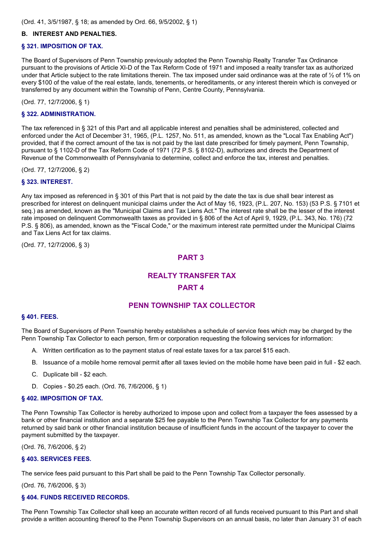### **B. INTEREST AND PENALTIES.**

### **§ 321. IMPOSITION OF TAX.**

The Board of Supervisors of Penn Township previously adopted the Penn Township Realty Transfer Tax Ordinance pursuant to the provisions of Article XI-D of the Tax Reform Code of 1971 and imposed a realty transfer tax as authorized under that Article subject to the rate limitations therein. The tax imposed under said ordinance was at the rate of  $\frac{1}{2}$  of 1% on every \$100 of the value of the real estate, lands, tenements, or hereditaments, or any interest therein which is conveyed or transferred by any document within the Township of Penn, Centre County, Pennsylvania.

(Ord. 77, 12/7/2006, § 1)

#### **§ 322. ADMINISTRATION.**

The tax referenced in § 321 of this Part and all applicable interest and penalties shall be administered, collected and enforced under the Act of December 31, 1965, (P.L. 1257, No. 511, as amended, known as the "Local Tax Enabling Act") provided, that if the correct amount of the tax is not paid by the last date prescribed for timely payment, Penn Township, pursuant to § 1102-D of the Tax Reform Code of 1971 (72 P.S. § 8102-D), authorizes and directs the Department of Revenue of the Commonwealth of Pennsylvania to determine, collect and enforce the tax, interest and penalties.

(Ord. 77, 12/7/2006, § 2)

### **§ 323. INTEREST.**

Any tax imposed as referenced in § 301 of this Part that is not paid by the date the tax is due shall bear interest as prescribed for interest on delinquent municipal claims under the Act of May 16, 1923, (P.L. 207, No. 153) (53 P.S. § 7101 et seq.) as amended, known as the "Municipal Claims and Tax Liens Act." The interest rate shall be the lesser of the interest rate imposed on delinquent Commonwealth taxes as provided in § 806 of the Act of April 9, 1929, (P.L. 343, No. 176) (72 P.S. § 806), as amended, known as the "Fiscal Code," or the maximum interest rate permitted under the Municipal Claims and Tax Liens Act for tax claims.

(Ord. 77, 12/7/2006, § 3)

### **PART 3**

# **REALTY TRANSFER TAX PART 4**

## **PENN TOWNSHIP TAX COLLECTOR**

#### **§ 401. FEES.**

The Board of Supervisors of Penn Township hereby establishes a schedule of service fees which may be charged by the Penn Township Tax Collector to each person, firm or corporation requesting the following services for information:

- A. Written certification as to the payment status of real estate taxes for a tax parcel \$15 each.
- B. Issuance of a mobile home removal permit after all taxes levied on the mobile home have been paid in full \$2 each.
- C. Duplicate bill \$2 each.
- D. Copies \$0.25 each. (Ord. 76, 7/6/2006, § 1)

### **§ 402. IMPOSITION OF TAX.**

The Penn Township Tax Collector is hereby authorized to impose upon and collect from a taxpayer the fees assessed by a bank or other financial institution and a separate \$25 fee payable to the Penn Township Tax Collector for any payments returned by said bank or other financial institution because of insufficient funds in the account of the taxpayer to cover the payment submitted by the taxpayer.

(Ord. 76, 7/6/2006, § 2)

#### **§ 403. SERVICES FEES.**

The service fees paid pursuant to this Part shall be paid to the Penn Township Tax Collector personally.

(Ord. 76, 7/6/2006, § 3)

### **§ 404. FUNDS RECEIVED RECORDS.**

The Penn Township Tax Collector shall keep an accurate written record of all funds received pursuant to this Part and shall provide a written accounting thereof to the Penn Township Supervisors on an annual basis, no later than January 31 of each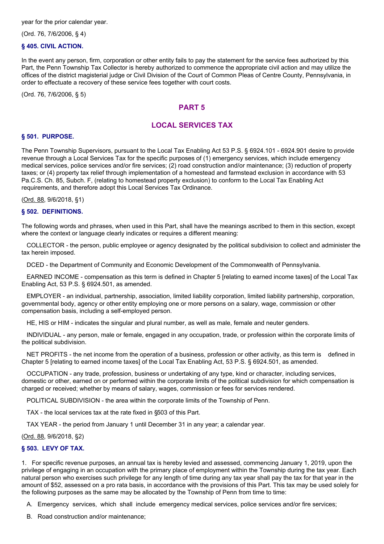(Ord. 76, 7/6/2006, § 4)

### **§ 405. CIVIL ACTION.**

In the event any person, firm, corporation or other entity fails to pay the statement for the service fees authorized by this Part, the Penn Township Tax Collector is hereby authorized to commence the appropriate civil action and may utilize the offices of the district magisterial judge or Civil Division of the Court of Common Pleas of Centre County, Pennsylvania, in order to effectuate a recovery of these service fees together with court costs.

(Ord. 76, 7/6/2006, § 5)

## **PART 5**

## **LOCAL SERVICES TAX**

#### **§ 501. PURPOSE.**

The Penn Township Supervisors, pursuant to the Local Tax Enabling Act 53 P.S. § 6924.101 - 6924.901 desire to provide revenue through a Local Services Tax for the specific purposes of (1) emergency services, which include emergency medical services, police services and/or fire services; (2) road construction and/or maintenance; (3) reduction of property taxes; or (4) property tax relief through implementation of a homestead and farmstead exclusion in accordance with 53 Pa.C.S. Ch. 85, Subch. F, (relating to homestead property exclusion) to conform to the Local Tax Enabling Act requirements, and therefore adopt this Local Services Tax Ordinance.

(Ord. 88, 9/6/2018, §1)

#### **§ 502. DEFINITIONS.**

The following words and phrases, when used in this Part, shall have the meanings ascribed to them in this section, except where the context or language clearly indicates or requires a different meaning:

COLLECTOR - the person, public employee or agency designated by the political subdivision to collect and administer the tax herein imposed.

DCED - the Department of Community and Economic Development of the Commonwealth of Pennsylvania.

EARNED INCOME - compensation as this term is defined in Chapter 5 [relating to earned income taxes] of the Local Tax Enabling Act, 53 P.S. § 6924.501, as amended.

EMPLOYER - an individual, partnership, association, limited liability corporation, limited liability partnership, corporation, governmental body, agency or other entity employing one or more persons on a salary, wage, commission or other compensation basis, including a self-employed person.

HE, HIS or HIM - indicates the singular and plural number, as well as male, female and neuter genders.

INDIVIDUAL - any person, male or female, engaged in any occupation, trade, or profession within the corporate limits of the political subdivision.

NET PROFITS - the net income from the operation of a business, profession or other activity, as this term is defined in Chapter 5 [relating to earned income taxes] of the Local Tax Enabling Act, 53 P.S. § 6924.501, as amended.

OCCUPATION - any trade, profession, business or undertaking of any type, kind or character, including services, domestic or other, earned on or performed within the corporate limits of the political subdivision for which compensation is charged or received; whether by means of salary, wages, commission or fees for services rendered.

POLITICAL SUBDIVISION - the area within the corporate limits of the Township of Penn.

TAX - the local services tax at the rate fixed in §503 of this Part.

TAX YEAR - the period from January 1 until December 31 in any year; a calendar year.

(Ord. 88, 9/6/2018, §2)

### **§ 503. LEVY OF TAX.**

1. For specific revenue purposes, an annual tax is hereby levied and assessed, commencing January 1, 2019, upon the privilege of engaging in an occupation with the primary place of employment within the Township during the tax year. Each natural person who exercises such privilege for any length of time during any tax year shall pay the tax for that year in the amount of \$52, assessed on a pro rata basis, in accordance with the provisions of this Part. This tax may be used solely for the following purposes as the same may be allocated by the Township of Penn from time to time:

A. Emergency services, which shall include emergency medical services, police services and/or fire services;

B. Road construction and/or maintenance;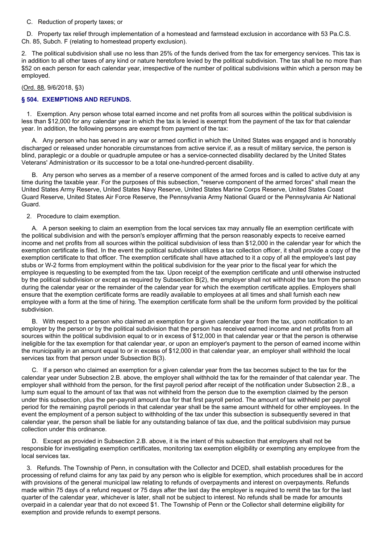C. Reduction of property taxes; or

D. Property tax relief through implementation of a homestead and farmstead exclusion in accordance with 53 Pa.C.S. Ch. 85, Subch. F (relating to homestead property exclusion).

2. The political subdivision shall use no less than 25% of the funds derived from the tax for emergency services. This tax is in addition to all other taxes of any kind or nature heretofore levied by the political subdivision. The tax shall be no more than \$52 on each person for each calendar year, irrespective of the number of political subdivisions within which a person may be employed.

### (Ord. 88, 9/6/2018, §3)

## **§ 504. EXEMPTIONS AND REFUNDS.**

1. Exemption. Any person whose total earned income and net profits from all sources within the political subdivision is less than \$12,000 for any calendar year in which the tax is levied is exempt from the payment of the tax for that calendar year. In addition, the following persons are exempt from payment of the tax:

A. Any person who has served in any war or armed conflict in which the United States was engaged and is honorably discharged or released under honorable circumstances from active service if, as a result of military service, the person is blind, paraplegic or a double or quadruple amputee or has a service-connected disability declared by the United States Veterans' Administration or its successor to be a total one-hundred-percent disability.

B. Any person who serves as a member of a reserve component of the armed forces and is called to active duty at any time during the taxable year. For the purposes of this subsection, "reserve component of the armed forces" shall mean the United States Army Reserve, United States Navy Reserve, United States Marine Corps Reserve, United States Coast Guard Reserve, United States Air Force Reserve, the Pennsylvania Army National Guard or the Pennsylvania Air National Guard.

#### 2. Procedure to claim exemption.

A. A person seeking to claim an exemption from the local services tax may annually file an exemption certificate with the political subdivision and with the person's employer affirming that the person reasonably expects to receive earned income and net profits from all sources within the political subdivision of less than \$12,000 in the calendar year for which the exemption certificate is filed. In the event the political subdivision utilizes a tax collection officer, it shall provide a copy of the exemption certificate to that officer. The exemption certificate shall have attached to it a copy of all the employee's last pay stubs or W-2 forms from employment within the political subdivision for the year prior to the fiscal year for which the employee is requesting to be exempted from the tax. Upon receipt of the exemption certificate and until otherwise instructed by the political subdivision or except as required by Subsection B(2), the employer shall not withhold the tax from the person during the calendar year or the remainder of the calendar year for which the exemption certificate applies. Employers shall ensure that the exemption certificate forms are readily available to employees at all times and shall furnish each new employee with a form at the time of hiring. The exemption certificate form shall be the uniform form provided by the political subdivision.

B. With respect to a person who claimed an exemption for a given calendar year from the tax, upon notification to an employer by the person or by the political subdivision that the person has received earned income and net profits from all sources within the political subdivision equal to or in excess of \$12,000 in that calendar year or that the person is otherwise ineligible for the tax exemption for that calendar year, or upon an employer's payment to the person of earned income within the municipality in an amount equal to or in excess of \$12,000 in that calendar year, an employer shall withhold the local services tax from that person under Subsection B(3).

C. If a person who claimed an exemption for a given calendar year from the tax becomes subject to the tax for the calendar year under Subsection 2.B. above, the employer shall withhold the tax for the remainder of that calendar year. The employer shall withhold from the person, for the first payroll period after receipt of the notification under Subsection 2.B., a lump sum equal to the amount of tax that was not withheld from the person due to the exemption claimed by the person under this subsection, plus the per-payroll amount due for that first payroll period. The amount of tax withheld per payroll period for the remaining payroll periods in that calendar year shall be the same amount withheld for other employees. In the event the employment of a person subject to withholding of the tax under this subsection is subsequently severed in that calendar year, the person shall be liable for any outstanding balance of tax due, and the political subdivision may pursue collection under this ordinance.

D. Except as provided in Subsection 2.B. above, it is the intent of this subsection that employers shall not be responsible for investigating exemption certificates, monitoring tax exemption eligibility or exempting any employee from the local services tax.

3. Refunds. The Township of Penn, in consultation with the Collector and DCED, shall establish procedures for the processing of refund claims for any tax paid by any person who is eligible for exemption, which procedures shall be in accord with provisions of the general municipal law relating to refunds of overpayments and interest on overpayments. Refunds made within 75 days of a refund request or 75 days after the last day the employer is required to remit the tax for the last quarter of the calendar year, whichever is later, shall not be subject to interest. No refunds shall be made for amounts overpaid in a calendar year that do not exceed \$1. The Township of Penn or the Collector shall determine eligibility for exemption and provide refunds to exempt persons.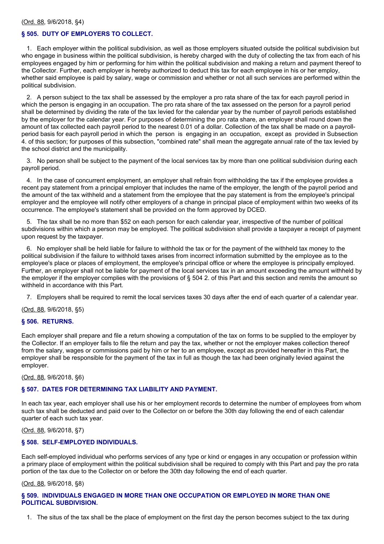## **§ 505. DUTY OF EMPLOYERS TO COLLECT.**

1. Each employer within the political subdivision, as well as those employers situated outside the political subdivision but who engage in business within the political subdivision, is hereby charged with the duty of collecting the tax from each of his employees engaged by him or performing for him within the political subdivision and making a return and payment thereof to the Collector. Further, each employer is hereby authorized to deduct this tax for each employee in his or her employ, whether said employee is paid by salary, wage or commission and whether or not all such services are performed within the political subdivision.

2. A person subject to the tax shall be assessed by the employer a pro rata share of the tax for each payroll period in which the person is engaging in an occupation. The pro rata share of the tax assessed on the person for a payroll period shall be determined by dividing the rate of the tax levied for the calendar year by the number of payroll periods established by the employer for the calendar year. For purposes of determining the pro rata share, an employer shall round down the amount of tax collected each payroll period to the nearest 0.01 of a dollar. Collection of the tax shall be made on a payrollperiod basis for each payroll period in which the person is engaging in an occupation, except as provided in Subsection 4. of this section; for purposes of this subsection, "combined rate" shall mean the aggregate annual rate of the tax levied by the school district and the municipality.

3. No person shall be subject to the payment of the local services tax by more than one political subdivision during each payroll period.

4. In the case of concurrent employment, an employer shall refrain from withholding the tax if the employee provides a recent pay statement from a principal employer that includes the name of the employer, the length of the payroll period and the amount of the tax withheld and a statement from the employee that the pay statement is from the employee's principal employer and the employee will notify other employers of a change in principal place of employment within two weeks of its occurrence. The employee's statement shall be provided on the form approved by DCED.

5. The tax shall be no more than \$52 on each person for each calendar year, irrespective of the number of political subdivisions within which a person may be employed. The political subdivision shall provide a taxpayer a receipt of payment upon request by the taxpayer.

6. No employer shall be held liable for failure to withhold the tax or for the payment of the withheld tax money to the political subdivision if the failure to withhold taxes arises from incorrect information submitted by the employee as to the employee's place or places of employment, the employee's principal office or where the employee is principally employed. Further, an employer shall not be liable for payment of the local services tax in an amount exceeding the amount withheld by the employer if the employer complies with the provisions of § 504 2. of this Part and this section and remits the amount so withheld in accordance with this Part.

7. Employers shall be required to remit the local services taxes 30 days after the end of each quarter of a calendar year.

(Ord. 88, 9/6/2018, §5)

### **§ 506. RETURNS.**

Each employer shall prepare and file a return showing a computation of the tax on forms to be supplied to the employer by the Collector. If an employer fails to file the return and pay the tax, whether or not the employer makes collection thereof from the salary, wages or commissions paid by him or her to an employee, except as provided hereafter in this Part, the employer shall be responsible for the payment of the tax in full as though the tax had been originally levied against the employer.

(Ord. 88, 9/6/2018, §6)

### **§ 507. DATES FOR DETERMINING TAX LIABILITY AND PAYMENT.**

In each tax year, each employer shall use his or her employment records to determine the number of employees from whom such tax shall be deducted and paid over to the Collector on or before the 30th day following the end of each calendar quarter of each such tax year.

(Ord. 88, 9/6/2018, §7)

### **§ 508. SELF-EMPLOYED INDIVIDUALS.**

Each self-employed individual who performs services of any type or kind or engages in any occupation or profession within a primary place of employment within the political subdivision shall be required to comply with this Part and pay the pro rata portion of the tax due to the Collector on or before the 30th day following the end of each quarter.

### (Ord. 88, 9/6/2018, §8)

## **§ 509. INDIVIDUALS ENGAGED IN MORE THAN ONE OCCUPATION OR EMPLOYED IN MORE THAN ONE POLITICAL SUBDIVISION.**

1. The situs of the tax shall be the place of employment on the first day the person becomes subject to the tax during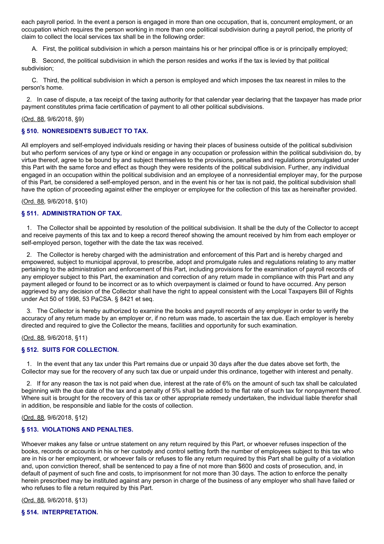each payroll period. In the event a person is engaged in more than one occupation, that is, concurrent employment, or an occupation which requires the person working in more than one political subdivision during a payroll period, the priority of claim to collect the local services tax shall be in the following order:

A. First, the political subdivision in which a person maintains his or her principal office is or is principally employed;

B. Second, the political subdivision in which the person resides and works if the tax is levied by that political subdivision;

C. Third, the political subdivision in which a person is employed and which imposes the tax nearest in miles to the person's home.

2. In case of dispute, a tax receipt of the taxing authority for that calendar year declaring that the taxpayer has made prior payment constitutes prima facie certification of payment to all other political subdivisions.

### (Ord. 88, 9/6/2018, §9)

### **§ 510. NONRESIDENTS SUBJECT TO TAX.**

All employers and self-employed individuals residing or having their places of business outside of the political subdivision but who perform services of any type or kind or engage in any occupation or profession within the political subdivision do, by virtue thereof, agree to be bound by and subject themselves to the provisions, penalties and regulations promulgated under this Part with the same force and effect as though they were residents of the political subdivision. Further, any individual engaged in an occupation within the political subdivision and an employee of a nonresidential employer may, for the purpose of this Part, be considered a self-employed person, and in the event his or her tax is not paid, the political subdivision shall have the option of proceeding against either the employer or employee for the collection of this tax as hereinafter provided.

### (Ord. 88, 9/6/2018, §10)

### **§ 511. ADMINISTRATION OF TAX.**

1. The Collector shall be appointed by resolution of the political subdivision. It shall be the duty of the Collector to accept and receive payments of this tax and to keep a record thereof showing the amount received by him from each employer or self-employed person, together with the date the tax was received.

2. The Collector is hereby charged with the administration and enforcement of this Part and is hereby charged and empowered, subject to municipal approval, to prescribe, adopt and promulgate rules and regulations relating to any matter pertaining to the administration and enforcement of this Part, including provisions for the examination of payroll records of any employer subject to this Part, the examination and correction of any return made in compliance with this Part and any payment alleged or found to be incorrect or as to which overpayment is claimed or found to have occurred. Any person aggrieved by any decision of the Collector shall have the right to appeal consistent with the Local Taxpayers Bill of Rights under Act 50 of 1998, 53 PaCSA. § 8421 et seq.

3. The Collector is hereby authorized to examine the books and payroll records of any employer in order to verify the accuracy of any return made by an employer or, if no return was made, to ascertain the tax due. Each employer is hereby directed and required to give the Collector the means, facilities and opportunity for such examination.

(Ord. 88, 9/6/2018, §11)

### **§ 512. SUITS FOR COLLECTION.**

1. In the event that any tax under this Part remains due or unpaid 30 days after the due dates above set forth, the Collector may sue for the recovery of any such tax due or unpaid under this ordinance, together with interest and penalty.

2. If for any reason the tax is not paid when due, interest at the rate of 6% on the amount of such tax shall be calculated beginning with the due date of the tax and a penalty of 5% shall be added to the flat rate of such tax for nonpayment thereof. Where suit is brought for the recovery of this tax or other appropriate remedy undertaken, the individual liable therefor shall in addition, be responsible and liable for the costs of collection.

### (Ord. 88, 9/6/2018, §12)

### **§ 513. VIOLATIONS AND PENALTIES.**

Whoever makes any false or untrue statement on any return required by this Part, or whoever refuses inspection of the books, records or accounts in his or her custody and control setting forth the number of employees subject to this tax who are in his or her employment, or whoever fails or refuses to file any return required by this Part shall be guilty of a violation and, upon conviction thereof, shall be sentenced to pay a fine of not more than \$600 and costs of prosecution, and, in default of payment of such fine and costs, to imprisonment for not more than 30 days. The action to enforce the penalty herein prescribed may be instituted against any person in charge of the business of any employer who shall have failed or who refuses to file a return required by this Part.

(Ord. 88, 9/6/2018, §13)

**§ 514. INTERPRETATION.**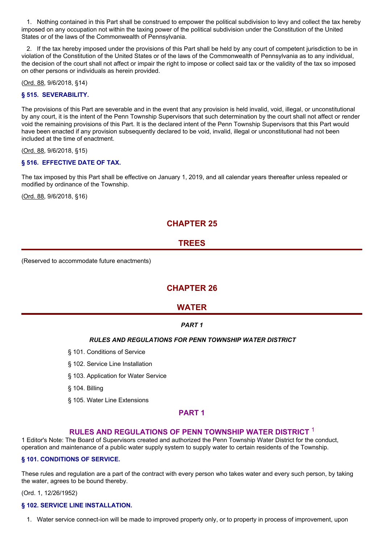1. Nothing contained in this Part shall be construed to empower the political subdivision to levy and collect the tax hereby imposed on any occupation not within the taxing power of the political subdivision under the Constitution of the United States or of the laws of the Commonwealth of Pennsylvania.

2. If the tax hereby imposed under the provisions of this Part shall be held by any court of competent jurisdiction to be in violation of the Constitution of the United States or of the laws of the Commonwealth of Pennsylvania as to any individual, the decision of the court shall not affect or impair the right to impose or collect said tax or the validity of the tax so imposed on other persons or individuals as herein provided.

(Ord. 88, 9/6/2018, §14)

## **§ 515. SEVERABILITY.**

The provisions of this Part are severable and in the event that any provision is held invalid, void, illegal, or unconstitutional by any court, it is the intent of the Penn Township Supervisors that such determination by the court shall not affect or render void the remaining provisions of this Part. It is the declared intent of the Penn Township Supervisors that this Part would have been enacted if any provision subsequently declared to be void, invalid, illegal or unconstitutional had not been included at the time of enactment.

(Ord. 88, 9/6/2018, §15)

### **§ 516. EFFECTIVE DATE OF TAX.**

The tax imposed by this Part shall be effective on January 1, 2019, and all calendar years thereafter unless repealed or modified by ordinance of the Township.

(Ord. 88, 9/6/2018, §16)

# **CHAPTER 25**

## **TREES**

(Reserved to accommodate future enactments)

## **CHAPTER 26**

## **WATER**

## *PART 1*

## *RULES AND REGULATIONS FOR PENN TOWNSHIP WATER DISTRICT*

- § 101. Conditions of Service
- § 102. Service Line Installation
- § 103. Application for Water Service
- § 104. Billing
- § 105. Water Line Extensions

## **PART 1**

## **RULES AND REGULATIONS OF PENN TOWNSHIP WATER DISTRICT** 1

1 Editor's Note: The Board of Supervisors created and authorized the Penn Township Water District for the conduct, operation and maintenance of a public water supply system to supply water to certain residents of the Township.

### **§ 101. CONDITIONS OF SERVICE.**

These rules and regulation are a part of the contract with every person who takes water and every such person, by taking the water, agrees to be bound thereby.

(Ord. 1, 12/26/1952)

### **§ 102. SERVICE LINE INSTALLATION.**

1. Water service connect-ion will be made to improved property only, or to property in process of improvement, upon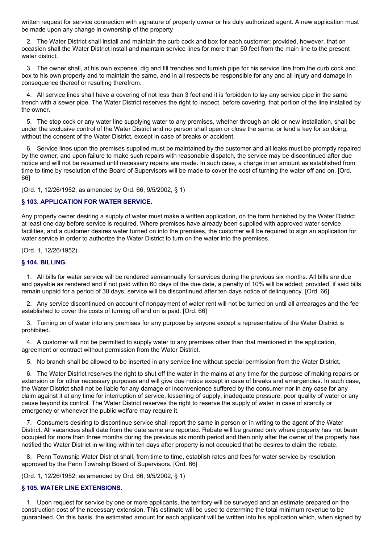written request for service connection with signature of property owner or his duly authorized agent. A new application must be made upon any change in ownership of the property

2. The Water District shall install and maintain the curb cock and box for each customer; provided, however, that on occasion shall the Water District install and maintain service lines for more than 50 feet from the main line to the present water district.

3. The owner shall, at his own expense, dig and fill trenches and furnish pipe for his service line from the curb cock and box to his own property and to maintain the same, and in all respects be responsible for any and all injury and damage in consequence thereof or resulting therefrom.

4. All service lines shall have a covering of not less than 3 feet and it is forbidden to lay any service pipe in the same trench with a sewer pipe. The Water District reserves the right to inspect, before covering, that portion of the line installed by the owner.

5. The stop cock or any water line supplying water to any premises, whether through an old or new installation, shall be under the exclusive control of the Water District and no person shall open or close the same, or lend a key for so doing, without the consent of the Water District, except in case of breaks or accident.

6. Service lines upon the premises supplied must be maintained by the customer and all leaks must be promptly repaired by the owner, and upon failure to make such repairs with reasonable dispatch, the service may be discontinued after due notice and will not be resumed until necessary repairs are made. In such case, a charge in an amount as established from time to time by resolution of the Board of Supervisors will be made to cover the cost of turning the water off and on. [Ord. 66]

(Ord. 1, 12/26/1952; as amended by Ord. 66, 9/5/2002, § 1)

### **§ 103. APPLICATION FOR WATER SERVICE.**

Any property owner desiring a supply of water must make a written application, on the form furnished by the Water District, at least one day before service is required. Where premises have already been supplied with approved water service facilities, and a customer desires water turned on into the premises, the customer will be required to sign an application for water service in order to authorize the Water District to turn on the water into the premises.

(Ord. 1, 12/26/1952)

#### **§ 104. BILLING.**

1. All bills for water service will be rendered semiannually for services during the previous six months. All bills are due and payable as rendered and if not paid within 60 days of the due date, a penalty of 10% will be added; provided, if said bills remain unpaid for a period of 30 days, service will be discontinued after ten days notice of delinquency. [Ord. 66]

2. Any service discontinued on account of nonpayment of water rent will not be turned on until all arrearages and the fee established to cover the costs of turning off and on is paid. [Ord. 66]

3. Turning on of water into any premises for any purpose by anyone except a representative of the Water District is prohibited.

4. A customer will not be permitted to supply water to any premises other than that mentioned in the application, agreement or contract without permission from the Water District.

5. No branch shall be allowed to be inserted in any service line without special permission from the Water District.

6. The Water District reserves the right to shut off the water in the mains at any time for the purpose of making repairs or extension or for other necessary purposes and will give due notice except in case of breaks and emergencies. In such case, the Water District shall not be liable for any damage or inconvenience suffered by the consumer nor in any case for any claim against it at any time for interruption of service, lessening of supply, inadequate pressure, poor quality of water or any cause beyond its control. The Water District reserves the right to reserve the supply of water in case of scarcity or emergency or whenever the public welfare may require it.

7. Consumers desiring to discontinue service shall report the same in person or in writing to the agent of the Water District. All vacancies shall date from the date same are reported. Rebate will be granted only where property has not been occupied for more than three months during the previous six month period and then only after the owner of the property has notified the Water District in writing within ten days after property is not occupied that he desires to claim the rebate.

8. Penn Township Water District shall, from time to time, establish rates and fees for water service by resolution approved by the Penn Township Board of Supervisors. [Ord. 66]

(Ord. 1, 12/26/1952; as amended by Ord. 66, 9/5/2002, § 1)

#### **§ 105. WATER LINE EXTENSIONS.**

1. Upon request for service by one or more applicants, the territory will be surveyed and an estimate prepared on the construction cost of the necessary extension. This estimate will be used to determine the total minimum revenue to be guaranteed. On this basis, the estimated amount for each applicant will be written into his application which, when signed by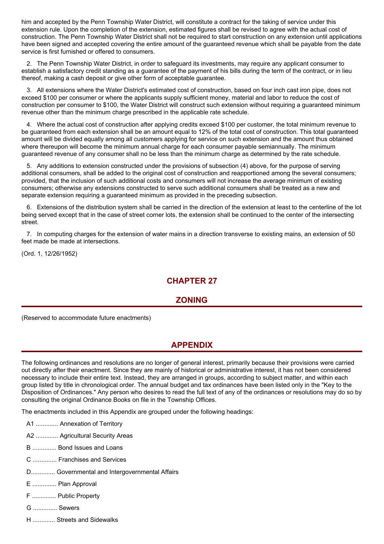him and accepted by the Penn Township Water District, will constitute a contract for the taking of service under this extension rule. Upon the completion of the extension, estimated figures shall be revised to agree with the actual cost of construction. The Penn Township Water District shall not be required to start construction on any extension until applications have been signed and accepted covering the entire amount of the guaranteed revenue which shall be payable from the date service is first furnished or offered to consumers.

2. The Penn Township Water District, in order to safeguard its investments, may require any applicant consumer to establish a satisfactory credit standing as a guarantee of the payment of his bills during the term of the contract, or in lieu thereof, making a cash deposit or give other form of acceptable guarantee.

3. All extensions where the Water District's estimated cost of construction, based on four inch cast iron pipe, does not exceed \$100 per consumer or where the applicants supply sufficient money, material and labor to reduce the cost of construction per consumer to \$100, the Water District will construct such extension without requiring a guaranteed minimum revenue other than the minimum charge prescribed in the applicable rate schedule.

4. Where the actual cost of construction after applying credits exceed \$100 per customer, the total minimum revenue to be guaranteed from each extension shall be an amount equal to 12% of the total cost of construction. This total guaranteed amount will be divided equally among all customers applying for service on such extension and the amount thus obtained where thereupon will become the minimum annual charge for each consumer payable semiannually. The minimum guaranteed revenue of any consumer shall no be less than the minimum charge as determined by the rate schedule.

5. Any additions to extension constructed under the provisions of subsection (4) above, for the purpose of serving additional consumers, shall be added to the original cost of construction and reapportioned among the several consumers; provided, that the inclusion of such additional costs and consumers will not increase the average minimum of existing consumers; otherwise any extensions constructed to serve such additional consumers shall be treated as a new and separate extension requiring a guaranteed minimum as provided in the preceding subsection.

6. Extensions of the distribution system shall be carried in the direction of the extension at least to the centerline of the lot being served except that in the case of street corner lots, the extension shall be continued to the center of the intersecting street.

7. In computing charges for the extension of water mains in a direction transverse to existing mains, an extension of 50 feet made be made at intersections.

(Ord. 1, 12/26/1952)

# **CHAPTER 27**

## **ZONING**

(Reserved to accommodate future enactments)

# **APPENDIX**

The following ordinances and resolutions are no longer of general interest, primarily because their provisions were carried out directly after their enactment. Since they are mainly of historical or administrative interest, it has not been considered necessary to include their entire text. Instead, they are arranged in groups, according to subject matter, and within each group listed by title in chronological order. The annual budget and tax ordinances have been listed only in the "Key to the Disposition of Ordinances." Any person who desires to read the full text of any of the ordinances or resolutions may do so by consulting the original Ordinance Books on file in the Township Offices.

The enactments included in this Appendix are grouped under the following headings:

- A1 ............. Annexation of Territory
- A2 ............. Agricultural Security Areas
- B .............. Bond Issues and Loans
- C .............. Franchises and Services
- D.............. Governmental and Intergovernmental Affairs
- E .............. Plan Approval
- F .............. Public Property
- G .............. Sewers
- H ............. Streets and Sidewalks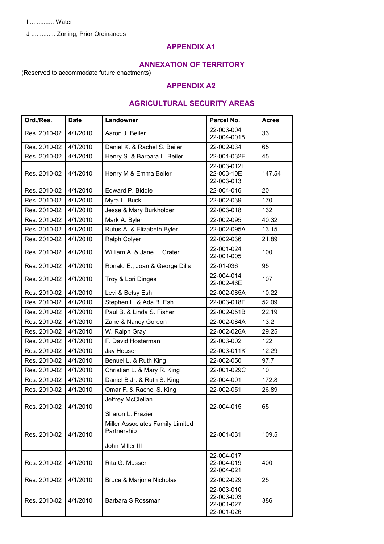I .............. Water

J .............. Zoning; Prior Ordinances

# **APPENDIX A1**

## **ANNEXATION OF TERRITORY**

(Reserved to accommodate future enactments)

## **APPENDIX A2**

# **AGRICULTURAL SECURITY AREAS**

| Ord./Res.    | <b>Date</b> | Landowner                                                                        | Parcel No.                                           | <b>Acres</b> |
|--------------|-------------|----------------------------------------------------------------------------------|------------------------------------------------------|--------------|
| Res. 2010-02 | 4/1/2010    | 22-003-004<br>Aaron J. Beiler<br>22-004-0018                                     |                                                      | 33           |
| Res. 2010-02 | 4/1/2010    | Daniel K. & Rachel S. Beiler                                                     | 22-002-034                                           | 65           |
| Res. 2010-02 | 4/1/2010    | Henry S. & Barbara L. Beiler                                                     | 22-001-032F                                          | 45           |
| Res. 2010-02 | 4/1/2010    | Henry M & Emma Beiler                                                            | 22-003-012L<br>22-003-10E<br>22-003-013              | 147.54       |
| Res. 2010-02 | 4/1/2010    | Edward P. Biddle                                                                 | 22-004-016                                           | 20           |
| Res. 2010-02 | 4/1/2010    | Myra L. Buck                                                                     | 22-002-039                                           | 170          |
| Res. 2010-02 | 4/1/2010    | Jesse & Mary Burkholder                                                          | 22-003-018                                           | 132          |
| Res. 2010-02 | 4/1/2010    | Mark A. Byler                                                                    | 22-002-095                                           | 40.32        |
| Res. 2010-02 | 4/1/2010    | Rufus A. & Elizabeth Byler                                                       | 22-002-095A                                          | 13.15        |
| Res. 2010-02 | 4/1/2010    | Ralph Colyer                                                                     | 22-002-036                                           | 21.89        |
| Res. 2010-02 | 4/1/2010    | William A. & Jane L. Crater                                                      | 22-001-024<br>22-001-005                             | 100          |
| Res. 2010-02 | 4/1/2010    | Ronald E., Joan & George Dills                                                   | 22-01-036                                            | 95           |
| Res. 2010-02 | 4/1/2010    | Troy & Lori Dinges                                                               | 22-004-014<br>22-002-46E                             | 107          |
| Res. 2010-02 | 4/1/2010    | Levi & Betsy Esh                                                                 | 22-002-085A                                          | 10.22        |
| Res. 2010-02 | 4/1/2010    | Stephen L. & Ada B. Esh                                                          | 22-003-018F                                          | 52.09        |
| Res. 2010-02 | 4/1/2010    | Paul B. & Linda S. Fisher                                                        | 22-002-051B                                          | 22.19        |
| Res. 2010-02 | 4/1/2010    | Zane & Nancy Gordon                                                              | 22-002-084A                                          | 13.2         |
| Res. 2010-02 | 4/1/2010    | W. Ralph Gray                                                                    | 22-002-026A                                          | 29.25        |
| Res. 2010-02 | 4/1/2010    | F. David Hosterman                                                               | 22-003-002                                           | 122          |
| Res. 2010-02 | 4/1/2010    | Jay Houser                                                                       | 22-003-011K                                          | 12.29        |
| Res. 2010-02 | 4/1/2010    | Benuel L. & Ruth King                                                            | 22-002-050                                           | 97.7         |
| Res. 2010-02 | 4/1/2010    | Christian L. & Mary R. King                                                      | 22-001-029C                                          | 10           |
| Res. 2010-02 | 4/1/2010    | Daniel B Jr. & Ruth S. King                                                      | 22-004-001                                           | 172.8        |
| Res. 2010-02 | 4/1/2010    | Omar F. & Rachel S. King                                                         | 22-002-051                                           | 26.89        |
| Res. 2010-02 | 4/1/2010    | Jeffrey McClellan<br>22-004-015<br>Sharon L. Frazier                             |                                                      | 65           |
| Res. 2010-02 | 4/1/2010    | Miller Associates Family Limited<br>Partnership<br>22-001-031<br>John Miller III |                                                      | 109.5        |
| Res. 2010-02 | 4/1/2010    | 22-004-017<br>Rita G. Musser<br>22-004-019<br>22-004-021                         |                                                      | 400          |
| Res. 2010-02 | 4/1/2010    | Bruce & Marjorie Nicholas                                                        | 22-002-029                                           | 25           |
| Res. 2010-02 | 4/1/2010    | Barbara S Rossman                                                                | 22-003-010<br>22-003-003<br>22-001-027<br>22-001-026 | 386          |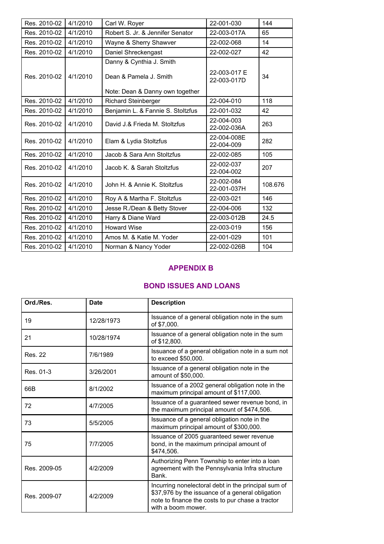| Res. 2010-02 | 4/1/2010 | 22-001-030<br>Carl W. Royer                                                           |                             | 144     |
|--------------|----------|---------------------------------------------------------------------------------------|-----------------------------|---------|
| Res. 2010-02 | 4/1/2010 | Robert S. Jr. & Jennifer Senator                                                      | 22-003-017A                 | 65      |
| Res. 2010-02 | 4/1/2010 | Wayne & Sherry Shawver                                                                | 22-002-068                  | 14      |
| Res. 2010-02 | 4/1/2010 | Daniel Shreckengast                                                                   | 22-002-027                  | 42      |
| Res. 2010-02 | 4/1/2010 | Danny & Cynthia J. Smith<br>Dean & Pamela J. Smith<br>Note: Dean & Danny own together | 22-003-017 E<br>22-003-017D | 34      |
| Res. 2010-02 | 4/1/2010 | <b>Richard Steinberger</b>                                                            | 22-004-010                  | 118     |
| Res. 2010-02 | 4/1/2010 | Benjamin L. & Fannie S. Stoltzfus                                                     | 22-001-032                  | 42      |
| Res. 2010-02 | 4/1/2010 | David J.& Frieda M. Stoltzfus                                                         | 22-004-003<br>22-002-036A   | 263     |
| Res. 2010-02 | 4/1/2010 | Elam & Lydia Stoltzfus                                                                | 22-004-008E<br>22-004-009   | 282     |
| Res. 2010-02 | 4/1/2010 | Jacob & Sara Ann Stoltzfus                                                            | 22-002-085                  | 105     |
| Res. 2010-02 | 4/1/2010 | Jacob K. & Sarah Stoltzfus                                                            | 22-002-037<br>22-004-002    | 207     |
| Res. 2010-02 | 4/1/2010 | 22-002-084<br>John H. & Annie K. Stoltzfus<br>22-001-037H                             |                             | 108.676 |
| Res. 2010-02 | 4/1/2010 | Roy A & Martha F. Stoltzfus<br>22-003-021                                             |                             | 146     |
| Res. 2010-02 | 4/1/2010 | Jesse R./Dean & Betty Stover<br>22-004-006                                            |                             | 132     |
| Res. 2010-02 | 4/1/2010 | Harry & Diane Ward<br>22-003-012B                                                     |                             | 24.5    |
| Res. 2010-02 | 4/1/2010 | 22-003-019<br><b>Howard Wise</b>                                                      |                             | 156     |
| Res. 2010-02 | 4/1/2010 | Amos M. & Katie M. Yoder                                                              | 22-001-029                  | 101     |
| Res. 2010-02 | 4/1/2010 | Norman & Nancy Yoder                                                                  | 22-002-026B                 | 104     |
|              |          |                                                                                       |                             |         |

# **APPENDIX B**

# **BOND ISSUES AND LOANS**

| Ord./Res.      | <b>Date</b> | <b>Description</b>                                                                                                                                                                |
|----------------|-------------|-----------------------------------------------------------------------------------------------------------------------------------------------------------------------------------|
| 19             | 12/28/1973  | Issuance of a general obligation note in the sum<br>of \$7,000.                                                                                                                   |
| 21             | 10/28/1974  | Issuance of a general obligation note in the sum<br>of \$12,800.                                                                                                                  |
| <b>Res. 22</b> | 7/6/1989    | Issuance of a general obligation note in a sum not<br>to exceed \$50,000.                                                                                                         |
| Res. 01-3      | 3/26/2001   | Issuance of a general obligation note in the<br>amount of \$50,000.                                                                                                               |
| 66B            | 8/1/2002    | Issuance of a 2002 general obligation note in the<br>maximum principal amount of \$117,000.                                                                                       |
| 72             | 4/7/2005    | Issuance of a guaranteed sewer revenue bond, in<br>the maximum principal amount of \$474,506.                                                                                     |
| 73             | 5/5/2005    | Issuance of a general obligation note in the<br>maximum principal amount of \$300,000.                                                                                            |
| 75             | 7/7/2005    | Issuance of 2005 guaranteed sewer revenue<br>bond, in the maximum principal amount of<br>\$474,506.                                                                               |
| Res. 2009-05   | 4/2/2009    | Authorizing Penn Township to enter into a loan<br>agreement with the Pennsylvania Infra structure<br>Bank.                                                                        |
| Res. 2009-07   | 4/2/2009    | Incurring nonelectoral debt in the principal sum of<br>\$37,976 by the issuance of a general obligation<br>note to finance the costs to pur chase a tractor<br>with a boom mower. |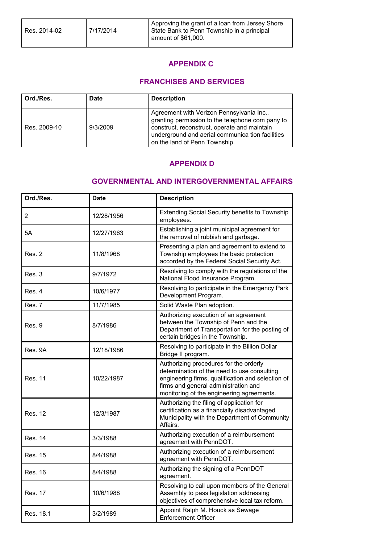## **APPENDIX C**

## **FRANCHISES AND SERVICES**

| Ord./Res.    | <b>Date</b> | <b>Description</b>                                                                                                                                                                                                                 |
|--------------|-------------|------------------------------------------------------------------------------------------------------------------------------------------------------------------------------------------------------------------------------------|
| Res. 2009-10 | 9/3/2009    | Agreement with Verizon Pennsylvania Inc.,<br>granting permission to the telephone com pany to<br>construct, reconstruct, operate and maintain<br>underground and aerial communica tion facilities<br>on the land of Penn Township. |

## **APPENDIX D**

## **GOVERNMENTAL AND INTERGOVERNMENTAL AFFAIRS**

| Ord./Res.      | <b>Date</b> | <b>Description</b>                                                                                                                                                                                                              |
|----------------|-------------|---------------------------------------------------------------------------------------------------------------------------------------------------------------------------------------------------------------------------------|
| $\overline{2}$ | 12/28/1956  | Extending Social Security benefits to Township<br>employees.                                                                                                                                                                    |
| 5A             | 12/27/1963  | Establishing a joint municipal agreement for<br>the removal of rubbish and garbage.                                                                                                                                             |
| Res. 2         | 11/8/1968   | Presenting a plan and agreement to extend to<br>Township employees the basic protection<br>accorded by the Federal Social Security Act.                                                                                         |
| Res. 3         | 9/7/1972    | Resolving to comply with the regulations of the<br>National Flood Insurance Program.                                                                                                                                            |
| Res. 4         | 10/6/1977   | Resolving to participate in the Emergency Park<br>Development Program.                                                                                                                                                          |
| Res. 7         | 11/7/1985   | Solid Waste Plan adoption.                                                                                                                                                                                                      |
| Res. 9         | 8/7/1986    | Authorizing execution of an agreement<br>between the Township of Penn and the<br>Department of Transportation for the posting of<br>certain bridges in the Township.                                                            |
| Res. 9A        | 12/18/1986  | Resolving to participate in the Billion Dollar<br>Bridge II program.                                                                                                                                                            |
| <b>Res. 11</b> | 10/22/1987  | Authorizing procedures for the orderly<br>determination of the need to use consulting<br>engineering firms, qualification and selection of<br>firms and general administration and<br>monitoring of the engineering agreements. |
| <b>Res. 12</b> | 12/3/1987   | Authorizing the filing of application for<br>certification as a financially disadvantaged<br>Municipality with the Department of Community<br>Affairs.                                                                          |
| <b>Res. 14</b> | 3/3/1988    | Authorizing execution of a reimbursement<br>agreement with PennDOT.                                                                                                                                                             |
| <b>Res. 15</b> | 8/4/1988    | Authorizing execution of a reimbursement<br>agreement with PennDOT.                                                                                                                                                             |
| <b>Res. 16</b> | 8/4/1988    | Authorizing the signing of a PennDOT<br>agreement.                                                                                                                                                                              |
| <b>Res. 17</b> | 10/6/1988   | Resolving to call upon members of the General<br>Assembly to pass legislation addressing<br>objectives of comprehensive local tax reform.                                                                                       |
| Res. 18.1      | 3/2/1989    | Appoint Ralph M. Houck as Sewage<br><b>Enforcement Officer</b>                                                                                                                                                                  |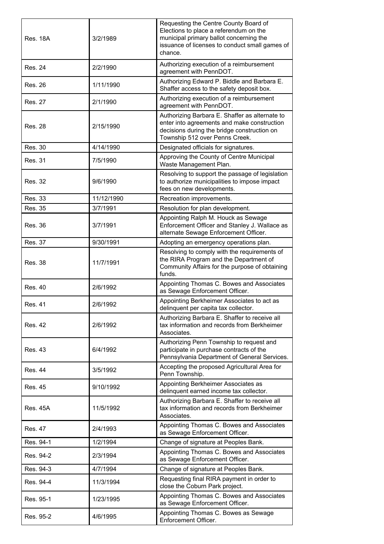| <b>Res. 18A</b> | 3/2/1989   | Requesting the Centre County Board of<br>Elections to place a referendum on the<br>municipal primary ballot concerning the<br>issuance of licenses to conduct small games of<br>chance. |
|-----------------|------------|-----------------------------------------------------------------------------------------------------------------------------------------------------------------------------------------|
| <b>Res. 24</b>  | 2/2/1990   | Authorizing execution of a reimbursement<br>agreement with PennDOT.                                                                                                                     |
| <b>Res. 26</b>  | 1/11/1990  | Authorizing Edward P. Biddle and Barbara E.<br>Shaffer access to the safety deposit box.                                                                                                |
| <b>Res. 27</b>  | 2/1/1990   | Authorizing execution of a reimbursement<br>agreement with PennDOT.                                                                                                                     |
| <b>Res. 28</b>  | 2/15/1990  | Authorizing Barbara E. Shaffer as alternate to<br>enter into agreements and make construction<br>decisions during the bridge construction on<br>Township 512 over Penns Creek.          |
| <b>Res. 30</b>  | 4/14/1990  | Designated officials for signatures.                                                                                                                                                    |
| <b>Res. 31</b>  | 7/5/1990   | Approving the County of Centre Municipal<br>Waste Management Plan.                                                                                                                      |
| <b>Res. 32</b>  | 9/6/1990   | Resolving to support the passage of legislation<br>to authorize municipalities to impose impact<br>fees on new developments.                                                            |
| <b>Res. 33</b>  | 11/12/1990 | Recreation improvements.                                                                                                                                                                |
| <b>Res. 35</b>  | 3/7/1991   | Resolution for plan development.                                                                                                                                                        |
| <b>Res. 36</b>  | 3/7/1991   | Appointing Ralph M. Houck as Sewage<br>Enforcement Officer and Stanley J. Wallace as<br>alternate Sewage Enforcement Officer.                                                           |
| <b>Res. 37</b>  | 9/30/1991  | Adopting an emergency operations plan.                                                                                                                                                  |
| <b>Res. 38</b>  | 11/7/1991  | Resolving to comply with the requirements of<br>the RIRA Program and the Department of<br>Community Affairs for the purpose of obtaining<br>funds.                                      |
| <b>Res. 40</b>  | 2/6/1992   | Appointing Thomas C. Bowes and Associates<br>as Sewage Enforcement Officer.                                                                                                             |
| <b>Res. 41</b>  | 2/6/1992   | Appointing Berkheimer Associates to act as<br>delinquent per capita tax collector.                                                                                                      |
| <b>Res. 42</b>  | 2/6/1992   | Authorizing Barbara E. Shaffer to receive all<br>tax information and records from Berkheimer<br>Associates.                                                                             |
| <b>Res. 43</b>  | 6/4/1992   | Authorizing Penn Township to request and<br>participate in purchase contracts of the<br>Pennsylvania Department of General Services.                                                    |
| <b>Res. 44</b>  | 3/5/1992   | Accepting the proposed Agricultural Area for<br>Penn Township.                                                                                                                          |
| <b>Res. 45</b>  | 9/10/1992  | Appointing Berkheimer Associates as<br>delinquent earned income tax collector.                                                                                                          |
| <b>Res. 45A</b> | 11/5/1992  | Authorizing Barbara E. Shaffer to receive all<br>tax information and records from Berkheimer<br>Associates.                                                                             |
| <b>Res. 47</b>  | 2/4/1993   | Appointing Thomas C. Bowes and Associates<br>as Sewage Enforcement Officer.                                                                                                             |
| Res. 94-1       | 1/2/1994   | Change of signature at Peoples Bank.                                                                                                                                                    |
| Res. 94-2       | 2/3/1994   | Appointing Thomas C. Bowes and Associates<br>as Sewage Enforcement Officer.                                                                                                             |
| Res. 94-3       | 4/7/1994   | Change of signature at Peoples Bank.                                                                                                                                                    |
| Res. 94-4       | 11/3/1994  | Requesting final RIRA payment in order to<br>close the Coburn Park project.                                                                                                             |
| Res. 95-1       | 1/23/1995  | Appointing Thomas C. Bowes and Associates<br>as Sewage Enforcement Officer.                                                                                                             |
| Res. 95-2       | 4/6/1995   | Appointing Thomas C. Bowes as Sewage<br>Enforcement Officer.                                                                                                                            |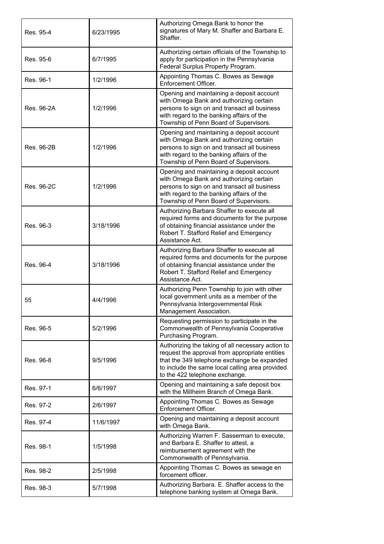| Res. 95-4  | 6/23/1995 | Authorizing Omega Bank to honor the<br>signatures of Mary M. Shaffer and Barbara E.<br>Shaffer.                                                                                                                                         |
|------------|-----------|-----------------------------------------------------------------------------------------------------------------------------------------------------------------------------------------------------------------------------------------|
| Res. 95-6  | 6/7/1995  | Authorizing certain officials of the Township to<br>apply for participation in the Pennsylvania<br>Federal Surplus Property Program.                                                                                                    |
| Res. 96-1  | 1/2/1996  | Appointing Thomas C. Bowes as Sewage<br>Enforcement Officer.                                                                                                                                                                            |
| Res. 96-2A | 1/2/1996  | Opening and maintaining a deposit account<br>with Omega Bank and authorizing certain<br>persons to sign on and transact all business<br>with regard to the banking affairs of the<br>Township of Penn Board of Supervisors.             |
| Res. 96-2B | 1/2/1996  | Opening and maintaining a deposit account<br>with Omega Bank and authorizing certain<br>persons to sign on and transact all business<br>with regard to the banking affairs of the<br>Township of Penn Board of Supervisors.             |
| Res. 96-2C | 1/2/1996  | Opening and maintaining a deposit account<br>with Omega Bank and authorizing certain<br>persons to sign on and transact all business<br>with regard to the banking affairs of the<br>Township of Penn Board of Supervisors.             |
| Res. 96-3  | 3/18/1996 | Authorizing Barbara Shaffer to execute all<br>required forms and documents for the purpose<br>of obtaining financial assistance under the<br>Robert T. Stafford Relief and Emergency<br>Assistance Act.                                 |
| Res. 96-4  | 3/18/1996 | Authorizing Barbara Shaffer to execute all<br>required forms and documents for the purpose<br>of obtaining financial assistance under the<br>Robert T. Stafford Relief and Emergency<br>Assistance Act.                                 |
| 55         | 4/4/1996  | Authorizing Penn Township to join with other<br>local government units as a member of the<br>Pennsylvania Intergovernmental Risk<br>Management Association.                                                                             |
| Res. 96-5  | 5/2/1996  | Requesting permission to participate in the<br>Commonwealth of Pennsylvania Cooperative<br>Purchasing Program.                                                                                                                          |
| Res. 96-8  | 9/5/1996  | Authorizing the taking of all necessary action to<br>request the approval from appropriate entities<br>that the 349 telephone exchange be expanded<br>to include the same local calling area provided<br>to the 422 telephone exchange. |
| Res. 97-1  | 6/6/1997  | Opening and maintaining a safe deposit box<br>with the Millheim Branch of Omega Bank.                                                                                                                                                   |
| Res. 97-2  | 2/6/1997  | Appointing Thomas C. Bowes as Sewage<br>Enforcement Officer.                                                                                                                                                                            |
| Res. 97-4  | 11/6/1997 | Opening and maintaining a deposit account<br>with Omega Bank.                                                                                                                                                                           |
| Res. 98-1  | 1/5/1998  | Authorizing Warren F. Sasserman to execute,<br>and Barbara E. Shaffer to attest, a<br>reimbursement agreement with the<br>Commonwealth of Pennsylvania.                                                                                 |
| Res. 98-2  | 2/5/1998  | Appointing Thomas C. Bowes as sewage en<br>forcement officer.                                                                                                                                                                           |
| Res. 98-3  | 5/7/1998  | Authorizing Barbara. E. Shaffer access to the<br>telephone banking system at Omega Bank.                                                                                                                                                |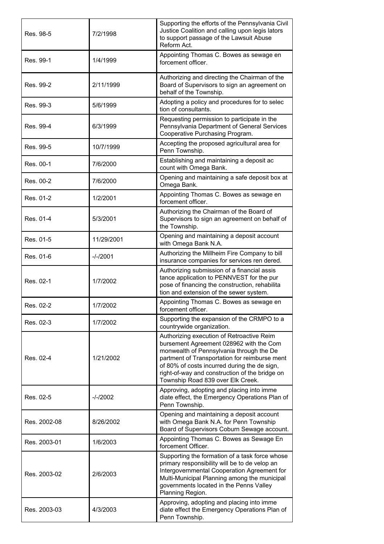| Res. 98-5    | 7/2/1998   | Supporting the efforts of the Pennsylvania Civil<br>Justice Coalition and calling upon legis lators<br>to support passage of the Lawsuit Abuse<br>Reform Act.                                                                                                                                                            |
|--------------|------------|--------------------------------------------------------------------------------------------------------------------------------------------------------------------------------------------------------------------------------------------------------------------------------------------------------------------------|
| Res. 99-1    | 1/4/1999   | Appointing Thomas C. Bowes as sewage en<br>forcement officer.                                                                                                                                                                                                                                                            |
| Res. 99-2    | 2/11/1999  | Authorizing and directing the Chairman of the<br>Board of Supervisors to sign an agreement on<br>behalf of the Township.                                                                                                                                                                                                 |
| Res. 99-3    | 5/6/1999   | Adopting a policy and procedures for to selec<br>tion of consultants.                                                                                                                                                                                                                                                    |
| Res. 99-4    | 6/3/1999   | Requesting permission to participate in the<br>Pennsylvania Department of General Services<br>Cooperative Purchasing Program.                                                                                                                                                                                            |
| Res. 99-5    | 10/7/1999  | Accepting the proposed agricultural area for<br>Penn Township.                                                                                                                                                                                                                                                           |
| Res. 00-1    | 7/6/2000   | Establishing and maintaining a deposit ac<br>count with Omega Bank.                                                                                                                                                                                                                                                      |
| Res. 00-2    | 7/6/2000   | Opening and maintaining a safe deposit box at<br>Omega Bank.                                                                                                                                                                                                                                                             |
| Res. 01-2    | 1/2/2001   | Appointing Thomas C. Bowes as sewage en<br>forcement officer.                                                                                                                                                                                                                                                            |
| Res. 01-4    | 5/3/2001   | Authorizing the Chairman of the Board of<br>Supervisors to sign an agreement on behalf of<br>the Township.                                                                                                                                                                                                               |
| Res. 01-5    | 11/29/2001 | Opening and maintaining a deposit account<br>with Omega Bank N.A.                                                                                                                                                                                                                                                        |
| Res. 01-6    | $-/-/2001$ | Authorizing the Millheim Fire Company to bill<br>insurance companies for services ren dered.                                                                                                                                                                                                                             |
| Res. 02-1    | 1/7/2002   | Authorizing submission of a financial assis<br>tance application to PENNVEST for the pur<br>pose of financing the construction, rehabilita<br>tion and extension of the sewer system.                                                                                                                                    |
| Res. 02-2    | 1/7/2002   | Appointing Thomas C. Bowes as sewage en<br>forcement officer.                                                                                                                                                                                                                                                            |
| Res. 02-3    | 1/7/2002   | Supporting the expansion of the CRMPO to a<br>countrywide organization.                                                                                                                                                                                                                                                  |
| Res. 02-4    | 1/21/2002  | Authorizing execution of Retroactive Reim<br>bursement Agreement 028962 with the Com<br>monwealth of Pennsylvania through the De<br>partment of Transportation for reimburse ment<br>of 80% of costs incurred during the de sign,<br>right-of-way and construction of the bridge on<br>Township Road 839 over Elk Creek. |
| Res. 02-5    | $-/-/2002$ | Approving, adopting and placing into imme<br>diate effect, the Emergency Operations Plan of<br>Penn Township.                                                                                                                                                                                                            |
| Res. 2002-08 | 8/26/2002  | Opening and maintaining a deposit account<br>with Omega Bank N.A. for Penn Township<br>Board of Supervisors Coburn Sewage account.                                                                                                                                                                                       |
| Res. 2003-01 | 1/6/2003   | Appointing Thomas C. Bowes as Sewage En<br>forcement Officer.                                                                                                                                                                                                                                                            |
| Res. 2003-02 | 2/6/2003   | Supporting the formation of a task force whose<br>primary responsibility will be to de velop an<br>Intergovernmental Cooperation Agreement for<br>Multi-Municipal Planning among the municipal<br>governments located in the Penns Valley<br>Planning Region.                                                            |
| Res. 2003-03 | 4/3/2003   | Approving, adopting and placing into imme<br>diate effect the Emergency Operations Plan of<br>Penn Township.                                                                                                                                                                                                             |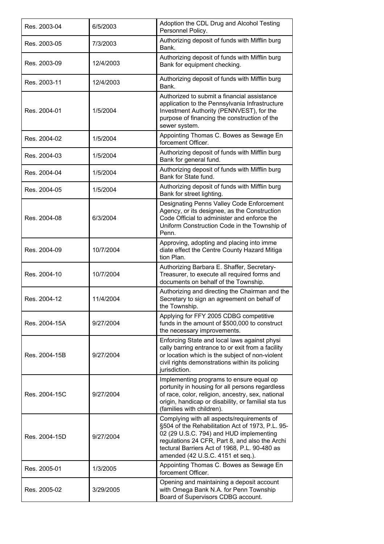| Res. 2003-04  | 6/5/2003  | Adoption the CDL Drug and Alcohol Testing<br>Personnel Policy.                                                                                                                                                                                                                    |
|---------------|-----------|-----------------------------------------------------------------------------------------------------------------------------------------------------------------------------------------------------------------------------------------------------------------------------------|
| Res. 2003-05  | 7/3/2003  | Authorizing deposit of funds with Mifflin burg<br>Bank.                                                                                                                                                                                                                           |
| Res. 2003-09  | 12/4/2003 | Authorizing deposit of funds with Mifflin burg<br>Bank for equipment checking.                                                                                                                                                                                                    |
| Res. 2003-11  | 12/4/2003 | Authorizing deposit of funds with Mifflin burg<br>Bank.                                                                                                                                                                                                                           |
| Res. 2004-01  | 1/5/2004  | Authorized to submit a financial assistance<br>application to the Pennsylvania Infrastructure<br>Investment Authority (PENNVEST), for the<br>purpose of financing the construction of the<br>sewer system.                                                                        |
| Res. 2004-02  | 1/5/2004  | Appointing Thomas C. Bowes as Sewage En<br>forcement Officer.                                                                                                                                                                                                                     |
| Res. 2004-03  | 1/5/2004  | Authorizing deposit of funds with Mifflin burg<br>Bank for general fund.                                                                                                                                                                                                          |
| Res. 2004-04  | 1/5/2004  | Authorizing deposit of funds with Mifflin burg<br>Bank for State fund.                                                                                                                                                                                                            |
| Res. 2004-05  | 1/5/2004  | Authorizing deposit of funds with Mifflin burg<br>Bank for street lighting.                                                                                                                                                                                                       |
| Res. 2004-08  | 6/3/2004  | Designating Penns Valley Code Enforcement<br>Agency, or its designee, as the Construction<br>Code Official to administer and enforce the<br>Uniform Construction Code in the Township of<br>Penn.                                                                                 |
| Res. 2004-09  | 10/7/2004 | Approving, adopting and placing into imme<br>diate effect the Centre County Hazard Mitiga<br>tion Plan.                                                                                                                                                                           |
|               |           |                                                                                                                                                                                                                                                                                   |
| Res. 2004-10  | 10/7/2004 | Authorizing Barbara E. Shaffer, Secretary-<br>Treasurer, to execute all required forms and<br>documents on behalf of the Township.                                                                                                                                                |
| Res. 2004-12  | 11/4/2004 | Authorizing and directing the Chairman and the<br>Secretary to sign an agreement on behalf of<br>the Township.                                                                                                                                                                    |
| Res. 2004-15A | 9/27/2004 | Applying for FFY 2005 CDBG competitive<br>funds in the amount of \$500,000 to construct<br>the necessary improvements.                                                                                                                                                            |
| Res. 2004-15B | 9/27/2004 | Enforcing State and local laws against physi<br>cally barring entrance to or exit from a facility<br>or location which is the subject of non-violent<br>civil rights demonstrations within its policing<br>jurisdiction.                                                          |
| Res. 2004-15C | 9/27/2004 | Implementing programs to ensure equal op<br>portunity in housing for all persons regardless<br>of race, color, religion, ancestry, sex, national<br>origin, handicap or disability, or familial sta tus<br>(families with children).                                              |
| Res. 2004-15D | 9/27/2004 | Complying with all aspects/requirements of<br>§504 of the Rehabilitation Act of 1973, P.L. 95-<br>02 (29 U.S.C. 794) and HUD implementing<br>regulations 24 CFR, Part 8, and also the Archi<br>tectural Barriers Act of 1968, P.L. 90-480 as<br>amended (42 U.S.C. 4151 et seq.). |
| Res. 2005-01  | 1/3/2005  | Appointing Thomas C. Bowes as Sewage En<br>forcement Officer.                                                                                                                                                                                                                     |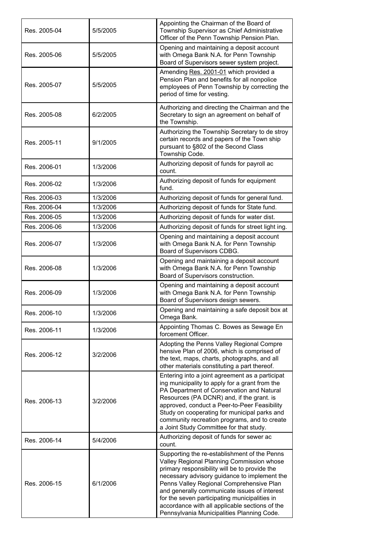| Res. 2005-04 | 5/5/2005 | Appointing the Chairman of the Board of<br>Township Supervisor as Chief Administrative<br>Officer of the Penn Township Pension Plan.                                                                                                                                                                                                                                                                                                    |
|--------------|----------|-----------------------------------------------------------------------------------------------------------------------------------------------------------------------------------------------------------------------------------------------------------------------------------------------------------------------------------------------------------------------------------------------------------------------------------------|
| Res. 2005-06 | 5/5/2005 | Opening and maintaining a deposit account<br>with Omega Bank N.A. for Penn Township<br>Board of Supervisors sewer system project.                                                                                                                                                                                                                                                                                                       |
| Res. 2005-07 | 5/5/2005 | Amending Res. 2001-01 which provided a<br>Pension Plan and benefits for all nonpolice<br>employees of Penn Township by correcting the<br>period of time for vesting.                                                                                                                                                                                                                                                                    |
| Res. 2005-08 | 6/2/2005 | Authorizing and directing the Chairman and the<br>Secretary to sign an agreement on behalf of<br>the Township.                                                                                                                                                                                                                                                                                                                          |
| Res. 2005-11 | 9/1/2005 | Authorizing the Township Secretary to de stroy<br>certain records and papers of the Town ship<br>pursuant to §802 of the Second Class<br>Township Code.                                                                                                                                                                                                                                                                                 |
| Res. 2006-01 | 1/3/2006 | Authorizing deposit of funds for payroll ac<br>count.                                                                                                                                                                                                                                                                                                                                                                                   |
| Res. 2006-02 | 1/3/2006 | Authorizing deposit of funds for equipment<br>fund.                                                                                                                                                                                                                                                                                                                                                                                     |
| Res. 2006-03 | 1/3/2006 | Authorizing deposit of funds for general fund.                                                                                                                                                                                                                                                                                                                                                                                          |
| Res. 2006-04 | 1/3/2006 | Authorizing deposit of funds for State fund.                                                                                                                                                                                                                                                                                                                                                                                            |
| Res. 2006-05 | 1/3/2006 | Authorizing deposit of funds for water dist.                                                                                                                                                                                                                                                                                                                                                                                            |
| Res. 2006-06 | 1/3/2006 | Authorizing deposit of funds for street light ing.                                                                                                                                                                                                                                                                                                                                                                                      |
| Res. 2006-07 | 1/3/2006 | Opening and maintaining a deposit account<br>with Omega Bank N.A. for Penn Township<br>Board of Supervisors CDBG.                                                                                                                                                                                                                                                                                                                       |
| Res. 2006-08 | 1/3/2006 | Opening and maintaining a deposit account<br>with Omega Bank N.A. for Penn Township<br>Board of Supervisors construction.                                                                                                                                                                                                                                                                                                               |
| Res. 2006-09 | 1/3/2006 | Opening and maintaining a deposit account<br>with Omega Bank N.A. for Penn Township<br>Board of Supervisors design sewers.                                                                                                                                                                                                                                                                                                              |
| Res. 2006-10 | 1/3/2006 | Opening and maintaining a safe deposit box at<br>Omega Bank.                                                                                                                                                                                                                                                                                                                                                                            |
| Res. 2006-11 | 1/3/2006 | Appointing Thomas C. Bowes as Sewage En<br>forcement Officer.                                                                                                                                                                                                                                                                                                                                                                           |
| Res. 2006-12 | 3/2/2006 | Adopting the Penns Valley Regional Compre<br>hensive Plan of 2006, which is comprised of<br>the text, maps, charts, photographs, and all<br>other materials constituting a part thereof.                                                                                                                                                                                                                                                |
| Res. 2006-13 | 3/2/2006 | Entering into a joint agreement as a participat<br>ing municipality to apply for a grant from the<br>PA Department of Conservation and Natural<br>Resources (PA DCNR) and, if the grant. is<br>approved, conduct a Peer-to-Peer Feasibility<br>Study on cooperating for municipal parks and<br>community recreation programs, and to create<br>a Joint Study Committee for that study.                                                  |
| Res. 2006-14 | 5/4/2006 | Authorizing deposit of funds for sewer ac<br>count.                                                                                                                                                                                                                                                                                                                                                                                     |
| Res. 2006-15 | 6/1/2006 | Supporting the re-establishment of the Penns<br>Valley Regional Planning Commission whose<br>primary responsibility will be to provide the<br>necessary advisory guidance to implement the<br>Penns Valley Regional Comprehensive Plan<br>and generally communicate issues of interest<br>for the seven participating municipalities in<br>accordance with all applicable sections of the<br>Pennsylvania Municipalities Planning Code. |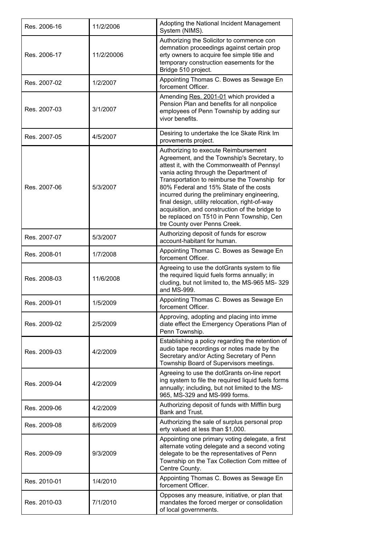| Res. 2006-16 | 11/2/2006  | Adopting the National Incident Management<br>System (NIMS).                                                                                                                                                                                                                                                                                                                                                                                                                                             |
|--------------|------------|---------------------------------------------------------------------------------------------------------------------------------------------------------------------------------------------------------------------------------------------------------------------------------------------------------------------------------------------------------------------------------------------------------------------------------------------------------------------------------------------------------|
| Res. 2006-17 | 11/2/20006 | Authorizing the Solicitor to commence con<br>demnation proceedings against certain prop<br>erty owners to acquire fee simple title and<br>temporary construction easements for the<br>Bridge 510 project.                                                                                                                                                                                                                                                                                               |
| Res. 2007-02 | 1/2/2007   | Appointing Thomas C. Bowes as Sewage En<br>forcement Officer.                                                                                                                                                                                                                                                                                                                                                                                                                                           |
| Res. 2007-03 | 3/1/2007   | Amending Res. 2001-01 which provided a<br>Pension Plan and benefits for all nonpolice<br>employees of Penn Township by adding sur<br>vivor benefits.                                                                                                                                                                                                                                                                                                                                                    |
| Res. 2007-05 | 4/5/2007   | Desiring to undertake the Ice Skate Rink Im<br>provements project.                                                                                                                                                                                                                                                                                                                                                                                                                                      |
| Res. 2007-06 | 5/3/2007   | Authorizing to execute Reimbursement<br>Agreement, and the Township's Secretary, to<br>attest it, with the Commonwealth of Pennsyl<br>vania acting through the Department of<br>Transportation to reimburse the Township for<br>80% Federal and 15% State of the costs<br>incurred during the preliminary engineering,<br>final design, utility relocation, right-of-way<br>acquisition, and construction of the bridge to<br>be replaced on T510 in Penn Township, Cen<br>tre County over Penns Creek. |
| Res. 2007-07 | 5/3/2007   | Authorizing deposit of funds for escrow<br>account-habitant for human.                                                                                                                                                                                                                                                                                                                                                                                                                                  |
| Res. 2008-01 | 1/7/2008   | Appointing Thomas C. Bowes as Sewage En<br>forcement Officer.                                                                                                                                                                                                                                                                                                                                                                                                                                           |
| Res. 2008-03 | 11/6/2008  | Agreeing to use the dotGrants system to file<br>the required liquid fuels forms annually; in<br>cluding, but not limited to, the MS-965 MS-329<br>and MS-999.                                                                                                                                                                                                                                                                                                                                           |
| Res. 2009-01 | 1/5/2009   | Appointing Thomas C. Bowes as Sewage En<br>forcement Officer                                                                                                                                                                                                                                                                                                                                                                                                                                            |
| Res. 2009-02 | 2/5/2009   | Approving, adopting and placing into imme<br>diate effect the Emergency Operations Plan of<br>Penn Township.                                                                                                                                                                                                                                                                                                                                                                                            |
| Res. 2009-03 | 4/2/2009   | Establishing a policy regarding the retention of<br>audio tape recordings or notes made by the<br>Secretary and/or Acting Secretary of Penn<br>Township Board of Supervisors meetings.                                                                                                                                                                                                                                                                                                                  |
| Res. 2009-04 | 4/2/2009   | Agreeing to use the dotGrants on-line report<br>ing system to file the required liquid fuels forms<br>annually; including, but not limited to the MS-<br>965, MS-329 and MS-999 forms.                                                                                                                                                                                                                                                                                                                  |
| Res. 2009-06 | 4/2/2009   | Authorizing deposit of funds with Mifflin burg<br>Bank and Trust.                                                                                                                                                                                                                                                                                                                                                                                                                                       |
| Res. 2009-08 | 8/6/2009   | Authorizing the sale of surplus personal prop<br>erty valued at less than \$1,000.                                                                                                                                                                                                                                                                                                                                                                                                                      |
| Res. 2009-09 | 9/3/2009   | Appointing one primary voting delegate, a first<br>alternate voting delegate and a second voting<br>delegate to be the representatives of Penn<br>Township on the Tax Collection Com mittee of<br>Centre County.                                                                                                                                                                                                                                                                                        |
| Res. 2010-01 | 1/4/2010   | Appointing Thomas C. Bowes as Sewage En<br>forcement Officer.                                                                                                                                                                                                                                                                                                                                                                                                                                           |
| Res. 2010-03 | 7/1/2010   | Opposes any measure, initiative, or plan that<br>mandates the forced merger or consolidation<br>of local governments.                                                                                                                                                                                                                                                                                                                                                                                   |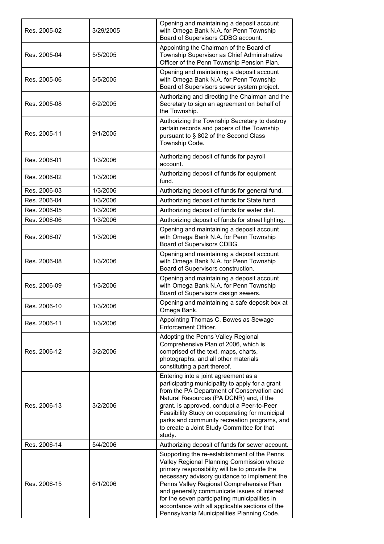| Res. 2005-02 | 3/29/2005 | Opening and maintaining a deposit account<br>with Omega Bank N.A. for Penn Township<br>Board of Supervisors CDBG account.                                                                                                                                                                                                                                                                                                               |
|--------------|-----------|-----------------------------------------------------------------------------------------------------------------------------------------------------------------------------------------------------------------------------------------------------------------------------------------------------------------------------------------------------------------------------------------------------------------------------------------|
| Res. 2005-04 | 5/5/2005  | Appointing the Chairman of the Board of<br>Township Supervisor as Chief Administrative<br>Officer of the Penn Township Pension Plan.                                                                                                                                                                                                                                                                                                    |
| Res. 2005-06 | 5/5/2005  | Opening and maintaining a deposit account<br>with Omega Bank N.A. for Penn Township<br>Board of Supervisors sewer system project.                                                                                                                                                                                                                                                                                                       |
| Res. 2005-08 | 6/2/2005  | Authorizing and directing the Chairman and the<br>Secretary to sign an agreement on behalf of<br>the Township.                                                                                                                                                                                                                                                                                                                          |
| Res. 2005-11 | 9/1/2005  | Authorizing the Township Secretary to destroy<br>certain records and papers of the Township<br>pursuant to § 802 of the Second Class<br>Township Code.                                                                                                                                                                                                                                                                                  |
| Res. 2006-01 | 1/3/2006  | Authorizing deposit of funds for payroll<br>account.                                                                                                                                                                                                                                                                                                                                                                                    |
| Res. 2006-02 | 1/3/2006  | Authorizing deposit of funds for equipment<br>fund.                                                                                                                                                                                                                                                                                                                                                                                     |
| Res. 2006-03 | 1/3/2006  | Authorizing deposit of funds for general fund.                                                                                                                                                                                                                                                                                                                                                                                          |
| Res. 2006-04 | 1/3/2006  | Authorizing deposit of funds for State fund.                                                                                                                                                                                                                                                                                                                                                                                            |
| Res. 2006-05 | 1/3/2006  | Authorizing deposit of funds for water dist.                                                                                                                                                                                                                                                                                                                                                                                            |
| Res. 2006-06 | 1/3/2006  | Authorizing deposit of funds for street lighting.                                                                                                                                                                                                                                                                                                                                                                                       |
| Res. 2006-07 | 1/3/2006  | Opening and maintaining a deposit account<br>with Omega Bank N.A. for Penn Township<br>Board of Supervisors CDBG.                                                                                                                                                                                                                                                                                                                       |
| Res. 2006-08 | 1/3/2006  | Opening and maintaining a deposit account<br>with Omega Bank N.A. for Penn Township<br>Board of Supervisors construction.                                                                                                                                                                                                                                                                                                               |
| Res. 2006-09 | 1/3/2006  | Opening and maintaining a deposit account<br>with Omega Bank N.A. for Penn Township<br>Board of Supervisors design sewers.                                                                                                                                                                                                                                                                                                              |
| Res. 2006-10 | 1/3/2006  | Opening and maintaining a safe deposit box at<br>Omega Bank.                                                                                                                                                                                                                                                                                                                                                                            |
| Res. 2006-11 | 1/3/2006  | Appointing Thomas C. Bowes as Sewage<br>Enforcement Officer.                                                                                                                                                                                                                                                                                                                                                                            |
| Res. 2006-12 | 3/2/2006  | Adopting the Penns Valley Regional<br>Comprehensive Plan of 2006, which is<br>comprised of the text, maps, charts,<br>photographs, and all other materials<br>constituting a part thereof.                                                                                                                                                                                                                                              |
| Res. 2006-13 | 3/2/2006  | Entering into a joint agreement as a<br>participating municipality to apply for a grant<br>from the PA Department of Conservation and<br>Natural Resources (PA DCNR) and, if the<br>grant. is approved, conduct a Peer-to-Peer<br>Feasibility Study on cooperating for municipal<br>parks and community recreation programs, and<br>to create a Joint Study Committee for that<br>study.                                                |
| Res. 2006-14 | 5/4/2006  | Authorizing deposit of funds for sewer account.                                                                                                                                                                                                                                                                                                                                                                                         |
| Res. 2006-15 | 6/1/2006  | Supporting the re-establishment of the Penns<br>Valley Regional Planning Commission whose<br>primary responsibility will be to provide the<br>necessary advisory guidance to implement the<br>Penns Valley Regional Comprehensive Plan<br>and generally communicate issues of interest<br>for the seven participating municipalities in<br>accordance with all applicable sections of the<br>Pennsylvania Municipalities Planning Code. |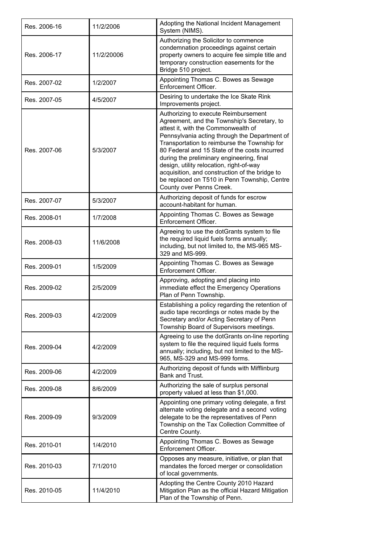| Res. 2006-16 | 11/2/2006  | Adopting the National Incident Management<br>System (NIMS).                                                                                                                                                                                                                                                                                                                                                                                                                                         |
|--------------|------------|-----------------------------------------------------------------------------------------------------------------------------------------------------------------------------------------------------------------------------------------------------------------------------------------------------------------------------------------------------------------------------------------------------------------------------------------------------------------------------------------------------|
| Res. 2006-17 | 11/2/20006 | Authorizing the Solicitor to commence<br>condemnation proceedings against certain<br>property owners to acquire fee simple title and<br>temporary construction easements for the<br>Bridge 510 project.                                                                                                                                                                                                                                                                                             |
| Res. 2007-02 | 1/2/2007   | Appointing Thomas C. Bowes as Sewage<br>Enforcement Officer.                                                                                                                                                                                                                                                                                                                                                                                                                                        |
| Res. 2007-05 | 4/5/2007   | Desiring to undertake the Ice Skate Rink<br>Improvements project.                                                                                                                                                                                                                                                                                                                                                                                                                                   |
| Res. 2007-06 | 5/3/2007   | Authorizing to execute Reimbursement<br>Agreement, and the Township's Secretary, to<br>attest it, with the Commonwealth of<br>Pennsylvania acting through the Department of<br>Transportation to reimburse the Township for<br>80 Federal and 15 State of the costs incurred<br>during the preliminary engineering, final<br>design, utility relocation, right-of-way<br>acquisition, and construction of the bridge to<br>be replaced on T510 in Penn Township, Centre<br>County over Penns Creek. |
| Res. 2007-07 | 5/3/2007   | Authorizing deposit of funds for escrow<br>account-habitant for human.                                                                                                                                                                                                                                                                                                                                                                                                                              |
| Res. 2008-01 | 1/7/2008   | Appointing Thomas C. Bowes as Sewage<br>Enforcement Officer.                                                                                                                                                                                                                                                                                                                                                                                                                                        |
| Res. 2008-03 | 11/6/2008  | Agreeing to use the dotGrants system to file<br>the required liquid fuels forms annually;<br>including, but not limited to, the MS-965 MS-<br>329 and MS-999.                                                                                                                                                                                                                                                                                                                                       |
| Res. 2009-01 | 1/5/2009   | Appointing Thomas C. Bowes as Sewage<br>Enforcement Officer.                                                                                                                                                                                                                                                                                                                                                                                                                                        |
| Res. 2009-02 | 2/5/2009   | Approving, adopting and placing into<br>immediate effect the Emergency Operations<br>Plan of Penn Township.                                                                                                                                                                                                                                                                                                                                                                                         |
| Res. 2009-03 | 4/2/2009   | Establishing a policy regarding the retention of<br>audio tape recordings or notes made by the<br>Secretary and/or Acting Secretary of Penn<br>Township Board of Supervisors meetings.                                                                                                                                                                                                                                                                                                              |
| Res. 2009-04 | 4/2/2009   | Agreeing to use the dotGrants on-line reporting<br>system to file the required liquid fuels forms<br>annually; including, but not limited to the MS-<br>965, MS-329 and MS-999 forms.                                                                                                                                                                                                                                                                                                               |
| Res. 2009-06 | 4/2/2009   | Authorizing deposit of funds with Mifflinburg<br>Bank and Trust.                                                                                                                                                                                                                                                                                                                                                                                                                                    |
| Res. 2009-08 | 8/6/2009   | Authorizing the sale of surplus personal<br>property valued at less than \$1,000.                                                                                                                                                                                                                                                                                                                                                                                                                   |
| Res. 2009-09 | 9/3/2009   | Appointing one primary voting delegate, a first<br>alternate voting delegate and a second voting<br>delegate to be the representatives of Penn<br>Township on the Tax Collection Committee of<br>Centre County.                                                                                                                                                                                                                                                                                     |
| Res. 2010-01 | 1/4/2010   | Appointing Thomas C. Bowes as Sewage<br>Enforcement Officer.                                                                                                                                                                                                                                                                                                                                                                                                                                        |
| Res. 2010-03 | 7/1/2010   | Opposes any measure, initiative, or plan that<br>mandates the forced merger or consolidation<br>of local governments.                                                                                                                                                                                                                                                                                                                                                                               |
| Res. 2010-05 | 11/4/2010  | Adopting the Centre County 2010 Hazard<br>Mitigation Plan as the official Hazard Mitigation<br>Plan of the Township of Penn.                                                                                                                                                                                                                                                                                                                                                                        |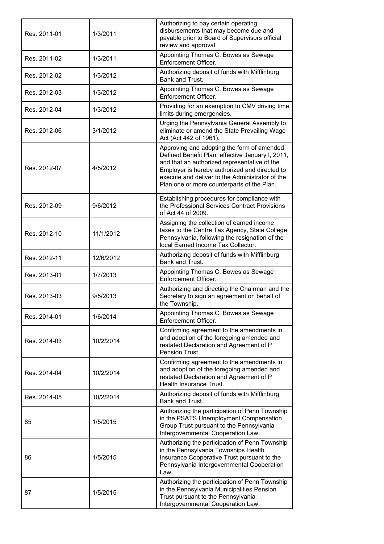| Res. 2011-01 | 1/3/2011  | Authorizing to pay certain operating<br>disbursements that may become due and<br>payable prior to Board of Supervisors official<br>review and approval.                                                                                                                                          |
|--------------|-----------|--------------------------------------------------------------------------------------------------------------------------------------------------------------------------------------------------------------------------------------------------------------------------------------------------|
| Res. 2011-02 | 1/3/2011  | Appointing Thomas C. Bowes as Sewage<br>Enforcement Officer.                                                                                                                                                                                                                                     |
| Res. 2012-02 | 1/3/2012  | Authorizing deposit of funds with Mifflinburg<br>Bank and Trust.                                                                                                                                                                                                                                 |
| Res. 2012-03 | 1/3/2012  | Appointing Thomas C. Bowes as Sewage<br>Enforcement Officer.                                                                                                                                                                                                                                     |
| Res. 2012-04 | 1/3/2012  | Providing for an exemption to CMV driving time<br>limits during emergencies.                                                                                                                                                                                                                     |
| Res. 2012-06 | 3/1/2012  | Urging the Pennsylvania General Assembly to<br>eliminate or amend the State Prevailing Wage<br>Act (Act 442 of 1961).                                                                                                                                                                            |
| Res. 2012-07 | 4/5/2012  | Approving and adopting the form of amended<br>Defined Benefit Plan, effective January I, 2011,<br>and that an authorized representative of the<br>Employer is hereby authorized and directed to<br>execute and deliver to the Administrator of the<br>Plan one or more counterparts of the Plan. |
| Res. 2012-09 | 9/6/2012  | Establishing procedures for compliance with<br>the Professional Services Contract Provisions<br>of Act 44 of 2009.                                                                                                                                                                               |
| Res. 2012-10 | 11/1/2012 | Assigning the collection of earned income<br>taxes to the Centre Tax Agency, State College,<br>Pennsylvania, following the resignation of the<br>local Earned Income Tax Collector.                                                                                                              |
| Res. 2012-11 | 12/6/2012 | Authorizing deposit of funds with Mifflinburg<br>Bank and Trust.                                                                                                                                                                                                                                 |
| Res. 2013-01 | 1/7/2013  | Appointing Thomas C. Bowes as Sewage<br>Enforcement Officer.                                                                                                                                                                                                                                     |
| Res. 2013-03 | 9/5/2013  | Authorizing and directing the Chairman and the<br>Secretary to sign an agreement on behalf of<br>the Township.                                                                                                                                                                                   |
| Res. 2014-01 | 1/6/2014  | Appointing Thomas C. Bowes as Sewage<br>Enforcement Officer.                                                                                                                                                                                                                                     |
| Res. 2014-03 | 10/2/2014 | Confirming agreement to the amendments in<br>and adoption of the foregoing amended and<br>restated Declaration and Agreement of P<br>Pension Trust.                                                                                                                                              |
| Res. 2014-04 | 10/2/2014 | Confirming agreement to the amendments in<br>and adoption of the foregoing amended and<br>restated Declaration and Agreement of P<br>Health Insurance Trust.                                                                                                                                     |
| Res. 2014-05 | 10/2/2014 | Authorizing deposit of funds with Mifflinburg<br>Bank and Trust.                                                                                                                                                                                                                                 |
| 85           | 1/5/2015  | Authorizing the participation of Penn Township<br>in the PSATS Unemployment Compensation<br>Group Trust pursuant to the Pennsylvania<br>Intergovernmental Cooperation Law.                                                                                                                       |
| 86           | 1/5/2015  | Authorizing the participation of Penn Township<br>in the Pennsylvania Townships Health<br>Insurance Cooperative Trust pursuant to the<br>Pennsylvania Intergovernmental Cooperation<br>Law.                                                                                                      |
| 87           | 1/5/2015  | Authorizing the participation of Penn Township<br>in the Pennsylvania Municipalities Pension<br>Trust pursuant to the Pennsylvania<br>Intergovernmental Cooperation Law.                                                                                                                         |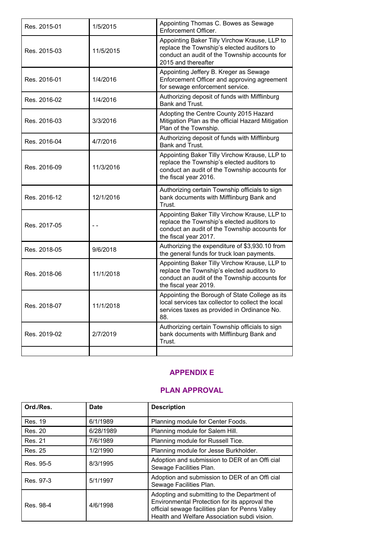| Res. 2015-01 | 1/5/2015  | Appointing Thomas C. Bowes as Sewage<br>Enforcement Officer.                                                                                                          |
|--------------|-----------|-----------------------------------------------------------------------------------------------------------------------------------------------------------------------|
| Res. 2015-03 | 11/5/2015 | Appointing Baker Tilly Virchow Krause, LLP to<br>replace the Township's elected auditors to<br>conduct an audit of the Township accounts for<br>2015 and thereafter   |
| Res. 2016-01 | 1/4/2016  | Appointing Jeffery B. Kreger as Sewage<br>Enforcement Officer and approving agreement<br>for sewage enforcement service.                                              |
| Res. 2016-02 | 1/4/2016  | Authorizing deposit of funds with Mifflinburg<br>Bank and Trust.                                                                                                      |
| Res. 2016-03 | 3/3/2016  | Adopting the Centre County 2015 Hazard<br>Mitigation Plan as the official Hazard Mitigation<br>Plan of the Township.                                                  |
| Res. 2016-04 | 4/7/2016  | Authorizing deposit of funds with Mifflinburg<br>Bank and Trust.                                                                                                      |
| Res. 2016-09 | 11/3/2016 | Appointing Baker Tilly Virchow Krause, LLP to<br>replace the Township's elected auditors to<br>conduct an audit of the Township accounts for<br>the fiscal year 2016. |
| Res. 2016-12 | 12/1/2016 | Authorizing certain Township officials to sign<br>bank documents with Mifflinburg Bank and<br>Trust.                                                                  |
| Res. 2017-05 |           | Appointing Baker Tilly Virchow Krause, LLP to<br>replace the Township's elected auditors to<br>conduct an audit of the Township accounts for<br>the fiscal year 2017. |
| Res. 2018-05 | 9/6/2018  | Authorizing the expenditure of \$3,930.10 from<br>the general funds for truck loan payments.                                                                          |
| Res. 2018-06 | 11/1/2018 | Appointing Baker Tilly Virchow Krause, LLP to<br>replace the Township's elected auditors to<br>conduct an audit of the Township accounts for<br>the fiscal year 2019. |
| Res. 2018-07 | 11/1/2018 | Appointing the Borough of State College as its<br>local services tax collector to collect the local<br>services taxes as provided in Ordinance No.<br>88.             |
| Res. 2019-02 | 2/7/2019  | Authorizing certain Township officials to sign<br>bank documents with Mifflinburg Bank and<br>Trust.                                                                  |
|              |           |                                                                                                                                                                       |

## **APPENDIX E**

## **PLAN APPROVAL**

| Ord./Res. | <b>Date</b> | <b>Description</b>                                                                                                                                                                                |
|-----------|-------------|---------------------------------------------------------------------------------------------------------------------------------------------------------------------------------------------------|
| Res. 19   | 6/1/1989    | Planning module for Center Foods.                                                                                                                                                                 |
| Res. 20   | 6/28/1989   | Planning module for Salem Hill.                                                                                                                                                                   |
| Res. 21   | 7/6/1989    | Planning module for Russell Tice.                                                                                                                                                                 |
| Res. 25   | 1/2/1990    | Planning module for Jesse Burkholder.                                                                                                                                                             |
| Res. 95-5 | 8/3/1995    | Adoption and submission to DER of an Offi cial<br>Sewage Facilities Plan.                                                                                                                         |
| Res. 97-3 | 5/1/1997    | Adoption and submission to DER of an Offi cial<br>Sewage Facilities Plan.                                                                                                                         |
| Res. 98-4 | 4/6/1998    | Adopting and submitting to the Department of<br>Environmental Protection for its approval the<br>official sewage facilities plan for Penns Valley<br>Health and Welfare Association subdi vision. |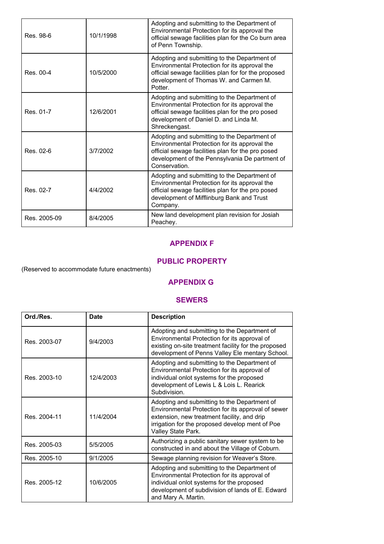| Res. 98-6    | 10/1/1998 | Adopting and submitting to the Department of<br>Environmental Protection for its approval the<br>official sewage facilities plan for the Co burn area<br>of Penn Township.                                            |
|--------------|-----------|-----------------------------------------------------------------------------------------------------------------------------------------------------------------------------------------------------------------------|
| Res. 00-4    | 10/5/2000 | Adopting and submitting to the Department of<br>Environmental Protection for its approval the<br>official sewage facilities plan for for the proposed<br>development of Thomas W. and Carmen M.<br>Potter.            |
| Res. 01-7    | 12/6/2001 | Adopting and submitting to the Department of<br>Environmental Protection for its approval the<br>official sewage facilities plan for the pro posed<br>development of Daniel D. and Linda M.<br>Shreckengast.          |
| Res. 02-6    | 3/7/2002  | Adopting and submitting to the Department of<br>Environmental Protection for its approval the<br>official sewage facilities plan for the pro posed<br>development of the Pennsylvania De partment of<br>Conservation. |
| Res. 02-7    | 4/4/2002  | Adopting and submitting to the Department of<br>Environmental Protection for its approval the<br>official sewage facilities plan for the pro posed<br>development of Mifflinburg Bank and Trust<br>Company.           |
| Res. 2005-09 | 8/4/2005  | New land development plan revision for Josiah<br>Peachey.                                                                                                                                                             |

### **APPENDIX F**

### **PUBLIC PROPERTY**

(Reserved to accommodate future enactments)

### **APPENDIX G**

#### **SEWERS**

| Ord./Res.    | <b>Date</b> | <b>Description</b>                                                                                                                                                                                                         |
|--------------|-------------|----------------------------------------------------------------------------------------------------------------------------------------------------------------------------------------------------------------------------|
| Res. 2003-07 | 9/4/2003    | Adopting and submitting to the Department of<br>Environmental Protection for its approval of<br>existing on-site treatment facility for the proposed<br>development of Penns Valley Ele mentary School.                    |
| Res. 2003-10 | 12/4/2003   | Adopting and submitting to the Department of<br>Environmental Protection for its approval of<br>individual onlot systems for the proposed<br>development of Lewis L & Lois L. Rearick<br>Subdivision.                      |
| Res. 2004-11 | 11/4/2004   | Adopting and submitting to the Department of<br>Environmental Protection for its approval of sewer<br>extension, new treatment facility, and drip<br>irrigation for the proposed develop ment of Poe<br>Valley State Park. |
| Res. 2005-03 | 5/5/2005    | Authorizing a public sanitary sewer system to be<br>constructed in and about the Village of Coburn.                                                                                                                        |
| Res. 2005-10 | 9/1/2005    | Sewage planning revision for Weaver's Store.                                                                                                                                                                               |
| Res. 2005-12 | 10/6/2005   | Adopting and submitting to the Department of<br>Environmental Protection for its approval of<br>individual onlot systems for the proposed<br>development of subdivision of lands of E. Edward<br>and Mary A. Martin.       |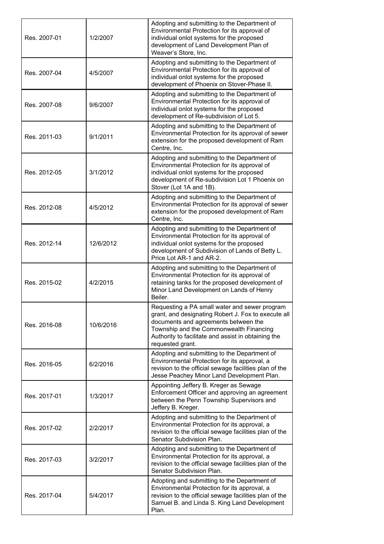| Res. 2007-01 | 1/2/2007  | Adopting and submitting to the Department of<br>Environmental Protection for its approval of<br>individual onlot systems for the proposed<br>development of Land Development Plan of<br>Weaver's Store, Inc.                                                       |
|--------------|-----------|--------------------------------------------------------------------------------------------------------------------------------------------------------------------------------------------------------------------------------------------------------------------|
| Res. 2007-04 | 4/5/2007  | Adopting and submitting to the Department of<br>Environmental Protection for its approval of<br>individual onlot systems for the proposed<br>development of Phoenix on Stover-Phase II.                                                                            |
| Res. 2007-08 | 9/6/2007  | Adopting and submitting to the Department of<br>Environmental Protection for its approval of<br>individual onlot systems for the proposed<br>development of Re-subdivision of Lot 5.                                                                               |
| Res. 2011-03 | 9/1/2011  | Adopting and submitting to the Department of<br>Environmental Protection for its approval of sewer<br>extension for the proposed development of Ram<br>Centre, Inc.                                                                                                |
| Res. 2012-05 | 3/1/2012  | Adopting and submitting to the Department of<br>Environmental Protection for its approval of<br>individual onlot systems for the proposed<br>development of Re-subdivision Lot 1 Phoenix on<br>Stover (Lot 1A and 1B).                                             |
| Res. 2012-08 | 4/5/2012  | Adopting and submitting to the Department of<br>Environmental Protection for its approval of sewer<br>extension for the proposed development of Ram<br>Centre, Inc.                                                                                                |
| Res. 2012-14 | 12/6/2012 | Adopting and submitting to the Department of<br>Environmental Protection for its approval of<br>individual onlot systems for the proposed<br>development of Subdivision of Lands of Betty L.<br>Price Lot AR-1 and AR-2.                                           |
| Res. 2015-02 | 4/2/2015  | Adopting and submitting to the Department of<br>Environmental Protection for its approval of<br>retaining tanks for the proposed development of<br>Minor Land Development on Lands of Henry<br>Beiler.                                                             |
| Res. 2016-08 | 10/6/2016 | Requesting a PA small water and sewer program<br>grant, and designating Robert J. Fox to execute all<br>documents and agreements between the<br>Township and the Commonwealth Financing<br>Authority to facilitate and assist in obtaining the<br>requested grant. |
| Res. 2016-05 | 6/2/2016  | Adopting and submitting to the Department of<br>Environmental Protection for its approval, a<br>revision to the official sewage facilities plan of the<br>Jesse Peachey Minor Land Development Plan.                                                               |
| Res. 2017-01 | 1/3/2017  | Appointing Jeffery B. Kreger as Sewage<br>Enforcement Officer and approving an agreement<br>between the Penn Township Supervisors and<br>Jeffery B. Kreger.                                                                                                        |
| Res. 2017-02 | 2/2/2017  | Adopting and submitting to the Department of<br>Environmental Protection for its approval, a<br>revision to the official sewage facilities plan of the<br>Senator Subdivision Plan.                                                                                |
| Res. 2017-03 | 3/2/2017  | Adopting and submitting to the Department of<br>Environmental Protection for its approval, a<br>revision to the official sewage facilities plan of the<br>Senator Subdivision Plan.                                                                                |
| Res. 2017-04 | 5/4/2017  | Adopting and submitting to the Department of<br>Environmental Protection for its approval, a<br>revision to the official sewage facilities plan of the<br>Samuel B. and Linda S. King Land Development<br>Plan.                                                    |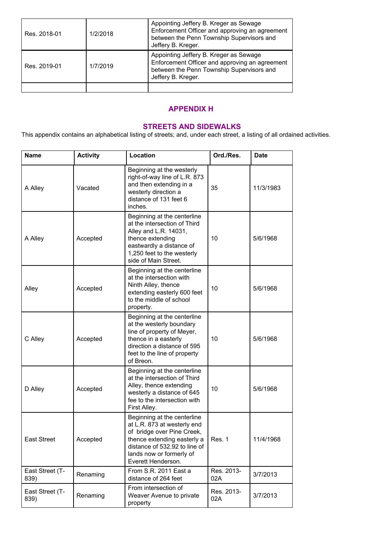| Res. 2018-01 | 1/2/2018 | Appointing Jeffery B. Kreger as Sewage<br>Enforcement Officer and approving an agreement<br>between the Penn Township Supervisors and<br>Jeffery B. Kreger. |
|--------------|----------|-------------------------------------------------------------------------------------------------------------------------------------------------------------|
| Res. 2019-01 | 1/7/2019 | Appointing Jeffery B. Kreger as Sewage<br>Enforcement Officer and approving an agreement<br>between the Penn Township Supervisors and<br>Jeffery B. Kreger. |
|              |          |                                                                                                                                                             |

### **APPENDIX H**

## **STREETS AND SIDEWALKS**

This appendix contains an alphabetical listing of streets; and, under each street, a listing of all ordained activities.

| <b>Name</b>             | <b>Activity</b> | Location                                                                                                                                                                                                   | Ord./Res.         | <b>Date</b> |
|-------------------------|-----------------|------------------------------------------------------------------------------------------------------------------------------------------------------------------------------------------------------------|-------------------|-------------|
| A Alley                 | Vacated         | Beginning at the westerly<br>right-of-way line of L.R. 873<br>and then extending in a<br>westerly direction a<br>distance of 131 feet 6<br>inches.                                                         | 35                | 11/3/1983   |
| A Alley                 | Accepted        | Beginning at the centerline<br>at the intersection of Third<br>Alley and L.R. 14031,<br>thence extending<br>eastwardly a distance of<br>1,250 feet to the westerly<br>side of Main Street.                 | 10                | 5/6/1968    |
| Alley                   | Accepted        | Beginning at the centerline<br>at the intersection with<br>Ninth Alley, thence<br>extending easterly 600 feet<br>to the middle of school<br>property.                                                      | 10                | 5/6/1968    |
| C Alley                 | Accepted        | Beginning at the centerline<br>at the westerly boundary<br>line of property of Meyer,<br>thence in a easterly<br>direction a distance of 595<br>feet to the line of property<br>of Breon.                  | 10                | 5/6/1968    |
| D Alley                 | Accepted        | Beginning at the centerline<br>at the intersection of Third<br>Alley, thence extending<br>westerly a distance of 645<br>fee to the intersection with<br>First Alley.                                       | 10                | 5/6/1968    |
| East Street             | Accepted        | Beginning at the centerline<br>at L.R. 873 at westerly end<br>of bridge over Pine Creek,<br>thence extending easterly a<br>distance of 532.92 to line of<br>lands now or formerly of<br>Everett Henderson. | Res. 1            | 11/4/1968   |
| East Street (T-<br>839) | Renaming        | From S.R. 2011 East a<br>distance of 264 feet                                                                                                                                                              | Res. 2013-<br>02A | 3/7/2013    |
| East Street (T-<br>839) | Renaming        | From intersection of<br>Weaver Avenue to private<br>property                                                                                                                                               | Res. 2013-<br>02A | 3/7/2013    |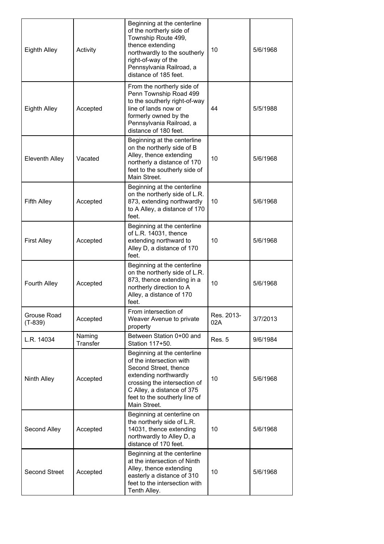| Eighth Alley             | Activity           | Beginning at the centerline<br>of the northerly side of<br>Township Route 499,<br>thence extending<br>northwardly to the southerly<br>right-of-way of the<br>Pennsylvania Railroad, a<br>distance of 185 feet.           | 10                | 5/6/1968 |
|--------------------------|--------------------|--------------------------------------------------------------------------------------------------------------------------------------------------------------------------------------------------------------------------|-------------------|----------|
| Eighth Alley             | Accepted           | From the northerly side of<br>Penn Township Road 499<br>to the southerly right-of-way<br>line of lands now or<br>formerly owned by the<br>Pennsylvania Railroad, a<br>distance of 180 feet.                              | 44                | 5/5/1988 |
| Eleventh Alley           | Vacated            | Beginning at the centerline<br>on the northerly side of B<br>Alley, thence extending<br>northerly a distance of 170<br>feet to the southerly side of<br>Main Street.                                                     | 10                | 5/6/1968 |
| <b>Fifth Alley</b>       | Accepted           | Beginning at the centerline<br>on the northerly side of L.R.<br>873, extending northwardly<br>to A Alley, a distance of 170<br>feet.                                                                                     | 10                | 5/6/1968 |
| <b>First Alley</b>       | Accepted           | Beginning at the centerline<br>of L.R. 14031, thence<br>extending northward to<br>Alley D, a distance of 170<br>feet.                                                                                                    | 10                | 5/6/1968 |
| Fourth Alley             | Accepted           | Beginning at the centerline<br>on the northerly side of L.R.<br>873, thence extending in a<br>northerly direction to A<br>Alley, a distance of 170<br>feet.                                                              | 10                | 5/6/1968 |
| Grouse Road<br>$(T-839)$ | Accepted           | From intersection of<br>Weaver Avenue to private<br>property                                                                                                                                                             | Res. 2013-<br>02A | 3/7/2013 |
| L.R. 14034               | Naming<br>Transfer | Between Station 0+00 and<br>Station 117+50.                                                                                                                                                                              | Res. 5            | 9/6/1984 |
| Ninth Alley              | Accepted           | Beginning at the centerline<br>of the intersection with<br>Second Street, thence<br>extending northwardly<br>crossing the intersection of<br>C Alley, a distance of 375<br>feet to the southerly line of<br>Main Street. | 10 <sup>1</sup>   | 5/6/1968 |
| Second Alley             | Accepted           | Beginning at centerline on<br>the northerly side of L.R.<br>14031, thence extending<br>northwardly to Alley D, a<br>distance of 170 feet.                                                                                | 10                | 5/6/1968 |
| <b>Second Street</b>     | Accepted           | Beginning at the centerline<br>at the intersection of Ninth<br>Alley, thence extending<br>easterly a distance of 310<br>feet to the intersection with<br>Tenth Alley.                                                    | 10                | 5/6/1968 |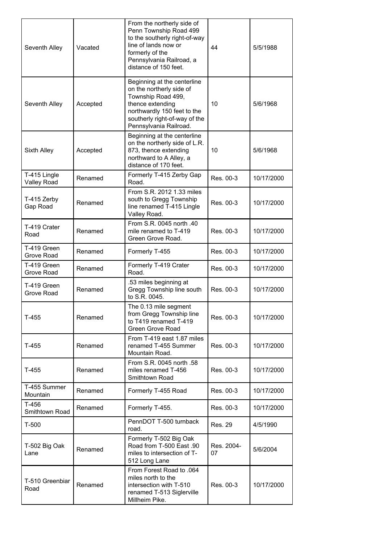| Seventh Alley                      | Vacated  | From the northerly side of<br>Penn Township Road 499<br>to the southerly right-of-way<br>line of lands now or<br>formerly of the<br>Pennsylvania Railroad, a<br>distance of 150 feet.       | 44               | 5/5/1988   |
|------------------------------------|----------|---------------------------------------------------------------------------------------------------------------------------------------------------------------------------------------------|------------------|------------|
| Seventh Alley                      | Accepted | Beginning at the centerline<br>on the northerly side of<br>Township Road 499,<br>thence extending<br>northwardly 150 feet to the<br>southerly right-of-way of the<br>Pennsylvania Railroad. | 10               | 5/6/1968   |
| Sixth Alley                        | Accepted | Beginning at the centerline<br>on the northerly side of L.R.<br>873, thence extending<br>northward to A Alley, a<br>distance of 170 feet.                                                   | 10               | 5/6/1968   |
| T-415 Lingle<br><b>Valley Road</b> | Renamed  | Formerly T-415 Zerby Gap<br>Road.                                                                                                                                                           | Res. 00-3        | 10/17/2000 |
| T-415 Zerby<br>Gap Road            | Renamed  | From S.R. 2012 1.33 miles<br>south to Gregg Township<br>line renamed T-415 Lingle<br>Valley Road.                                                                                           | Res. 00-3        | 10/17/2000 |
| T-419 Crater<br>Road               | Renamed  | From S.R. 0045 north .40<br>mile renamed to T-419<br>Green Grove Road.                                                                                                                      | Res. 00-3        | 10/17/2000 |
| T-419 Green<br>Grove Road          | Renamed  | Formerly T-455                                                                                                                                                                              | Res. 00-3        | 10/17/2000 |
| T-419 Green<br>Grove Road          | Renamed  | Formerly T-419 Crater<br>Road.                                                                                                                                                              | Res. 00-3        | 10/17/2000 |
| T-419 Green<br>Grove Road          | Renamed  | .53 miles beginning at<br>Gregg Township line south<br>to S.R. 0045.                                                                                                                        | Res. 00-3        | 10/17/2000 |
| T-455                              | Renamed  | The 0.13 mile segment<br>from Gregg Township line<br>to T419 renamed T-419<br>Green Grove Road                                                                                              | Res. 00-3        | 10/17/2000 |
| T-455                              | Renamed  | From T-419 east 1.87 miles<br>renamed T-455 Summer<br>Mountain Road.                                                                                                                        | Res. 00-3        | 10/17/2000 |
| T-455                              | Renamed  | From S.R. 0045 north .58<br>miles renamed T-456<br>Smithtown Road                                                                                                                           | Res. 00-3        | 10/17/2000 |
| T-455 Summer<br>Mountain           | Renamed  | Formerly T-455 Road                                                                                                                                                                         | Res. 00-3        | 10/17/2000 |
| T-456<br>Smithtown Road            | Renamed  | Formerly T-455.                                                                                                                                                                             | Res. 00-3        | 10/17/2000 |
| $T-500$                            |          | PennDOT T-500 turnback<br>road.                                                                                                                                                             | <b>Res. 29</b>   | 4/5/1990   |
| T-502 Big Oak<br>Lane              | Renamed  | Formerly T-502 Big Oak<br>Road from T-500 East .90<br>miles to intersection of T-<br>512 Long Lane                                                                                          | Res. 2004-<br>07 | 5/6/2004   |
| T-510 Greenbiar<br>Road            | Renamed  | From Forest Road to .064<br>miles north to the<br>intersection with T-510<br>renamed T-513 Siglerville<br>Millheim Pike.                                                                    | Res. 00-3        | 10/17/2000 |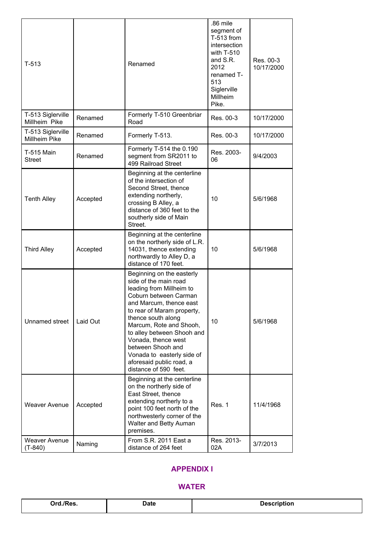| $T-513$                            |          | Renamed                                                                                                                                                                                                                                                                                                                                                                        | .86 mile<br>segment of<br>T-513 from<br>intersection<br>with T-510<br>and S.R.<br>2012<br>renamed T-<br>513<br>Siglerville<br>Millheim<br>Pike. | Res. 00-3<br>10/17/2000 |
|------------------------------------|----------|--------------------------------------------------------------------------------------------------------------------------------------------------------------------------------------------------------------------------------------------------------------------------------------------------------------------------------------------------------------------------------|-------------------------------------------------------------------------------------------------------------------------------------------------|-------------------------|
| T-513 Siglerville<br>Millheim Pike | Renamed  | Formerly T-510 Greenbriar<br>Road                                                                                                                                                                                                                                                                                                                                              | Res. 00-3                                                                                                                                       | 10/17/2000              |
| T-513 Siglerville<br>Millheim Pike | Renamed  | Formerly T-513.                                                                                                                                                                                                                                                                                                                                                                | Res. 00-3                                                                                                                                       | 10/17/2000              |
| <b>T-515 Main</b><br><b>Street</b> | Renamed  | Formerly T-514 the 0.190<br>segment from SR2011 to<br>499 Railroad Street                                                                                                                                                                                                                                                                                                      | Res. 2003-<br>06                                                                                                                                | 9/4/2003                |
| <b>Tenth Alley</b>                 | Accepted | Beginning at the centerline<br>of the intersection of<br>Second Street, thence<br>extending northerly,<br>crossing B Alley, a<br>distance of 360 feet to the<br>southerly side of Main<br>Street.                                                                                                                                                                              | 10                                                                                                                                              | 5/6/1968                |
| <b>Third Alley</b>                 | Accepted | Beginning at the centerline<br>on the northerly side of L.R.<br>14031, thence extending<br>northwardly to Alley D, a<br>distance of 170 feet.                                                                                                                                                                                                                                  | 10                                                                                                                                              | 5/6/1968                |
| Unnamed street                     | Laid Out | Beginning on the easterly<br>side of the main road<br>leading from Millheim to<br>Coburn between Carman<br>and Marcum, thence east<br>to rear of Maram property,<br>thence south along<br>Marcum, Rote and Shooh,<br>to alley between Shooh and<br>Vonada, thence west<br>between Shooh and<br>Vonada to easterly side of<br>aforesaid public road, a<br>distance of 590 feet. | 10                                                                                                                                              | 5/6/1968                |
| <b>Weaver Avenue</b>               | Accepted | Beginning at the centerline<br>on the northerly side of<br>East Street, thence<br>extending northerly to a<br>point 100 feet north of the<br>northwesterly corner of the<br>Walter and Betty Auman<br>premises.                                                                                                                                                                | Res. 1                                                                                                                                          | 11/4/1968               |
| Weaver Avenue<br>$(T-840)$         | Naming   | From S.R. 2011 East a<br>distance of 264 feet                                                                                                                                                                                                                                                                                                                                  | Res. 2013-<br>02A                                                                                                                               | 3/7/2013                |

### **APPENDIX I**

### **WATER**

| /Res.<br>∩rd.<br>. | Date | Jeso<br>Description |
|--------------------|------|---------------------|
|                    |      |                     |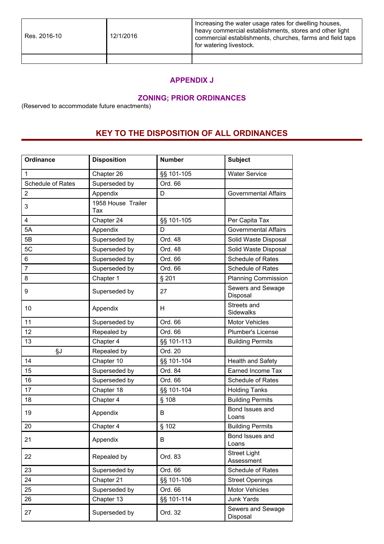| Res. 2016-10 | 12/1/2016 | Increasing the water usage rates for dwelling houses,<br>heavy commercial establishments, stores and other light<br>commercial establishments, churches, farms and field taps<br>for watering livestock. |
|--------------|-----------|----------------------------------------------------------------------------------------------------------------------------------------------------------------------------------------------------------|
|              |           |                                                                                                                                                                                                          |

### **APPENDIX J**

## **ZONING; PRIOR ORDINANCES**

(Reserved to accommodate future enactments)

# **KEY TO THE DISPOSITION OF ALL ORDINANCES**

| <b>Ordinance</b>  | <b>Disposition</b>        | <b>Number</b> | <b>Subject</b>                    |
|-------------------|---------------------------|---------------|-----------------------------------|
| 1                 | Chapter 26                | §§ 101-105    | <b>Water Service</b>              |
| Schedule of Rates | Superseded by             | Ord. 66       |                                   |
| $\overline{2}$    | Appendix                  | D             | Governmental Affairs              |
| 3                 | 1958 House Trailer<br>Tax |               |                                   |
| $\overline{4}$    | Chapter 24                | §§ 101-105    | Per Capita Tax                    |
| 5A                | Appendix                  | D             | <b>Governmental Affairs</b>       |
| 5B                | Superseded by             | Ord. 48       | Solid Waste Disposal              |
| 5C                | Superseded by             | Ord. 48       | Solid Waste Disposal              |
| 6                 | Superseded by             | Ord. 66       | Schedule of Rates                 |
| $\overline{7}$    | Superseded by             | Ord. 66       | Schedule of Rates                 |
| 8                 | Chapter 1                 | § 201         | <b>Planning Commission</b>        |
| 9                 | Superseded by             | 27            | Sewers and Sewage<br>Disposal     |
| 10                | Appendix                  | H             | Streets and<br><b>Sidewalks</b>   |
| 11                | Superseded by             | Ord. 66       | <b>Motor Vehicles</b>             |
| 12                | Repealed by               | Ord. 66       | Plumber's License                 |
| 13                | Chapter 4                 | §§ 101-113    | <b>Building Permits</b>           |
| §J                | Repealed by               | Ord. 20       |                                   |
| 14                | Chapter 10                | §§ 101-104    | Health and Safety                 |
| 15                | Superseded by             | Ord. 84       | Earned Income Tax                 |
| 16                | Superseded by             | Ord. 66       | <b>Schedule of Rates</b>          |
| 17                | Chapter 18                | §§ 101-104    | <b>Holding Tanks</b>              |
| 18                | Chapter 4                 | $§$ 108       | <b>Building Permits</b>           |
| 19                | Appendix                  | В             | Bond Issues and<br>Loans          |
| 20                | Chapter 4                 | § 102         | <b>Building Permits</b>           |
| 21                | Appendix                  | B             | Bond Issues and<br>Loans          |
| 22                | Repealed by               | Ord. 83       | <b>Street Light</b><br>Assessment |
| 23                | Superseded by             | Ord. 66       | Schedule of Rates                 |
| 24                | Chapter 21                | §§ 101-106    | <b>Street Openings</b>            |
| 25                | Superseded by             | Ord. 66       | <b>Motor Vehicles</b>             |
| 26                | Chapter 13                | §§ 101-114    | Junk Yards                        |
| 27                | Superseded by             | Ord. 32       | Sewers and Sewage<br>Disposal     |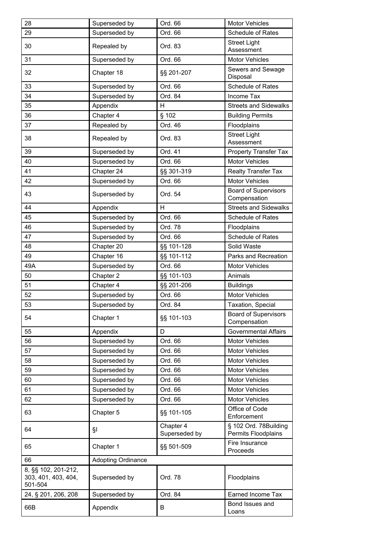| 28                                                    | Superseded by             | Ord. 66                    | <b>Motor Vehicles</b>                        |
|-------------------------------------------------------|---------------------------|----------------------------|----------------------------------------------|
| 29                                                    | Superseded by             | Ord. 66                    | Schedule of Rates                            |
| 30                                                    | Repealed by               | Ord. 83                    | <b>Street Light</b><br>Assessment            |
| 31                                                    | Superseded by             | Ord. 66                    | <b>Motor Vehicles</b>                        |
| 32                                                    | Chapter 18                | §§ 201-207                 | Sewers and Sewage<br>Disposal                |
| 33                                                    | Superseded by             | Ord. 66                    | Schedule of Rates                            |
| 34                                                    | Superseded by             | Ord. 84                    | Income Tax                                   |
| 35                                                    | Appendix                  | H                          | <b>Streets and Sidewalks</b>                 |
| 36                                                    | Chapter 4                 | $§$ 102                    | <b>Building Permits</b>                      |
| 37                                                    | Repealed by               | Ord. 46                    | Floodplains                                  |
| 38                                                    | Repealed by               | Ord. 83                    | <b>Street Light</b><br>Assessment            |
| 39                                                    | Superseded by             | Ord. 41                    | Property Transfer Tax                        |
| 40                                                    | Superseded by             | Ord. 66                    | <b>Motor Vehicles</b>                        |
| 41                                                    | Chapter 24                | §§ 301-319                 | <b>Realty Transfer Tax</b>                   |
| 42                                                    | Superseded by             | Ord. 66                    | <b>Motor Vehicles</b>                        |
| 43                                                    | Superseded by             | Ord. 54                    | <b>Board of Supervisors</b><br>Compensation  |
| 44                                                    | Appendix                  | H                          | <b>Streets and Sidewalks</b>                 |
| 45                                                    | Superseded by             | Ord. 66                    | <b>Schedule of Rates</b>                     |
| 46                                                    | Superseded by             | Ord. 78                    | Floodplains                                  |
| 47                                                    | Superseded by             | Ord. 66                    | Schedule of Rates                            |
| 48                                                    | Chapter 20                | §§ 101-128                 | Solid Waste                                  |
| 49                                                    | Chapter 16                | §§ 101-112                 | Parks and Recreation                         |
| 49A                                                   | Superseded by             | Ord. 66                    | <b>Motor Vehicles</b>                        |
| 50                                                    | Chapter 2                 | §§ 101-103                 | Animals                                      |
| 51                                                    | Chapter 4                 | §§ 201-206                 | <b>Buildings</b>                             |
| 52                                                    | Superseded by             | Ord. 66                    | <b>Motor Vehicles</b>                        |
| 53                                                    | Superseded by             | Ord. 84                    | Taxation, Special                            |
| 54                                                    | Chapter 1                 | §§ 101-103                 | <b>Board of Supervisors</b><br>Compensation  |
| 55                                                    | Appendix                  | D                          | <b>Governmental Affairs</b>                  |
| 56                                                    | Superseded by             | Ord. 66                    | <b>Motor Vehicles</b>                        |
| 57                                                    | Superseded by             | Ord. 66                    | <b>Motor Vehicles</b>                        |
| 58                                                    | Superseded by             | Ord. 66                    | <b>Motor Vehicles</b>                        |
| 59                                                    | Superseded by             | Ord. 66                    | <b>Motor Vehicles</b>                        |
| 60                                                    | Superseded by             | Ord. 66                    | <b>Motor Vehicles</b>                        |
| 61                                                    | Superseded by             | Ord. 66                    | <b>Motor Vehicles</b>                        |
| 62                                                    | Superseded by             | Ord. 66                    | <b>Motor Vehicles</b>                        |
| 63                                                    | Chapter 5                 | §§ 101-105                 | Office of Code<br>Enforcement                |
| 64                                                    | §Ι                        | Chapter 4<br>Superseded by | § 102 Ord. 78Building<br>Permits Floodplains |
| 65                                                    | Chapter 1                 | §§ 501-509                 | Fire Insurance<br>Proceeds                   |
| 66                                                    | <b>Adopting Ordinance</b> |                            |                                              |
| 8, §§ 102, 201-212,<br>303, 401, 403, 404,<br>501-504 | Superseded by             | Ord. 78                    | Floodplains                                  |
| 24, § 201, 206, 208                                   | Superseded by             | Ord. 84                    | Earned Income Tax                            |
| 66B                                                   | Appendix                  | B                          | Bond Issues and<br>Loans                     |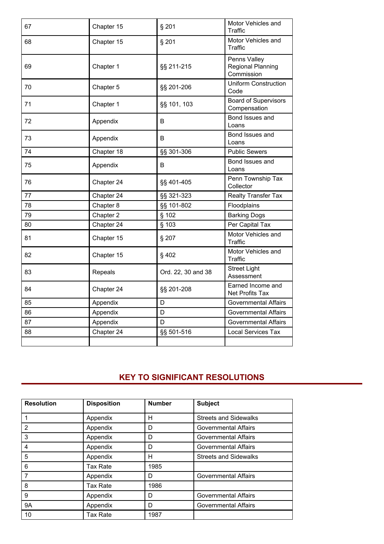| 67 | Chapter 15 | § 201              | Motor Vehicles and<br>Traffic                          |
|----|------------|--------------------|--------------------------------------------------------|
| 68 | Chapter 15 | § 201              | Motor Vehicles and<br>Traffic                          |
| 69 | Chapter 1  | §§ 211-215         | Penns Valley<br><b>Regional Planning</b><br>Commission |
| 70 | Chapter 5  | §§ 201-206         | <b>Uniform Construction</b><br>Code                    |
| 71 | Chapter 1  | §§ 101, 103        | <b>Board of Supervisors</b><br>Compensation            |
| 72 | Appendix   | B                  | Bond Issues and<br>Loans                               |
| 73 | Appendix   | B                  | Bond Issues and<br>Loans                               |
| 74 | Chapter 18 | §§ 301-306         | <b>Public Sewers</b>                                   |
| 75 | Appendix   | B                  | Bond Issues and<br>Loans                               |
| 76 | Chapter 24 | §§ 401-405         | Penn Township Tax<br>Collector                         |
| 77 | Chapter 24 | §§ 321-323         | <b>Realty Transfer Tax</b>                             |
| 78 | Chapter 8  | §§ 101-802         | Floodplains                                            |
| 79 | Chapter 2  | § 102              | <b>Barking Dogs</b>                                    |
| 80 | Chapter 24 | § 103              | Per Capital Tax                                        |
| 81 | Chapter 15 | § 207              | Motor Vehicles and<br>Traffic                          |
| 82 | Chapter 15 | §402               | Motor Vehicles and<br>Traffic                          |
| 83 | Repeals    | Ord. 22, 30 and 38 | <b>Street Light</b><br>Assessment                      |
| 84 | Chapter 24 | §§ 201-208         | Earned Income and<br><b>Net Profits Tax</b>            |
| 85 | Appendix   | D                  | <b>Governmental Affairs</b>                            |
| 86 | Appendix   | D                  | Governmental Affairs                                   |
| 87 | Appendix   | D                  | <b>Governmental Affairs</b>                            |
| 88 | Chapter 24 | §§ 501-516         | <b>Local Services Tax</b>                              |
|    |            |                    |                                                        |

# **KEY TO SIGNIFICANT RESOLUTIONS**

| <b>Resolution</b> | <b>Disposition</b> | <b>Number</b> | <b>Subject</b>               |
|-------------------|--------------------|---------------|------------------------------|
|                   | Appendix           | н             | <b>Streets and Sidewalks</b> |
| 2                 | Appendix           | D             | <b>Governmental Affairs</b>  |
| 3                 | Appendix           | D             | <b>Governmental Affairs</b>  |
| 4                 | Appendix           | D             | <b>Governmental Affairs</b>  |
| 5                 | Appendix           | н             | <b>Streets and Sidewalks</b> |
| 6                 | Tax Rate           | 1985          |                              |
|                   | Appendix           | D             | <b>Governmental Affairs</b>  |
| 8                 | Tax Rate           | 1986          |                              |
| 9                 | Appendix           | D             | <b>Governmental Affairs</b>  |
| <b>9A</b>         | Appendix           | D             | <b>Governmental Affairs</b>  |
| 10                | Tax Rate           | 1987          |                              |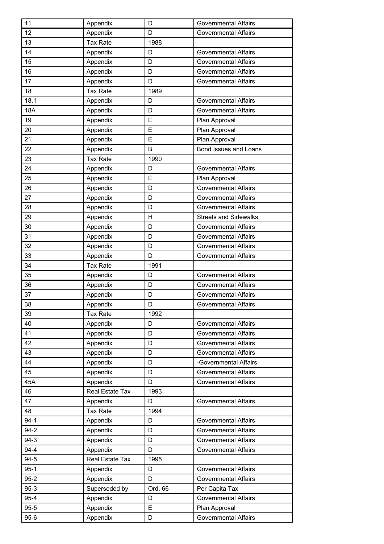| 11         | Appendix        | D       | <b>Governmental Affairs</b>  |
|------------|-----------------|---------|------------------------------|
| 12         | Appendix        | D       | <b>Governmental Affairs</b>  |
| 13         | <b>Tax Rate</b> | 1988    |                              |
| 14         | Appendix        | D       | <b>Governmental Affairs</b>  |
| 15         | Appendix        | D       | Governmental Affairs         |
| 16         | Appendix        | D       | <b>Governmental Affairs</b>  |
| 17         | Appendix        | D       | Governmental Affairs         |
| 18         | <b>Tax Rate</b> | 1989    |                              |
| 18.1       | Appendix        | D       | Governmental Affairs         |
| <b>18A</b> | Appendix        | D       | <b>Governmental Affairs</b>  |
| 19         | Appendix        | E       | Plan Approval                |
| 20         | Appendix        | E       | Plan Approval                |
| 21         | Appendix        | E       | Plan Approval                |
| 22         | Appendix        | B       | Bond Issues and Loans        |
| 23         | <b>Tax Rate</b> | 1990    |                              |
| 24         | Appendix        | D       | <b>Governmental Affairs</b>  |
| 25         | Appendix        | E       | Plan Approval                |
| 26         | Appendix        | D       | <b>Governmental Affairs</b>  |
| 27         | Appendix        | D       | <b>Governmental Affairs</b>  |
| 28         | Appendix        | D       | <b>Governmental Affairs</b>  |
| 29         | Appendix        | н       | <b>Streets and Sidewalks</b> |
| 30         | Appendix        | D       | Governmental Affairs         |
| 31         | Appendix        | D       | Governmental Affairs         |
| 32         | Appendix        | D       | Governmental Affairs         |
| 33         | Appendix        | D       | <b>Governmental Affairs</b>  |
| 34         | <b>Tax Rate</b> | 1991    |                              |
| 35         | Appendix        | D       | <b>Governmental Affairs</b>  |
| 36         | Appendix        | D       | Governmental Affairs         |
| 37         | Appendix        | D       | <b>Governmental Affairs</b>  |
| 38         | Appendix        | D       | Governmental Affairs         |
| 39         | <b>Tax Rate</b> | 1992    |                              |
| 40         | Appendix        | D       | <b>Governmental Affairs</b>  |
| 41         | Appendix        | D       | <b>Governmental Affairs</b>  |
| 42         | Appendix        | D       | <b>Governmental Affairs</b>  |
| 43         | Appendix        | D       | <b>Governmental Affairs</b>  |
| 44         | Appendix        | D       | -Governmental Affairs        |
| 45         | Appendix        | D       | <b>Governmental Affairs</b>  |
| 45A        | Appendix        | D       | <b>Governmental Affairs</b>  |
| 46         | Real Estate Tax | 1993    |                              |
| 47         | Appendix        | D       | <b>Governmental Affairs</b>  |
| 48         | <b>Tax Rate</b> | 1994    |                              |
| $94-1$     | Appendix        | D       | <b>Governmental Affairs</b>  |
| $94 - 2$   | Appendix        | D       | <b>Governmental Affairs</b>  |
| 94-3       | Appendix        | D       | <b>Governmental Affairs</b>  |
| $94 - 4$   | Appendix        | D       | Governmental Affairs         |
| 94-5       | Real Estate Tax | 1995    |                              |
| $95 - 1$   | Appendix        | D       | <b>Governmental Affairs</b>  |
| $95 - 2$   | Appendix        | D       | <b>Governmental Affairs</b>  |
| $95-3$     | Superseded by   | Ord. 66 | Per Capita Tax               |
| $95 - 4$   | Appendix        | D       | <b>Governmental Affairs</b>  |
| $95 - 5$   | Appendix        | E       | Plan Approval                |
| $95 - 6$   | Appendix        | D       | <b>Governmental Affairs</b>  |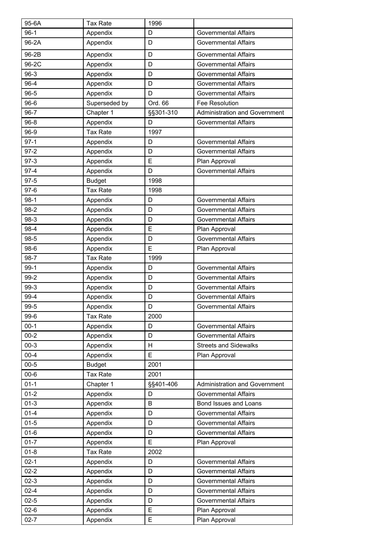| 95-6A    | <b>Tax Rate</b> | 1996      |                                      |
|----------|-----------------|-----------|--------------------------------------|
| $96-1$   | Appendix        | D         | <b>Governmental Affairs</b>          |
| 96-2A    | Appendix        | D         | <b>Governmental Affairs</b>          |
| 96-2B    | Appendix        | D         | <b>Governmental Affairs</b>          |
| 96-2C    | Appendix        | D         | <b>Governmental Affairs</b>          |
| 96-3     | Appendix        | D         | <b>Governmental Affairs</b>          |
| 96-4     | Appendix        | D         | <b>Governmental Affairs</b>          |
| $96 - 5$ | Appendix        | D         | <b>Governmental Affairs</b>          |
| 96-6     | Superseded by   | Ord. 66   | Fee Resolution                       |
| $96 - 7$ | Chapter 1       | §§301-310 | <b>Administration and Government</b> |
| $96 - 8$ | Appendix        | D         | <b>Governmental Affairs</b>          |
| 96-9     | <b>Tax Rate</b> | 1997      |                                      |
| $97-1$   | Appendix        | D         | <b>Governmental Affairs</b>          |
| $97 - 2$ | Appendix        | D         | <b>Governmental Affairs</b>          |
| $97-3$   | Appendix        | E         | Plan Approval                        |
| $97 - 4$ | Appendix        | D         | Governmental Affairs                 |
| $97 - 5$ | <b>Budget</b>   | 1998      |                                      |
| $97-6$   | <b>Tax Rate</b> | 1998      |                                      |
| $98-1$   | Appendix        | D         | <b>Governmental Affairs</b>          |
| $98-2$   | Appendix        | D         | <b>Governmental Affairs</b>          |
| 98-3     | Appendix        | D         | <b>Governmental Affairs</b>          |
| 98-4     | Appendix        | E         | Plan Approval                        |
| 98-5     | Appendix        | D         | <b>Governmental Affairs</b>          |
| 98-6     | Appendix        | E         | Plan Approval                        |
| $98 - 7$ | <b>Tax Rate</b> | 1999      |                                      |
| $99-1$   | Appendix        | D         | <b>Governmental Affairs</b>          |
| 99-2     | Appendix        | D         | <b>Governmental Affairs</b>          |
| 99-3     | Appendix        | D         | <b>Governmental Affairs</b>          |
| 99-4     | Appendix        | D         | <b>Governmental Affairs</b>          |
| 99-5     | Appendix        | D         | <b>Governmental Affairs</b>          |
| $99-6$   | <b>Tax Rate</b> | 2000      |                                      |
| $00-1$   | Appendix        | D         | <b>Governmental Affairs</b>          |
| $00 - 2$ | Appendix        | D         | <b>Governmental Affairs</b>          |
| $00-3$   | Appendix        | H         | <b>Streets and Sidewalks</b>         |
| $00 - 4$ | Appendix        | E         | Plan Approval                        |
| $00 - 5$ | <b>Budget</b>   | 2001      |                                      |
| $00 - 6$ | <b>Tax Rate</b> | 2001      |                                      |
| $01 - 1$ | Chapter 1       | §§401-406 | Administration and Government        |
| $01 - 2$ | Appendix        | D         | <b>Governmental Affairs</b>          |
| $01-3$   | Appendix        | B         | Bond Issues and Loans                |
| $01 - 4$ | Appendix        | D         | <b>Governmental Affairs</b>          |
| $01 - 5$ | Appendix        | D         | <b>Governmental Affairs</b>          |
| $01 - 6$ | Appendix        | D         | <b>Governmental Affairs</b>          |
| $01 - 7$ | Appendix        | E         | Plan Approval                        |
| $01 - 8$ | <b>Tax Rate</b> | 2002      |                                      |
| $02 - 1$ | Appendix        | D         | Governmental Affairs                 |
| $02-2$   | Appendix        | D         | <b>Governmental Affairs</b>          |
| $02 - 3$ | Appendix        | D         | <b>Governmental Affairs</b>          |
| $02 - 4$ | Appendix        | D         | <b>Governmental Affairs</b>          |
| $02 - 5$ | Appendix        | D         | <b>Governmental Affairs</b>          |
| $02 - 6$ | Appendix        | E         | Plan Approval                        |
| $02 - 7$ | Appendix        | E         | Plan Approval                        |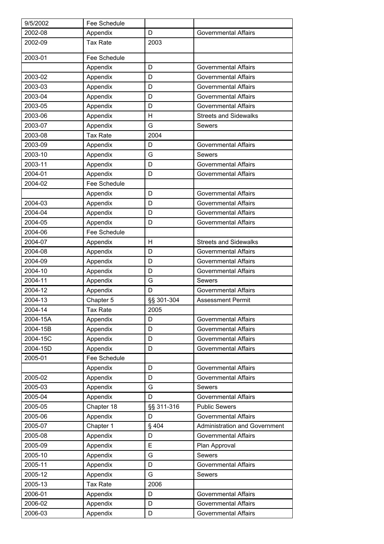| 9/5/2002 | Fee Schedule    |            |                                      |
|----------|-----------------|------------|--------------------------------------|
| 2002-08  | Appendix        | D          | <b>Governmental Affairs</b>          |
| 2002-09  | <b>Tax Rate</b> | 2003       |                                      |
| 2003-01  | Fee Schedule    |            |                                      |
|          | Appendix        | D          | <b>Governmental Affairs</b>          |
| 2003-02  | Appendix        | D          | <b>Governmental Affairs</b>          |
| 2003-03  | Appendix        | D          | <b>Governmental Affairs</b>          |
| 2003-04  | Appendix        | D          | <b>Governmental Affairs</b>          |
| 2003-05  | Appendix        | D          | <b>Governmental Affairs</b>          |
| 2003-06  | Appendix        | Н          | <b>Streets and Sidewalks</b>         |
| 2003-07  | Appendix        | G          | <b>Sewers</b>                        |
| 2003-08  | <b>Tax Rate</b> | 2004       |                                      |
| 2003-09  | Appendix        | D          | <b>Governmental Affairs</b>          |
| 2003-10  | Appendix        | G          | Sewers                               |
| 2003-11  | Appendix        | D          | <b>Governmental Affairs</b>          |
| 2004-01  | Appendix        | D          | <b>Governmental Affairs</b>          |
| 2004-02  | Fee Schedule    |            |                                      |
|          | Appendix        | D          | <b>Governmental Affairs</b>          |
| 2004-03  | Appendix        | D          | Governmental Affairs                 |
| 2004-04  | Appendix        | D          | <b>Governmental Affairs</b>          |
| 2004-05  | Appendix        | D          | Governmental Affairs                 |
| 2004-06  | Fee Schedule    |            |                                      |
| 2004-07  | Appendix        | H          | <b>Streets and Sidewalks</b>         |
| 2004-08  | Appendix        | D          | <b>Governmental Affairs</b>          |
| 2004-09  | Appendix        | D          | <b>Governmental Affairs</b>          |
| 2004-10  | Appendix        | D          | Governmental Affairs                 |
| 2004-11  | Appendix        | G          | Sewers                               |
| 2004-12  | Appendix        | D          | <b>Governmental Affairs</b>          |
| 2004-13  | Chapter 5       | §§ 301-304 | <b>Assessment Permit</b>             |
| 2004-14  | Tax Rate        | 2005       |                                      |
| 2004-15A | Appendix        | D          | <b>Governmental Affairs</b>          |
| 2004-15B | Appendix        | D          | <b>Governmental Affairs</b>          |
| 2004-15C | Appendix        | D          | <b>Governmental Affairs</b>          |
| 2004-15D | Appendix        | D          | <b>Governmental Affairs</b>          |
| 2005-01  | Fee Schedule    |            |                                      |
|          | Appendix        | D          | <b>Governmental Affairs</b>          |
| 2005-02  | Appendix        | D          | <b>Governmental Affairs</b>          |
| 2005-03  | Appendix        | G          | <b>Sewers</b>                        |
| 2005-04  | Appendix        | D          | <b>Governmental Affairs</b>          |
| 2005-05  | Chapter 18      | §§ 311-316 | <b>Public Sewers</b>                 |
| 2005-06  | Appendix        | D          | <b>Governmental Affairs</b>          |
| 2005-07  | Chapter 1       | §404       | <b>Administration and Government</b> |
| 2005-08  | Appendix        | D          | <b>Governmental Affairs</b>          |
| 2005-09  | Appendix        | E          | Plan Approval                        |
| 2005-10  | Appendix        | G          | Sewers                               |
| 2005-11  | Appendix        | D          | <b>Governmental Affairs</b>          |
| 2005-12  | Appendix        | G          | <b>Sewers</b>                        |
| 2005-13  | <b>Tax Rate</b> | 2006       |                                      |
| 2006-01  | Appendix        | D          | <b>Governmental Affairs</b>          |
| 2006-02  | Appendix        | D          | <b>Governmental Affairs</b>          |
| 2006-03  | Appendix        | D          | <b>Governmental Affairs</b>          |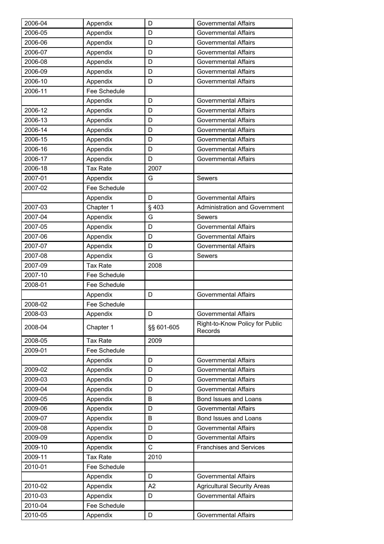| 2006-04 | Appendix        | D          | Governmental Affairs                       |
|---------|-----------------|------------|--------------------------------------------|
| 2006-05 | Appendix        | D          | <b>Governmental Affairs</b>                |
| 2006-06 | Appendix        | D          | <b>Governmental Affairs</b>                |
| 2006-07 | Appendix        | D          | <b>Governmental Affairs</b>                |
| 2006-08 | Appendix        | D          | Governmental Affairs                       |
| 2006-09 | Appendix        | D          | <b>Governmental Affairs</b>                |
| 2006-10 | Appendix        | D          | Governmental Affairs                       |
| 2006-11 | Fee Schedule    |            |                                            |
|         | Appendix        | D          | <b>Governmental Affairs</b>                |
| 2006-12 | Appendix        | D          | <b>Governmental Affairs</b>                |
| 2006-13 | Appendix        | D          | <b>Governmental Affairs</b>                |
| 2006-14 | Appendix        | D          | <b>Governmental Affairs</b>                |
| 2006-15 | Appendix        | D          | <b>Governmental Affairs</b>                |
| 2006-16 | Appendix        | D          | <b>Governmental Affairs</b>                |
| 2006-17 | Appendix        | D          | Governmental Affairs                       |
| 2006-18 | <b>Tax Rate</b> | 2007       |                                            |
| 2007-01 | Appendix        | G          | Sewers                                     |
| 2007-02 | Fee Schedule    |            |                                            |
|         | Appendix        | D          | <b>Governmental Affairs</b>                |
| 2007-03 | Chapter 1       | §403       | <b>Administration and Government</b>       |
| 2007-04 | Appendix        | G          | Sewers                                     |
| 2007-05 | Appendix        | D          | <b>Governmental Affairs</b>                |
| 2007-06 | Appendix        | D          | <b>Governmental Affairs</b>                |
| 2007-07 | Appendix        | D          | <b>Governmental Affairs</b>                |
| 2007-08 | Appendix        | G          | <b>Sewers</b>                              |
| 2007-09 | <b>Tax Rate</b> | 2008       |                                            |
| 2007-10 | Fee Schedule    |            |                                            |
| 2008-01 | Fee Schedule    |            |                                            |
|         | Appendix        | D          | <b>Governmental Affairs</b>                |
| 2008-02 | Fee Schedule    |            |                                            |
| 2008-03 | Appendix        | D          | <b>Governmental Affairs</b>                |
| 2008-04 | Chapter 1       | §§ 601-605 | Right-to-Know Policy for Public<br>Records |
| 2008-05 | <b>Tax Rate</b> | 2009       |                                            |
| 2009-01 | Fee Schedule    |            |                                            |
|         | Appendix        | D          | <b>Governmental Affairs</b>                |
| 2009-02 | Appendix        | D          | <b>Governmental Affairs</b>                |
| 2009-03 | Appendix        | D          | <b>Governmental Affairs</b>                |
| 2009-04 | Appendix        | D          | <b>Governmental Affairs</b>                |
| 2009-05 | Appendix        | B          | Bond Issues and Loans                      |
| 2009-06 | Appendix        | D          | <b>Governmental Affairs</b>                |
| 2009-07 | Appendix        | B          | Bond Issues and Loans                      |
| 2009-08 | Appendix        | D          | <b>Governmental Affairs</b>                |
| 2009-09 | Appendix        | D          | <b>Governmental Affairs</b>                |
| 2009-10 | Appendix        | C          | <b>Franchises and Services</b>             |
| 2009-11 | <b>Tax Rate</b> | 2010       |                                            |
| 2010-01 | Fee Schedule    |            |                                            |
|         | Appendix        | D          | <b>Governmental Affairs</b>                |
| 2010-02 | Appendix        | A2         | <b>Agricultural Security Areas</b>         |
| 2010-03 | Appendix        | D          | <b>Governmental Affairs</b>                |
| 2010-04 | Fee Schedule    |            |                                            |
|         |                 |            |                                            |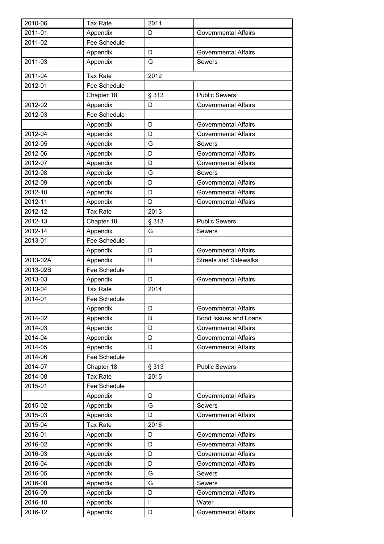| 2010-06  | <b>Tax Rate</b> | 2011  |                              |
|----------|-----------------|-------|------------------------------|
| 2011-01  | Appendix        | D     | <b>Governmental Affairs</b>  |
| 2011-02  | Fee Schedule    |       |                              |
|          | Appendix        | D     | <b>Governmental Affairs</b>  |
| 2011-03  | Appendix        | G     | Sewers                       |
| 2011-04  | <b>Tax Rate</b> | 2012  |                              |
| 2012-01  | Fee Schedule    |       |                              |
|          | Chapter 18      | § 313 | <b>Public Sewers</b>         |
| 2012-02  | Appendix        | D     | <b>Governmental Affairs</b>  |
| 2012-03  | Fee Schedule    |       |                              |
|          | Appendix        | D     | <b>Governmental Affairs</b>  |
| 2012-04  | Appendix        | D     | <b>Governmental Affairs</b>  |
| 2012-05  | Appendix        | G     | Sewers                       |
| 2012-06  | Appendix        | D     | <b>Governmental Affairs</b>  |
| 2012-07  | Appendix        | D     | <b>Governmental Affairs</b>  |
| 2012-08  | Appendix        | G     | <b>Sewers</b>                |
| 2012-09  | Appendix        | D     | <b>Governmental Affairs</b>  |
| 2012-10  | Appendix        | D     | <b>Governmental Affairs</b>  |
| 2012-11  | Appendix        | D     | <b>Governmental Affairs</b>  |
| 2012-12  | <b>Tax Rate</b> | 2013  |                              |
| 2012-13  | Chapter 18      | § 313 | <b>Public Sewers</b>         |
| 2012-14  | Appendix        | G     | <b>Sewers</b>                |
| 2013-01  | Fee Schedule    |       |                              |
|          | Appendix        | D     | <b>Governmental Affairs</b>  |
| 2013-02A | Appendix        | H     | <b>Streets and Sidewalks</b> |
| 2013-02B | Fee Schedule    |       |                              |
| 2013-03  | Appendix        | D     | <b>Governmental Affairs</b>  |
| 2013-04  | <b>Tax Rate</b> | 2014  |                              |
| 2014-01  | Fee Schedule    |       |                              |
|          | Appendix        | D     | <b>Governmental Affairs</b>  |
| 2014-02  | Appendix        | B     | Bond Issues and Loans        |
| 2014-03  | Appendix        | D     | <b>Governmental Affairs</b>  |
| 2014-04  | Appendix        | D     | <b>Governmental Affairs</b>  |
| 2014-05  | Appendix        | D     | <b>Governmental Affairs</b>  |
| 2014-06  | Fee Schedule    |       |                              |
| 2014-07  | Chapter 18      | § 313 | <b>Public Sewers</b>         |
| 2014-08  | <b>Tax Rate</b> | 2015  |                              |
| 2015-01  | Fee Schedule    |       |                              |
|          | Appendix        | D     | <b>Governmental Affairs</b>  |
| 2015-02  | Appendix        | G     | Sewers                       |
| 2015-03  | Appendix        | D     | <b>Governmental Affairs</b>  |
| 2015-04  | <b>Tax Rate</b> | 2016  |                              |
| 2016-01  | Appendix        | D     | <b>Governmental Affairs</b>  |
| 2016-02  | Appendix        | D     | <b>Governmental Affairs</b>  |
| 2016-03  | Appendix        | D     | <b>Governmental Affairs</b>  |
| 2016-04  | Appendix        | D     | <b>Governmental Affairs</b>  |
| 2016-05  | Appendix        | G     | Sewers                       |
| 2016-08  | Appendix        | G     | <b>Sewers</b>                |
| 2016-09  | Appendix        | D     | <b>Governmental Affairs</b>  |
| 2016-10  | Appendix        | I     | Water                        |
| 2016-12  | Appendix        | D     | <b>Governmental Affairs</b>  |